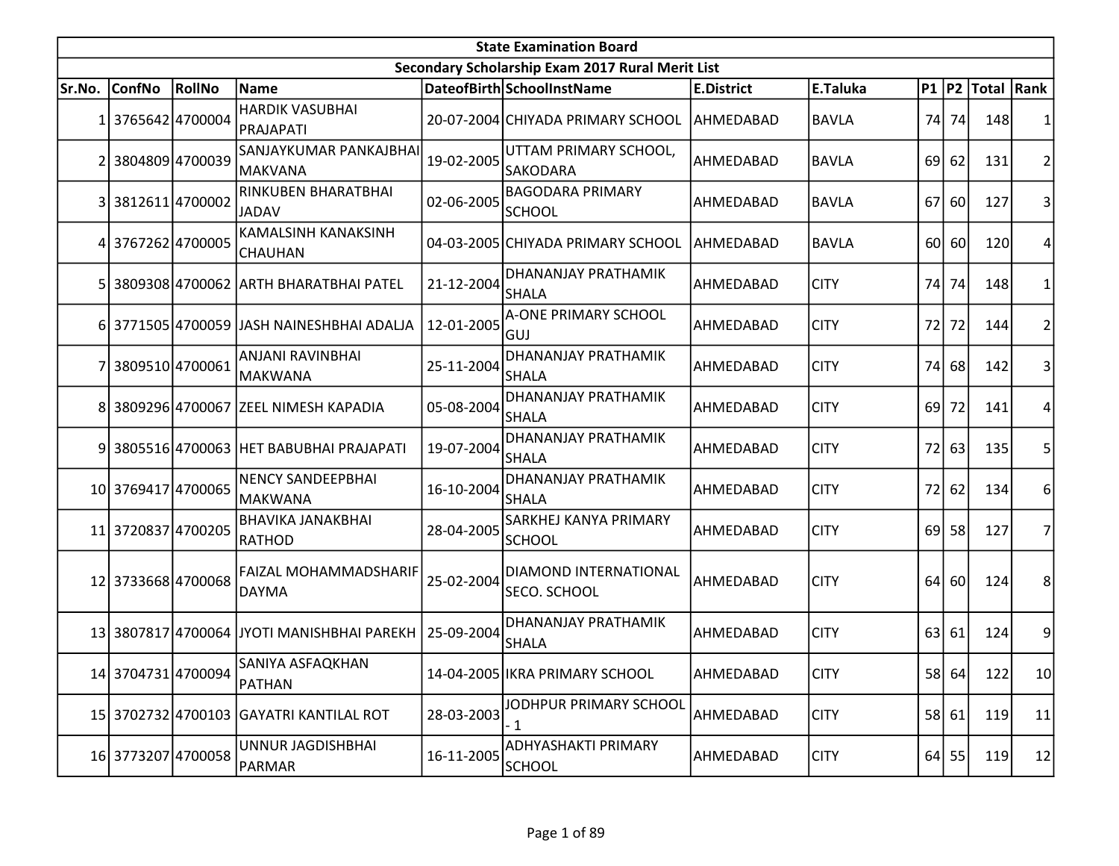|                | <b>State Examination Board</b> |        |                                             |            |                                                  |                   |              |      |         |                        |                 |  |  |
|----------------|--------------------------------|--------|---------------------------------------------|------------|--------------------------------------------------|-------------------|--------------|------|---------|------------------------|-----------------|--|--|
|                |                                |        |                                             |            | Secondary Scholarship Exam 2017 Rural Merit List |                   |              |      |         |                        |                 |  |  |
| Sr.No.         | ConfNo                         | RollNo | Name                                        |            | DateofBirth SchoolInstName                       | <b>E.District</b> | E.Taluka     |      |         | P1   P2   Total   Rank |                 |  |  |
| 1              | 3765642 4700004                |        | <b>HARDIK VASUBHAI</b><br>PRAJAPATI         |            | 20-07-2004 CHIYADA PRIMARY SCHOOL                | AHMEDABAD         | <b>BAVLA</b> |      | 74 74   | 148                    |                 |  |  |
| $\overline{2}$ | 3804809 4700039                |        | SANJAYKUMAR PANKAJBHAI<br>MAKVANA           | 19-02-2005 | UTTAM PRIMARY SCHOOL,<br><b>SAKODARA</b>         | AHMEDABAD         | <b>BAVLA</b> | 69   | 62      | 131                    | $\overline{2}$  |  |  |
|                | 3 3812611 4700002              |        | <b>RINKUBEN BHARATBHAI</b><br>JADAV         | 02-06-2005 | <b>BAGODARA PRIMARY</b><br><b>SCHOOL</b>         | AHMEDABAD         | <b>BAVLA</b> | 67   | 60      | 127                    | 3               |  |  |
| 4              | 3767262 4700005                |        | KAMALSINH KANAKSINH<br>CHAUHAN              |            | 04-03-2005 CHIYADA PRIMARY SCHOOL                | AHMEDABAD         | <b>BAVLA</b> | 60   | 60      | 120                    | 4               |  |  |
|                |                                |        | 3809308 4700062 ARTH BHARATBHAI PATEL       | 21-12-2004 | DHANANJAY PRATHAMIK<br><b>SHALA</b>              | AHMEDABAD         | <b>CITY</b>  | 74   | 74      | 148                    | 1               |  |  |
|                |                                |        | 6 3771505 4700059 JJASH NAINESHBHAI ADALJA  | 12-01-2005 | A-ONE PRIMARY SCHOOL<br>GUJ                      | AHMEDABAD         | <b>CITY</b>  | 72   | 72      | 144                    | 2               |  |  |
|                | 3809510 4700061                |        | ANJANI RAVINBHAI<br><b>MAKWANA</b>          | 25-11-2004 | <b>DHANANJAY PRATHAMIK</b><br><b>SHALA</b>       | AHMEDABAD         | <b>CITY</b>  | 74   | 68      | 142                    | 3               |  |  |
| 8              |                                |        | 3809296 4700067 ZEEL NIMESH KAPADIA         | 05-08-2004 | DHANANJAY PRATHAMIK<br><b>SHALA</b>              | AHMEDABAD         | <b>CITY</b>  | 69 l | 72      | 141                    | 4               |  |  |
|                |                                |        | 9 3805516 4700063 HET BABUBHAI PRAJAPATI    | 19-07-2004 | <b>DHANANJAY PRATHAMIK</b><br><b>SHALA</b>       | AHMEDABAD         | <b>CITY</b>  | 72   | 63      | 135                    | 5               |  |  |
|                | 10 3769417 4700065             |        | <b>NENCY SANDEEPBHAI</b><br><b>MAKWANA</b>  | 16-10-2004 | DHANANJAY PRATHAMIK<br><b>SHALA</b>              | AHMEDABAD         | <b>CITY</b>  | 72I  | 62      | 134                    | 6               |  |  |
|                | 11 3720837 4700205             |        | <b>BHAVIKA JANAKBHAI</b><br>RATHOD          | 28-04-2005 | SARKHEJ KANYA PRIMARY<br><b>SCHOOL</b>           | AHMEDABAD         | <b>CITY</b>  | 69 l | 58      | 127                    | 7               |  |  |
|                | 12 3733668 4700068             |        | FAIZAL MOHAMMADSHARIF<br><b>DAYMA</b>       | 25-02-2004 | DIAMOND INTERNATIONAL<br>SECO. SCHOOL            | AHMEDABAD         | <b>CITY</b>  | 64   | 60      | 124                    | 8               |  |  |
|                |                                |        | 13 3807817 4700064 JJYOTI MANISHBHAI PAREKH | 25-09-2004 | DHANANJAY PRATHAMIK<br><b>SHALA</b>              | AHMEDABAD         | <b>CITY</b>  | 63   | 61      | 124                    | 9               |  |  |
|                | 14 3704731 4700094             |        | SANIYA ASFAQKHAN<br>PATHAN                  |            | 14-04-2005 IKRA PRIMARY SCHOOL                   | AHMEDABAD         | <b>CITY</b>  |      | 58 64   | 122                    | 10 <sup>1</sup> |  |  |
|                |                                |        | 15 3702732 4700103 GAYATRI KANTILAL ROT     | 28-03-2003 | JODHPUR PRIMARY SCHOOL<br>- 1                    | AHMEDABAD         | <b>CITY</b>  |      | 58 61   | 119                    | 11              |  |  |
|                | 16 3773207 4700058             |        | UNNUR JAGDISHBHAI<br>PARMAR                 | 16-11-2005 | ADHYASHAKTI PRIMARY<br><b>SCHOOL</b>             | AHMEDABAD         | <b>CITY</b>  |      | $64$ 55 | 119                    | 12              |  |  |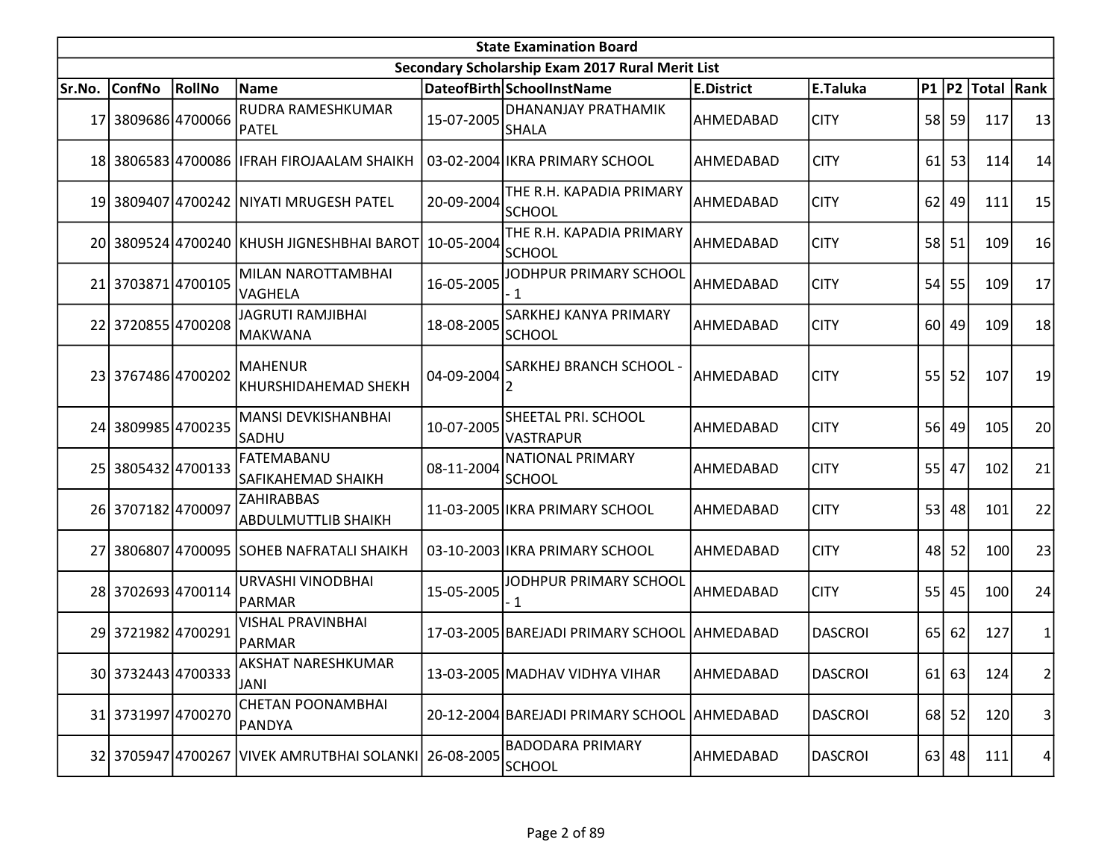|        | <b>State Examination Board</b><br>Secondary Scholarship Exam 2017 Rural Merit List |        |                                            |            |                                              |                   |                |                 |           |                     |    |  |  |
|--------|------------------------------------------------------------------------------------|--------|--------------------------------------------|------------|----------------------------------------------|-------------------|----------------|-----------------|-----------|---------------------|----|--|--|
|        |                                                                                    |        |                                            |            |                                              |                   |                |                 |           |                     |    |  |  |
| Sr.No. | ConfNo                                                                             | RollNo | Name                                       |            | DateofBirth SchoolInstName                   | <b>E.District</b> | E.Taluka       |                 |           | P1  P2  Total  Rank |    |  |  |
| 17     | 3809686 4700066                                                                    |        | RUDRA RAMESHKUMAR<br>PATEL                 | 15-07-2005 | DHANANJAY PRATHAMIK<br><b>SHALA</b>          | AHMEDABAD         | <b>CITY</b>    |                 | 58 59     | 117                 | 13 |  |  |
|        |                                                                                    |        | 18 3806583 4700086 IFRAH FIROJAALAM SHAIKH |            | 03-02-2004 IKRA PRIMARY SCHOOL               | AHMEDABAD         | <b>CITY</b>    | 61              | 53        | 114                 | 14 |  |  |
|        |                                                                                    |        | 19 3809407 4700242 NIYATI MRUGESH PATEL    | 20-09-2004 | THE R.H. KAPADIA PRIMARY<br><b>SCHOOL</b>    | AHMEDABAD         | <b>CITY</b>    | 62              | 49        | 111                 | 15 |  |  |
|        |                                                                                    |        | 20 3809524 4700240 KHUSH JIGNESHBHAI BAROT | 10-05-2004 | THE R.H. KAPADIA PRIMARY<br>SCHOOL           | AHMEDABAD         | <b>CITY</b>    |                 | 58 51     | 109                 | 16 |  |  |
|        | 21 3703871 4700105                                                                 |        | MILAN NAROTTAMBHAI<br>VAGHELA              | 16-05-2005 | JODHPUR PRIMARY SCHOOL<br>- 1                | AHMEDABAD         | <b>CITY</b>    | 54              | 55        | 109                 | 17 |  |  |
|        | 22 3720855 4700208                                                                 |        | <b>JAGRUTI RAMJIBHAI</b><br>MAKWANA        | 18-08-2005 | SARKHEJ KANYA PRIMARY<br><b>SCHOOL</b>       | AHMEDABAD         | <b>CITY</b>    |                 | 60 49     | 109                 | 18 |  |  |
|        | 23 3767486 4700202                                                                 |        | <b>MAHENUR</b><br>KHURSHIDAHEMAD SHEKH     | 04-09-2004 | SARKHEJ BRANCH SCHOOL -                      | AHMEDABAD         | <b>CITY</b>    | 55              | 52        | 107                 | 19 |  |  |
|        | 24 3809985 4700235                                                                 |        | MANSI DEVKISHANBHAI<br>SADHU               | 10-07-2005 | SHEETAL PRI. SCHOOL<br><b>VASTRAPUR</b>      | AHMEDABAD         | <b>CITY</b>    | <b>56</b>       | 49        | 105                 | 20 |  |  |
|        | 25 3805432 4700133                                                                 |        | FATEMABANU<br><b>SAFIKAHEMAD SHAIKH</b>    | 08-11-2004 | <b>NATIONAL PRIMARY</b><br><b>SCHOOL</b>     | AHMEDABAD         | <b>CITY</b>    | 55              | 47        | 102                 | 21 |  |  |
|        | 26 3707182 4700097                                                                 |        | ZAHIRABBAS<br><b>ABDULMUTTLIB SHAIKH</b>   |            | 11-03-2005 IKRA PRIMARY SCHOOL               | AHMEDABAD         | <b>CITY</b>    | 53              | 48        | 101                 | 22 |  |  |
|        |                                                                                    |        | 27 3806807 4700095 SOHEB NAFRATALI SHAIKH  |            | 03-10-2003 IKRA PRIMARY SCHOOL               | AHMEDABAD         | <b>CITY</b>    | 48              | 52        | 100                 | 23 |  |  |
|        | 28 3702693 4700114                                                                 |        | URVASHI VINODBHAI<br>PARMAR                | 15-05-2005 | JODHPUR PRIMARY SCHOOL<br>- 1                | AHMEDABAD         | <b>CITY</b>    | 55              | 45        | 100                 | 24 |  |  |
|        | 29 3721982 4700291                                                                 |        | <b>VISHAL PRAVINBHAI</b><br>PARMAR         |            | 17-03-2005 BAREJADI PRIMARY SCHOOL AHMEDABAD |                   | <b>DASCROI</b> | 65 <sup> </sup> | 62        | 127                 | 1  |  |  |
|        | 30 3732443 4700333                                                                 |        | AKSHAT NARESHKUMAR<br><b>JANI</b>          |            | 13-03-2005 MADHAV VIDHYA VIHAR               | AHMEDABAD         | DASCROI        |                 | $61$ 63   | 124                 | 2  |  |  |
|        | 31 3731997 4700270                                                                 |        | <b>CHETAN POONAMBHAI</b><br>PANDYA         |            | 20-12-2004 BAREJADI PRIMARY SCHOOL AHMEDABAD |                   | <b>DASCROI</b> |                 | $68$   52 | 120                 | 3  |  |  |
|        |                                                                                    |        | 32 3705947 4700267 VIVEK AMRUTBHAI SOLANKI | 26-08-2005 | <b>BADODARA PRIMARY</b><br><b>SCHOOL</b>     | AHMEDABAD         | <b>DASCROI</b> |                 | $63$   48 | 111                 | 4  |  |  |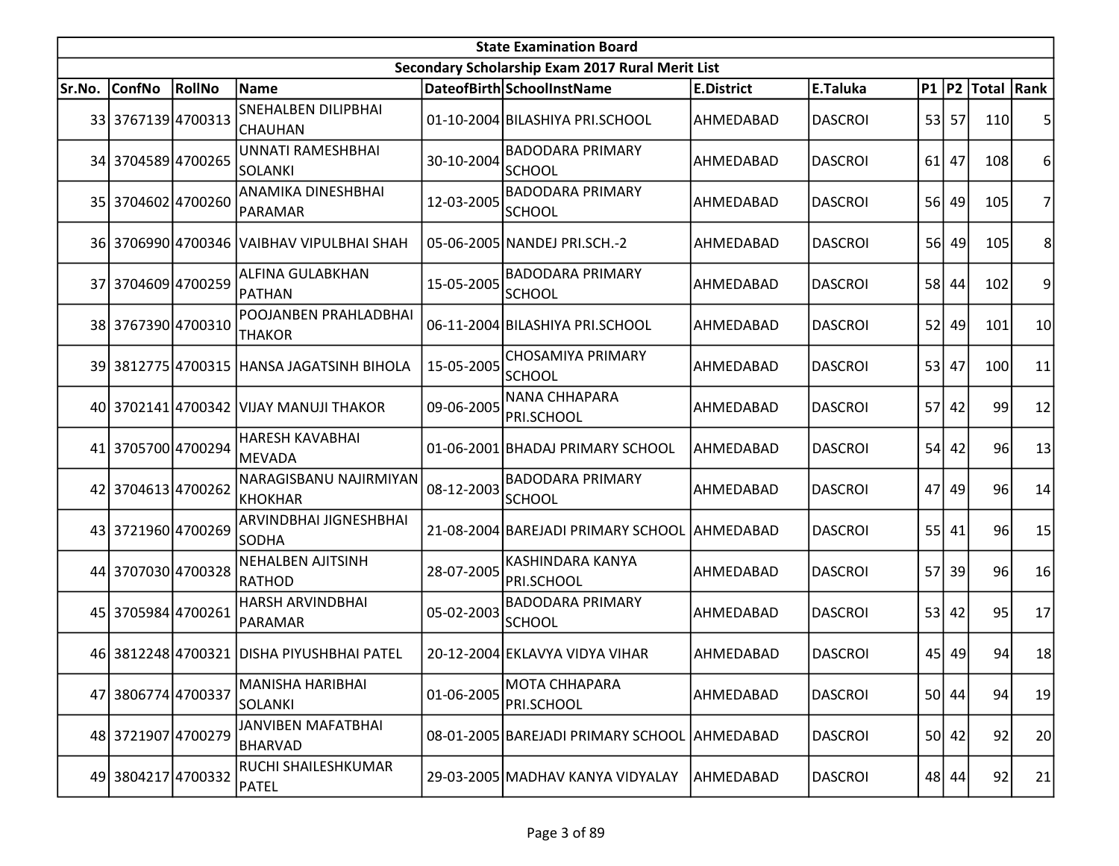| <b>State Examination Board</b> |                    |        |                                              |            |                                                  |                   |                |           |         |                        |                |  |
|--------------------------------|--------------------|--------|----------------------------------------------|------------|--------------------------------------------------|-------------------|----------------|-----------|---------|------------------------|----------------|--|
|                                |                    |        |                                              |            | Secondary Scholarship Exam 2017 Rural Merit List |                   |                |           |         |                        |                |  |
| Sr.No.                         | <b>ConfNo</b>      | RollNo | <b>Name</b>                                  |            | DateofBirth SchoolInstName                       | <b>E.District</b> | E.Taluka       |           |         | P1   P2   Total   Rank |                |  |
|                                | 33 3767139 4700313 |        | <b>SNEHALBEN DILIPBHAI</b><br><b>CHAUHAN</b> |            | 01-10-2004 BILASHIYA PRI.SCHOOL                  | AHMEDABAD         | <b>DASCROI</b> |           | 53 57   | 110                    | 5              |  |
|                                | 34 3704589 4700265 |        | <b>UNNATI RAMESHBHAI</b><br>SOLANKI          | 30-10-2004 | <b>BADODARA PRIMARY</b><br><b>SCHOOL</b>         | AHMEDABAD         | <b>DASCROI</b> | 61        | 47      | 108                    | 6              |  |
|                                | 35 3704602 4700260 |        | ANAMIKA DINESHBHAI<br>PARAMAR                | 12-03-2005 | <b>BADODARA PRIMARY</b><br><b>SCHOOL</b>         | AHMEDABAD         | <b>DASCROI</b> |           | 56 49   | 105                    | $\overline{7}$ |  |
|                                |                    |        | 36 3706990 4700346 VAIBHAV VIPULBHAI SHAH    |            | 05-06-2005 NANDEJ PRI.SCH.-2                     | AHMEDABAD         | <b>DASCROI</b> | <b>56</b> | 49      | 105                    | 8              |  |
|                                | 37 3704609 4700259 |        | ALFINA GULABKHAN<br>PATHAN                   | 15-05-2005 | <b>BADODARA PRIMARY</b><br><b>SCHOOL</b>         | AHMEDABAD         | <b>DASCROI</b> | 58        | 44      | 102                    | 9              |  |
|                                | 38 3767390 4700310 |        | POOJANBEN PRAHLADBHAI<br><b>THAKOR</b>       |            | 06-11-2004 BILASHIYA PRI.SCHOOL                  | AHMEDABAD         | <b>DASCROI</b> | 52        | 49      | 101                    | 10             |  |
|                                |                    |        | 39 3812775 4700315 HANSA JAGATSINH BIHOLA    | 15-05-2005 | <b>CHOSAMIYA PRIMARY</b><br><b>SCHOOL</b>        | AHMEDABAD         | <b>DASCROI</b> | 53        | 47      | 100                    | 11             |  |
|                                |                    |        | 40 3702141 4700342 VIJAY MANUJI THAKOR       | 09-06-2005 | NANA CHHAPARA<br>PRI.SCHOOL                      | AHMEDABAD         | <b>DASCROI</b> | 57        | 42      | 99                     | 12             |  |
|                                | 41 3705700 4700294 |        | <b>HARESH KAVABHAI</b><br>MEVADA             |            | 01-06-2001 BHADAJ PRIMARY SCHOOL                 | AHMEDABAD         | <b>DASCROI</b> |           | $54$ 42 | 96                     | 13             |  |
|                                | 42 3704613 4700262 |        | NARAGISBANU NAJIRMIYAN<br>KHOKHAR            | 08-12-2003 | <b>BADODARA PRIMARY</b><br><b>SCHOOL</b>         | AHMEDABAD         | <b>DASCROI</b> | 47        | 49      | 96                     | 14             |  |
|                                | 43 3721960 4700269 |        | ARVINDBHAI JIGNESHBHAI<br><b>SODHA</b>       |            | 21-08-2004 BAREJADI PRIMARY SCHOOL AHMEDABAD     |                   | <b>DASCROI</b> |           | $55$ 41 | 96                     | 15             |  |
|                                | 44 3707030 4700328 |        | <b>NEHALBEN AJITSINH</b><br>RATHOD           | 28-07-2005 | KASHINDARA KANYA<br>PRI.SCHOOL                   | AHMEDABAD         | <b>DASCROI</b> | 57        | 39      | 96                     | 16             |  |
|                                | 45 3705984 4700261 |        | <b>HARSH ARVINDBHAI</b><br>PARAMAR           | 05-02-2003 | <b>BADODARA PRIMARY</b><br><b>SCHOOL</b>         | AHMEDABAD         | <b>DASCROI</b> | 53        | 42      | 95                     | 17             |  |
|                                |                    |        | 46 3812248 4700321 DISHA PIYUSHBHAI PATEL    |            | 20-12-2004 EKLAVYA VIDYA VIHAR                   | AHMEDABAD         | <b>DASCROI</b> |           | 45 49   | 94                     | 18             |  |
|                                | 47 3806774 4700337 |        | <b>MANISHA HARIBHAI</b><br>SOLANKI           | 01-06-2005 | <b>MOTA CHHAPARA</b><br>PRI.SCHOOL               | AHMEDABAD         | <b>DASCROI</b> |           | 50 44   | 94                     | 19             |  |
|                                | 48 3721907 4700279 |        | JANVIBEN MAFATBHAI<br><b>BHARVAD</b>         |            | 08-01-2005 BAREJADI PRIMARY SCHOOL AHMEDABAD     |                   | <b>DASCROI</b> |           | 50 42   | 92                     | 20             |  |
|                                | 49 3804217 4700332 |        | RUCHI SHAILESHKUMAR<br>PATEL                 |            | 29-03-2005 MADHAV KANYA VIDYALAY                 | AHMEDABAD         | <b>DASCROI</b> |           | 48 44   | 92                     | 21             |  |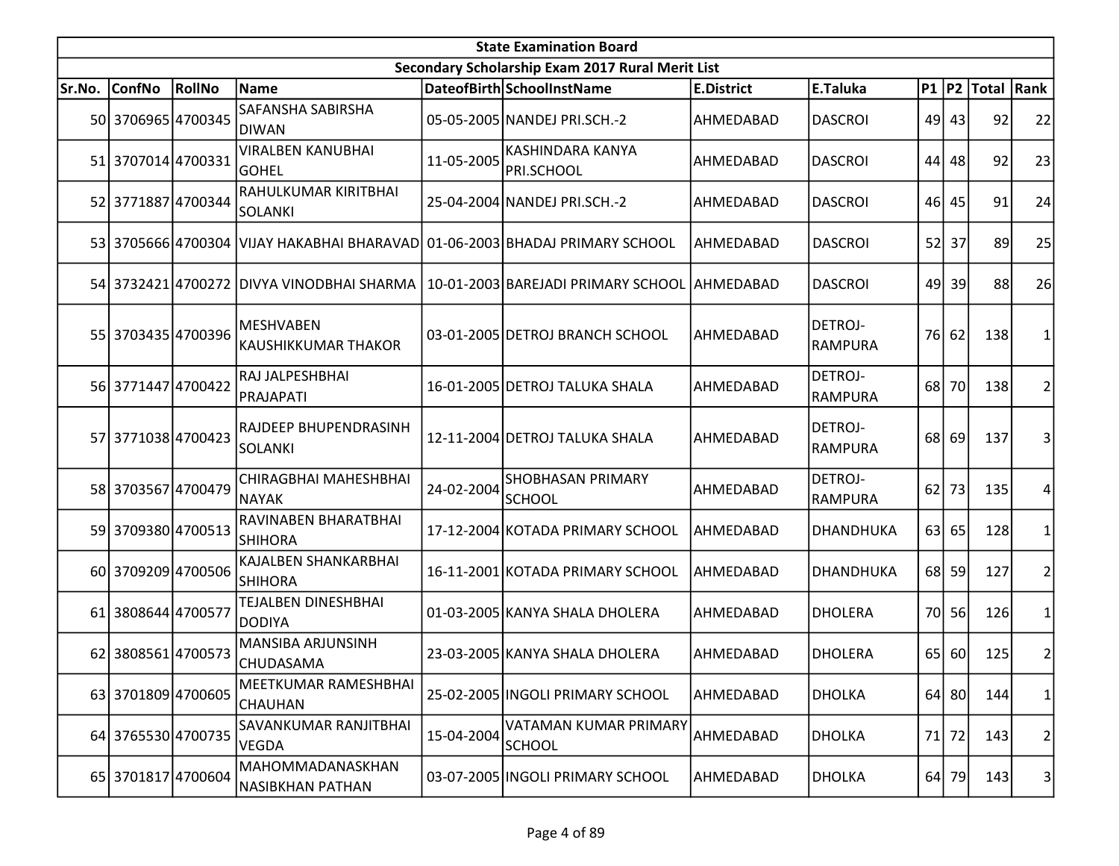| <b>State Examination Board</b> |                    |        |                                                                             |            |                                                  |                   |                                  |      |         |                  |                         |  |  |
|--------------------------------|--------------------|--------|-----------------------------------------------------------------------------|------------|--------------------------------------------------|-------------------|----------------------------------|------|---------|------------------|-------------------------|--|--|
|                                |                    |        |                                                                             |            | Secondary Scholarship Exam 2017 Rural Merit List |                   |                                  |      |         |                  |                         |  |  |
| Sr.No.                         | <b>ConfNo</b>      | RollNo | <b>Name</b>                                                                 |            | DateofBirth SchoolInstName                       | <b>E.District</b> | E.Taluka                         |      |         | P1 P2 Total Rank |                         |  |  |
|                                | 50 3706965 4700345 |        | SAFANSHA SABIRSHA<br>DIWAN                                                  |            | 05-05-2005 NANDEJ PRI.SCH.-2                     | AHMEDABAD         | <b>DASCROI</b>                   |      | 49 43   | 92               | 22                      |  |  |
|                                | 51 3707014 4700331 |        | <b>VIRALBEN KANUBHAI</b><br><b>GOHEL</b>                                    | 11-05-2005 | <b>KASHINDARA KANYA</b><br>PRI.SCHOOL            | AHMEDABAD         | <b>DASCROI</b>                   | 44   | 48      | 92               | 23                      |  |  |
|                                | 52 3771887 4700344 |        | RAHULKUMAR KIRITBHAI<br>SOLANKI                                             |            | 25-04-2004 NANDEJ PRI.SCH.-2                     | AHMEDABAD         | <b>DASCROI</b>                   |      | 46 45   | 91               | 24                      |  |  |
|                                |                    |        | 53 3705666 4700304 VIJAY HAKABHAI BHARAVAD 01-06-2003 BHADAJ PRIMARY SCHOOL |            |                                                  | AHMEDABAD         | <b>DASCROI</b>                   | 52   | 37      | 89               | 25                      |  |  |
|                                |                    |        | 54 3732421 4700272 DIVYA VINODBHAI SHARMA                                   |            | 10-01-2003 BAREJADI PRIMARY SCHOOL AHMEDABAD     |                   | <b>DASCROI</b>                   | 49   | 39      | 88               | 26                      |  |  |
|                                | 55 3703435 4700396 |        | <b>MESHVABEN</b><br><b>KAUSHIKKUMAR THAKOR</b>                              |            | 03-01-2005 DETROJ BRANCH SCHOOL                  | AHMEDABAD         | <b>DETROJ-</b><br><b>RAMPURA</b> |      | 76 62   | 138              | 1                       |  |  |
|                                | 56 3771447 4700422 |        | RAJ JALPESHBHAI<br>PRAJAPATI                                                |            | 16-01-2005 DETROJ TALUKA SHALA                   | AHMEDABAD         | <b>DETROJ-</b><br><b>RAMPURA</b> | 68   | 70      | 138              | 2                       |  |  |
|                                | 57 3771038 4700423 |        | RAJDEEP BHUPENDRASINH<br>SOLANKI                                            |            | 12-11-2004 DETROJ TALUKA SHALA                   | AHMEDABAD         | DETROJ-<br><b>RAMPURA</b>        | 68 l | 69      | 137              | 3                       |  |  |
|                                | 58 3703567 4700479 |        | CHIRAGBHAI MAHESHBHAI<br><b>NAYAK</b>                                       | 24-02-2004 | <b>SHOBHASAN PRIMARY</b><br><b>SCHOOL</b>        | AHMEDABAD         | <b>DETROJ-</b><br><b>RAMPURA</b> | 62   | 73      | 135              | 4                       |  |  |
|                                | 59 3709380 4700513 |        | RAVINABEN BHARATBHAI<br><b>SHIHORA</b>                                      |            | 17-12-2004 KOTADA PRIMARY SCHOOL                 | AHMEDABAD         | DHANDHUKA                        |      | 63 65   | 128              | 1                       |  |  |
|                                | 60 3709209 4700506 |        | KAJALBEN SHANKARBHAI<br><b>SHIHORA</b>                                      |            | 16-11-2001 KOTADA PRIMARY SCHOOL                 | AHMEDABAD         | DHANDHUKA                        | 68   | 59      | 127              | 2                       |  |  |
| 61                             | 3808644 4700577    |        | TEJALBEN DINESHBHAI<br>DODIYA                                               |            | 01-03-2005 KANYA SHALA DHOLERA                   | AHMEDABAD         | <b>DHOLERA</b>                   | 70I  | 56      | 126              | 1                       |  |  |
|                                | 62 3808561 4700573 |        | MANSIBA ARJUNSINH<br><b>CHUDASAMA</b>                                       |            | 23-03-2005 KANYA SHALA DHOLERA                   | AHMEDABAD         | <b>DHOLERA</b>                   |      | 65 60   | 125              | $\overline{\mathbf{c}}$ |  |  |
|                                | 63 3701809 4700605 |        | MEETKUMAR RAMESHBHAI<br>CHAUHAN                                             |            | 25-02-2005   INGOLI PRIMARY SCHOOL               | AHMEDABAD         | <b>DHOLKA</b>                    |      | $64$ 80 | 144              | 1                       |  |  |
|                                | 64 3765530 4700735 |        | SAVANKUMAR RANJITBHAI<br><b>VEGDA</b>                                       | 15-04-2004 | VATAMAN KUMAR PRIMARY<br><b>SCHOOL</b>           | AHMEDABAD         | <b>DHOLKA</b>                    | 71   | 72      | 143              | $\overline{\mathbf{c}}$ |  |  |
|                                | 65 3701817 4700604 |        | MAHOMMADANASKHAN<br>NASIBKHAN PATHAN                                        |            | 03-07-2005 INGOLI PRIMARY SCHOOL                 | AHMEDABAD         | <b>DHOLKA</b>                    |      | 64 79   | 143              | 3                       |  |  |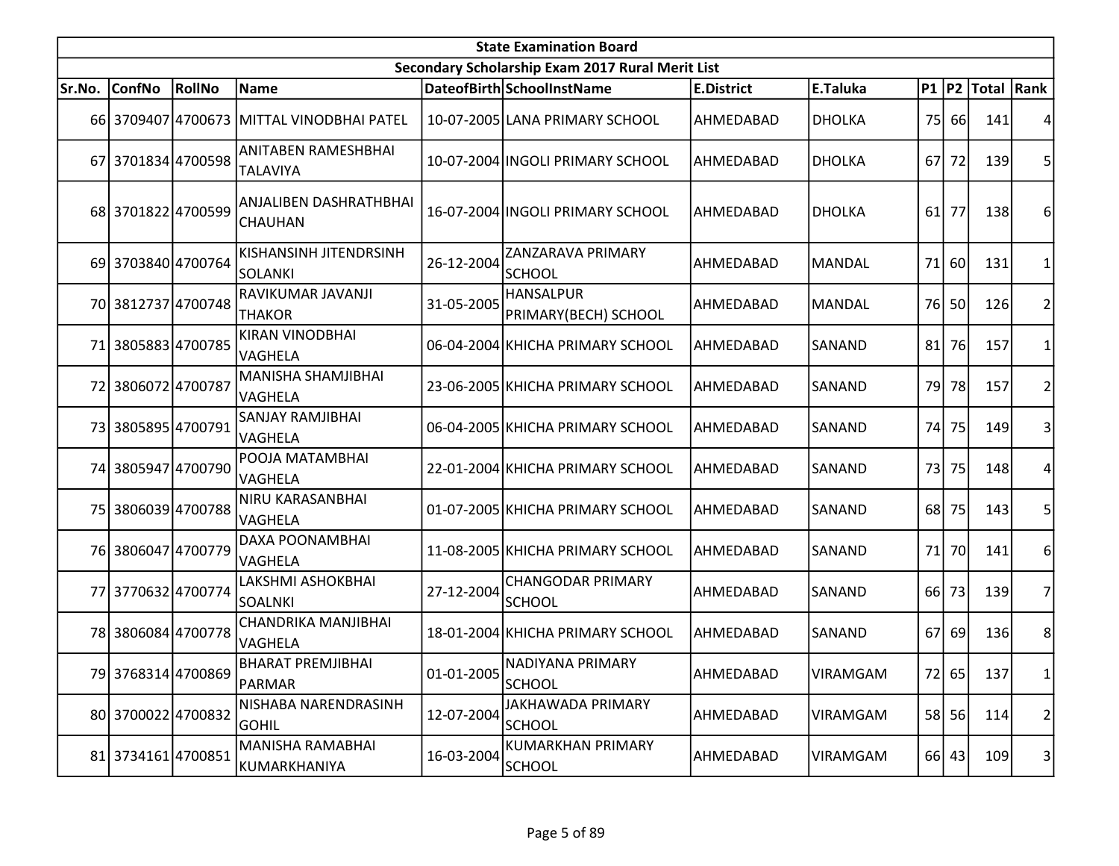|           | <b>State Examination Board</b> |        |                                                 |            |                                                  |                   |                 |                 |           |                        |                |  |  |
|-----------|--------------------------------|--------|-------------------------------------------------|------------|--------------------------------------------------|-------------------|-----------------|-----------------|-----------|------------------------|----------------|--|--|
|           |                                |        |                                                 |            | Secondary Scholarship Exam 2017 Rural Merit List |                   |                 |                 |           |                        |                |  |  |
| Sr.No.    | <b>ConfNo</b>                  | RollNo | Name                                            |            | DateofBirth SchoolInstName                       | <b>E.District</b> | E.Taluka        |                 |           | P1   P2   Total   Rank |                |  |  |
|           |                                |        | 66 3709407 4700673 MITTAL VINODBHAI PATEL       |            | 10-07-2005 LANA PRIMARY SCHOOL                   | AHMEDABAD         | <b>DHOLKA</b>   |                 | 75 66     | 141                    |                |  |  |
|           | 67 3701834 4700598             |        | ANITABEN RAMESHBHAI<br><b>TALAVIYA</b>          |            | 10-07-2004 INGOLI PRIMARY SCHOOL                 | AHMEDABAD         | <b>DHOLKA</b>   | 67I             | 72        | 139                    | 5              |  |  |
|           | 68 3701822 4700599             |        | ANJALIBEN DASHRATHBHAI<br><b>CHAUHAN</b>        |            | 16-07-2004 INGOLI PRIMARY SCHOOL                 | AHMEDABAD         | <b>DHOLKA</b>   | 61              | 77        | 138                    | 6              |  |  |
|           | 69 3703840 4700764             |        | <b>KISHANSINH JITENDRSINH</b><br><b>SOLANKI</b> | 26-12-2004 | <b>ZANZARAVA PRIMARY</b><br><b>SCHOOL</b>        | AHMEDABAD         | <b>MANDAL</b>   | 71              | 60        | 131                    | $\mathbf{1}$   |  |  |
|           | 70 3812737 4700748             |        | RAVIKUMAR JAVANJI<br><b>THAKOR</b>              | 31-05-2005 | <b>HANSALPUR</b><br>PRIMARY(BECH) SCHOOL         | AHMEDABAD         | <b>MANDAL</b>   |                 | 76 50     | 126                    | 2              |  |  |
|           | 71 3805883 4700785             |        | <b>KIRAN VINODBHAI</b><br>VAGHELA               |            | 06-04-2004 KHICHA PRIMARY SCHOOL                 | AHMEDABAD         | <b>SANAND</b>   | 81              | <b>76</b> | 157                    | 1              |  |  |
| 72        | 38060724700787                 |        | MANISHA SHAMJIBHAI<br>VAGHELA                   |            | 23-06-2005 KHICHA PRIMARY SCHOOL                 | AHMEDABAD         | SANAND          | 79              | 78        | 157                    | $\overline{2}$ |  |  |
|           | 73 3805895 4700791             |        | <b>SANJAY RAMJIBHAI</b><br>VAGHELA              |            | 06-04-2005 KHICHA PRIMARY SCHOOL                 | AHMEDABAD         | <b>SANAND</b>   | 74              | 75        | 149                    | 3              |  |  |
|           | 74 3805947 4700790             |        | POOJA MATAMBHAI<br>VAGHELA                      |            | 22-01-2004 KHICHA PRIMARY SCHOOL                 | AHMEDABAD         | SANAND          | 73              | 75        | 148                    | 4              |  |  |
| <b>75</b> | 3806039 4700788                |        | NIRU KARASANBHAI<br>VAGHELA                     |            | 01-07-2005 KHICHA PRIMARY SCHOOL                 | AHMEDABAD         | <b>SANAND</b>   | 68              | 75        | 143                    | 5              |  |  |
|           | 76 3806047 4700779             |        | DAXA POONAMBHAI<br>VAGHELA                      |            | 11-08-2005 KHICHA PRIMARY SCHOOL                 | AHMEDABAD         | SANAND          | 71              | 70l       | 141                    | 6              |  |  |
|           | 77 3770632 4700774             |        | LAKSHMI ASHOKBHAI<br>SOALNKI                    | 27-12-2004 | <b>CHANGODAR PRIMARY</b><br><b>SCHOOL</b>        | AHMEDABAD         | SANAND          | 66 <sup> </sup> | 73        | 139                    | $\overline{7}$ |  |  |
|           | 78 3806084 4700778             |        | CHANDRIKA MANJIBHAI<br><b>VAGHELA</b>           |            | 18-01-2004 KHICHA PRIMARY SCHOOL                 | AHMEDABAD         | SANAND          | 67              | 69        | 136                    | 8              |  |  |
|           | 79 3768314 4700869             |        | BHARAT PREMJIBHAI<br>PARMAR                     | 01-01-2005 | NADIYANA PRIMARY<br><b>SCHOOL</b>                | AHMEDABAD         | VIRAMGAM        |                 | 72 65     | 137                    | $\mathbf{1}$   |  |  |
|           | 80 3700022 4700832             |        | NISHABA NARENDRASINH<br><b>GOHIL</b>            | 12-07-2004 | JAKHAWADA PRIMARY<br><b>SCHOOL</b>               | AHMEDABAD         | <b>VIRAMGAM</b> |                 | 58 56     | 114                    | $\overline{2}$ |  |  |
|           | 81 3734161 4700851             |        | MANISHA RAMABHAI<br> KUMARKHANIYA               | 16-03-2004 | <b>KUMARKHAN PRIMARY</b><br><b>SCHOOL</b>        | AHMEDABAD         | VIRAMGAM        |                 | 66 43     | 109                    | 3              |  |  |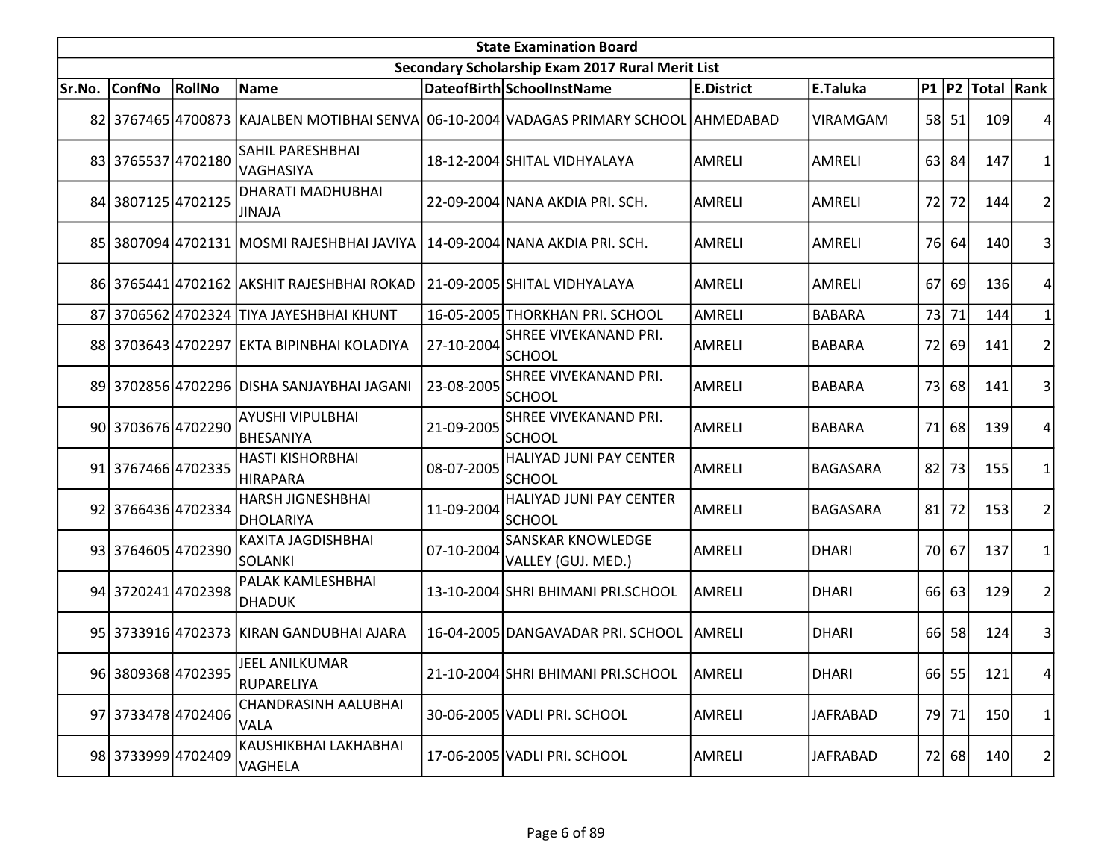| <b>State Examination Board</b> |                    |        |                                                  |            |                                                                                        |                   |                 |      |       |                     |                |  |
|--------------------------------|--------------------|--------|--------------------------------------------------|------------|----------------------------------------------------------------------------------------|-------------------|-----------------|------|-------|---------------------|----------------|--|
|                                |                    |        |                                                  |            | Secondary Scholarship Exam 2017 Rural Merit List                                       |                   |                 |      |       |                     |                |  |
| Sr.No.                         | <b>ConfNo</b>      | RollNo | Name                                             |            | DateofBirth SchoolInstName                                                             | <b>E.District</b> | E.Taluka        |      |       | P1  P2  Total  Rank |                |  |
|                                |                    |        |                                                  |            | 82 3767465 4700873 KAJALBEN MOTIBHAI SENVA 06-10-2004 VADAGAS PRIMARY SCHOOL AHMEDABAD |                   | VIRAMGAM        |      | 58 51 | 109                 |                |  |
|                                | 83 3765537 4702180 |        | <b>SAHIL PARESHBHAI</b><br>VAGHASIYA             |            | 18-12-2004 SHITAL VIDHYALAYA                                                           | AMRELI            | AMRELI          |      | 63 84 | 147                 |                |  |
|                                | 84 3807125 4702125 |        | <b>DHARATI MADHUBHAI</b><br><b>JINAJA</b>        |            | 22-09-2004 NANA AKDIA PRI. SCH.                                                        | <b>AMRELI</b>     | AMRELI          | 72 l | 72    | 144                 | 2              |  |
|                                |                    |        | 85   3807094   4702131   MOSMI RAJESHBHAI JAVIYA |            | 14-09-2004 NANA AKDIA PRI. SCH.                                                        | <b>AMRELI</b>     | <b>AMRELI</b>   |      | 76 64 | <b>140</b>          | 3              |  |
|                                |                    |        | 86 3765441 4702162 AKSHIT RAJESHBHAI ROKAD       |            | 21-09-2005 SHITAL VIDHYALAYA                                                           | <b>AMRELI</b>     | <b>AMRELI</b>   | 67   | 69    | 136                 |                |  |
|                                |                    |        | 87 3706562 4702324 TIYA JAYESHBHAI KHUNT         |            | 16-05-2005 THORKHAN PRI. SCHOOL                                                        | AMRELI            | <b>BABARA</b>   | 73   | 71    | 144                 |                |  |
|                                |                    |        | 88 3703643 4702297 EKTA BIPINBHAI KOLADIYA       | 27-10-2004 | SHREE VIVEKANAND PRI.<br><b>SCHOOL</b>                                                 | AMRELI            | <b>BABARA</b>   |      | 72 69 | 141                 | $\overline{2}$ |  |
|                                |                    |        | 89 3702856 4702296 DISHA SANJAYBHAI JAGANI       | 23-08-2005 | <b>SHREE VIVEKANAND PRI.</b><br><b>SCHOOL</b>                                          | <b>AMRELI</b>     | <b>BABARA</b>   |      | 73 68 | 141                 |                |  |
|                                | 90 3703676 4702290 |        | <b>AYUSHI VIPULBHAI</b><br><b>BHESANIYA</b>      | 21-09-2005 | <b>SHREE VIVEKANAND PRI.</b><br><b>SCHOOL</b>                                          | AMRELI            | <b>BABARA</b>   |      | 71 68 | 139                 |                |  |
|                                | 91 3767466 4702335 |        | <b>HASTI KISHORBHAI</b><br><b>IHIRAPARA</b>      | 08-07-2005 | HALIYAD JUNI PAY CENTER<br><b>SCHOOL</b>                                               | AMRELI            | <b>BAGASARA</b> | 82   | 73    | 155                 |                |  |
|                                | 92 3766436 4702334 |        | <b>HARSH JIGNESHBHAI</b><br><b>DHOLARIYA</b>     | 11-09-2004 | HALIYAD JUNI PAY CENTER<br><b>SCHOOL</b>                                               | AMRELI            | <b>BAGASARA</b> | 81   | 72    | 153                 |                |  |
|                                | 93 3764605 4702390 |        | <b>KAXITA JAGDISHBHAI</b><br><b>SOLANKI</b>      | 07-10-2004 | <b>SANSKAR KNOWLEDGE</b><br>VALLEY (GUJ. MED.)                                         | AMRELI            | <b>DHARI</b>    |      | 70 67 | 137                 |                |  |
|                                | 94 3720241 4702398 |        | PALAK KAMLESHBHAI<br>DHADUK                      |            | 13-10-2004 SHRI BHIMANI PRI.SCHOOL                                                     | <b>AMRELI</b>     | <b>DHARI</b>    |      | 66 63 | 129                 | $\overline{2}$ |  |
|                                |                    |        | 95 3733916 4702373 KIRAN GANDUBHAI AJARA         |            | 16-04-2005 DANGAVADAR PRI. SCHOOL                                                      | AMRELI            | <b>DHARI</b>    |      | 66 58 | 124                 | 3              |  |
|                                | 96 3809368 4702395 |        | JEEL ANILKUMAR<br>RUPARELIYA                     |            | 21-10-2004 SHRI BHIMANI PRI.SCHOOL                                                     | AMRELI            | <b>DHARI</b>    |      | 66 55 | 121                 | 4              |  |
|                                | 97 3733478 4702406 |        | CHANDRASINH AALUBHAI<br><b>VALA</b>              |            | 30-06-2005 VADLI PRI. SCHOOL                                                           | AMRELI            | <b>JAFRABAD</b> |      | 79 71 | 150                 | 1              |  |
|                                | 98 3733999 4702409 |        | KAUSHIKBHAI LAKHABHAI<br>VAGHELA                 |            | 17-06-2005 VADLI PRI. SCHOOL                                                           | AMRELI            | <b>JAFRABAD</b> |      | 72 68 | 140                 | $\overline{2}$ |  |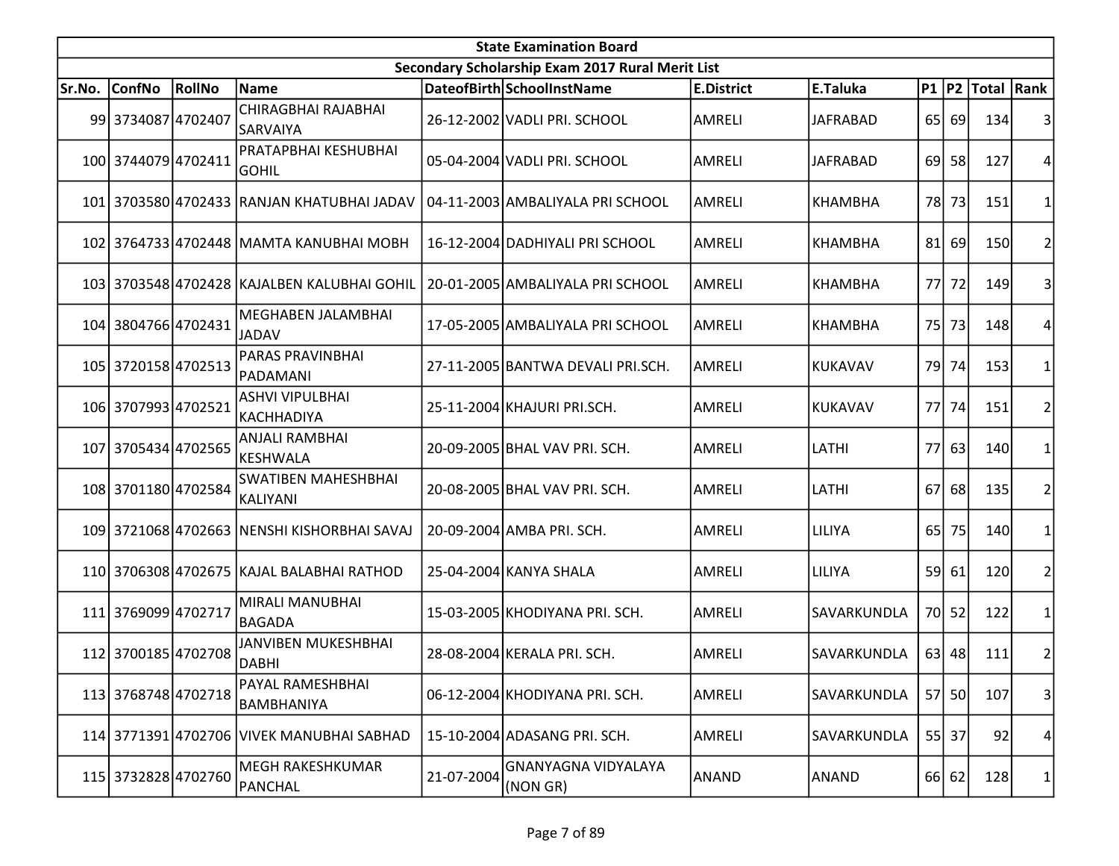| <b>State Examination Board</b> |                     |        |                                               |            |                                                  |                   |                 |           |       |                  |                |  |
|--------------------------------|---------------------|--------|-----------------------------------------------|------------|--------------------------------------------------|-------------------|-----------------|-----------|-------|------------------|----------------|--|
|                                |                     |        |                                               |            | Secondary Scholarship Exam 2017 Rural Merit List |                   |                 |           |       |                  |                |  |
| Sr.No.                         | <b>ConfNo</b>       | RollNo | <b>Name</b>                                   |            | DateofBirth SchoolInstName                       | <b>E.District</b> | E.Taluka        |           |       | P1 P2 Total Rank |                |  |
|                                | 99 3734087 4702407  |        | <b>CHIRAGBHAI RAJABHAI</b><br><b>SARVAIYA</b> |            | 26-12-2002 VADLI PRI. SCHOOL                     | AMRELI            | <b>JAFRABAD</b> |           | 65 69 | 134              |                |  |
|                                | 100 3744079 4702411 |        | PRATAPBHAI KESHUBHAI<br><b>GOHIL</b>          |            | 05-04-2004 VADLI PRI. SCHOOL                     | AMRELI            | <b>JAFRABAD</b> |           | 69 58 | 127              | 4              |  |
|                                |                     |        | 101 3703580 4702433 RANJAN KHATUBHAI JADAV    |            | 04-11-2003 AMBALIYALA PRI SCHOOL                 | <b>AMRELI</b>     | <b>KHAMBHA</b>  |           | 78 73 | 151              |                |  |
|                                |                     |        | 102 3764733 4702448 MAMTA KANUBHAI MOBH       |            | 16-12-2004 DADHIYALI PRI SCHOOL                  | <b>AMRELI</b>     | <b>KHAMBHA</b>  | 81        | 69    | <b>150</b>       | 2              |  |
|                                |                     |        | 103 3703548 4702428 KAJALBEN KALUBHAI GOHIL   |            | 20-01-2005 AMBALIYALA PRI SCHOOL                 | AMRELI            | <b>KHAMBHA</b>  | 77I       | 72    | <b>149</b>       | 3              |  |
|                                | 104 3804766 4702431 |        | MEGHABEN JALAMBHAI<br>JADAV                   |            | 17-05-2005 AMBALIYALA PRI SCHOOL                 | AMRELI            | <b>KHAMBHA</b>  |           | 75 73 | 148              | 4              |  |
|                                | 105 3720158 4702513 |        | <b>PARAS PRAVINBHAI</b><br>PADAMANI           |            | 27-11-2005 BANTWA DEVALI PRI.SCH.                | AMRELI            | <b>KUKAVAV</b>  | 79 l      | 74    | 153              |                |  |
|                                | 106 3707993 4702521 |        | <b>ASHVI VIPULBHAI</b><br> KACHHADIYA         |            | 25-11-2004 KHAJURI PRI.SCH.                      | <b>AMRELI</b>     | KUKAVAV         | 77I       | 74    | 151              | 2 <sup>1</sup> |  |
|                                | 107 3705434 4702565 |        | <b>ANJALI RAMBHAI</b><br>KESHWALA             |            | 20-09-2005 BHAL VAV PRI. SCH.                    | AMRELI            | LATHI           | <b>77</b> | 63    | 140              | 1              |  |
|                                | 108 3701180 4702584 |        | <b>SWATIBEN MAHESHBHAI</b><br>KALIYANI        |            | 20-08-2005 BHAL VAV PRI. SCH.                    | AMRELI            | LATHI           | 67I       | 68    | 135              | 2              |  |
|                                |                     |        | 109 3721068 4702663 NENSHI KISHORBHAI SAVAJ   |            | 20-09-2004 AMBA PRI. SCH.                        | AMRELI            | LILIYA          | 65        | 75    | 140              |                |  |
|                                |                     |        | 110 3706308 4702675 KAJAL BALABHAI RATHOD     |            | 25-04-2004 KANYA SHALA                           | AMRELI            | LILIYA          |           | 59 61 | 120              | 2              |  |
|                                | 111 3769099 4702717 |        | <b>MIRALI MANUBHAI</b><br>BAGADA              |            | 15-03-2005 KHODIYANA PRI. SCH.                   | AMRELI            | SAVARKUNDLA     |           | 70 52 | 122              |                |  |
|                                | 112 3700185 4702708 |        | JANVIBEN MUKESHBHAI<br>DABHI                  |            | 28-08-2004 KERALA PRI. SCH.                      | AMRELI            | SAVARKUNDLA     |           | 63 48 | 111              | 2              |  |
|                                | 113 3768748 4702718 |        | PAYAL RAMESHBHAI<br><b>BAMBHANIYA</b>         |            | 06-12-2004 KHODIYANA PRI. SCH.                   | AMRELI            | SAVARKUNDLA     |           | 57 50 | 107              | $\vert$ 3      |  |
|                                |                     |        | 114 3771391 4702706 VIVEK MANUBHAI SABHAD     |            | 15-10-2004 ADASANG PRI. SCH.                     | AMRELI            | SAVARKUNDLA     |           | 55 37 | 92               | 4              |  |
|                                | 115 3732828 4702760 |        | <b>MEGH RAKESHKUMAR</b><br>PANCHAL            | 21-07-2004 | GNANYAGNA VIDYALAYA<br>(NON GR)                  | <b>ANAND</b>      | ANAND           |           | 66 62 | 128              | 1              |  |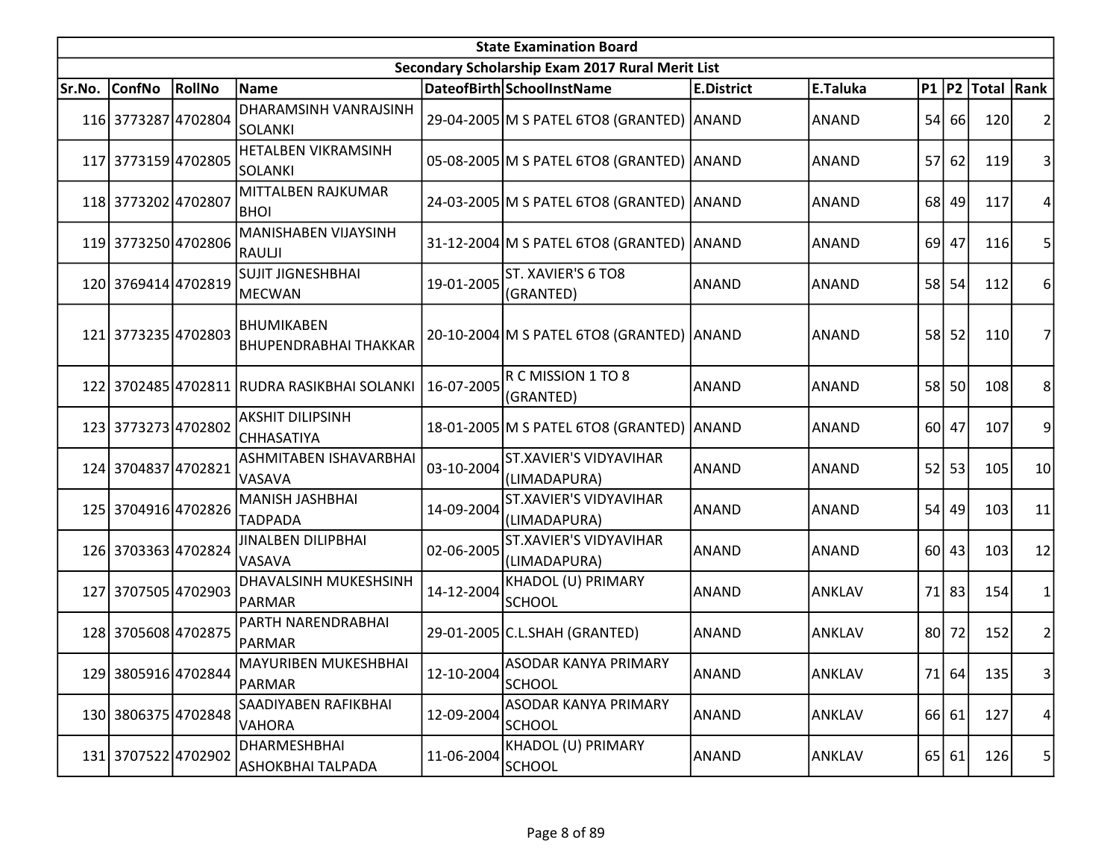|        | <b>State Examination Board</b><br>Secondary Scholarship Exam 2017 Rural Merit List |        |                                                   |            |                                               |                   |               |                 |           |                  |                |  |  |
|--------|------------------------------------------------------------------------------------|--------|---------------------------------------------------|------------|-----------------------------------------------|-------------------|---------------|-----------------|-----------|------------------|----------------|--|--|
|        |                                                                                    |        |                                                   |            |                                               |                   |               |                 |           |                  |                |  |  |
| Sr.No. | <b>ConfNo</b>                                                                      | RollNo | Name                                              |            | DateofBirth SchoolInstName                    | <b>E.District</b> | E.Taluka      |                 |           | P1 P2 Total Rank |                |  |  |
|        | 116 3773287 4702804                                                                |        | DHARAMSINH VANRAJSINH<br>SOLANKI                  |            | 29-04-2005 M S PATEL 6TO8 (GRANTED) ANAND     |                   | <b>ANAND</b>  |                 | 54 66     | 120              |                |  |  |
|        | 117 3773159 4702805                                                                |        | <b>HETALBEN VIKRAMSINH</b><br>SOLANKI             |            | 05-08-2005 M S PATEL 6TO8 (GRANTED) ANAND     |                   | <b>ANAND</b>  |                 | 57 62     | 119              | 3              |  |  |
|        | 118 3773202 4702807                                                                |        | MITTALBEN RAJKUMAR<br><b>BHOI</b>                 |            | 24-03-2005 M S PATEL 6TO8 (GRANTED) ANAND     |                   | <b>ANAND</b>  |                 | 68 49     | 117              | 4              |  |  |
|        | 119 3773250 4702806                                                                |        | MANISHABEN VIJAYSINH<br>RAULJI                    |            | 31-12-2004 M S PATEL 6TO8 (GRANTED) ANAND     |                   | <b>ANAND</b>  |                 | 69 47     | 116              | 5              |  |  |
|        | 120 3769414 4702819                                                                |        | <b>SUJIT JIGNESHBHAI</b><br><b>MECWAN</b>         | 19-01-2005 | ST. XAVIER'S 6 TO8<br>(GRANTED)               | ANAND             | <b>ANAND</b>  |                 | 58 54     | 112              | 6              |  |  |
|        | 121 3773235 4702803                                                                |        | <b>BHUMIKABEN</b><br><b>BHUPENDRABHAI THAKKAR</b> |            | 20-10-2004 M S PATEL 6TO8 (GRANTED) ANAND     |                   | <b>ANAND</b>  |                 | 58 52     | 110              | 7              |  |  |
|        |                                                                                    |        | 122 3702485 4702811 RUDRA RASIKBHAI SOLANKI       | 16-07-2005 | R C MISSION 1 TO 8<br>(GRANTED)               | ANAND             | <b>ANAND</b>  |                 | 58 50     | 108              | 8              |  |  |
|        | 123 3773273 4702802                                                                |        | <b>AKSHIT DILIPSINH</b><br><b>CHHASATIYA</b>      |            | 18-01-2005 M S PATEL 6TO8 (GRANTED) ANAND     |                   | <b>ANAND</b>  |                 | 60 47     | 107              | 9              |  |  |
|        | 124 3704837 4702821                                                                |        | ASHMITABEN ISHAVARBHAI<br><b>VASAVA</b>           | 03-10-2004 | <b>ST.XAVIER'S VIDYAVIHAR</b><br>(LIMADAPURA) | <b>ANAND</b>      | <b>ANAND</b>  | 52              | 53        | 105              | 10             |  |  |
|        | 125 3704916 4702826                                                                |        | MANISH JASHBHAI<br><b>TADPADA</b>                 | 14-09-2004 | <b>ST.XAVIER'S VIDYAVIHAR</b><br>(LIMADAPURA) | <b>ANAND</b>      | <b>ANAND</b>  |                 | $54$ 49   | 103              | 11             |  |  |
|        | 126 3703363 4702824                                                                |        | <b>JINALBEN DILIPBHAI</b><br>VASAVA               | 02-06-2005 | <b>ST.XAVIER'S VIDYAVIHAR</b><br>(LIMADAPURA) | <b>ANAND</b>      | <b>ANAND</b>  |                 | $60$   43 | 103              | 12             |  |  |
|        | 127 3707505 4702903                                                                |        | DHAVALSINH MUKESHSINH<br>PARMAR                   | 14-12-2004 | KHADOL (U) PRIMARY<br><b>SCHOOL</b>           | <b>ANAND</b>      | <b>ANKLAV</b> |                 | 71 83     | 154              | 1              |  |  |
|        | 128 3705608 4702875                                                                |        | PARTH NARENDRABHAI<br>PARMAR                      |            | 29-01-2005 C.L.SHAH (GRANTED)                 | <b>ANAND</b>      | <b>ANKLAV</b> | 80 <sup>1</sup> | 72        | 152              | $\overline{2}$ |  |  |
|        | 129 3805916 4702844                                                                |        | MAYURIBEN MUKESHBHAI<br>PARMAR                    | 12-10-2004 | ASODAR KANYA PRIMARY<br><b>SCHOOL</b>         | ANAND             | ANKLAV        |                 | 71 64     | 135              | $\vert$ 3      |  |  |
|        | 130 3806375 4702848                                                                |        | SAADIYABEN RAFIKBHAI<br><b>VAHORA</b>             | 12-09-2004 | <b>ASODAR KANYA PRIMARY</b><br>SCHOOL         | <b>ANAND</b>      | <b>ANKLAV</b> |                 | 66 61     | 127              | 4              |  |  |
|        | 131 3707522 4702902                                                                |        | DHARMESHBHAI<br>ASHOKBHAI TALPADA                 | 11-06-2004 | KHADOL (U) PRIMARY<br>SCHOOL                  | <b>ANAND</b>      | ANKLAV        |                 | 65 61     | 126              | 5              |  |  |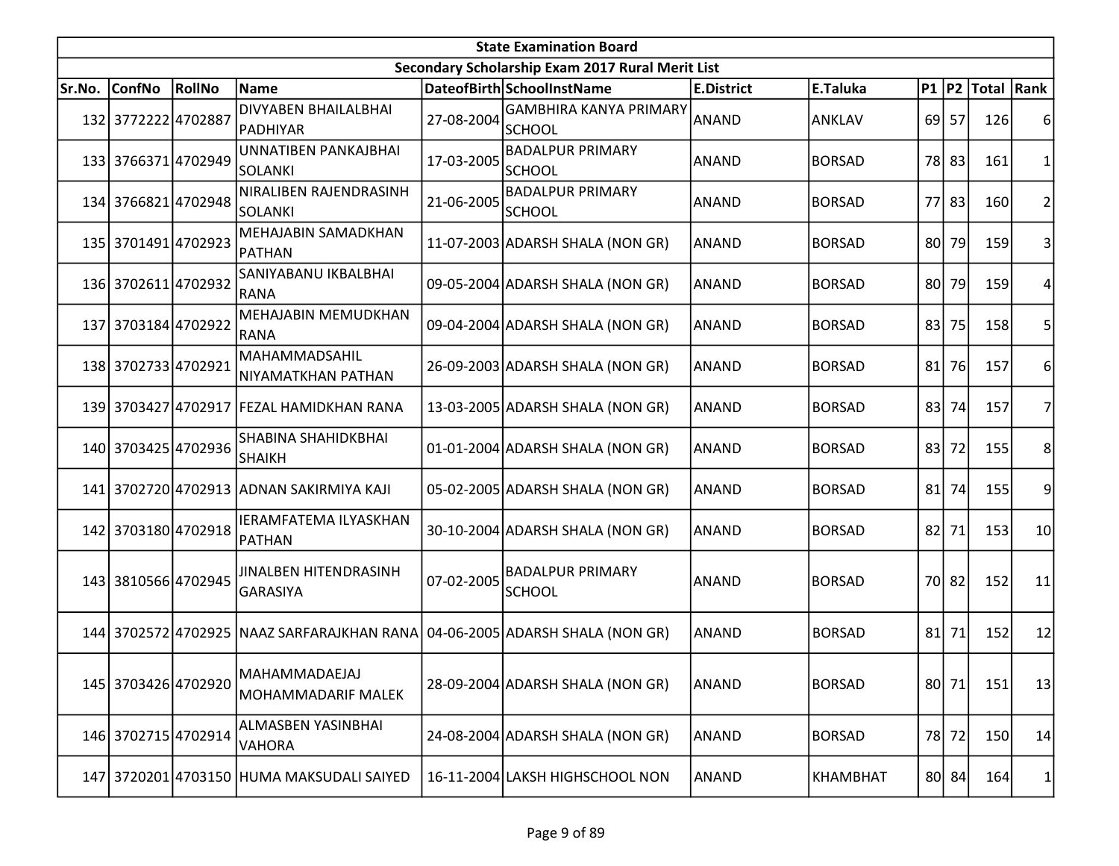| <b>State Examination Board</b> |                     |        |                                                 |            |                                                  |                   |               |    |           |                     |                |  |  |
|--------------------------------|---------------------|--------|-------------------------------------------------|------------|--------------------------------------------------|-------------------|---------------|----|-----------|---------------------|----------------|--|--|
|                                |                     |        |                                                 |            | Secondary Scholarship Exam 2017 Rural Merit List |                   |               |    |           |                     |                |  |  |
| Sr.No.                         | <b>ConfNo</b>       | RollNo | <b>Name</b>                                     |            | DateofBirth SchoolInstName                       | <b>E.District</b> | E.Taluka      |    |           | P1  P2  Total  Rank |                |  |  |
|                                | 132 3772222 4702887 |        | <b>DIVYABEN BHAILALBHAI</b><br> PADHIYAR        | 27-08-2004 | <b>GAMBHIRA KANYA PRIMARY</b><br><b>SCHOOL</b>   | ANAND             | ANKLAV        |    | 69 57     | 126                 | 6              |  |  |
|                                | 133 3766371 4702949 |        | <b>UNNATIBEN PANKAJBHAI</b><br><b>SOLANKI</b>   | 17-03-2005 | <b>BADALPUR PRIMARY</b><br><b>SCHOOL</b>         | <b>ANAND</b>      | <b>BORSAD</b> |    | 78 83     | 161                 | $\mathbf{1}$   |  |  |
|                                | 134 3766821 4702948 |        | NIRALIBEN RAJENDRASINH<br>SOLANKI               | 21-06-2005 | <b>BADALPUR PRIMARY</b><br><b>SCHOOL</b>         | <b>ANAND</b>      | <b>BORSAD</b> |    | 77 83     | 160                 | $\overline{2}$ |  |  |
|                                | 135 3701491 4702923 |        | MEHAJABIN SAMADKHAN<br>PATHAN                   |            | 11-07-2003 ADARSH SHALA (NON GR)                 | ANAND             | <b>BORSAD</b> |    | 80 79     | 159                 | 3              |  |  |
|                                | 136 3702611 4702932 |        | SANIYABANU IKBALBHAI<br>RANA                    |            | 09-05-2004 ADARSH SHALA (NON GR)                 | <b>ANAND</b>      | <b>BORSAD</b> |    | 80 79     | 159                 |                |  |  |
|                                | 137 3703184 4702922 |        | MEHAJABIN MEMUDKHAN<br>RANA                     |            | 09-04-2004 ADARSH SHALA (NON GR)                 | ANAND             | <b>BORSAD</b> | 83 | 75        | 158                 | 5              |  |  |
|                                | 138 3702733 4702921 |        | MAHAMMADSAHIL<br>NIYAMATKHAN PATHAN             |            | 26-09-2003 ADARSH SHALA (NON GR)                 | ANAND             | <b>BORSAD</b> | 81 | 76        | 157                 | 6              |  |  |
|                                |                     |        | 139 3703427 4702917 FEZAL HAMIDKHAN RANA        |            | 13-03-2005 ADARSH SHALA (NON GR)                 | <b>ANAND</b>      | <b>BORSAD</b> | 83 | 74        | 157                 | 7              |  |  |
|                                | 140 3703425 4702936 |        | SHABINA SHAHIDKBHAI<br>SHAIKH                   |            | 01-01-2004 ADARSH SHALA (NON GR)                 | <b>ANAND</b>      | <b>BORSAD</b> | 83 | 72        | 155                 | 8              |  |  |
|                                |                     |        | 141 3702720 4702913 ADNAN SAKIRMIYA KAJI        |            | 05-02-2005 ADARSH SHALA (NON GR)                 | <b>ANAND</b>      | <b>BORSAD</b> | 81 | 74        | 155                 | 9              |  |  |
|                                | 142 3703180 4702918 |        | <b>IERAMFATEMA ILYASKHAN</b><br>PATHAN          |            | 30-10-2004 ADARSH SHALA (NON GR)                 | <b>ANAND</b>      | <b>BORSAD</b> |    | $82$   71 | 153                 | 10             |  |  |
|                                | 143 3810566 4702945 |        | <b>JINALBEN HITENDRASINH</b><br><b>GARASIYA</b> | 07-02-2005 | <b>BADALPUR PRIMARY</b><br><b>SCHOOL</b>         | ANAND             | <b>BORSAD</b> |    | 70 82     | 152                 | 11             |  |  |
|                                |                     |        | 144 3702572 4702925 NAAZ SARFARAJKHAN RANA      |            | 04-06-2005 ADARSH SHALA (NON GR)                 | <b>ANAND</b>      | <b>BORSAD</b> | 81 | 71        | 152                 | 12             |  |  |
|                                | 145 3703426 4702920 |        | MAHAMMADAEJAJ<br>MOHAMMADARIF MALEK             |            | 28-09-2004 ADARSH SHALA (NON GR)                 | ANAND             | <b>BORSAD</b> |    | 80 71     | 151                 | 13             |  |  |
|                                | 146 3702715 4702914 |        | ALMASBEN YASINBHAI<br><b>VAHORA</b>             |            | 24-08-2004 ADARSH SHALA (NON GR)                 | <b>ANAND</b>      | <b>BORSAD</b> |    | 78 72     | 150                 | 14             |  |  |
|                                |                     |        | 147 3720201 4703150 HUMA MAKSUDALI SAIYED       |            | 16-11-2004 LAKSH HIGHSCHOOL NON                  | ANAND             | KHAMBHAT      |    | 80 84     | 164                 | 1              |  |  |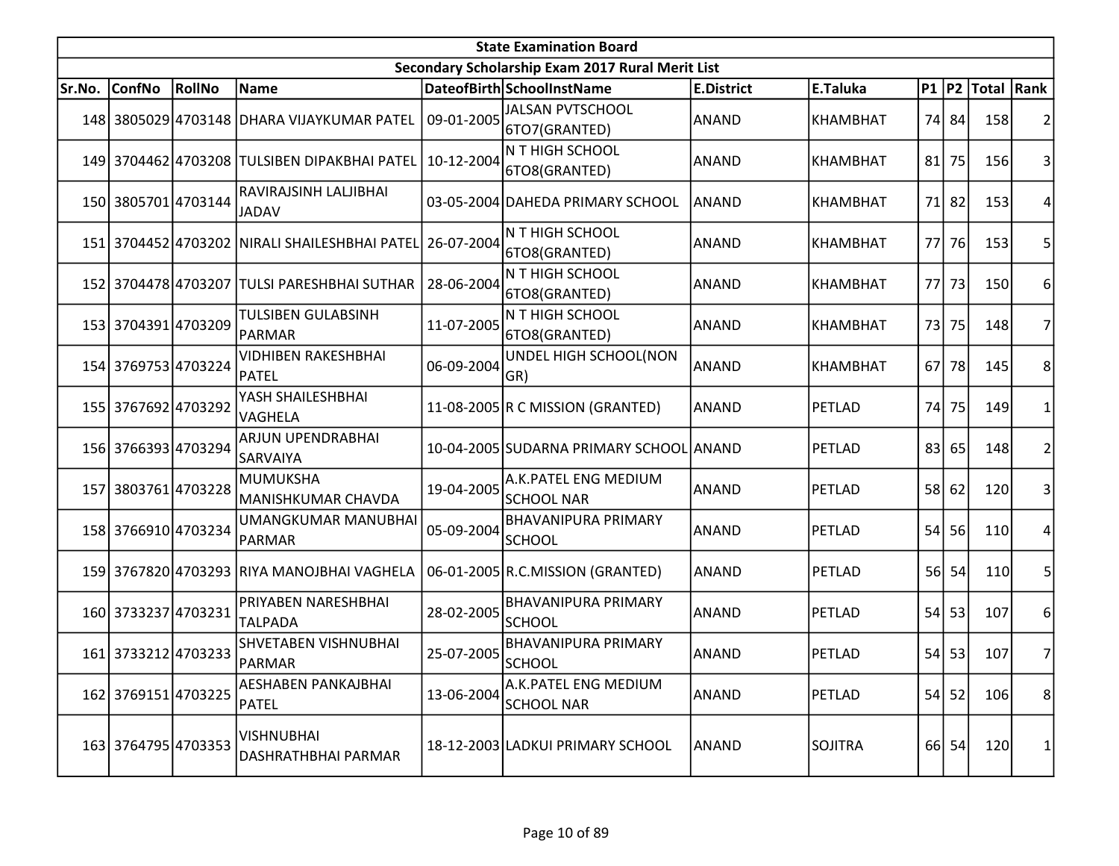| <b>State Examination Board</b> |                     |               |                                               |            |                                                  |                   |                 |           |       |                   |                |  |
|--------------------------------|---------------------|---------------|-----------------------------------------------|------------|--------------------------------------------------|-------------------|-----------------|-----------|-------|-------------------|----------------|--|
|                                |                     |               |                                               |            | Secondary Scholarship Exam 2017 Rural Merit List |                   |                 |           |       |                   |                |  |
| Sr.No.                         | <b>ConfNo</b>       | <b>RollNo</b> | Name                                          |            | DateofBirth SchoolInstName                       | <b>E.District</b> | E.Taluka        | P1  P2    |       | <b>Total Rank</b> |                |  |
|                                |                     |               | 148 3805029 4703148 DHARA VIJAYKUMAR PATEL    | 09-01-2005 | <b>JALSAN PVTSCHOOL</b><br>6TO7(GRANTED)         | <b>ANAND</b>      | <b>KHAMBHAT</b> |           | 74 84 | 158               | 2              |  |
|                                |                     |               | 149 3704462 4703208 TULSIBEN DIPAKBHAI PATEL  | 10-12-2004 | N T HIGH SCHOOL<br>6TO8(GRANTED)                 | <b>ANAND</b>      | <b>KHAMBHAT</b> | 81        | 75    | 156               | 3              |  |
|                                | 150 3805701 4703144 |               | RAVIRAJSINH LALJIBHAI<br><b>JADAV</b>         |            | 03-05-2004 DAHEDA PRIMARY SCHOOL                 | <b>ANAND</b>      | <b>KHAMBHAT</b> | 71        | 82    | 153               | 4              |  |
|                                |                     |               | 151 3704452 4703202 NIRALI SHAILESHBHAI PATEL | 26-07-2004 | N T HIGH SCHOOL<br>6TO8(GRANTED)                 | <b>ANAND</b>      | KHAMBHAT        | 77I       | 76    | 153               | 5              |  |
|                                |                     |               | 152 3704478 4703207 TULSI PARESHBHAI SUTHAR   | 28-06-2004 | N T HIGH SCHOOL<br>6TO8(GRANTED)                 | <b>ANAND</b>      | KHAMBHAT        | 77 l      | 73    | 150               | 6              |  |
|                                | 153 3704391 4703209 |               | TULSIBEN GULABSINH<br>PARMAR                  | 11-07-2005 | N T HIGH SCHOOL<br>6TO8(GRANTED)                 | ANAND             | <b>KHAMBHAT</b> | 73        | 75    | 148               | 7              |  |
|                                | 154 3769753 4703224 |               | <b>VIDHIBEN RAKESHBHAI</b><br>PATEL           | 06-09-2004 | UNDEL HIGH SCHOOL(NON<br>GR)                     | <b>ANAND</b>      | <b>KHAMBHAT</b> | 67        | 78    | 145               | 8              |  |
|                                | 155 3767692 4703292 |               | YASH SHAILESHBHAI<br>VAGHELA                  |            | 11-08-2005 R C MISSION (GRANTED)                 | ANAND             | PETLAD          | 74I       | 75    | 149               | 1              |  |
|                                | 156 3766393 4703294 |               | ARJUN UPENDRABHAI<br>SARVAIYA                 |            | 10-04-2005 SUDARNA PRIMARY SCHOOL ANAND          |                   | PETLAD          | 83        | 65    | 148               | $\overline{2}$ |  |
| 157 <sup> </sup>               | 38037614703228      |               | MUMUKSHA<br>MANISHKUMAR CHAVDA                | 19-04-2005 | A.K.PATEL ENG MEDIUM<br><b>SCHOOL NAR</b>        | <b>ANAND</b>      | PETLAD          | <b>58</b> | 62    | 120               | 3              |  |
|                                | 158 3766910 4703234 |               | <b>UMANGKUMAR MANUBHAI</b><br>PARMAR          | 05-09-2004 | <b>BHAVANIPURA PRIMARY</b><br><b>SCHOOL</b>      | <b>ANAND</b>      | PETLAD          | 54        | 56    | 110               | 4              |  |
|                                |                     |               | 159 3767820 4703293 RIYA MANOJBHAI VAGHELA    |            | 06-01-2005 R.C.MISSION (GRANTED)                 | <b>ANAND</b>      | PETLAD          | <b>56</b> | 54    | 110               | 5              |  |
|                                | 160 3733237 4703231 |               | PRIYABEN NARESHBHAI<br><b>TALPADA</b>         | 28-02-2005 | <b>BHAVANIPURA PRIMARY</b><br><b>SCHOOL</b>      | <b>ANAND</b>      | PETLAD          | 54        | 53    | 107               | 6              |  |
|                                | 161 3733212 4703233 |               | <b>SHVETABEN VISHNUBHAI</b><br>PARMAR         | 25-07-2005 | <b>BHAVANIPURA PRIMARY</b><br><b>SCHOOL</b>      | <b>ANAND</b>      | PETLAD          | 54        | 53    | 107               | 7              |  |
|                                | 162 3769151 4703225 |               | AESHABEN PANKAJBHAI<br>PATEL                  | 13-06-2004 | A.K. PATEL ENG MEDIUM<br><b>SCHOOL NAR</b>       | <b>ANAND</b>      | PETLAD          |           | 54 52 | 106               | 8              |  |
|                                | 163 3764795 4703353 |               | VISHNUBHAI<br>DASHRATHBHAI PARMAR             |            | 18-12-2003 LADKUI PRIMARY SCHOOL                 | ANAND             | <b>SOJITRA</b>  |           | 66 54 | 120               | 1              |  |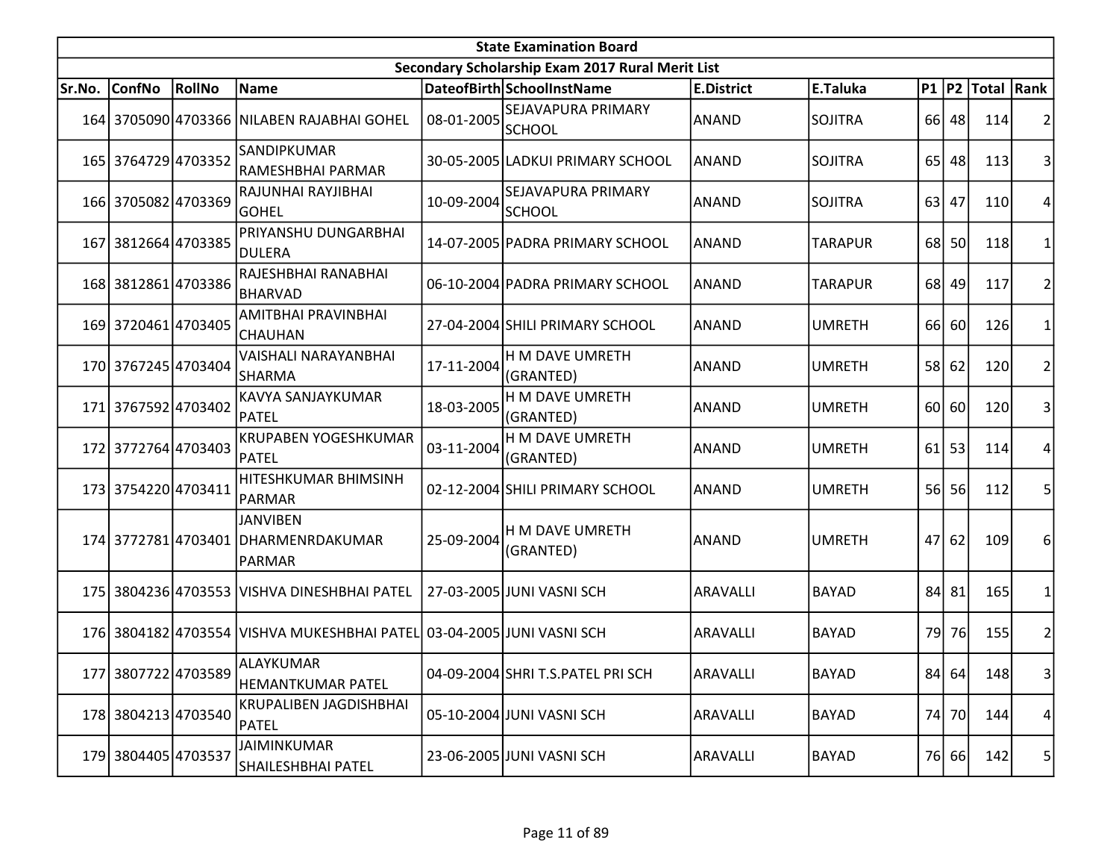| <b>State Examination Board</b> |                     |        |                                                                         |            |                                                  |                   |                |                 |           |                     |                |  |
|--------------------------------|---------------------|--------|-------------------------------------------------------------------------|------------|--------------------------------------------------|-------------------|----------------|-----------------|-----------|---------------------|----------------|--|
|                                |                     |        |                                                                         |            | Secondary Scholarship Exam 2017 Rural Merit List |                   |                |                 |           |                     |                |  |
| Sr.No.                         | <b>ConfNo</b>       | RollNo | Name                                                                    |            | DateofBirth SchoolInstName                       | <b>E.District</b> | E.Taluka       |                 |           | P1  P2  Total  Rank |                |  |
|                                |                     |        | 164 3705090 4703366 NILABEN RAJABHAI GOHEL                              | 08-01-2005 | SEJAVAPURA PRIMARY<br>SCHOOL                     | <b>ANAND</b>      | <b>SOJITRA</b> |                 | 66 48     | 114                 | 2              |  |
|                                | 165 3764729 4703352 |        | SANDIPKUMAR<br>RAMESHBHAI PARMAR                                        |            | 30-05-2005 LADKUI PRIMARY SCHOOL                 | <b>ANAND</b>      | <b>SOJITRA</b> | 65 <sup> </sup> | 48        | 113                 | 3              |  |
|                                | 166 3705082 4703369 |        | RAJUNHAI RAYJIBHAI<br><b>GOHEL</b>                                      | 10-09-2004 | SEJAVAPURA PRIMARY<br><b>SCHOOL</b>              | <b>ANAND</b>      | <b>SOJITRA</b> | 63              | 47        | 110                 | 4              |  |
|                                | 167 3812664 4703385 |        | PRIYANSHU DUNGARBHAI<br>DULERA                                          |            | 14-07-2005 PADRA PRIMARY SCHOOL                  | ANAND             | <b>TARAPUR</b> |                 | 68 50     | 118                 | 1              |  |
|                                | 168 3812861 4703386 |        | RAJESHBHAI RANABHAI<br><b>BHARVAD</b>                                   |            | 06-10-2004 PADRA PRIMARY SCHOOL                  | <b>ANAND</b>      | <b>TARAPUR</b> |                 | 68 49     | 117                 | $\overline{2}$ |  |
|                                | 169 3720461 4703405 |        | AMITBHAI PRAVINBHAI<br><b>CHAUHAN</b>                                   |            | 27-04-2004 SHILI PRIMARY SCHOOL                  | ANAND             | <b>UMRETH</b>  | 66              | 60        | 126                 | 1              |  |
|                                | 170 3767245 4703404 |        | VAISHALI NARAYANBHAI<br><b>SHARMA</b>                                   | 17-11-2004 | H M DAVE UMRETH<br>(GRANTED)                     | <b>ANAND</b>      | <b>UMRETH</b>  |                 | 58 62     | 120                 | $\overline{2}$ |  |
|                                | 171 3767592 4703402 |        | KAVYA SANJAYKUMAR<br>PATEL                                              | 18-03-2005 | H M DAVE UMRETH<br>(GRANTED)                     | <b>ANAND</b>      | <b>UMRETH</b>  |                 | 60 60     | 120                 | 3              |  |
|                                | 172 3772764 4703403 |        | <b>KRUPABEN YOGESHKUMAR</b><br>PATEL                                    | 03-11-2004 | H M DAVE UMRETH<br>(GRANTED)                     | ANAND             | <b>UMRETH</b>  |                 | $61$ 53   | 114                 | 4              |  |
|                                | 173 3754220 4703411 |        | HITESHKUMAR BHIMSINH<br>PARMAR                                          |            | 02-12-2004 SHILI PRIMARY SCHOOL                  | <b>ANAND</b>      | <b>UMRETH</b>  | 56 <sup> </sup> | <b>56</b> | 112                 | 5              |  |
|                                |                     |        | <b>JANVIBEN</b><br>174 3772781 4703401 DHARMENRDAKUMAR<br><b>PARMAR</b> | 25-09-2004 | H M DAVE UMRETH<br>(GRANTED)                     | <b>ANAND</b>      | <b>UMRETH</b>  | 47              | 62        | 109                 | 6              |  |
|                                |                     |        | 175 3804236 4703553 VISHVA DINESHBHAI PATEL                             |            | 27-03-2005 JUNI VASNI SCH                        | <b>ARAVALLI</b>   | <b>BAYAD</b>   | 84              | 81        | 165                 | 1              |  |
|                                |                     |        | 176 3804182 4703554 VISHVA MUKESHBHAI PATEL 03-04-2005 JUNI VASNI SCH   |            |                                                  | ARAVALLI          | <b>BAYAD</b>   | 79              | 76        | 155                 | $\overline{c}$ |  |
|                                | 177 3807722 4703589 |        | ALAYKUMAR<br><b>HEMANTKUMAR PATEL</b>                                   |            | 04-09-2004 SHRI T.S. PATEL PRISCH                | ARAVALLI          | <b>BAYAD</b>   |                 | 84 64     | 148                 | $\overline{3}$ |  |
|                                | 178 3804213 4703540 |        | <b>KRUPALIBEN JAGDISHBHAI</b><br><b>PATEL</b>                           |            | 05-10-2004 JUNI VASNI SCH                        | ARAVALLI          | <b>BAYAD</b>   |                 | 74 70     | 144                 | 4              |  |
|                                | 179 3804405 4703537 |        | JAIMINKUMAR<br>SHAILESHBHAI PATEL                                       |            | 23-06-2005 JUNI VASNI SCH                        | <b>ARAVALLI</b>   | <b>BAYAD</b>   |                 | 76 66     | 142                 | 5              |  |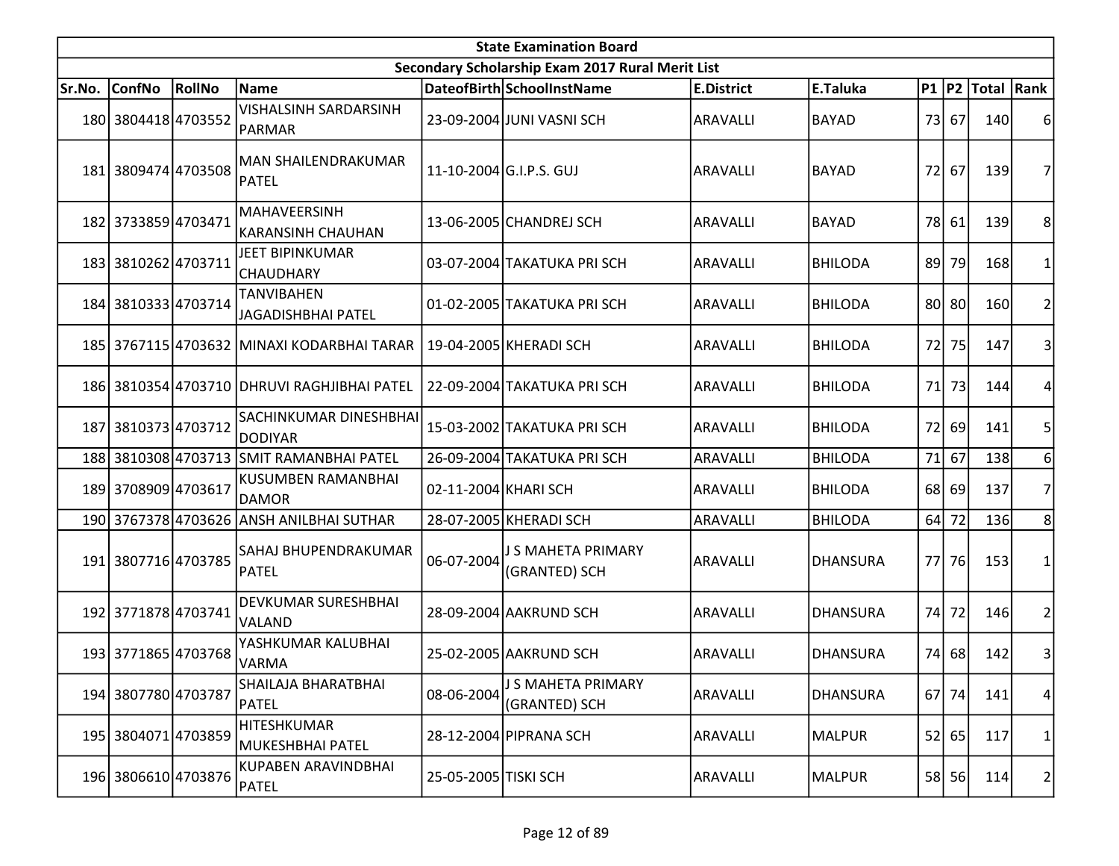|        | <b>State Examination Board</b> |        |                                                 |                      |                                                  |                   |                 |      |       |                  |   |  |  |  |
|--------|--------------------------------|--------|-------------------------------------------------|----------------------|--------------------------------------------------|-------------------|-----------------|------|-------|------------------|---|--|--|--|
|        |                                |        |                                                 |                      | Secondary Scholarship Exam 2017 Rural Merit List |                   |                 |      |       |                  |   |  |  |  |
| Sr.No. | ConfNo                         | RollNo | Name                                            |                      | DateofBirth SchoolInstName                       | <b>E.District</b> | E.Taluka        |      |       | P1 P2 Total Rank |   |  |  |  |
|        | 180 3804418 4703552            |        | <b>VISHALSINH SARDARSINH</b><br>PARMAR          |                      | 23-09-2004 JUNI VASNI SCH                        | ARAVALLI          | <b>BAYAD</b>    |      | 73 67 | 140              | 6 |  |  |  |
|        | 181 3809474 4703508            |        | MAN SHAILENDRAKUMAR<br>PATEL                    |                      | 11-10-2004 G.I.P.S. GUJ                          | ARAVALLI          | <b>BAYAD</b>    | 72 l | 67    | 139              |   |  |  |  |
|        | 182 3733859 4703471            |        | MAHAVEERSINH<br> KARANSINH CHAUHAN              |                      | 13-06-2005 CHANDREJ SCH                          | ARAVALLI          | <b>BAYAD</b>    |      | 78 61 | 139              | 8 |  |  |  |
|        | 183 3810262 4703711            |        | JEET BIPINKUMAR<br><b>CHAUDHARY</b>             |                      | 03-07-2004 TAKATUKA PRI SCH                      | ARAVALLI          | <b>BHILODA</b>  | 89   | 79    | 168              |   |  |  |  |
|        | 184 3810333 4703714            |        | <b>TANVIBAHEN</b><br><b>JAGADISHBHAI PATEL</b>  |                      | 01-02-2005 TAKATUKA PRI SCH                      | ARAVALLI          | <b>BHILODA</b>  |      | 80 80 | 160              | 2 |  |  |  |
|        |                                |        | 185 3767115 4703632 MINAXI KODARBHAI TARAR      |                      | 19-04-2005 KHERADI SCH                           | ARAVALLI          | <b>BHILODA</b>  | 72   | 75    | 147              | 3 |  |  |  |
|        |                                |        | 186 3810354 4703710 DHRUVI RAGHJIBHAI PATEL     |                      | 22-09-2004 TAKATUKA PRI SCH                      | <b>ARAVALLI</b>   | <b>BHILODA</b>  | 71   | 73    | 144              |   |  |  |  |
|        | 187 3810373 4703712            |        | <b>SACHINKUMAR DINESHBHAI</b><br><b>DODIYAR</b> |                      | 15-03-2002 TAKATUKA PRI SCH                      | ARAVALLI          | <b>BHILODA</b>  |      | 72 69 | 141              | 5 |  |  |  |
| 188    |                                |        | 3810308 4703713 SMIT RAMANBHAI PATEL            |                      | 26-09-2004 TAKATUKA PRI SCH                      | ARAVALLI          | <b>BHILODA</b>  | 71   | 67    | <b>138</b>       | 6 |  |  |  |
|        | 189 3708909 4703617            |        | <b>KUSUMBEN RAMANBHAI</b><br><b>DAMOR</b>       | 02-11-2004 KHARI SCH |                                                  | ARAVALLI          | <b>BHILODA</b>  |      | 68 69 | 137              | 7 |  |  |  |
|        |                                |        | 190 3767378 4703626 ANSH ANILBHAI SUTHAR        |                      | 28-07-2005 KHERADI SCH                           | ARAVALLI          | <b>BHILODA</b>  |      | 64 72 | <b>136</b>       | 8 |  |  |  |
|        | 191 3807716 4703785            |        | SAHAJ BHUPENDRAKUMAR<br>PATEL                   | 06-07-2004           | J S MAHETA PRIMARY<br>(GRANTED) SCH              | <b>ARAVALLI</b>   | <b>DHANSURA</b> |      | 77 76 | 153              |   |  |  |  |
|        | 192 3771878 4703741            |        | <b>DEVKUMAR SURESHBHAI</b><br><b>VALAND</b>     |                      | 28-09-2004 AAKRUND SCH                           | ARAVALLI          | <b>DHANSURA</b> | 74   | 72    | 146              | 2 |  |  |  |
|        | 193 3771865 4703768            |        | YASHKUMAR KALUBHAI<br>VARMA                     |                      | 25-02-2005 AAKRUND SCH                           | ARAVALLI          | <b>DHANSURA</b> |      | 74 68 | 142              | 3 |  |  |  |
|        | 194 3807780 4703787            |        | SHAILAJA BHARATBHAI<br>PATEL                    | 08-06-2004           | J S MAHETA PRIMARY<br>(GRANTED) SCH              | ARAVALLI          | <b>DHANSURA</b> |      | 67 74 | 141              | 4 |  |  |  |
|        | 195 3804071 4703859            |        | <b>HITESHKUMAR</b><br>MUKESHBHAI PATEL          |                      | 28-12-2004 PIPRANA SCH                           | ARAVALLI          | <b>MALPUR</b>   |      | 52 65 | 117              | 1 |  |  |  |
|        | 196 3806610 4703876            |        | KUPABEN ARAVINDBHAI<br>PATEL                    | 25-05-2005 TISKI SCH |                                                  | ARAVALLI          | <b>MALPUR</b>   |      | 58 56 | 114              | 2 |  |  |  |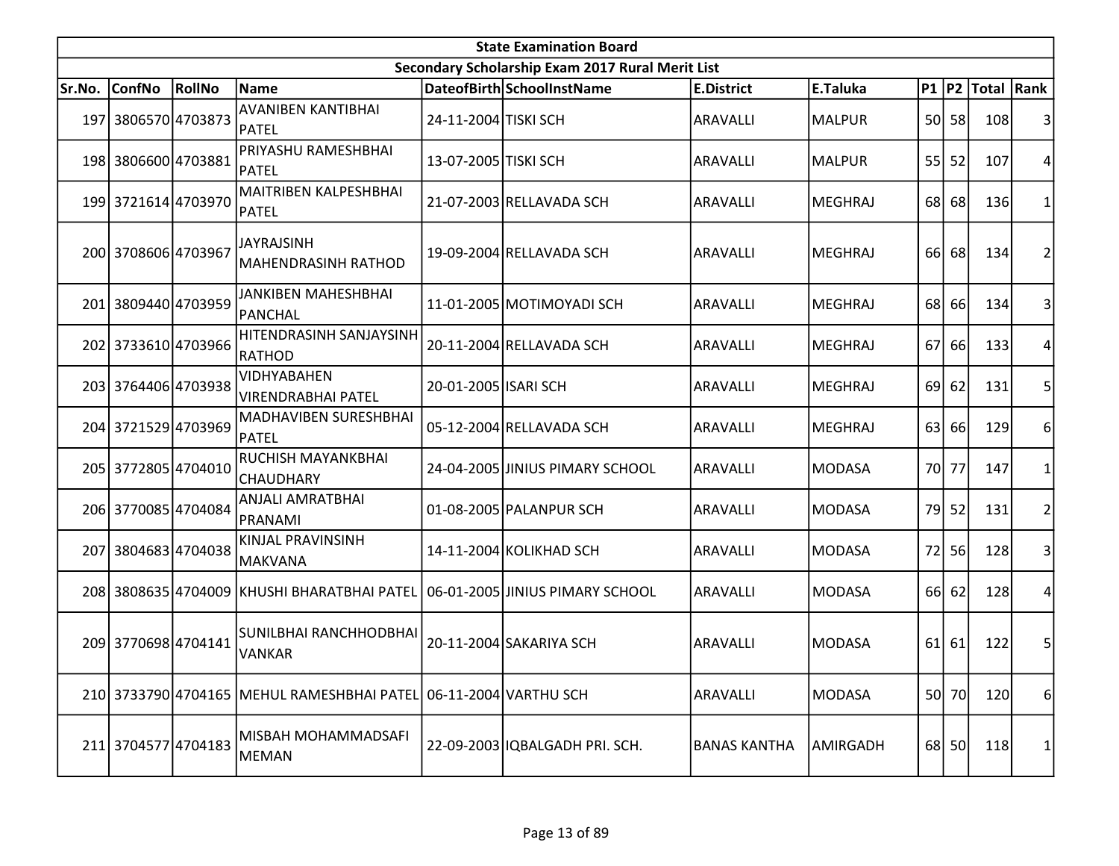| <b>State Examination Board</b> |                     |        |                                                                  |                      |                                                  |                     |                |     |           |                     |                  |  |
|--------------------------------|---------------------|--------|------------------------------------------------------------------|----------------------|--------------------------------------------------|---------------------|----------------|-----|-----------|---------------------|------------------|--|
|                                |                     |        |                                                                  |                      | Secondary Scholarship Exam 2017 Rural Merit List |                     |                |     |           |                     |                  |  |
| Sr.No.                         | <b>ConfNo</b>       | RollNo | <b>Name</b>                                                      |                      | DateofBirth SchoolInstName                       | <b>E.District</b>   | E.Taluka       |     |           | P1  P2  Total  Rank |                  |  |
| 197l                           | 3806570 4703873     |        | <b>AVANIBEN KANTIBHAI</b><br>PATEL                               | 24-11-2004 TISKI SCH |                                                  | <b>ARAVALLI</b>     | <b>MALPUR</b>  |     | 50 58     | 108                 | 3                |  |
|                                | 198 3806600 4703881 |        | PRIYASHU RAMESHBHAI<br>PATEL                                     | 13-07-2005 TISKI SCH |                                                  | ARAVALLI            | <b>MALPUR</b>  | 55  | 52        | 107                 | 4                |  |
|                                | 199 3721614 4703970 |        | <b>MAITRIBEN KALPESHBHAI</b><br>PATEL                            |                      | 21-07-2003 RELLAVADA SCH                         | <b>ARAVALLI</b>     | <b>MEGHRAJ</b> |     | 68 68     | 136                 | 1                |  |
|                                | 200 3708606 4703967 |        | <b>JAYRAJSINH</b><br>MAHENDRASINH RATHOD                         |                      | 19-09-2004 RELLAVADA SCH                         | <b>ARAVALLI</b>     | <b>MEGHRAJ</b> | 66I | <b>68</b> | 134                 | $\overline{2}$   |  |
|                                | 201 3809440 4703959 |        | <b>JANKIBEN MAHESHBHAI</b><br>PANCHAL                            |                      | 11-01-2005 MOTIMOYADI SCH                        | ARAVALLI            | <b>MEGHRAJ</b> |     | 68 66     | 134                 | 3                |  |
|                                | 202 3733610 4703966 |        | HITENDRASINH SANJAYSINH<br>RATHOD                                |                      | 20-11-2004 RELLAVADA SCH                         | <b>ARAVALLI</b>     | <b>MEGHRAJ</b> | 67  | 66        | 133                 | 4                |  |
|                                | 203 3764406 4703938 |        | <b>VIDHYABAHEN</b><br><b>VIRENDRABHAI PATEL</b>                  | 20-01-2005 ISARI SCH |                                                  | <b>ARAVALLI</b>     | <b>MEGHRAJ</b> | 69  | 62        | 131                 | 5                |  |
|                                | 204 3721529 4703969 |        | <b>MADHAVIBEN SURESHBHAI</b><br>PATEL                            |                      | 05-12-2004 RELLAVADA SCH                         | <b>ARAVALLI</b>     | <b>MEGHRAJ</b> |     | 63 66     | 129                 | 6                |  |
|                                | 205 3772805 4704010 |        | RUCHISH MAYANKBHAI<br> CHAUDHARY                                 |                      | 24-04-2005 JINIUS PIMARY SCHOOL                  | ARAVALLI            | <b>MODASA</b>  | 70I | 77        | 147                 | 1                |  |
|                                | 206 3770085 4704084 |        | ANJALI AMRATBHAI<br>PRANAMI                                      |                      | 01-08-2005 PALANPUR SCH                          | <b>ARAVALLI</b>     | <b>MODASA</b>  | 79I | 52        | 131                 | $\overline{2}$   |  |
| 207I                           | 3804683 4704038     |        | KINJAL PRAVINSINH<br><b>MAKVANA</b>                              |                      | 14-11-2004 KOLIKHAD SCH                          | ARAVALLI            | <b>MODASA</b>  | 72  | 56        | 128                 | 3                |  |
|                                |                     |        | 208 3808635 4704009 KHUSHI BHARATBHAI PATEL                      |                      | 06-01-2005 JINIUS PIMARY SCHOOL                  | <b>ARAVALLI</b>     | <b>MODASA</b>  | 66I | 62        | 128                 | 4                |  |
|                                | 209 3770698 4704141 |        | SUNILBHAI RANCHHODBHAI<br><b>VANKAR</b>                          |                      | 20-11-2004 SAKARIYA SCH                          | ARAVALLI            | <b>MODASA</b>  | 61  | 61        | 122                 | 5                |  |
|                                |                     |        | 210 3733790 4704165 MEHUL RAMESHBHAI PATEL 06-11-2004 VARTHU SCH |                      |                                                  | ARAVALLI            | <b>MODASA</b>  |     | 50 70     | <b>120</b>          | $6 \overline{6}$ |  |
|                                | 211 3704577 4704183 |        | MISBAH MOHAMMADSAFI<br><b>MEMAN</b>                              |                      | 22-09-2003 IQBALGADH PRI. SCH.                   | <b>BANAS KANTHA</b> | AMIRGADH       |     | 68 50     | 118                 | 1                |  |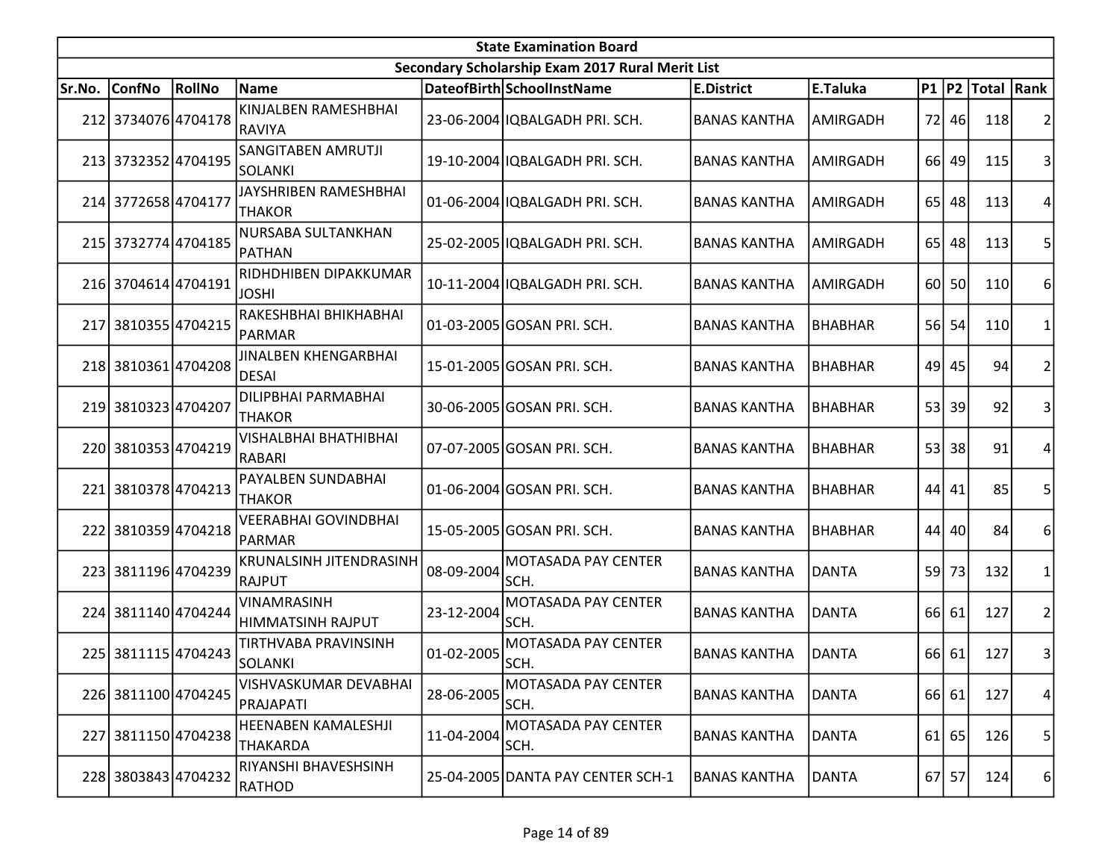| <b>State Examination Board</b> |                     |        |                                             |            |                                                  |                     |                 |                 |           |                  |                |  |
|--------------------------------|---------------------|--------|---------------------------------------------|------------|--------------------------------------------------|---------------------|-----------------|-----------------|-----------|------------------|----------------|--|
|                                |                     |        |                                             |            | Secondary Scholarship Exam 2017 Rural Merit List |                     |                 |                 |           |                  |                |  |
| Sr.No.                         | <b>ConfNo</b>       | RollNo | <b>Name</b>                                 |            | DateofBirth SchoolInstName                       | <b>E.District</b>   | E.Taluka        |                 |           | P1 P2 Total Rank |                |  |
|                                | 212 3734076 4704178 |        | KINJALBEN RAMESHBHAI<br>RAVIYA              |            | 23-06-2004 IQBALGADH PRI. SCH.                   | <b>BANAS KANTHA</b> | AMIRGADH        | <b>72</b>       | 46        | 118              | 2              |  |
|                                | 213 3732352 4704195 |        | SANGITABEN AMRUTJI<br><b>SOLANKI</b>        |            | 19-10-2004 IQBALGADH PRI. SCH.                   | <b>BANAS KANTHA</b> | AMIRGADH        | 66I             | 49        | 115              | 3              |  |
|                                | 214 3772658 4704177 |        | JAYSHRIBEN RAMESHBHAI<br><b>THAKOR</b>      |            | 01-06-2004 IQBALGADH PRI. SCH.                   | <b>BANAS KANTHA</b> | <b>AMIRGADH</b> | 65 <sup> </sup> | 48        | 113              | 4              |  |
|                                | 215 3732774 4704185 |        | NURSABA SULTANKHAN<br>PATHAN                |            | 25-02-2005 IQBALGADH PRI. SCH.                   | <b>BANAS KANTHA</b> | AMIRGADH        | 65              | 48        | 113              | 5              |  |
|                                | 216 3704614 4704191 |        | RIDHDHIBEN DIPAKKUMAR<br><b>JOSHI</b>       |            | 10-11-2004 IQBALGADH PRI. SCH.                   | <b>BANAS KANTHA</b> | AMIRGADH        | 60              | <b>50</b> | 110              | 6              |  |
|                                | 217 3810355 4704215 |        | RAKESHBHAI BHIKHABHAI<br>PARMAR             |            | 01-03-2005 GOSAN PRI. SCH.                       | <b>BANAS KANTHA</b> | <b>BHABHAR</b>  | 56              | 54        | 110              | 1              |  |
|                                | 218 3810361 4704208 |        | <b>JINALBEN KHENGARBHAI</b><br><b>DESAI</b> |            | 15-01-2005 GOSAN PRI. SCH.                       | <b>BANAS KANTHA</b> | <b>BHABHAR</b>  | 49              | 45        | 94               | $\overline{2}$ |  |
|                                | 219 3810323 4704207 |        | DILIPBHAI PARMABHAI<br><b>THAKOR</b>        |            | 30-06-2005 GOSAN PRI. SCH.                       | <b>BANAS KANTHA</b> | <b>BHABHAR</b>  | 53 <sup>1</sup> | 39        | 92               | 3              |  |
|                                | 220 3810353 4704219 |        | VISHALBHAI BHATHIBHAI<br><b>RABARI</b>      |            | 07-07-2005 GOSAN PRI. SCH.                       | <b>BANAS KANTHA</b> | <b>BHABHAR</b>  | 53 <sup>1</sup> | 38        | 91               | 4              |  |
| 221                            | 38103784704213      |        | PAYALBEN SUNDABHAI<br>THAKOR                |            | 01-06-2004 GOSAN PRI. SCH.                       | <b>BANAS KANTHA</b> | <b>BHABHAR</b>  | 44              | 41        | 85               | 5              |  |
|                                | 222 3810359 4704218 |        | VEERABHAI GOVINDBHAI<br>PARMAR              |            | 15-05-2005 GOSAN PRI. SCH.                       | <b>BANAS KANTHA</b> | <b>BHABHAR</b>  | 44              | 40        | 84               | 6              |  |
|                                | 223 3811196 4704239 |        | <b>KRUNALSINH JITENDRASINH</b><br>RAJPUT    | 08-09-2004 | <b>MOTASADA PAY CENTER</b><br>SCH.               | <b>BANAS KANTHA</b> | <b>DANTA</b>    | 59              | 73        | 132              | 1              |  |
|                                | 224 3811140 4704244 |        | VINAMRASINH<br>HIMMATSINH RAJPUT            | 23-12-2004 | <b>MOTASADA PAY CENTER</b><br>SCH.               | <b>BANAS KANTHA</b> | <b>DANTA</b>    |                 | 66 61     | 127              | $\overline{2}$ |  |
|                                | 225 3811115 4704243 |        | TIRTHVABA PRAVINSINH<br><b>SOLANKI</b>      | 01-02-2005 | <b>MOTASADA PAY CENTER</b><br>SCH.               | <b>BANAS KANTHA</b> | <b>DANTA</b>    |                 | 66 61     | 127              | 3              |  |
|                                | 226 3811100 4704245 |        | VISHVASKUMAR DEVABHAI<br>PRAJAPATI          | 28-06-2005 | MOTASADA PAY CENTER<br>SCH.                      | <b>BANAS KANTHA</b> | DANTA           |                 | 66 61     | 127              | 4              |  |
|                                | 227 3811150 4704238 |        | HEENABEN KAMALESHJI<br>THAKARDA             | 11-04-2004 | <b>MOTASADA PAY CENTER</b><br>SCH.               | <b>BANAS KANTHA</b> | <b>DANTA</b>    |                 | $61$ 65   | 126              | 5              |  |
|                                | 228 3803843 4704232 |        | RIYANSHI BHAVESHSINH<br>RATHOD              |            | 25-04-2005 DANTA PAY CENTER SCH-1                | <b>BANAS KANTHA</b> | <b>DANTA</b>    |                 | 67 57     | 124              | 6              |  |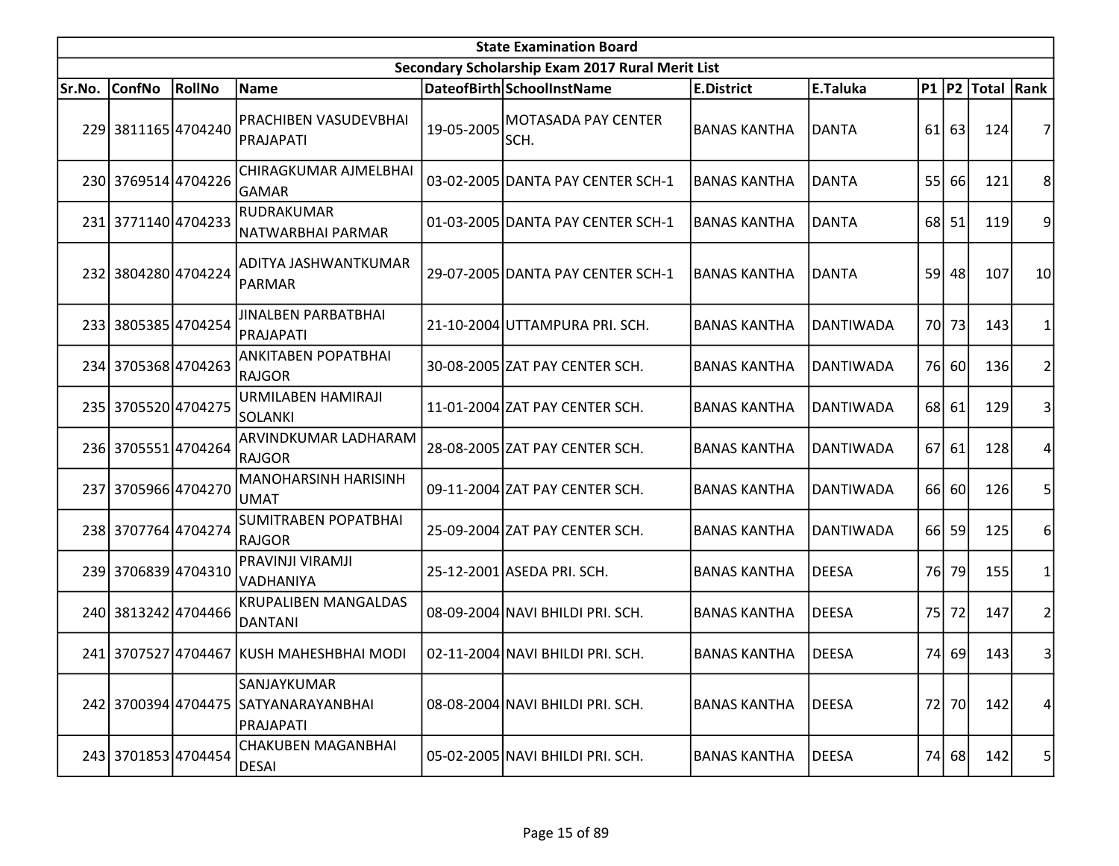|        |                     |               |                                                                  |            | <b>State Examination Board</b>                   |                     |                  |     |         |                  |                         |
|--------|---------------------|---------------|------------------------------------------------------------------|------------|--------------------------------------------------|---------------------|------------------|-----|---------|------------------|-------------------------|
|        |                     |               |                                                                  |            | Secondary Scholarship Exam 2017 Rural Merit List |                     |                  |     |         |                  |                         |
| Sr.No. | <b>ConfNo</b>       | <b>RollNo</b> | Name                                                             |            | DateofBirth SchoolInstName                       | <b>E.District</b>   | E.Taluka         |     |         | P1 P2 Total Rank |                         |
|        | 229 3811165 4704240 |               | <b>PRACHIBEN VASUDEVBHAI</b><br>PRAJAPATI                        | 19-05-2005 | <b>MOTASADA PAY CENTER</b><br>SCH.               | <b>BANAS KANTHA</b> | <b>DANTA</b>     |     | $61$ 63 | 124              |                         |
|        | 230 3769514 4704226 |               | CHIRAGKUMAR AJMELBHAI<br>GAMAR                                   |            | 03-02-2005 DANTA PAY CENTER SCH-1                | <b>BANAS KANTHA</b> | <b>DANTA</b>     | 55  | 66      | 121              | 8                       |
|        | 231 3771140 4704233 |               | RUDRAKUMAR<br>NATWARBHAI PARMAR                                  |            | 01-03-2005 DANTA PAY CENTER SCH-1                | <b>BANAS KANTHA</b> | <b>DANTA</b>     |     | 68 51   | 119              | 9                       |
|        | 232 3804280 4704224 |               | ADITYA JASHWANTKUMAR<br>PARMAR                                   |            | 29-07-2005 DANTA PAY CENTER SCH-1                | <b>BANAS KANTHA</b> | <b>DANTA</b>     |     | 59 48   | 107              | 10 <sup>1</sup>         |
|        | 233 3805385 4704254 |               | <b>JINALBEN PARBATBHAI</b><br>PRAJAPATI                          |            | 21-10-2004 UTTAMPURA PRI. SCH.                   | <b>BANAS KANTHA</b> | <b>DANTIWADA</b> |     | 70 73   | 143              |                         |
|        | 234 3705368 4704263 |               | ANKITABEN POPATBHAI<br>RAJGOR                                    |            | 30-08-2005 ZAT PAY CENTER SCH.                   | <b>BANAS KANTHA</b> | <b>DANTIWADA</b> |     | 76 60   | 136              | 2                       |
|        | 235 3705520 4704275 |               | URMILABEN HAMIRAJI<br><b>SOLANKI</b>                             |            | 11-01-2004 ZAT PAY CENTER SCH.                   | <b>BANAS KANTHA</b> | <b>DANTIWADA</b> |     | 68 61   | 129              | 3                       |
|        | 236 3705551 4704264 |               | ARVINDKUMAR LADHARAM<br>RAJGOR                                   |            | 28-08-2005 ZAT PAY CENTER SCH.                   | <b>BANAS KANTHA</b> | <b>DANTIWADA</b> |     | 67 61   | 128              | 4                       |
|        | 237 3705966 4704270 |               | MANOHARSINH HARISINH<br><b>UMAT</b>                              |            | 09-11-2004 ZAT PAY CENTER SCH.                   | <b>BANAS KANTHA</b> | <b>DANTIWADA</b> |     | 66 60   | 126              | 5                       |
|        | 238 3707764 4704274 |               | <b>SUMITRABEN POPATBHAI</b><br>RAJGOR                            |            | 25-09-2004 ZAT PAY CENTER SCH.                   | <b>BANAS KANTHA</b> | <b>DANTIWADA</b> |     | 66 59   | 125              | 6                       |
|        | 239 3706839 4704310 |               | PRAVINJI VIRAMJI<br>lvadhaniya                                   |            | 25-12-2001 ASEDA PRI. SCH.                       | <b>BANAS KANTHA</b> | <b>DEESA</b>     | 76I | 79      | 155              |                         |
|        | 240 3813242 4704466 |               | <b>KRUPALIBEN MANGALDAS</b><br>DANTANI                           |            | 08-09-2004 NAVI BHILDI PRI. SCH.                 | <b>BANAS KANTHA</b> | <b>DEESA</b>     | 75  | 72      | 147              | 2                       |
|        |                     |               | 241 3707527 4704467 KUSH MAHESHBHAI MODI                         |            | 02-11-2004 NAVI BHILDI PRI. SCH.                 | <b>BANAS KANTHA</b> | <b>DEESA</b>     |     | 74 69   | 143              | $\overline{\mathbf{3}}$ |
|        |                     |               | SANJAYKUMAR<br>242 3700394 4704475 SATYANARAYANBHAI<br>PRAJAPATI |            | 08-08-2004 NAVI BHILDI PRI. SCH.                 | <b>BANAS KANTHA</b> | <b>DEESA</b>     | 72  | 70      | 142              | 4                       |
|        | 243 3701853 4704454 |               | <b>CHAKUBEN MAGANBHAI</b><br><b>DESAI</b>                        |            | 05-02-2005 NAVI BHILDI PRI. SCH.                 | <b>BANAS KANTHA</b> | <b>DEESA</b>     | 74  | 68      | 142              | 5                       |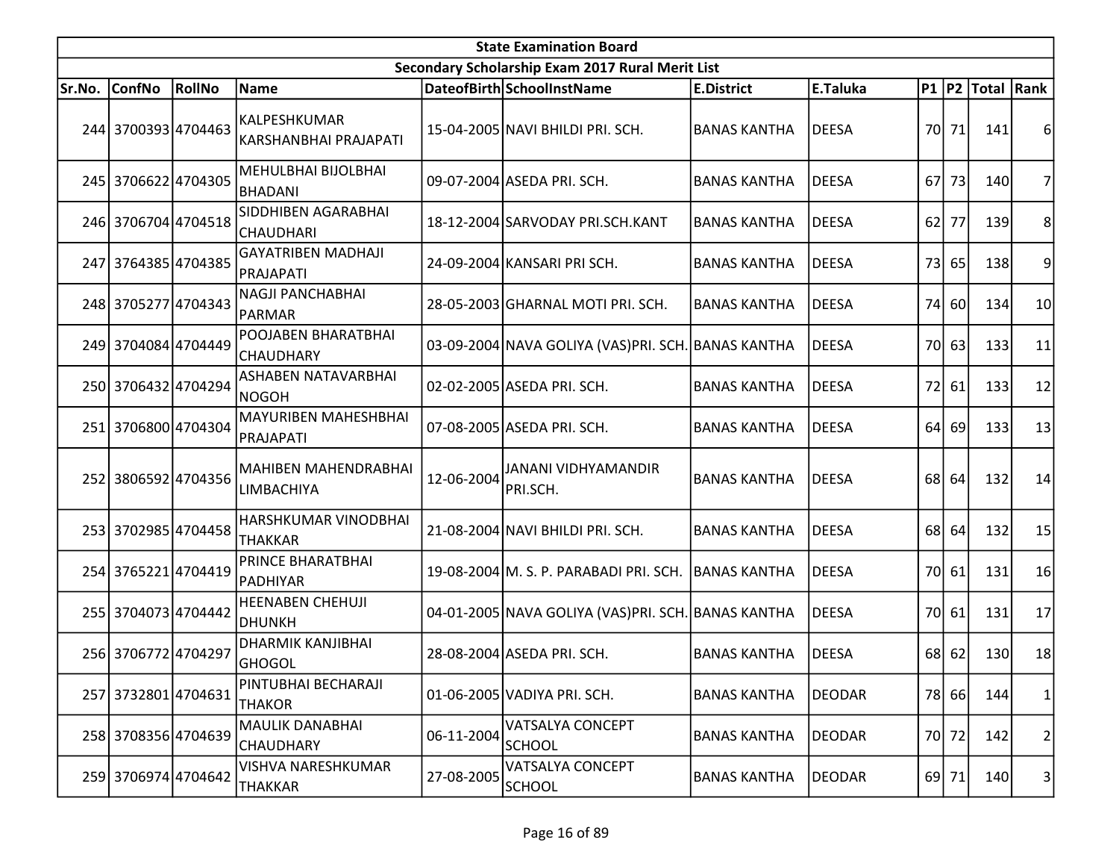| <b>State Examination Board</b> |                     |               |                                            |            |                                                    |                     |               |     |               |                  |                         |  |
|--------------------------------|---------------------|---------------|--------------------------------------------|------------|----------------------------------------------------|---------------------|---------------|-----|---------------|------------------|-------------------------|--|
|                                |                     |               |                                            |            | Secondary Scholarship Exam 2017 Rural Merit List   |                     |               |     |               |                  |                         |  |
| Sr.No.                         | <b>ConfNo</b>       | <b>RollNo</b> | Name                                       |            | DateofBirth SchoolInstName                         | <b>E.District</b>   | E.Taluka      |     |               | P1 P2 Total Rank |                         |  |
|                                | 244 3700393 4704463 |               | lkalpeshkumar<br>KARSHANBHAI PRAJAPATI     |            | 15-04-2005 NAVI BHILDI PRI. SCH.                   | <b>BANAS KANTHA</b> | <b>DEESA</b>  |     | 70 71         | 141              | 6                       |  |
|                                | 245 3706622 4704305 |               | MEHULBHAI BIJOLBHAI<br>BHADANI             |            | 09-07-2004 ASEDA PRI. SCH.                         | <b>BANAS KANTHA</b> | <b>DEESA</b>  | 67  | 73            | 140              | 7                       |  |
|                                | 246 3706704 4704518 |               | SIDDHIBEN AGARABHAI<br><b>CHAUDHARI</b>    |            | 18-12-2004 SARVODAY PRI.SCH.KANT                   | <b>BANAS KANTHA</b> | <b>DEESA</b>  | 62  | 77            | 139              | 8                       |  |
|                                | 247 3764385 4704385 |               | <b>GAYATRIBEN MADHAJI</b><br> PRAJAPATI    |            | 24-09-2004 KANSARI PRI SCH.                        | <b>BANAS KANTHA</b> | <b>DEESA</b>  |     | 73 65         | 138              | 9                       |  |
|                                | 248 3705277 4704343 |               | <b>NAGJI PANCHABHAI</b><br>PARMAR          |            | 28-05-2003 GHARNAL MOTI PRI. SCH.                  | <b>BANAS KANTHA</b> | <b>DEESA</b>  | 74I | <b>60</b>     | 134              | 10                      |  |
|                                | 249 3704084 4704449 |               | POOJABEN BHARATBHAI<br>CHAUDHARY           |            | 03-09-2004 NAVA GOLIYA (VAS)PRI. SCH. BANAS KANTHA |                     | <b>DEESA</b>  | 70I | 63            | 133              | 11                      |  |
|                                | 250 3706432 4704294 |               | ASHABEN NATAVARBHAI<br>NOGOH               |            | 02-02-2005 ASEDA PRI. SCH.                         | <b>BANAS KANTHA</b> | <b>DEESA</b>  | 72  | 61            | 133              | 12                      |  |
|                                | 251 3706800 4704304 |               | <b>MAYURIBEN MAHESHBHAI</b><br>PRAJAPATI   |            | 07-08-2005 ASEDA PRI. SCH.                         | <b>BANAS KANTHA</b> | <b>DEESA</b>  | 64  | <sup>69</sup> | 133              | 13                      |  |
|                                | 252 3806592 4704356 |               | MAHIBEN MAHENDRABHAI<br>LIMBACHIYA         | 12-06-2004 | <b>JANANI VIDHYAMANDIR</b><br>PRI.SCH.             | <b>BANAS KANTHA</b> | <b>DEESA</b>  |     | 68 64         | 132              | 14                      |  |
|                                | 253 3702985 4704458 |               | HARSHKUMAR VINODBHAI<br><b>THAKKAR</b>     |            | 21-08-2004 NAVI BHILDI PRI. SCH.                   | <b>BANAS KANTHA</b> | <b>DEESA</b>  | 68  | 64            | 132              | 15                      |  |
|                                | 254 3765221 4704419 |               | PRINCE BHARATBHAI<br>PADHIYAR              |            | 19-08-2004 M. S. P. PARABADI PRI. SCH.             | <b>BANAS KANTHA</b> | <b>DEESA</b>  | 70I | 61            | 131              | 16                      |  |
|                                | 255 3704073 4704442 |               | HEENABEN CHEHUJI<br><b>DHUNKH</b>          |            | 04-01-2005 NAVA GOLIYA (VAS)PRI. SCH. BANAS KANTHA |                     | <b>DEESA</b>  |     | 70 61         | 131              | 17                      |  |
|                                | 256 3706772 4704297 |               | <b>DHARMIK KANJIBHAI</b><br> GHOGOL        |            | 28-08-2004 ASEDA PRI. SCH.                         | <b>BANAS KANTHA</b> | <b>DEESA</b>  |     | $68$ 62       | 130              | 18                      |  |
|                                | 257 3732801 4704631 |               | PINTUBHAI BECHARAJI<br><b>THAKOR</b>       |            | 01-06-2005 VADIYA PRI. SCH.                        | <b>BANAS KANTHA</b> | <b>DEODAR</b> |     | 78 66         | 144              | 1                       |  |
|                                | 258 3708356 4704639 |               | <b>MAULIK DANABHAI</b><br><b>CHAUDHARY</b> | 06-11-2004 | VATSALYA CONCEPT<br><b>SCHOOL</b>                  | <b>BANAS KANTHA</b> | DEODAR        |     | 70 72         | 142              | $\overline{\mathbf{c}}$ |  |
|                                | 259 3706974 4704642 |               | VISHVA NARESHKUMAR<br><b>THAKKAR</b>       | 27-08-2005 | VATSALYA CONCEPT<br><b>SCHOOL</b>                  | <b>BANAS KANTHA</b> | <b>DEODAR</b> |     | 69 71         | 140              | 3                       |  |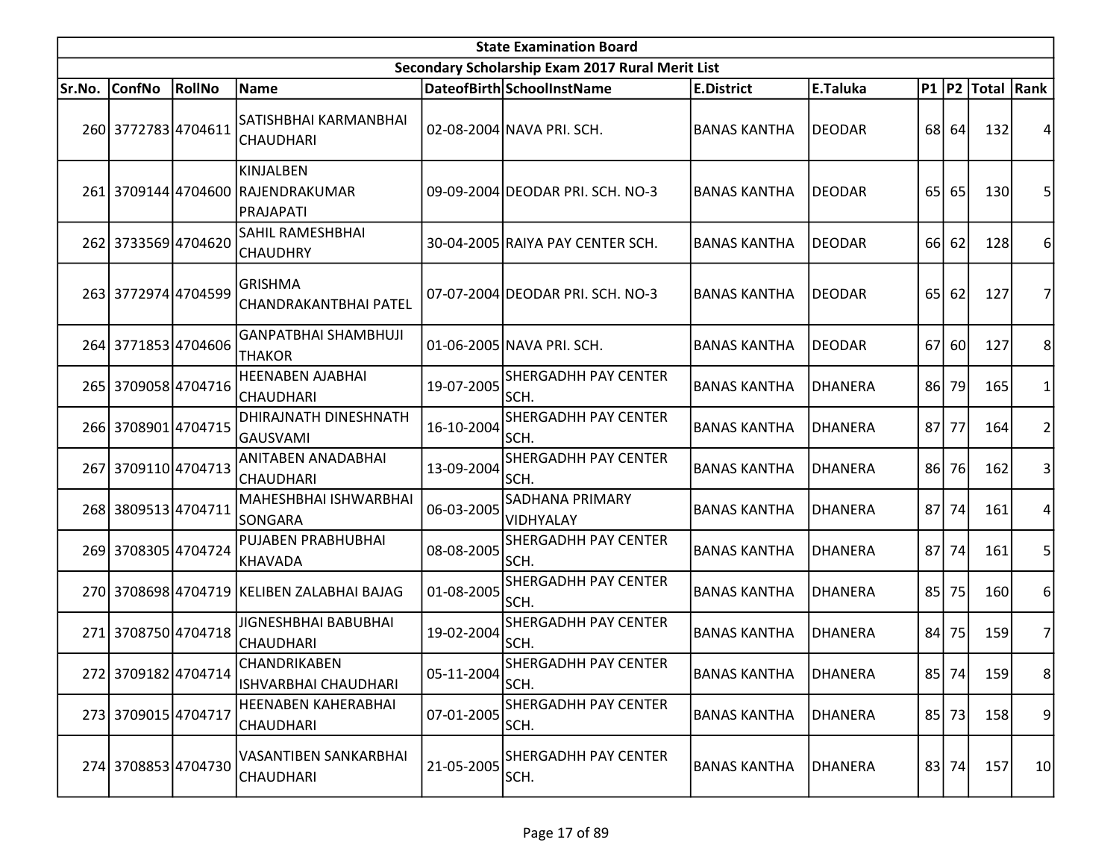| <b>State Examination Board</b> |                     |               |                                                             |            |                                                  |                     |                |     |       |                  |                |  |
|--------------------------------|---------------------|---------------|-------------------------------------------------------------|------------|--------------------------------------------------|---------------------|----------------|-----|-------|------------------|----------------|--|
|                                |                     |               |                                                             |            | Secondary Scholarship Exam 2017 Rural Merit List |                     |                |     |       |                  |                |  |
| Sr.No.                         | <b>ConfNo</b>       | <b>RollNo</b> | Name                                                        |            | DateofBirth SchoolInstName                       | <b>E.District</b>   | E.Taluka       |     |       | P1 P2 Total Rank |                |  |
|                                | 260 3772783 4704611 |               | SATISHBHAI KARMANBHAI<br><b>CHAUDHARI</b>                   |            | 02-08-2004 NAVA PRI. SCH.                        | <b>BANAS KANTHA</b> | <b>DEODAR</b>  |     | 68 64 | 132              | 4              |  |
|                                |                     |               | KINJALBEN<br>261 3709144 4704600 RAJENDRAKUMAR<br>PRAJAPATI |            | 09-09-2004 DEODAR PRI. SCH. NO-3                 | <b>BANAS KANTHA</b> | <b>DEODAR</b>  | 65  | 65    | 130              | 5              |  |
|                                | 262 3733569 4704620 |               | SAHIL RAMESHBHAI<br><b>CHAUDHRY</b>                         |            | 30-04-2005 RAIYA PAY CENTER SCH.                 | <b>BANAS KANTHA</b> | <b>DEODAR</b>  | 66I | 62    | 128              | 6              |  |
|                                | 263 3772974 4704599 |               | <b>GRISHMA</b><br>CHANDRAKANTBHAI PATEL                     |            | 07-07-2004 DEODAR PRI. SCH. NO-3                 | <b>BANAS KANTHA</b> | <b>DEODAR</b>  | 65  | 62    | 127              | 7              |  |
|                                | 264 3771853 4704606 |               | <b>GANPATBHAI SHAMBHUJI</b><br><b>THAKOR</b>                |            | 01-06-2005 NAVA PRI. SCH.                        | <b>BANAS KANTHA</b> | <b>DEODAR</b>  | 67l | 60    | 127              | 8              |  |
|                                | 265 3709058 4704716 |               | HEENABEN AJABHAI<br>CHAUDHARI                               | 19-07-2005 | <b>SHERGADHH PAY CENTER</b><br>SCH.              | <b>BANAS KANTHA</b> | <b>DHANERA</b> | 86  | 79    | 165              | 1              |  |
|                                | 266 3708901 4704715 |               | DHIRAJNATH DINESHNATH<br>GAUSVAMI                           | 16-10-2004 | <b>SHERGADHH PAY CENTER</b><br>SCH.              | <b>BANAS KANTHA</b> | <b>DHANERA</b> | 87  | 77    | 164              | 2              |  |
|                                | 267 3709110 4704713 |               | ANITABEN ANADABHAI<br><b>CHAUDHARI</b>                      | 13-09-2004 | SHERGADHH PAY CENTER<br>SCH.                     | <b>BANAS KANTHA</b> | <b>DHANERA</b> | 86  | 76    | 162              | 3              |  |
|                                | 268 3809513 4704711 |               | MAHESHBHAI ISHWARBHAI<br>SONGARA                            | 06-03-2005 | <b>SADHANA PRIMARY</b><br>VIDHYALAY              | <b>BANAS KANTHA</b> | <b>DHANERA</b> | 87  | 74    | 161              | 4              |  |
|                                | 269 3708305 4704724 |               | PUJABEN PRABHUBHAI<br>KHAVADA                               | 08-08-2005 | <b>SHERGADHH PAY CENTER</b><br>SCH.              | <b>BANAS KANTHA</b> | <b>OHANERA</b> | 87I | 74    | 161              | 5              |  |
|                                |                     |               | 270 3708698 4704719 KELIBEN ZALABHAI BAJAG                  | 01-08-2005 | <b>SHERGADHH PAY CENTER</b><br>SCH.              | <b>BANAS KANTHA</b> | <b>DHANERA</b> | 85  | 75    | 160              | 6              |  |
|                                | 271 3708750 4704718 |               | JIGNESHBHAI BABUBHAI<br>CHAUDHARI                           | 19-02-2004 | <b>SHERGADHH PAY CENTER</b><br>SCH.              | <b>BANAS KANTHA</b> | DHANERA        | 84  | 75    | 159              | $\overline{7}$ |  |
|                                | 272 3709182 4704714 |               | CHANDRIKABEN<br><b>ISHVARBHAI CHAUDHARI</b>                 | 05-11-2004 | <b>SHERGADHH PAY CENTER</b><br>SCH.              | <b>BANAS KANTHA</b> | <b>DHANERA</b> |     | 85 74 | 159              | 8 <sup>2</sup> |  |
|                                | 273 3709015 4704717 |               | <b>HEENABEN KAHERABHAI</b><br><b>CHAUDHARI</b>              | 07-01-2005 | SHERGADHH PAY CENTER<br>SCH.                     | <b>BANAS KANTHA</b> | <b>DHANERA</b> |     | 85 73 | 158              | 9              |  |
|                                | 274 3708853 4704730 |               | <b>VASANTIBEN SANKARBHAI</b><br><b>CHAUDHARI</b>            | 21-05-2005 | <b>SHERGADHH PAY CENTER</b><br>SCH.              | <b>BANAS KANTHA</b> | DHANERA        |     | 83 74 | 157              | 10             |  |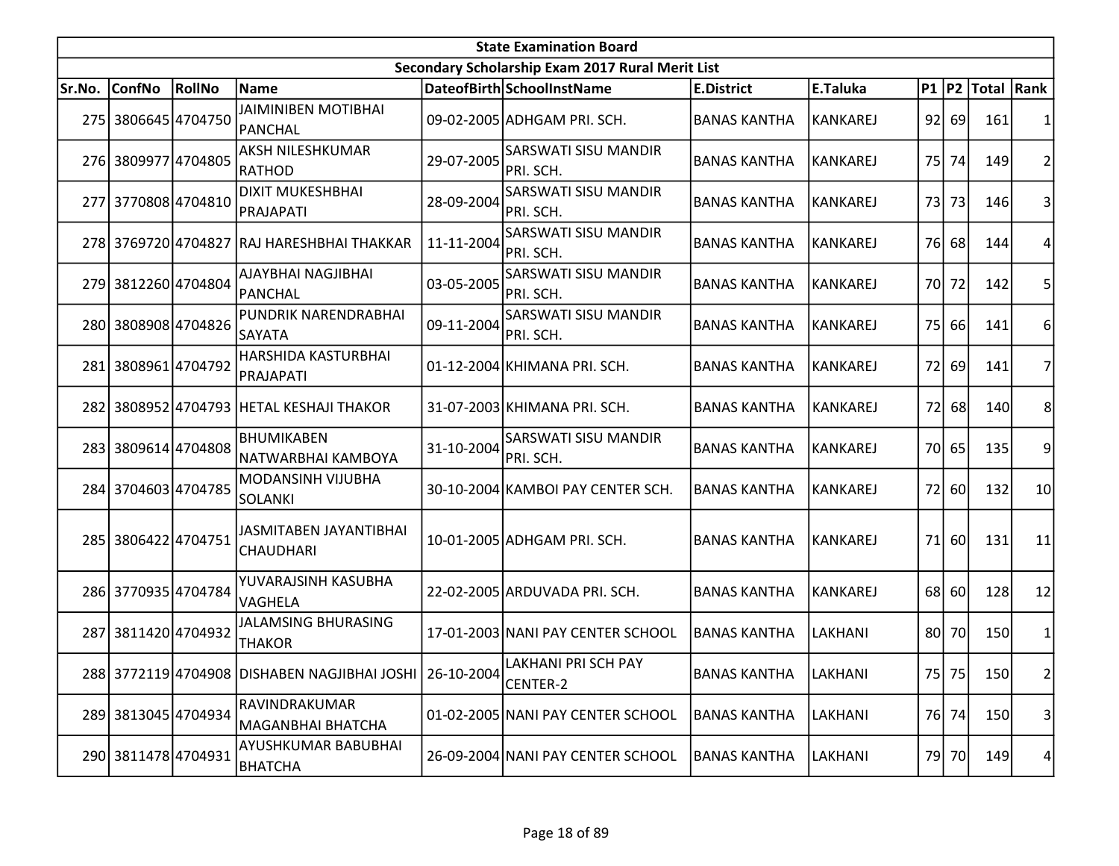|        | <b>State Examination Board</b> |        |                                                         |            |                                                  |                     |                 |    |       |                  |                |  |  |
|--------|--------------------------------|--------|---------------------------------------------------------|------------|--------------------------------------------------|---------------------|-----------------|----|-------|------------------|----------------|--|--|
|        |                                |        |                                                         |            | Secondary Scholarship Exam 2017 Rural Merit List |                     |                 |    |       |                  |                |  |  |
| Sr.No. | <b>ConfNo</b>                  | RollNo | Name                                                    |            | DateofBirth SchoolInstName                       | <b>E.District</b>   | E.Taluka        |    |       | P1 P2 Total Rank |                |  |  |
|        | 275 3806645 4704750            |        | <b>JAIMINIBEN MOTIBHAI</b><br>PANCHAL                   |            | 09-02-2005 ADHGAM PRI. SCH.                      | <b>BANAS KANTHA</b> | KANKAREJ        |    | 92 69 | 161              |                |  |  |
|        | 276 3809977 4704805            |        | AKSH NILESHKUMAR<br><b>RATHOD</b>                       | 29-07-2005 | SARSWATI SISU MANDIR<br>PRI. SCH.                | <b>BANAS KANTHA</b> | KANKAREJ        |    | 75 74 | 149              | $\overline{2}$ |  |  |
|        | 277 3770808 4704810            |        | <b>DIXIT MUKESHBHAI</b><br>PRAJAPATI                    | 28-09-2004 | <b>SARSWATI SISU MANDIR</b><br>PRI. SCH.         | <b>BANAS KANTHA</b> | KANKAREJ        | 73 | 73    | 146              | 3              |  |  |
|        |                                |        | 278 3769720 4704827 RAJ HARESHBHAI THAKKAR              | 11-11-2004 | <b>SARSWATI SISU MANDIR</b><br>PRI. SCH.         | <b>BANAS KANTHA</b> | KANKAREJ        |    | 76 68 | 144              | 4              |  |  |
|        | 279 3812260 4704804            |        | AJAYBHAI NAGJIBHAI<br><b>PANCHAL</b>                    | 03-05-2005 | SARSWATI SISU MANDIR<br>PRI. SCH.                | <b>BANAS KANTHA</b> | KANKAREJ        |    | 70 72 | 142              | 5              |  |  |
|        | 280 3808908 4704826            |        | PUNDRIK NARENDRABHAI<br>SAYATA                          | 09-11-2004 | SARSWATI SISU MANDIR<br>PRI. SCH.                | <b>BANAS KANTHA</b> | <b>KANKAREJ</b> | 75 | 66    | 141              | 6              |  |  |
| 281    | 3808961 4704792                |        | HARSHIDA KASTURBHAI<br>PRAJAPATI                        |            | 01-12-2004 KHIMANA PRI. SCH.                     | <b>BANAS KANTHA</b> | <b>KANKAREJ</b> | 72 | 69    | 141              | 7              |  |  |
|        |                                |        | 282 3808952 4704793 HETAL KESHAJI THAKOR                |            | 31-07-2003 KHIMANA PRI. SCH.                     | <b>BANAS KANTHA</b> | <b>KANKAREJ</b> | 72 | 68    | <b>140</b>       | 8              |  |  |
|        | 283 3809614 4704808            |        | <b>BHUMIKABEN</b><br>NATWARBHAI KAMBOYA                 | 31-10-2004 | <b>SARSWATI SISU MANDIR</b><br>PRI. SCH.         | <b>BANAS KANTHA</b> | KANKAREJ        |    | 70 65 | 135              | 9              |  |  |
|        | 284 3704603 4704785            |        | MODANSINH VIJUBHA<br>SOLANKI                            |            | 30-10-2004 KAMBOI PAY CENTER SCH.                | <b>BANAS KANTHA</b> | <b>KANKAREJ</b> | 72 | 60    | 132              | 10             |  |  |
|        | 285 3806422 4704751            |        | JASMITABEN JAYANTIBHAI<br>CHAUDHARI                     |            | 10-01-2005 ADHGAM PRI. SCH.                      | <b>BANAS KANTHA</b> | KANKAREJ        | 71 | 60    | 131              | 11             |  |  |
|        | 286 3770935 4704784            |        | YUVARAJSINH KASUBHA<br>VAGHELA                          |            | 22-02-2005 ARDUVADA PRI. SCH.                    | <b>BANAS KANTHA</b> | <b>KANKAREJ</b> | 68 | 60    | 128              | 12             |  |  |
| 287    | 3811420 4704932                |        | <b>JALAMSING BHURASING</b><br><b>THAKOR</b>             |            | 17-01-2003 NANI PAY CENTER SCHOOL                | <b>BANAS KANTHA</b> | LAKHANI         |    | 80 70 | <b>150</b>       | 1              |  |  |
|        |                                |        | 288 3772119 4704908 DISHABEN NAGJIBHAI JOSHI 26-10-2004 |            | LAKHANI PRI SCH PAY<br>CENTER-2                  | <b>BANAS KANTHA</b> | <b>LAKHANI</b>  |    | 75 75 | 150              | 2              |  |  |
|        | 289 3813045 4704934            |        | RAVINDRAKUMAR<br>MAGANBHAI BHATCHA                      |            | 01-02-2005 NANI PAY CENTER SCHOOL                | <b>BANAS KANTHA</b> | LAKHANI         |    | 76 74 | 150              | 3              |  |  |
|        | 290 3811478 4704931            |        | AYUSHKUMAR BABUBHAI<br><b>BHATCHA</b>                   |            | 26-09-2004 NANI PAY CENTER SCHOOL                | <b>BANAS KANTHA</b> | LAKHANI         |    | 79 70 | 149              | 4              |  |  |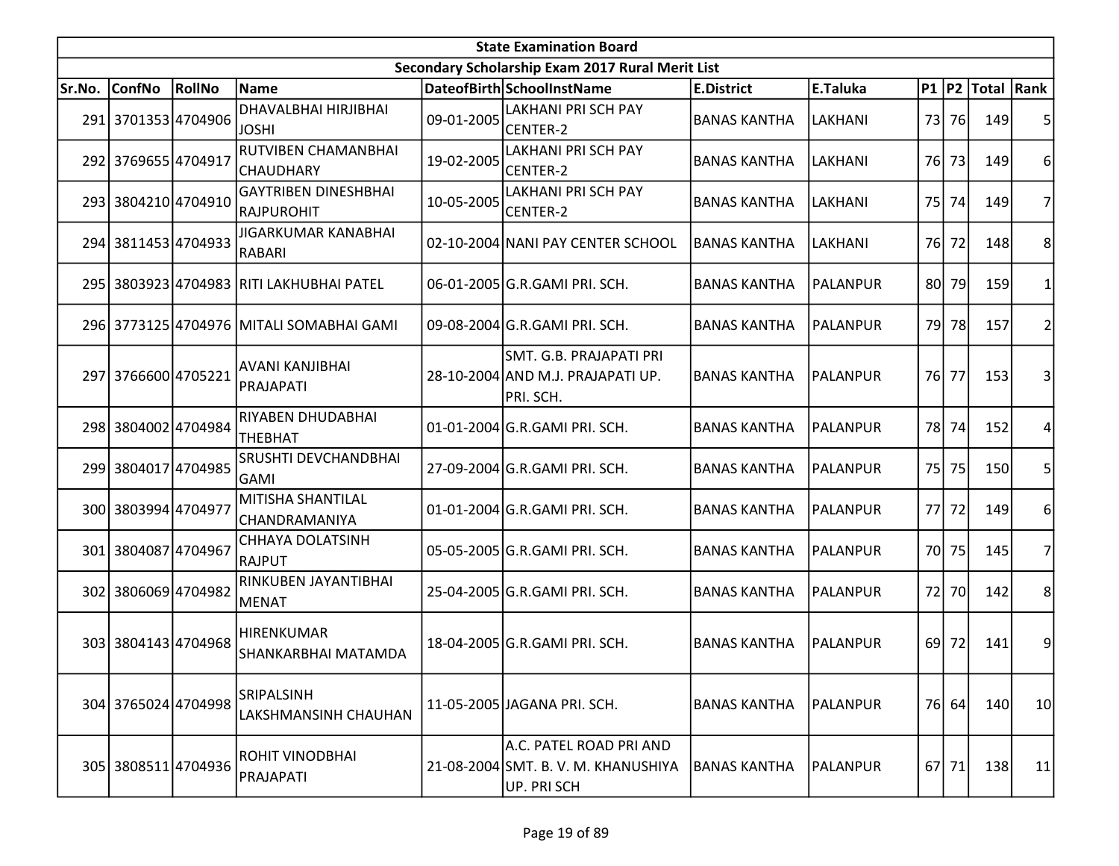| <b>State Examination Board</b> |                     |        |                                            |            |                                                                               |                     |                 |     |       |                  |                |  |  |
|--------------------------------|---------------------|--------|--------------------------------------------|------------|-------------------------------------------------------------------------------|---------------------|-----------------|-----|-------|------------------|----------------|--|--|
|                                |                     |        |                                            |            | Secondary Scholarship Exam 2017 Rural Merit List                              |                     |                 |     |       |                  |                |  |  |
| Sr.No.                         | <b>ConfNo</b>       | RollNo | Name                                       |            | DateofBirth SchoolInstName                                                    | <b>E.District</b>   | E.Taluka        |     |       | P1 P2 Total Rank |                |  |  |
|                                | 291 3701353 4704906 |        | DHAVALBHAI HIRJIBHAI<br><b>JOSHI</b>       | 09-01-2005 | <b>LAKHANI PRI SCH PAY</b><br>CENTER-2                                        | <b>BANAS KANTHA</b> | LAKHANI         |     | 73 76 | 149              | 5              |  |  |
|                                | 292 3769655 4704917 |        | RUTVIBEN CHAMANBHAI<br><b>CHAUDHARY</b>    | 19-02-2005 | <b>LAKHANI PRI SCH PAY</b><br>CENTER-2                                        | <b>BANAS KANTHA</b> | LAKHANI         |     | 76 73 | 149              | 6              |  |  |
|                                | 293 3804210 4704910 |        | <b>GAYTRIBEN DINESHBHAI</b><br>IRAJPUROHIT | 10-05-2005 | <b>LAKHANI PRI SCH PAY</b><br>CENTER-2                                        | <b>BANAS KANTHA</b> | LAKHANI         |     | 75 74 | 149              | 7              |  |  |
|                                | 294 3811453 4704933 |        | <b>JIGARKUMAR KANABHAI</b><br>RABARI       |            | 02-10-2004 NANI PAY CENTER SCHOOL                                             | <b>BANAS KANTHA</b> | LAKHANI         |     | 76 72 | 148              | 8              |  |  |
|                                |                     |        | 295 3803923 4704983 RITI LAKHUBHAI PATEL   |            | 06-01-2005 G.R.GAMI PRI. SCH.                                                 | <b>BANAS KANTHA</b> | <b>PALANPUR</b> | 80I | 79    | 159              |                |  |  |
|                                |                     |        | 296 3773125 4704976 MITALI SOMABHAI GAMI   |            | 09-08-2004 G.R.GAMI PRI. SCH.                                                 | <b>BANAS KANTHA</b> | <b>PALANPUR</b> |     | 79 78 | 157              | 2              |  |  |
|                                | 297 3766600 4705221 |        | AVANI KANJIBHAI<br>PRAJAPATI               |            | SMT. G.B. PRAJAPATI PRI<br>28-10-2004 AND M.J. PRAJAPATI UP.<br>PRI. SCH.     | <b>BANAS KANTHA</b> | PALANPUR        |     | 76 77 | 153              | 3              |  |  |
|                                | 298 3804002 4704984 |        | RIYABEN DHUDABHAI<br><b>THEBHAT</b>        |            | 01-01-2004 G.R.GAMI PRI. SCH.                                                 | <b>BANAS KANTHA</b> | PALANPUR        |     | 78 74 | 152              | 4              |  |  |
|                                | 299 3804017 4704985 |        | SRUSHTI DEVCHANDBHAI<br>GAMI               |            | 27-09-2004 G.R.GAMI PRI. SCH.                                                 | <b>BANAS KANTHA</b> | <b>PALANPUR</b> | 75  | 75    | 150              | 5              |  |  |
|                                | 300 3803994 4704977 |        | <b>MITISHA SHANTILAL</b><br> CHANDRAMANIYA |            | 01-01-2004 G.R.GAMI PRI. SCH.                                                 | <b>BANAS KANTHA</b> | <b>PALANPUR</b> | 77I | 72    | 149              | 6              |  |  |
|                                | 301 3804087 4704967 |        | <b>CHHAYA DOLATSINH</b><br><b>RAJPUT</b>   |            | 05-05-2005 G.R.GAMI PRI. SCH.                                                 | <b>BANAS KANTHA</b> | PALANPUR        |     | 70 75 | 145              | 7              |  |  |
|                                | 302 3806069 4704982 |        | RINKUBEN JAYANTIBHAI<br>MENAT              |            | 25-04-2005 G.R.GAMI PRI. SCH.                                                 | <b>BANAS KANTHA</b> | PALANPUR        | 72  | 70    | 142              | 8 <sup>1</sup> |  |  |
|                                | 303 3804143 4704968 |        | <b>HIRENKUMAR</b><br>SHANKARBHAI MATAMDA   |            | 18-04-2005 G.R.GAMI PRI. SCH.                                                 | <b>BANAS KANTHA</b> | PALANPUR        | 69  | 72    | 141              | $\overline{9}$ |  |  |
|                                | 304 3765024 4704998 |        | <b>SRIPALSINH</b><br>LAKSHMANSINH CHAUHAN  |            | 11-05-2005 JAGANA PRI. SCH.                                                   | <b>BANAS KANTHA</b> | <b>PALANPUR</b> |     | 76 64 | 140              | 10             |  |  |
|                                | 305 3808511 4704936 |        | ROHIT VINODBHAI<br>PRAJAPATI               |            | A.C. PATEL ROAD PRI AND<br>21-08-2004 SMT. B. V. M. KHANUSHIYA<br>UP. PRI SCH | <b>BANAS KANTHA</b> | PALANPUR        |     | 67 71 | 138              | 11             |  |  |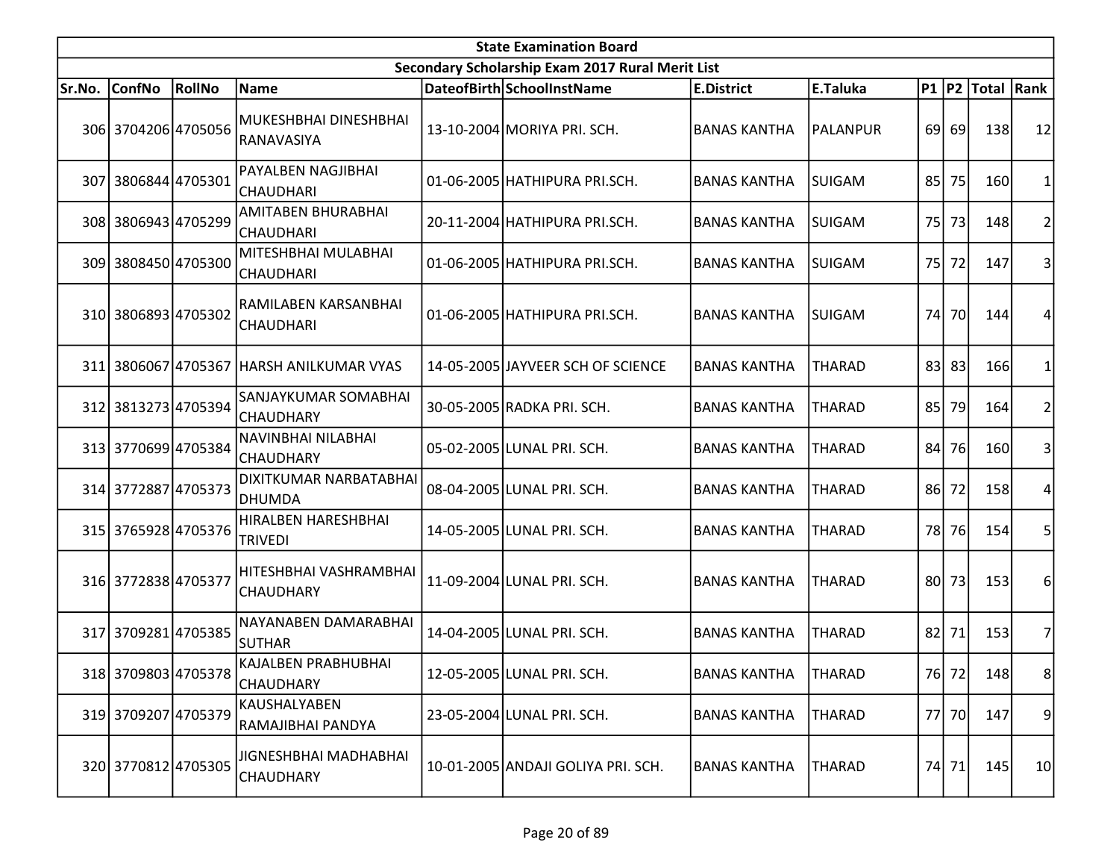|        | <b>State Examination Board</b> |               |                                           |  |                                                  |                     |                 |    |       |                  |                |  |  |  |
|--------|--------------------------------|---------------|-------------------------------------------|--|--------------------------------------------------|---------------------|-----------------|----|-------|------------------|----------------|--|--|--|
|        |                                |               |                                           |  | Secondary Scholarship Exam 2017 Rural Merit List |                     |                 |    |       |                  |                |  |  |  |
| Sr.No. | <b>ConfNo</b>                  | <b>RollNo</b> | Name                                      |  | DateofBirth SchoolInstName                       | <b>E.District</b>   | E.Taluka        |    |       | P1 P2 Total Rank |                |  |  |  |
|        | 306 3704206 4705056            |               | MUKESHBHAI DINESHBHAI<br>RANAVASIYA       |  | 13-10-2004 MORIYA PRI. SCH.                      | <b>BANAS KANTHA</b> | <b>PALANPUR</b> |    | 69 69 | 138              | 12             |  |  |  |
|        | 307 3806844 4705301            |               | PAYALBEN NAGJIBHAI<br><b>CHAUDHARI</b>    |  | 01-06-2005   HATHIPURA PRI.SCH.                  | <b>BANAS KANTHA</b> | <b>SUIGAM</b>   |    | 85 75 | 160              |                |  |  |  |
|        | 308 3806943 4705299            |               | AMITABEN BHURABHAI<br><b>CHAUDHARI</b>    |  | 20-11-2004 HATHIPURA PRI.SCH.                    | <b>BANAS KANTHA</b> | <b>SUIGAM</b>   |    | 75 73 | 148              | 2              |  |  |  |
|        | 309 3808450 4705300            |               | MITESHBHAI MULABHAI<br><b>CHAUDHARI</b>   |  | 01-06-2005   HATHIPURA PRI.SCH.                  | <b>BANAS KANTHA</b> | <b>SUIGAM</b>   |    | 75 72 | 147              | 3              |  |  |  |
|        | 310 3806893 4705302            |               | RAMILABEN KARSANBHAI<br>CHAUDHARI         |  | 01-06-2005 HATHIPURA PRI.SCH.                    | <b>BANAS KANTHA</b> | <b>SUIGAM</b>   |    | 74 70 | 144              |                |  |  |  |
| 311    |                                |               | 3806067 4705367 HARSH ANILKUMAR VYAS      |  | 14-05-2005 JAYVEER SCH OF SCIENCE                | <b>BANAS KANTHA</b> | <b>THARAD</b>   |    | 83 83 | 166              |                |  |  |  |
|        | 312 3813273 4705394            |               | SANJAYKUMAR SOMABHAI<br><b>CHAUDHARY</b>  |  | 30-05-2005 RADKA PRI. SCH.                       | <b>BANAS KANTHA</b> | <b>THARAD</b>   | 85 | 79    | 164              | 2 <sup>1</sup> |  |  |  |
|        | 313 3770699 4705384            |               | NAVINBHAI NILABHAI<br><b>CHAUDHARY</b>    |  | 05-02-2005 LUNAL PRI. SCH.                       | <b>BANAS KANTHA</b> | <b>THARAD</b>   | 84 | 76    | 160              | 3              |  |  |  |
|        | 314 3772887 4705373            |               | DIXITKUMAR NARBATABHAI<br>DHUMDA          |  | 08-04-2005 LUNAL PRI. SCH.                       | <b>BANAS KANTHA</b> | <b>THARAD</b>   |    | 86 72 | <b>158</b>       |                |  |  |  |
|        | 315 3765928 4705376            |               | HIRALBEN HARESHBHAI<br><b>TRIVEDI</b>     |  | 14-05-2005 LUNAL PRI. SCH.                       | <b>BANAS KANTHA</b> | <b>THARAD</b>   |    | 78 76 | 154              | 5              |  |  |  |
|        | 316 3772838 4705377            |               | HITESHBHAI VASHRAMBHAI<br>CHAUDHARY       |  | 11-09-2004 LUNAL PRI. SCH.                       | <b>BANAS KANTHA</b> | <b>THARAD</b>   |    | 80 73 | 153              | 6              |  |  |  |
|        | 317 3709281 4705385            |               | NAYANABEN DAMARABHAI<br>SUTHAR            |  | 14-04-2005 LUNAL PRI. SCH.                       | <b>BANAS KANTHA</b> | <b>THARAD</b>   |    | 82 71 | 153              | 7              |  |  |  |
|        | 318 3709803 4705378            |               | KAJALBEN PRABHUBHAI<br><b>CHAUDHARY</b>   |  | 12-05-2005 LUNAL PRI. SCH.                       | <b>BANAS KANTHA</b> | <b>THARAD</b>   |    | 76 72 | 148              | 8 <sup>1</sup> |  |  |  |
|        | 319 3709207 4705379            |               | KAUSHALYABEN<br>RAMAJIBHAI PANDYA         |  | 23-05-2004 LUNAL PRI. SCH.                       | <b>BANAS KANTHA</b> | <b>THARAD</b>   |    | 77 70 | 147              | 9              |  |  |  |
|        | 320 3770812 4705305            |               | JIGNESHBHAI MADHABHAI<br><b>CHAUDHARY</b> |  | 10-01-2005 ANDAJI GOLIYA PRI. SCH.               | <b>BANAS KANTHA</b> | <b>THARAD</b>   |    | 74 71 | 145              | 10             |  |  |  |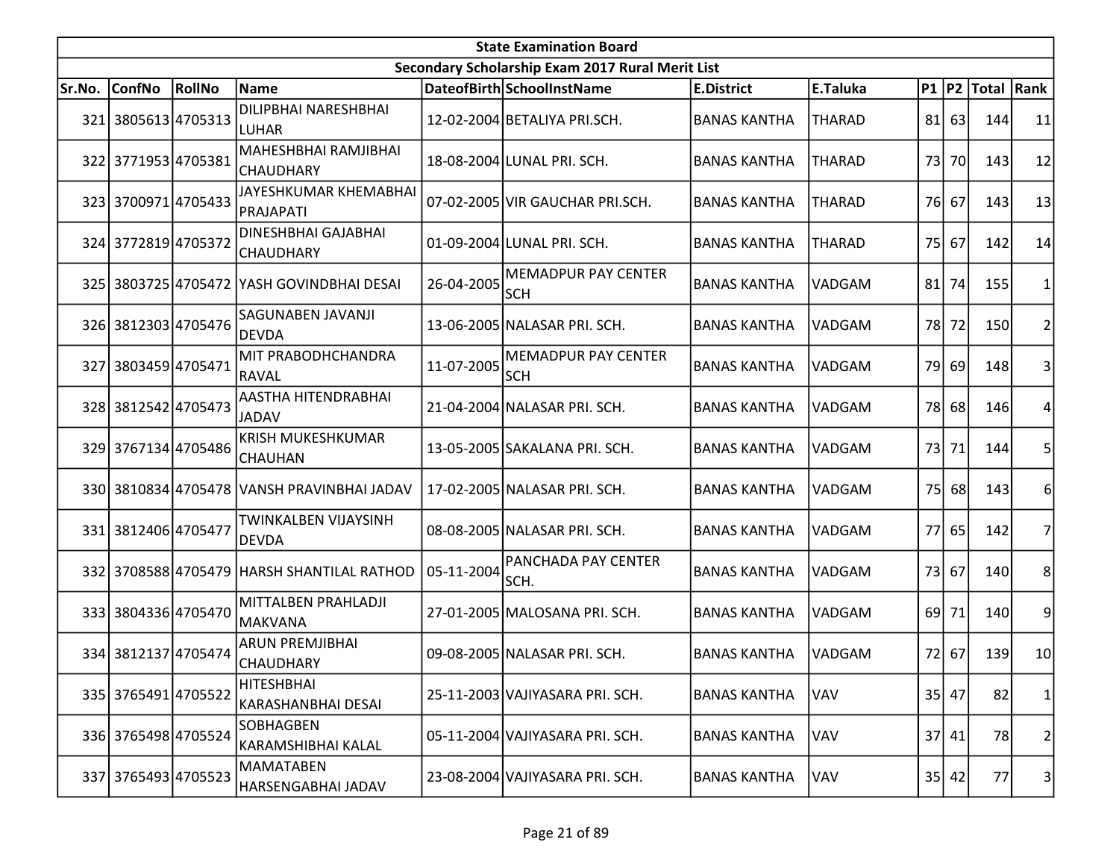|        | <b>State Examination Board</b> |        |                                            |            |                                                  |                     |               |      |         |                  |                |  |  |  |
|--------|--------------------------------|--------|--------------------------------------------|------------|--------------------------------------------------|---------------------|---------------|------|---------|------------------|----------------|--|--|--|
|        |                                |        |                                            |            | Secondary Scholarship Exam 2017 Rural Merit List |                     |               |      |         |                  |                |  |  |  |
| Sr.No. | <b>ConfNo</b>                  | RollNo | <b>Name</b>                                |            | DateofBirth SchoolInstName                       | <b>E.District</b>   | E.Taluka      |      |         | P1 P2 Total Rank |                |  |  |  |
| 321    | 3805613 4705313                |        | <b>DILIPBHAI NARESHBHAI</b><br>LUHAR       |            | 12-02-2004 BETALIYA PRI.SCH.                     | <b>BANAS KANTHA</b> | <b>THARAD</b> |      | 81 63   | 144              | 11             |  |  |  |
|        | 322 3771953 4705381            |        | MAHESHBHAI RAMJIBHAI<br><b>CHAUDHARY</b>   |            | 18-08-2004 LUNAL PRI. SCH.                       | <b>BANAS KANTHA</b> | <b>THARAD</b> | 73   | 70      | 143              | 12             |  |  |  |
|        | 323 3700971 4705433            |        | JAYESHKUMAR KHEMABHAI<br>PRAJAPATI         |            | 07-02-2005 VIR GAUCHAR PRI.SCH.                  | <b>BANAS KANTHA</b> | <b>THARAD</b> |      | 76 67   | 143              | 13             |  |  |  |
|        | 324 3772819 4705372            |        | DINESHBHAI GAJABHAI<br><b>CHAUDHARY</b>    |            | 01-09-2004 LUNAL PRI. SCH.                       | <b>BANAS KANTHA</b> | <b>THARAD</b> |      | 75 67   | 142              | 14             |  |  |  |
|        |                                |        | 325 3803725 4705472 YASH GOVINDBHAI DESAI  | 26-04-2005 | <b>MEMADPUR PAY CENTER</b><br><b>SCH</b>         | <b>BANAS KANTHA</b> | <b>VADGAM</b> | 81   | 74      | 155              |                |  |  |  |
|        | 326 3812303 4705476            |        | <b>SAGUNABEN JAVANJI</b><br><b>DEVDA</b>   |            | 13-06-2005 NALASAR PRI. SCH.                     | <b>BANAS KANTHA</b> | VADGAM        |      | 78 72   | 150              | 2              |  |  |  |
| 327    | 3803459 4705471                |        | MIT PRABODHCHANDRA<br>RAVAL                | 11-07-2005 | <b>MEMADPUR PAY CENTER</b><br><b>SCH</b>         | <b>BANAS KANTHA</b> | VADGAM        |      | 79 69   | 148              | 3              |  |  |  |
|        | 328 3812542 4705473            |        | AASTHA HITENDRABHAI<br>JADAV               |            | 21-04-2004 NALASAR PRI. SCH.                     | <b>BANAS KANTHA</b> | <b>VADGAM</b> |      | 78 68   | 146              | 4              |  |  |  |
|        | 329 3767134 4705486            |        | <b>KRISH MUKESHKUMAR</b><br>CHAUHAN        |            | 13-05-2005 SAKALANA PRI. SCH.                    | <b>BANAS KANTHA</b> | <b>VADGAM</b> |      | 73 71   | 144              | 5              |  |  |  |
|        |                                |        | 330 3810834 4705478 VANSH PRAVINBHAI JADAV |            | 17-02-2005 NALASAR PRI. SCH.                     | <b>BANAS KANTHA</b> | VADGAM        | 75   | 68      | 143              | 6              |  |  |  |
|        | 331 3812406 4705477            |        | TWINKALBEN VIJAYSINH<br><b>DEVDA</b>       |            | 08-08-2005 NALASAR PRI. SCH.                     | <b>BANAS KANTHA</b> | <b>VADGAM</b> |      | 77 65   | 142              | 7              |  |  |  |
|        |                                |        | 332 3708588 4705479 HARSH SHANTILAL RATHOD | 05-11-2004 | <b>PANCHADA PAY CENTER</b><br>SCH.               | <b>BANAS KANTHA</b> | VADGAM        |      | 73 67   | 140              | 8              |  |  |  |
|        | 333 3804336 4705470            |        | MITTALBEN PRAHLADJI<br>MAKVANA             |            | 27-01-2005 MALOSANA PRI. SCH.                    | <b>BANAS KANTHA</b> | VADGAM        | 69 l | 71      | 140              | 9              |  |  |  |
|        | 334 3812137 4705474            |        | <b>ARUN PREMJIBHAI</b><br><b>CHAUDHARY</b> |            | 09-08-2005 NALASAR PRI. SCH.                     | <b>BANAS KANTHA</b> | <b>VADGAM</b> |      | 72 67   | 139              | 10             |  |  |  |
|        | 335 3765491 4705522            |        | <b>HITESHBHAI</b><br>KARASHANBHAI DESAI    |            | 25-11-2003 VAJIYASARA PRI. SCH.                  | <b>BANAS KANTHA</b> | <b>VAV</b>    |      | $35$ 47 | 82               | 1              |  |  |  |
|        | 336 3765498 4705524            |        | <b>SOBHAGBEN</b><br>KARAMSHIBHAI KALAL     |            | 05-11-2004 VAJIYASARA PRI. SCH.                  | <b>BANAS KANTHA</b> | VAV           |      | 37   41 | 78               | $\overline{c}$ |  |  |  |
| 337    | 3765493 4705523                |        | <b>MAMATABEN</b><br>HARSENGABHAI JADAV     |            | 23-08-2004 VAJIYASARA PRI. SCH.                  | <b>BANAS KANTHA</b> | VAV           |      | 35 42   | 77               | 3              |  |  |  |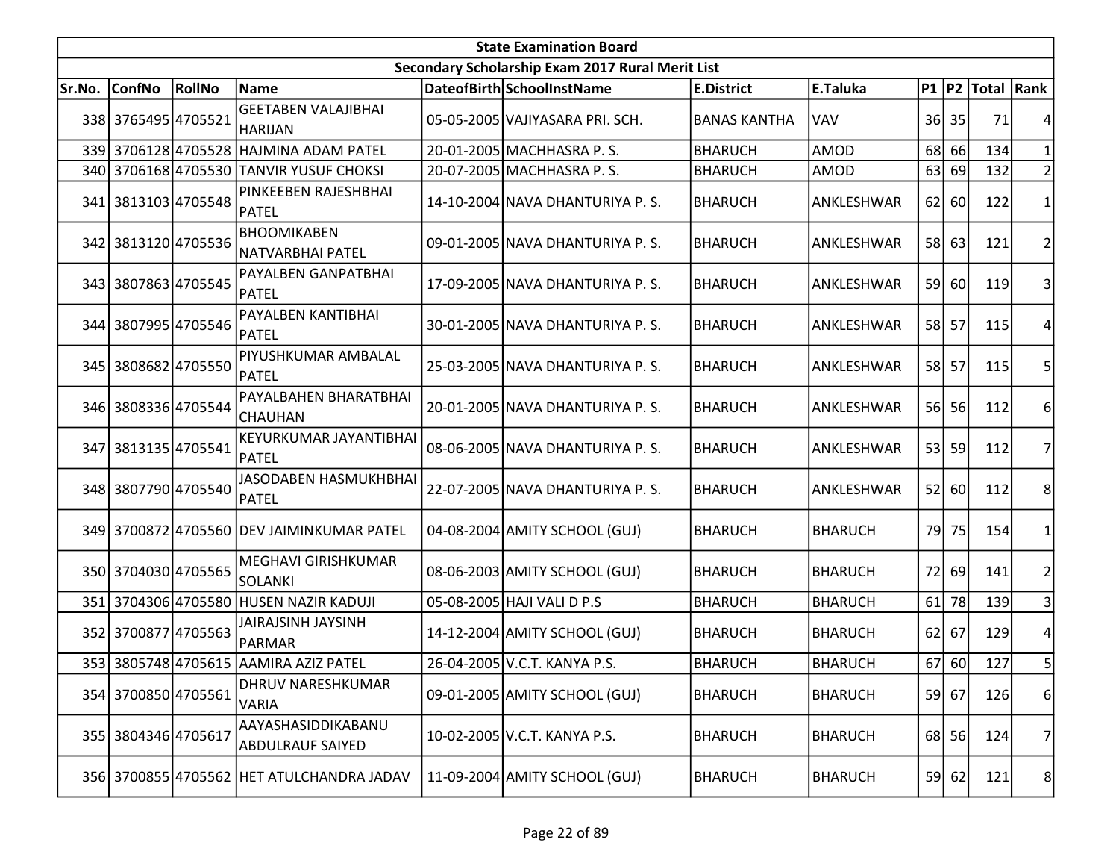| <b>State Examination Board</b> |                     |        |                                               |  |                                                  |                     |                |    |         |                  |                |  |
|--------------------------------|---------------------|--------|-----------------------------------------------|--|--------------------------------------------------|---------------------|----------------|----|---------|------------------|----------------|--|
|                                |                     |        |                                               |  | Secondary Scholarship Exam 2017 Rural Merit List |                     |                |    |         |                  |                |  |
| Sr.No.                         | <b>ConfNo</b>       | RollNo | <b>Name</b>                                   |  | DateofBirth SchoolInstName                       | <b>E.District</b>   | E.Taluka       |    |         | P1 P2 Total Rank |                |  |
|                                | 338 3765495 4705521 |        | <b>GEETABEN VALAJIBHAI</b><br> HARIJAN        |  | 05-05-2005 VAJIYASARA PRI. SCH.                  | <b>BANAS KANTHA</b> | <b>VAV</b>     |    | 36 35   | 71               |                |  |
|                                |                     |        | 339 3706128 4705528 HAJMINA ADAM PATEL        |  | 20-01-2005 MACHHASRA P.S.                        | <b>BHARUCH</b>      | <b>AMOD</b>    |    | 68 66   | 134              |                |  |
|                                |                     |        | 340 3706168 4705530 TANVIR YUSUF CHOKSI       |  | 20-07-2005 MACHHASRA P.S.                        | <b>BHARUCH</b>      | <b>AMOD</b>    |    | 63 69   | 132              |                |  |
|                                | 341 3813103 4705548 |        | PINKEEBEN RAJESHBHAI<br>PATEL                 |  | 14-10-2004 NAVA DHANTURIYA P.S.                  | <b>BHARUCH</b>      | ANKLESHWAR     |    | $62$ 60 | 122              |                |  |
|                                | 342 3813120 4705536 |        | <b>BHOOMIKABEN</b><br>NATVARBHAI PATEL        |  | 09-01-2005 NAVA DHANTURIYA P.S.                  | <b>BHARUCH</b>      | ANKLESHWAR     |    | 58 63   | 121              | 2              |  |
|                                | 343 3807863 4705545 |        | PAYALBEN GANPATBHAI<br>PATEL                  |  | 17-09-2005 NAVA DHANTURIYA P.S.                  | <b>BHARUCH</b>      | ANKLESHWAR     |    | 59 60   | 119              | 3              |  |
|                                | 344 3807995 4705546 |        | PAYALBEN KANTIBHAI<br>PATEL                   |  | 30-01-2005 NAVA DHANTURIYA P.S.                  | <b>BHARUCH</b>      | ANKLESHWAR     |    | 58 57   | 115              |                |  |
|                                | 345 3808682 4705550 |        | PIYUSHKUMAR AMBALAL<br><b>PATEL</b>           |  | 25-03-2005 NAVA DHANTURIYA P.S.                  | <b>BHARUCH</b>      | ANKLESHWAR     |    | 58 57   | 115              |                |  |
|                                | 346 3808336 4705544 |        | PAYALBAHEN BHARATBHAI<br> CHAUHAN             |  | 20-01-2005 NAVA DHANTURIYA P.S.                  | <b>BHARUCH</b>      | ANKLESHWAR     |    | 56 56   | 112              | 6              |  |
|                                | 347 3813135 4705541 |        | KEYURKUMAR JAYANTIBHAI<br>PATEL               |  | 08-06-2005 NAVA DHANTURIYA P.S.                  | <b>BHARUCH</b>      | ANKLESHWAR     |    | 53 59   | 112              | 7              |  |
|                                | 348 3807790 4705540 |        | JASODABEN HASMUKHBHAI<br>PATEL                |  | 22-07-2005 NAVA DHANTURIYA P.S.                  | <b>BHARUCH</b>      | ANKLESHWAR     | 52 | 60      | 112              | 8              |  |
|                                |                     |        | 349 3700872 4705560 DEV JAIMINKUMAR PATEL     |  | 04-08-2004 AMITY SCHOOL (GUJ)                    | <b>BHARUCH</b>      | <b>BHARUCH</b> |    | 79 75   | 154              |                |  |
|                                | 350 3704030 4705565 |        | <b>MEGHAVI GIRISHKUMAR</b><br><b>SOLANKI</b>  |  | 08-06-2003 AMITY SCHOOL (GUJ)                    | <b>BHARUCH</b>      | <b>BHARUCH</b> |    | 72 69   | 141              | 2              |  |
|                                |                     |        | 351 3704306 4705580 HUSEN NAZIR KADUJI        |  | 05-08-2005 HAJI VALI D P.S                       | <b>BHARUCH</b>      | <b>BHARUCH</b> |    | 61 78   | 139              | 3              |  |
|                                | 352 3700877 4705563 |        | JAIRAJSINH JAYSINH<br>PARMAR                  |  | 14-12-2004 AMITY SCHOOL (GUJ)                    | <b>BHARUCH</b>      | <b>BHARUCH</b> |    | 62 67   | 129              | 4              |  |
|                                |                     |        | 353 3805748 4705615 AAMIRA AZIZ PATEL         |  | 26-04-2005 V.C.T. KANYA P.S.                     | <b>BHARUCH</b>      | <b>BHARUCH</b> |    | 67 60   | 127              | 5              |  |
|                                | 354 3700850 4705561 |        | DHRUV NARESHKUMAR<br><b>VARIA</b>             |  | 09-01-2005 AMITY SCHOOL (GUJ)                    | <b>BHARUCH</b>      | <b>BHARUCH</b> |    | 59 67   | 126              | $6 \mid$       |  |
|                                | 355 3804346 4705617 |        | AAYASHASIDDIKABANU<br><b>ABDULRAUF SAIYED</b> |  | 10-02-2005 V.C.T. KANYA P.S.                     | <b>BHARUCH</b>      | <b>BHARUCH</b> |    | 68 56   | 124              | 7              |  |
|                                |                     |        | 356 3700855 4705562 HET ATULCHANDRA JADAV     |  | 11-09-2004 AMITY SCHOOL (GUJ)                    | <b>BHARUCH</b>      | <b>BHARUCH</b> |    | 59 62   | 121              | 8 <sup>1</sup> |  |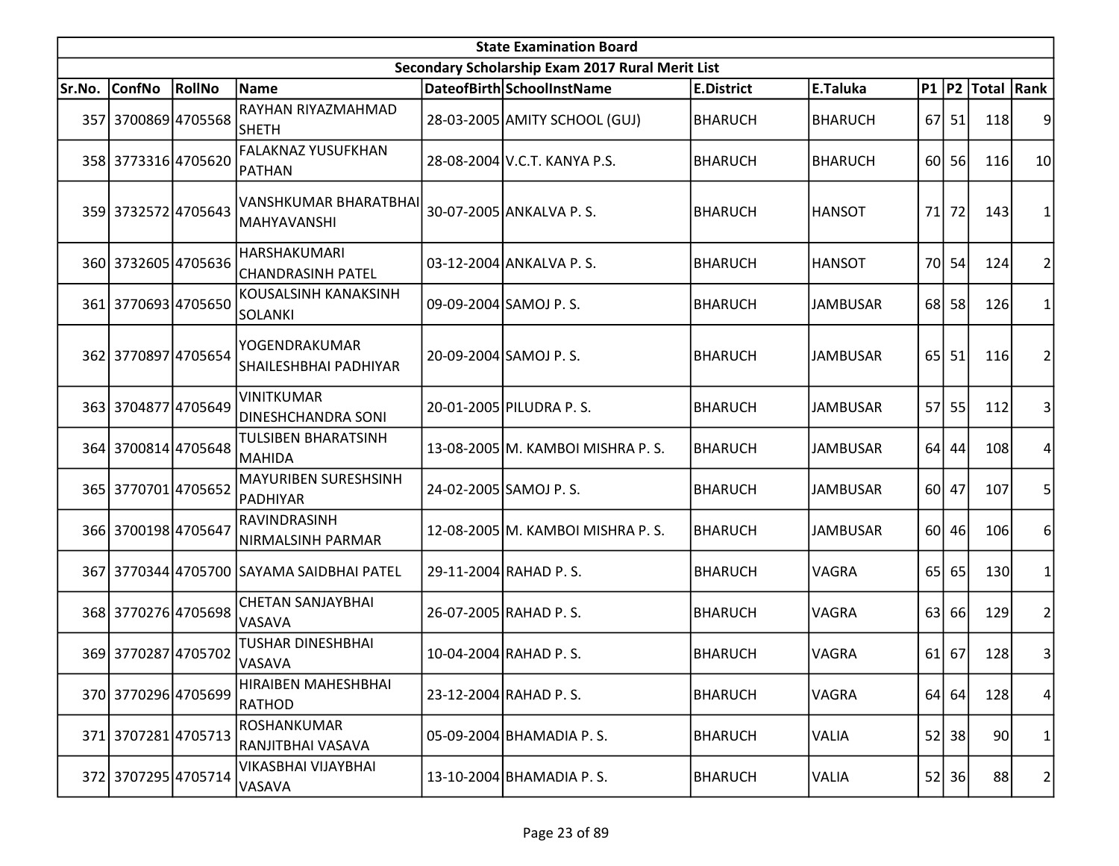| <b>State Examination Board</b> |                     |        |                                                |  |                                                  |                   |                 |                 |         |                     |                |  |
|--------------------------------|---------------------|--------|------------------------------------------------|--|--------------------------------------------------|-------------------|-----------------|-----------------|---------|---------------------|----------------|--|
|                                |                     |        |                                                |  | Secondary Scholarship Exam 2017 Rural Merit List |                   |                 |                 |         |                     |                |  |
| Sr.No.                         | <b>ConfNo</b>       | RollNo | Name                                           |  | DateofBirth SchoolInstName                       | <b>E.District</b> | E.Taluka        |                 |         | P1  P2  Total  Rank |                |  |
|                                | 357 3700869 4705568 |        | RAYHAN RIYAZMAHMAD<br>lsheth                   |  | 28-03-2005 AMITY SCHOOL (GUJ)                    | <b>BHARUCH</b>    | <b>BHARUCH</b>  | 67              | 51      | 118                 | 9              |  |
|                                | 358 3773316 4705620 |        | <b>FALAKNAZ YUSUFKHAN</b><br>PATHAN            |  | 28-08-2004 V.C.T. KANYA P.S.                     | <b>BHARUCH</b>    | <b>BHARUCH</b>  | 60 <sup>1</sup> | 56      | 116                 | 10             |  |
|                                | 359 3732572 4705643 |        | VANSHKUMAR BHARATBHAI<br> MAHYAVANSHI          |  | 30-07-2005 ANKALVA P.S.                          | <b>BHARUCH</b>    | <b>HANSOT</b>   | 71              | 72      | 143                 | 1              |  |
|                                | 360 3732605 4705636 |        | HARSHAKUMARI<br>CHANDRASINH PATEL              |  | 03-12-2004 ANKALVA P.S.                          | <b>BHARUCH</b>    | <b>HANSOT</b>   |                 | 70 54   | 124                 | $\overline{2}$ |  |
|                                | 361 3770693 4705650 |        | KOUSALSINH KANAKSINH<br>SOLANKI                |  | 09-09-2004 SAMOJ P.S.                            | <b>BHARUCH</b>    | <b>JAMBUSAR</b> |                 | 68 58   | 126                 | 1              |  |
|                                | 362 3770897 4705654 |        | YOGENDRAKUMAR<br>SHAILESHBHAI PADHIYAR         |  | 20-09-2004 SAMOJ P.S.                            | BHARUCH           | <b>JAMBUSAR</b> | 65 <sup> </sup> | 51      | 116                 | $\overline{2}$ |  |
|                                | 363 3704877 4705649 |        | <b>VINITKUMAR</b><br><b>DINESHCHANDRA SONI</b> |  | 20-01-2005 PILUDRA P.S.                          | BHARUCH           | <b>JAMBUSAR</b> | 57l             | 55      | 112                 | 3              |  |
|                                | 364 3700814 4705648 |        | TULSIBEN BHARATSINH<br>MAHIDA                  |  | 13-08-2005 M. KAMBOI MISHRA P. S.                | <b>BHARUCH</b>    | <b>JAMBUSAR</b> |                 | $64$ 44 | 108                 | 4              |  |
|                                | 365 3770701 4705652 |        | MAYURIBEN SURESHSINH<br>PADHIYAR               |  | 24-02-2005 SAMOJ P.S.                            | <b>BHARUCH</b>    | <b>JAMBUSAR</b> | 60I             | 47      | 107                 | 5              |  |
|                                | 366 3700198 4705647 |        | RAVINDRASINH<br>NIRMALSINH PARMAR              |  | 12-08-2005 M. KAMBOI MISHRA P. S.                | BHARUCH           | <b>JAMBUSAR</b> |                 | 60 46   | 106                 | 6              |  |
|                                |                     |        | 367 3770344 4705700 SAYAMA SAIDBHAI PATEL      |  | 29-11-2004 RAHAD P.S.                            | <b>BHARUCH</b>    | VAGRA           | 65 <sup> </sup> | 65      | 130                 | 1              |  |
|                                | 368 3770276 4705698 |        | <b>CHETAN SANJAYBHAI</b><br><b>VASAVA</b>      |  | 26-07-2005 RAHAD P.S.                            | <b>BHARUCH</b>    | <b>VAGRA</b>    | 63              | 66      | 129                 | $\overline{2}$ |  |
|                                | 369 3770287 4705702 |        | <b>TUSHAR DINESHBHAI</b><br><b>VASAVA</b>      |  | 10-04-2004 RAHAD P.S.                            | <b>BHARUCH</b>    | <b>VAGRA</b>    | 61              | 67      | 128                 | 3              |  |
|                                | 370 3770296 4705699 |        | HIRAIBEN MAHESHBHAI<br>RATHOD                  |  | 23-12-2004 RAHAD P.S.                            | <b>BHARUCH</b>    | VAGRA           |                 | $64$ 64 | 128                 | 4              |  |
|                                | 371 3707281 4705713 |        | <b>ROSHANKUMAR</b><br>RANJITBHAI VASAVA        |  | 05-09-2004 BHAMADIA P.S.                         | <b>BHARUCH</b>    | <b>VALIA</b>    | 52              | 38      | 90                  | $\mathbf 1$    |  |
|                                | 372 3707295 4705714 |        | VIKASBHAI VIJAYBHAI<br>VASAVA                  |  | 13-10-2004 BHAMADIA P.S.                         | <b>BHARUCH</b>    | <b>VALIA</b>    | 52              | 36      | 88                  | 2              |  |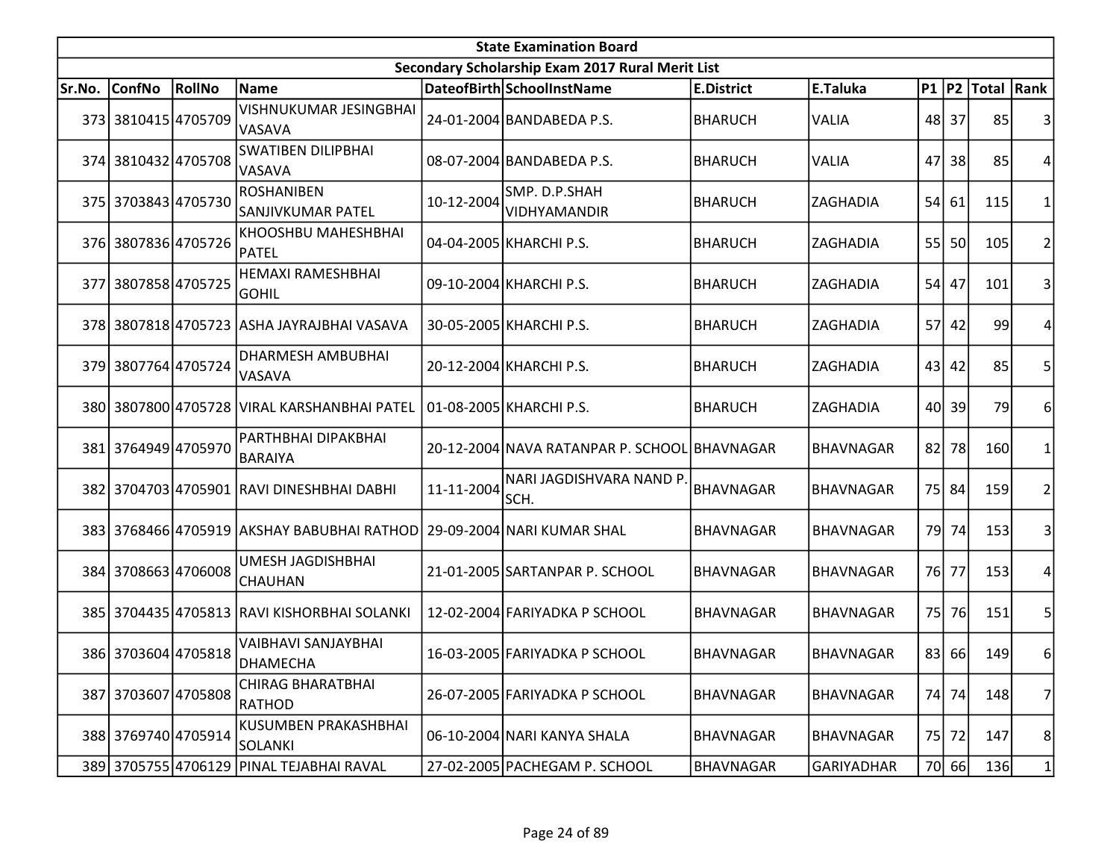|        | <b>State Examination Board</b> |        |                                                                       |            |                                                  |                   |                   |    |       |                  |                |  |  |  |
|--------|--------------------------------|--------|-----------------------------------------------------------------------|------------|--------------------------------------------------|-------------------|-------------------|----|-------|------------------|----------------|--|--|--|
|        |                                |        |                                                                       |            | Secondary Scholarship Exam 2017 Rural Merit List |                   |                   |    |       |                  |                |  |  |  |
| Sr.No. | <b>ConfNo</b>                  | RollNo | <b>Name</b>                                                           |            | DateofBirth SchoolInstName                       | <b>E.District</b> | E.Taluka          |    |       | P1 P2 Total Rank |                |  |  |  |
|        | 373 3810415 4705709            |        | VISHNUKUMAR JESINGBHAI<br>VASAVA                                      |            | 24-01-2004 BANDABEDA P.S.                        | <b>BHARUCH</b>    | <b>VALIA</b>      |    | 48 37 | 85               |                |  |  |  |
|        | 374 3810432 4705708            |        | <b>SWATIBEN DILIPBHAI</b><br>VASAVA                                   |            | 08-07-2004 BANDABEDA P.S.                        | BHARUCH           | VALIA             | 47 | 38    | 85               |                |  |  |  |
|        | 375 3703843 4705730            |        | <b>ROSHANIBEN</b><br>SANJIVKUMAR PATEL                                | 10-12-2004 | SMP. D.P.SHAH<br>VIDHYAMANDIR                    | <b>BHARUCH</b>    | ZAGHADIA          | 54 | 61    | 115              |                |  |  |  |
|        | 376 3807836 4705726            |        | KHOOSHBU MAHESHBHAI<br>PATEL                                          |            | 04-04-2005 KHARCHI P.S.                          | BHARUCH           | ZAGHADIA          |    | 55 50 | 105              | 2              |  |  |  |
| 377    | 38078584705725                 |        | HEMAXI RAMESHBHAI<br><b>GOHIL</b>                                     |            | 09-10-2004 KHARCHI P.S.                          | <b>BHARUCH</b>    | ZAGHADIA          |    | 54 47 | 101              |                |  |  |  |
|        |                                |        | 378 3807818 4705723 ASHA JAYRAJBHAI VASAVA                            |            | 30-05-2005 KHARCHI P.S.                          | <b>BHARUCH</b>    | ZAGHADIA          |    | 57 42 | 99               |                |  |  |  |
|        | 379 3807764 4705724            |        | DHARMESH AMBUBHAI<br>VASAVA                                           |            | 20-12-2004 KHARCHI P.S.                          | <b>BHARUCH</b>    | ZAGHADIA          |    | 43 42 | 85               | 5              |  |  |  |
|        |                                |        | 380 3807800 4705728 VIRAL KARSHANBHAI PATEL                           |            | 01-08-2005 KHARCHI P.S.                          | <b>BHARUCH</b>    | ZAGHADIA          |    | 40 39 | 79               | 6              |  |  |  |
|        | 381 3764949 4705970            |        | PARTHBHAI DIPAKBHAI<br><b>BARAIYA</b>                                 |            | 20-12-2004 NAVA RATANPAR P. SCHOOL BHAVNAGAR     |                   | <b>BHAVNAGAR</b>  | 82 | 78    | 160              |                |  |  |  |
|        |                                |        | 382 3704703 4705901 RAVI DINESHBHAI DABHI                             | 11-11-2004 | NARI JAGDISHVARA NAND P<br>SCH.                  | <b>BHAVNAGAR</b>  | <b>BHAVNAGAR</b>  |    | 75 84 | 159              |                |  |  |  |
|        |                                |        | 383 3768466 4705919 AKSHAY BABUBHAI RATHOD 29-09-2004 NARI KUMAR SHAL |            |                                                  | <b>BHAVNAGAR</b>  | <b>BHAVNAGAR</b>  |    | 79 74 | 153              | 3              |  |  |  |
|        | 384 3708663 4706008            |        | UMESH JAGDISHBHAI<br><b>CHAUHAN</b>                                   |            | 21-01-2005 SARTANPAR P. SCHOOL                   | <b>BHAVNAGAR</b>  | <b>BHAVNAGAR</b>  |    | 76 77 | 153              |                |  |  |  |
|        |                                |        | 385 3704435 4705813 RAVI KISHORBHAI SOLANKI                           |            | 12-02-2004 FARIYADKA P SCHOOL                    | <b>BHAVNAGAR</b>  | <b>BHAVNAGAR</b>  | 75 | 76    | 151              |                |  |  |  |
|        | 386 3703604 4705818            |        | VAIBHAVI SANJAYBHAI<br><b>DHAMECHA</b>                                |            | 16-03-2005 FARIYADKA P SCHOOL                    | <b>BHAVNAGAR</b>  | <b>BHAVNAGAR</b>  |    | 83 66 | 149              | 6              |  |  |  |
|        | 387 3703607 4705808            |        | <b>CHIRAG BHARATBHAI</b><br><b>RATHOD</b>                             |            | 26-07-2005 FARIYADKA P SCHOOL                    | <b>BHAVNAGAR</b>  | BHAVNAGAR         |    | 74 74 | 148              | $\overline{7}$ |  |  |  |
|        | 388 3769740 4705914            |        | KUSUMBEN PRAKASHBHAI<br>SOLANKI                                       |            | 06-10-2004 NARI KANYA SHALA                      | BHAVNAGAR         | BHAVNAGAR         |    | 75 72 | 147              | 8              |  |  |  |
|        |                                |        | 389 3705755 4706129 PINAL TEJABHAI RAVAL                              |            | 27-02-2005 PACHEGAM P. SCHOOL                    | <b>BHAVNAGAR</b>  | <b>GARIYADHAR</b> |    | 70 66 | 136              | $\mathbf{1}$   |  |  |  |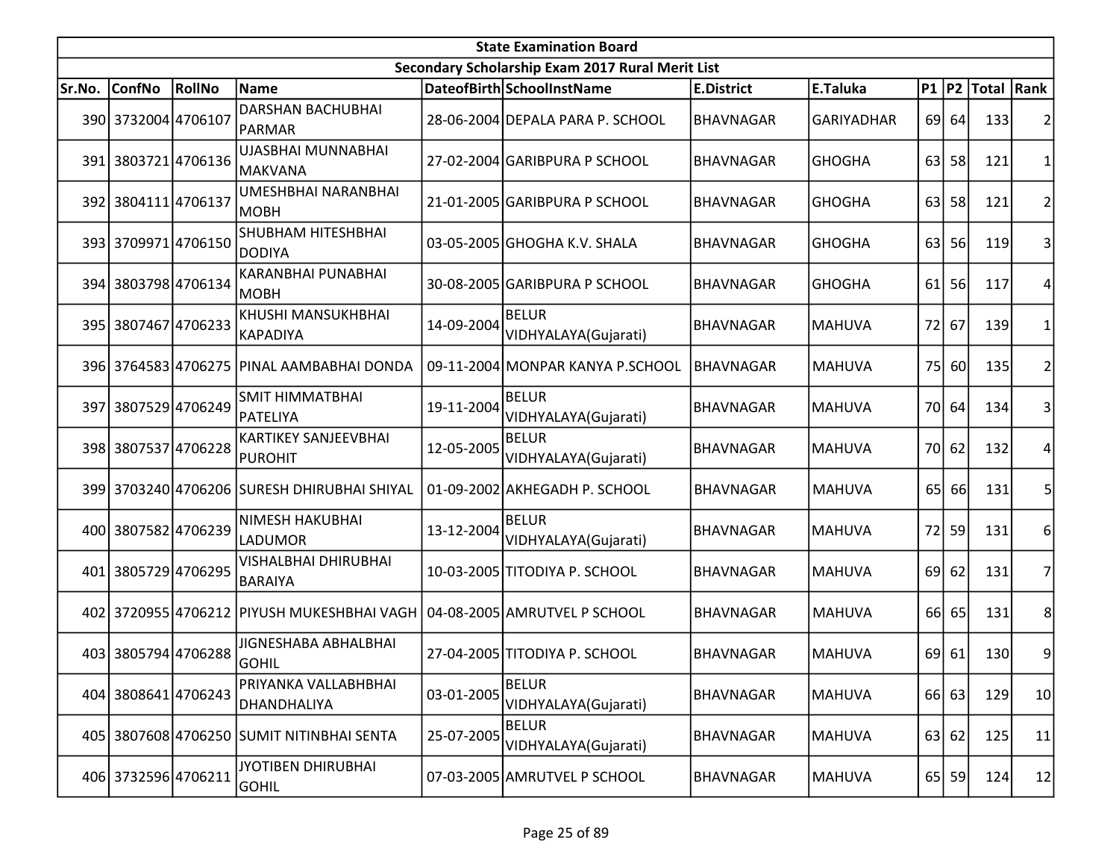| <b>State Examination Board</b> |                     |        |                                               |            |                                                  |                   |                   |                 |           |                   |                 |  |
|--------------------------------|---------------------|--------|-----------------------------------------------|------------|--------------------------------------------------|-------------------|-------------------|-----------------|-----------|-------------------|-----------------|--|
|                                |                     |        |                                               |            | Secondary Scholarship Exam 2017 Rural Merit List |                   |                   |                 |           |                   |                 |  |
| Sr.No.                         | ConfNo              | RollNo | Name                                          |            | DateofBirth SchoolInstName                       | <b>E.District</b> | E.Taluka          | <b>P1 P2</b>    |           | <b>Total Rank</b> |                 |  |
|                                | 390 3732004 4706107 |        | <b>DARSHAN BACHUBHAI</b><br>PARMAR            |            | 28-06-2004 DEPALA PARA P. SCHOOL                 | <b>BHAVNAGAR</b>  | <b>GARIYADHAR</b> |                 | 69 64     | 133               |                 |  |
| 391                            | 38037214706136      |        | UJASBHAI MUNNABHAI<br>MAKVANA                 |            | 27-02-2004 GARIBPURA P SCHOOL                    | <b>BHAVNAGAR</b>  | <b>GHOGHA</b>     | 63 l            | 58        | 121               | 1               |  |
|                                | 392 3804111 4706137 |        | <b>UMESHBHAI NARANBHAI</b><br> МОВН           |            | 21-01-2005 GARIBPURA P SCHOOL                    | <b>BHAVNAGAR</b>  | <b>GHOGHA</b>     | 63              | 58        | 121               | 2               |  |
|                                | 393 3709971 4706150 |        | <b>SHUBHAM HITESHBHAI</b><br>DODIYA           |            | 03-05-2005 GHOGHA K.V. SHALA                     | <b>BHAVNAGAR</b>  | <b>GHOGHA</b>     | 63              | <b>56</b> | 119               | 3               |  |
|                                | 394 3803798 4706134 |        | KARANBHAI PUNABHAI<br>MOBH                    |            | 30-08-2005 GARIBPURA P SCHOOL                    | <b>BHAVNAGAR</b>  | <b>GHOGHA</b>     | 61              | 56        | 117               | 4               |  |
|                                | 395 3807467 4706233 |        | <b>KHUSHI MANSUKHBHAI</b><br>KAPADIYA         | 14-09-2004 | <b>BELUR</b><br>VIDHYALAYA(Gujarati)             | <b>BHAVNAGAR</b>  | <b>MAHUVA</b>     | 72              | 67        | 139               | 1               |  |
|                                |                     |        | 396 3764583 4706275 PINAL AAMBABHAI DONDA     |            | 09-11-2004 MONPAR KANYA P.SCHOOL                 | <b>BHAVNAGAR</b>  | <b>MAHUVA</b>     | 75              | 60        | 135               | 2               |  |
|                                | 397 3807529 4706249 |        | <b>SMIT HIMMATBHAI</b><br> PATELIYA           | 19-11-2004 | <b>BELUR</b><br>VIDHYALAYA(Gujarati)             | <b>BHAVNAGAR</b>  | <b>MAHUVA</b>     |                 | 70 64     | 134               | 3               |  |
|                                | 398 3807537 4706228 |        | <b>KARTIKEY SANJEEVBHAI</b><br><b>PUROHIT</b> | 12-05-2005 | <b>BELUR</b><br>VIDHYALAYA(Gujarati)             | <b>BHAVNAGAR</b>  | <b>MAHUVA</b>     |                 | 70 62     | 132               | 4               |  |
|                                |                     |        | 399 3703240 4706206 SURESH DHIRUBHAI SHIYAL   |            | 01-09-2002 AKHEGADH P. SCHOOL                    | <b>BHAVNAGAR</b>  | <b>MAHUVA</b>     | 65              | 66        | 131               | 5               |  |
|                                | 400 3807582 4706239 |        | <b>NIMESH HAKUBHAI</b><br><b>LADUMOR</b>      | 13-12-2004 | <b>BELUR</b><br>VIDHYALAYA(Gujarati)             | <b>BHAVNAGAR</b>  | <b>MAHUVA</b>     |                 | 72 59     | 131               | 6               |  |
|                                | 401 3805729 4706295 |        | VISHALBHAI DHIRUBHAI<br><b>BARAIYA</b>        |            | 10-03-2005 TITODIYA P. SCHOOL                    | <b>BHAVNAGAR</b>  | <b>MAHUVA</b>     | 69 <sup> </sup> | 62        | 131               | 7               |  |
|                                |                     |        | 402 3720955 4706212 PIYUSH MUKESHBHAI VAGH    |            | 04-08-2005 AMRUTVEL P SCHOOL                     | <b>BHAVNAGAR</b>  | <b>MAHUVA</b>     | 66              | 65        | 131               | 8               |  |
|                                | 403 3805794 4706288 |        | JIGNESHABA ABHALBHAI<br> GOHIL                |            | 27-04-2005 TITODIYA P. SCHOOL                    | <b>BHAVNAGAR</b>  | <b>MAHUVA</b>     | 69              | 61        | 130               | 9               |  |
|                                | 404 3808641 4706243 |        | PRIYANKA VALLABHBHAI<br>DHANDHALIYA           | 03-01-2005 | <b>BELUR</b><br>VIDHYALAYA(Gujarati)             | <b>BHAVNAGAR</b>  | <b>MAHUVA</b>     |                 | 66 63     | 129               | 10 <sub>1</sub> |  |
|                                |                     |        | 405 3807608 4706250 SUMIT NITINBHAI SENTA     | 25-07-2005 | <b>BELUR</b><br>VIDHYALAYA(Gujarati)             | <b>BHAVNAGAR</b>  | <b>MAHUVA</b>     |                 | 63 62     | 125               | 11              |  |
|                                | 406 3732596 4706211 |        | JYOTIBEN DHIRUBHAI<br><b>GOHIL</b>            |            | 07-03-2005 AMRUTVEL P SCHOOL                     | <b>BHAVNAGAR</b>  | <b>MAHUVA</b>     |                 | 65 59     | 124               | 12              |  |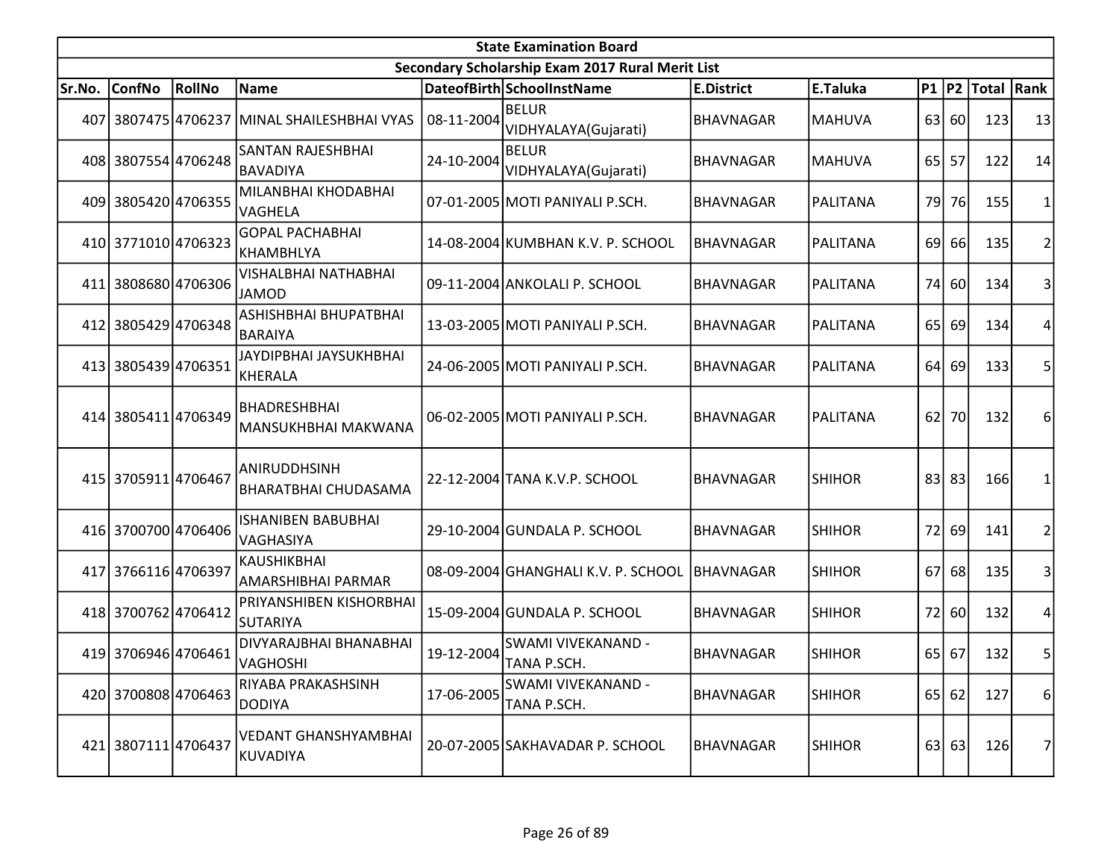|        | <b>State Examination Board</b><br>Secondary Scholarship Exam 2017 Rural Merit List |        |                                              |            |                                      |                   |                 |                 |           |                     |                |  |  |
|--------|------------------------------------------------------------------------------------|--------|----------------------------------------------|------------|--------------------------------------|-------------------|-----------------|-----------------|-----------|---------------------|----------------|--|--|
|        |                                                                                    |        |                                              |            |                                      |                   |                 |                 |           |                     |                |  |  |
| Sr.No. | <b>ConfNo</b>                                                                      | RollNo | Name                                         |            | DateofBirth SchoolInstName           | <b>E.District</b> | E.Taluka        |                 |           | P1  P2  Total  Rank |                |  |  |
| 407    |                                                                                    |        | 3807475 4706237 MINAL SHAILESHBHAI VYAS      | 08-11-2004 | <b>BELUR</b><br>VIDHYALAYA(Gujarati) | <b>BHAVNAGAR</b>  | <b>MAHUVA</b>   |                 | 63 60     | 123                 | 13             |  |  |
|        | 408 3807554 4706248                                                                |        | SANTAN RAJESHBHAI<br><b>BAVADIYA</b>         | 24-10-2004 | <b>BELUR</b><br>VIDHYALAYA(Gujarati) | <b>BHAVNAGAR</b>  | <b>MAHUVA</b>   | 65 <sup> </sup> | 57        | 122                 | 14             |  |  |
|        | 409 3805420 4706355                                                                |        | MILANBHAI KHODABHAI<br>VAGHELA               |            | 07-01-2005 MOTI PANIYALI P.SCH.      | <b>BHAVNAGAR</b>  | PALITANA        | 79 <sub>l</sub> | 76        | 155                 | 1              |  |  |
|        | 410 3771010 4706323                                                                |        | <b>GOPAL PACHABHAI</b><br>KHAMBHLYA          |            | 14-08-2004 KUMBHAN K.V. P. SCHOOL    | <b>BHAVNAGAR</b>  | PALITANA        | 69              | 66        | 135                 | $\overline{2}$ |  |  |
| 411    | 3808680 4706306                                                                    |        | VISHALBHAI NATHABHAI<br><b>JAMOD</b>         |            | 09-11-2004 ANKOLALI P. SCHOOL        | BHAVNAGAR         | <b>PALITANA</b> | 74I             | 60        | 134                 | 3              |  |  |
|        | 412 3805429 4706348                                                                |        | ASHISHBHAI BHUPATBHAI<br><b>BARAIYA</b>      |            | 13-03-2005 MOTI PANIYALI P.SCH.      | BHAVNAGAR         | PALITANA        | 65              | 69        | 134                 | 4              |  |  |
|        | 413 3805439 4706351                                                                |        | JAYDIPBHAI JAYSUKHBHAI<br>KHERALA            |            | 24-06-2005 MOTI PANIYALI P.SCH.      | <b>BHAVNAGAR</b>  | PALITANA        | 64              | 69        | 133                 | 5              |  |  |
|        | 414 3805411 4706349                                                                |        | BHADRESHBHAI<br>MANSUKHBHAI MAKWANA          |            | 06-02-2005 MOTI PANIYALI P.SCH.      | <b>BHAVNAGAR</b>  | PALITANA        | 62              | 70l       | 132                 | 6              |  |  |
|        | 415 3705911 4706467                                                                |        | IANIRUDDHSINH<br><b>BHARATBHAI CHUDASAMA</b> |            | 22-12-2004 TANA K.V.P. SCHOOL        | <b>BHAVNAGAR</b>  | <b>SHIHOR</b>   |                 | 83 83     | 166                 | 1              |  |  |
|        | 416 3700700 4706406                                                                |        | ISHANIBEN BABUBHAI<br>VAGHASIYA              |            | 29-10-2004 GUNDALA P. SCHOOL         | <b>BHAVNAGAR</b>  | <b>SHIHOR</b>   | 72              | 69        | 141                 | $\overline{2}$ |  |  |
|        | 417 3766116 4706397                                                                |        | <b>KAUSHIKBHAI</b><br>AMARSHIBHAI PARMAR     |            | 08-09-2004 GHANGHALI K.V. P. SCHOOL  | BHAVNAGAR         | <b>SHIHOR</b>   | 67              | 68        | 135                 | 3              |  |  |
|        | 418 3700762 4706412                                                                |        | PRIYANSHIBEN KISHORBHAI<br><b>SUTARIYA</b>   |            | 15-09-2004 GUNDALA P. SCHOOL         | <b>BHAVNAGAR</b>  | <b>SHIHOR</b>   | 72              | 60        | 132                 | 4              |  |  |
|        | 419 3706946 4706461                                                                |        | DIVYARAJBHAI BHANABHAI<br>VAGHOSHI           | 19-12-2004 | SWAMI VIVEKANAND -<br>TANA P.SCH.    | <b>BHAVNAGAR</b>  | <b>SHIHOR</b>   |                 | $65$   67 | 132                 | 5              |  |  |
|        | 420 3700808 4706463                                                                |        | RIYABA PRAKASHSINH<br><b>DODIYA</b>          | 17-06-2005 | SWAMI VIVEKANAND -<br>TANA P.SCH.    | <b>BHAVNAGAR</b>  | <b>SHIHOR</b>   |                 | 65 62     | 127                 | 6              |  |  |
|        | 421 3807111 4706437                                                                |        | VEDANT GHANSHYAMBHAI<br> KUVADIYA            |            | 20-07-2005 SAKHAVADAR P. SCHOOL      | <b>BHAVNAGAR</b>  | <b>SHIHOR</b>   |                 | 63 63     | 126                 | 7              |  |  |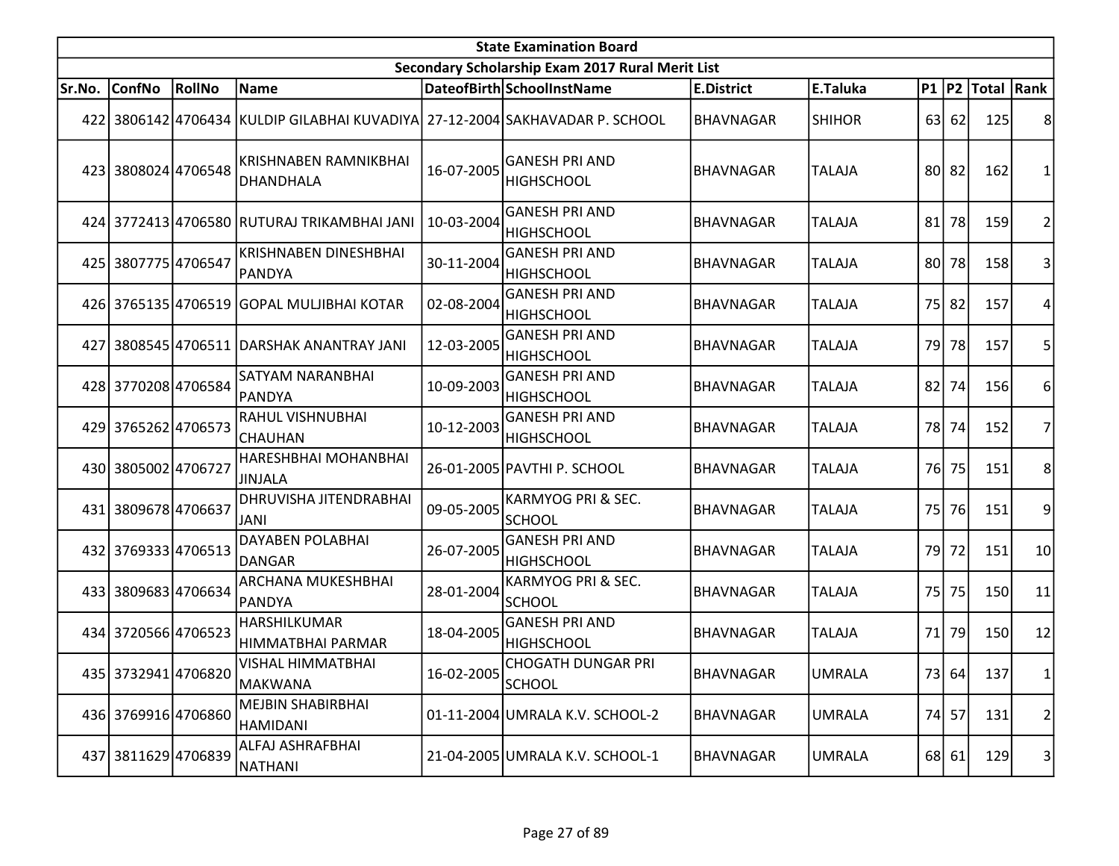|        | <b>State Examination Board</b><br>Secondary Scholarship Exam 2017 Rural Merit List |        |                                                                              |                         |                                                |                   |               |    |       |                     |                 |  |  |
|--------|------------------------------------------------------------------------------------|--------|------------------------------------------------------------------------------|-------------------------|------------------------------------------------|-------------------|---------------|----|-------|---------------------|-----------------|--|--|
|        |                                                                                    |        |                                                                              |                         |                                                |                   |               |    |       |                     |                 |  |  |
| Sr.No. | <b>ConfNo</b>                                                                      | RollNo | Name                                                                         |                         | DateofBirth SchoolInstName                     | <b>E.District</b> | E.Taluka      |    |       | P1  P2  Total  Rank |                 |  |  |
|        |                                                                                    |        | 422 3806142 4706434 KULDIP GILABHAI KUVADIYA 27-12-2004 SAKHAVADAR P. SCHOOL |                         |                                                | <b>BHAVNAGAR</b>  | <b>SHIHOR</b> |    | 63 62 | 125                 | 8               |  |  |
|        | 423 3808024 4706548                                                                |        | KRISHNABEN RAMNIKBHAI<br>DHANDHALA                                           | 16-07-2005              | <b>GANESH PRI AND</b><br><b>HIGHSCHOOL</b>     | <b>BHAVNAGAR</b>  | <b>TALAJA</b> |    | 80 82 | 162                 |                 |  |  |
|        |                                                                                    |        | 424 3772413 4706580 RUTURAJ TRIKAMBHAI JANI                                  | 10-03-2004              | <b>GANESH PRI AND</b><br><b>HIGHSCHOOL</b>     | <b>BHAVNAGAR</b>  | <b>TALAJA</b> |    | 81 78 | 159                 | 2               |  |  |
|        | 425 3807775 4706547                                                                |        | <b>KRISHNABEN DINESHBHAI</b><br>PANDYA                                       | 30-11-2004              | <b>GANESH PRI AND</b><br><b>HIGHSCHOOL</b>     | <b>BHAVNAGAR</b>  | <b>TALAJA</b> |    | 80 78 | 158                 | 3               |  |  |
|        |                                                                                    |        | 426 3765135 4706519 GOPAL MULJIBHAI KOTAR                                    | 02-08-2004              | <b>GANESH PRI AND</b><br><b>HIGHSCHOOL</b>     | <b>BHAVNAGAR</b>  | <b>TALAJA</b> |    | 75 82 | 157                 |                 |  |  |
| 427    |                                                                                    |        | 3808545 4706511 DARSHAK ANANTRAY JANI                                        | 12-03-2005              | <b>GANESH PRI AND</b><br><b>HIGHSCHOOL</b>     | <b>BHAVNAGAR</b>  | <b>TALAJA</b> |    | 79 78 | 157                 | 5               |  |  |
|        | 428 3770208 4706584                                                                |        | SATYAM NARANBHAI<br>PANDYA                                                   | 10-09-2003              | <b>GANESH PRI AND</b><br><b>HIGHSCHOOL</b>     | <b>BHAVNAGAR</b>  | <b>TALAJA</b> | 82 | 74    | 156                 | 6               |  |  |
|        | 429 3765262 4706573                                                                |        | RAHUL VISHNUBHAI<br><b>CHAUHAN</b>                                           | 10-12-2003              | <b>GANESH PRI AND</b><br><b>HIGHSCHOOL</b>     | <b>BHAVNAGAR</b>  | <b>TALAJA</b> |    | 78 74 | 152                 | 7               |  |  |
|        | 430 3805002 4706727                                                                |        | HARESHBHAI MOHANBHAI<br>JINJALA                                              |                         | 26-01-2005 PAVTHI P. SCHOOL                    | <b>BHAVNAGAR</b>  | <b>TALAJA</b> |    | 76 75 | 151                 | 8               |  |  |
| 431 l  | 3809678 4706637                                                                    |        | DHRUVISHA JITENDRABHAI<br>JANI                                               | 09-05-2005              | KARMYOG PRI & SEC.<br><b>SCHOOL</b>            | <b>BHAVNAGAR</b>  | <b>TALAJA</b> |    | 75 76 | 151                 | 9               |  |  |
|        | 432 3769333 4706513                                                                |        | <b>DAYABEN POLABHAI</b><br>DANGAR                                            | 26-07-2005              | <b>GANESH PRI AND</b><br><b>HIGHSCHOOL</b>     | <b>BHAVNAGAR</b>  | <b>TALAJA</b> |    | 79 72 | 151                 | 10 <sup>1</sup> |  |  |
|        | 433 3809683 4706634                                                                |        | ARCHANA MUKESHBHAI<br>PANDYA                                                 | 28-01-2004              | <b>KARMYOG PRI &amp; SEC.</b><br><b>SCHOOL</b> | <b>BHAVNAGAR</b>  | <b>TALAJA</b> | 75 | 75    | 150                 | 11              |  |  |
|        | 434 3720566 4706523                                                                |        | HARSHILKUMAR<br>HIMMATBHAI PARMAR                                            | 18-04-2005              | <b>GANESH PRI AND</b><br><b>HIGHSCHOOL</b>     | <b>BHAVNAGAR</b>  | <b>TALAJA</b> |    | 71 79 | 150                 | 12              |  |  |
|        | 435 3732941 4706820                                                                |        | VISHAL HIMMATBHAI<br>MAKWANA                                                 | $16 - 02 - 2005$ SCHOOL | <b>CHOGATH DUNGAR PRI</b>                      | BHAVNAGAR         | UMRALA        |    | 73 64 | 137                 | 1               |  |  |
|        | 436 3769916 4706860                                                                |        | <b>MEJBIN SHABIRBHAI</b><br>HAMIDANI                                         |                         | 01-11-2004 UMRALA K.V. SCHOOL-2                | BHAVNAGAR         | <b>UMRALA</b> |    | 74 57 | 131                 | 2               |  |  |
|        | 437 3811629 4706839                                                                |        | ALFAJ ASHRAFBHAI<br>NATHANI                                                  |                         | 21-04-2005 UMRALA K.V. SCHOOL-1                | BHAVNAGAR         | <b>UMRALA</b> |    | 68 61 | 129                 | $\vert$ 3       |  |  |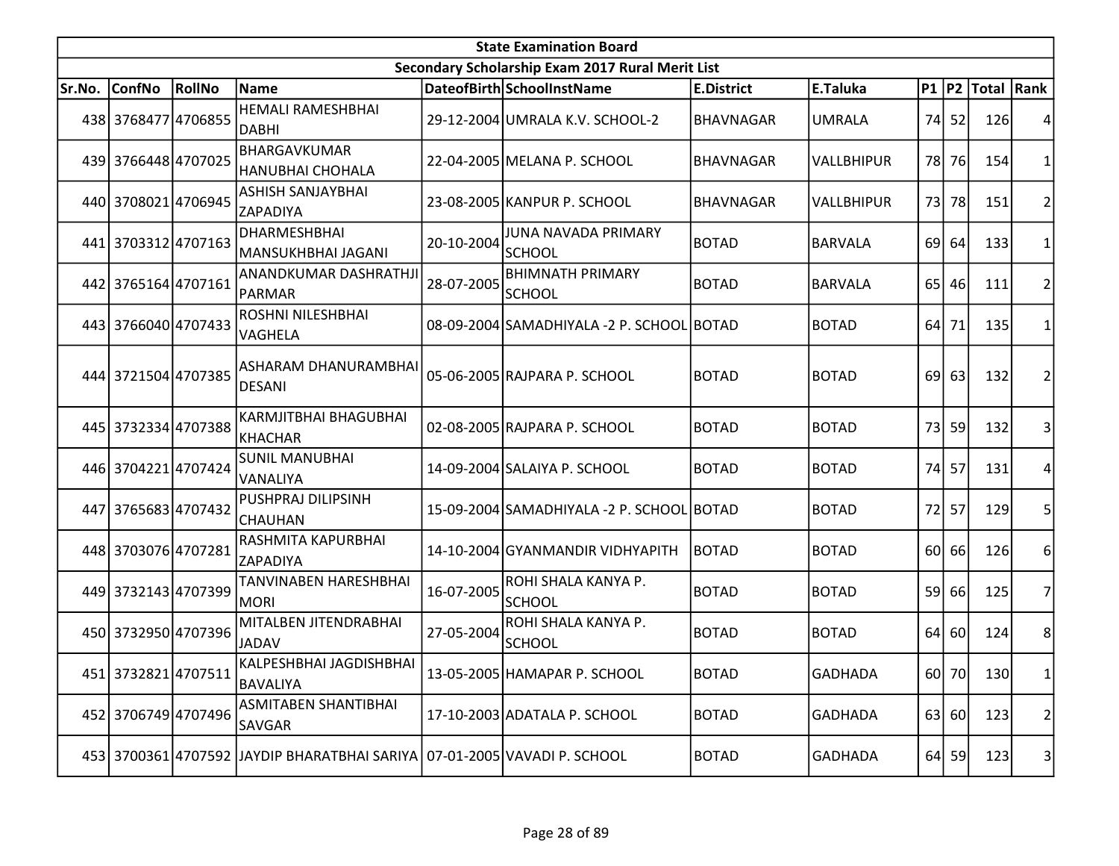|        | <b>State Examination Board</b> |        |                                                                          |            |                                                  |                   |                   |                 |       |                     |                 |  |  |
|--------|--------------------------------|--------|--------------------------------------------------------------------------|------------|--------------------------------------------------|-------------------|-------------------|-----------------|-------|---------------------|-----------------|--|--|
|        |                                |        |                                                                          |            | Secondary Scholarship Exam 2017 Rural Merit List |                   |                   |                 |       |                     |                 |  |  |
| Sr.No. | <b>ConfNo</b>                  | RollNo | Name                                                                     |            | DateofBirth SchoolInstName                       | <b>E.District</b> | E.Taluka          |                 |       | P1  P2  Total  Rank |                 |  |  |
|        | 438 3768477 4706855            |        | <b>HEMALI RAMESHBHAI</b><br>DABHI                                        |            | 29-12-2004 UMRALA K.V. SCHOOL-2                  | <b>BHAVNAGAR</b>  | <b>UMRALA</b>     |                 | 74 52 | 126                 |                 |  |  |
|        | 439 3766448 4707025            |        | <b>BHARGAVKUMAR</b><br><b>HANUBHAI CHOHALA</b>                           |            | 22-04-2005 MELANA P. SCHOOL                      | <b>BHAVNAGAR</b>  | <b>VALLBHIPUR</b> |                 | 78 76 | 154                 | 1               |  |  |
|        | 440 3708021 4706945            |        | <b>ASHISH SANJAYBHAI</b><br><b>ZAPADIYA</b>                              |            | 23-08-2005 KANPUR P. SCHOOL                      | <b>BHAVNAGAR</b>  | VALLBHIPUR        | 73 <sup>1</sup> | 78    | 151                 | $\overline{2}$  |  |  |
|        | 441 3703312 4707163            |        | <b>DHARMESHBHAI</b><br>MANSUKHBHAI JAGANI                                | 20-10-2004 | <b>JUNA NAVADA PRIMARY</b><br>SCHOOL             | <b>BOTAD</b>      | <b>BARVALA</b>    |                 | 69 64 | 133                 | 1               |  |  |
|        | 442 3765164 4707161            |        | ANANDKUMAR DASHRATHJI<br>PARMAR                                          | 28-07-2005 | <b>BHIMNATH PRIMARY</b><br><b>SCHOOL</b>         | <b>BOTAD</b>      | <b>BARVALA</b>    | 65 <sup> </sup> | 46    | 111                 | 2               |  |  |
|        | 443 3766040 4707433            |        | ROSHNI NILESHBHAI<br>VAGHELA                                             |            | 08-09-2004 SAMADHIYALA - 2 P. SCHOOL BOTAD       |                   | <b>BOTAD</b>      | 64              | 71    | 135                 | 1               |  |  |
|        | 444 3721504 4707385            |        | ASHARAM DHANURAMBHAI<br><b>DESANI</b>                                    |            | 05-06-2005 RAJPARA P. SCHOOL                     | <b>BOTAD</b>      | <b>BOTAD</b>      | 69              | 63    | 132                 | 2               |  |  |
|        | 445 3732334 4707388            |        | <b>KARMJITBHAI BHAGUBHAI</b><br>KHACHAR                                  |            | 02-08-2005 RAJPARA P. SCHOOL                     | <b>BOTAD</b>      | <b>BOTAD</b>      |                 | 73 59 | 132                 | 3               |  |  |
|        | 446 3704221 4707424            |        | <b>SUNIL MANUBHAI</b><br><b>VANALIYA</b>                                 |            | 14-09-2004 SALAIYA P. SCHOOL                     | <b>BOTAD</b>      | <b>BOTAD</b>      | 74              | 57    | 131                 | 4               |  |  |
|        | 447 3765683 4707432            |        | PUSHPRAJ DILIPSINH<br><b>CHAUHAN</b>                                     |            | 15-09-2004 SAMADHIYALA - 2 P. SCHOOL BOTAD       |                   | <b>BOTAD</b>      | <b>72</b>       | 57    | 129                 | 5               |  |  |
|        | 448 3703076 4707281            |        | RASHMITA KAPURBHAI<br>ZAPADIYA                                           |            | 14-10-2004 GYANMANDIR VIDHYAPITH                 | <b>BOTAD</b>      | <b>BOTAD</b>      |                 | 60 66 | 126                 | 6               |  |  |
|        | 449 3732143 4707399            |        | TANVINABEN HARESHBHAI<br>MORI                                            | 16-07-2005 | ROHI SHALA KANYA P.<br>SCHOOL                    | <b>BOTAD</b>      | <b>BOTAD</b>      | 59              | 66    | 125                 | $\overline{7}$  |  |  |
|        | 450 3732950 4707396            |        | MITALBEN JITENDRABHAI<br><b>JADAV</b>                                    | 27-05-2004 | ROHI SHALA KANYA P.<br><b>SCHOOL</b>             | <b>BOTAD</b>      | <b>BOTAD</b>      | 64              | 60    | 124                 | 8               |  |  |
|        | 451 3732821 4707511            |        | KALPESHBHAI JAGDISHBHAI<br>BAVALIYA                                      |            | 13-05-2005 HAMAPAR P. SCHOOL                     | <b>BOTAD</b>      | <b>GADHADA</b>    |                 | 60 70 | 130                 | 1               |  |  |
|        | 452 3706749 4707496            |        | ASMITABEN SHANTIBHAI<br><b>SAVGAR</b>                                    |            | 17-10-2003 ADATALA P. SCHOOL                     | <b>BOTAD</b>      | <b>GADHADA</b>    |                 | 63 60 | 123                 | 2               |  |  |
|        |                                |        | 453 3700361 4707592 JAYDIP BHARATBHAI SARIYA 07-01-2005 VAVADI P. SCHOOL |            |                                                  | <b>BOTAD</b>      | <b>GADHADA</b>    |                 | 64 59 | 123                 | $\vert 3 \vert$ |  |  |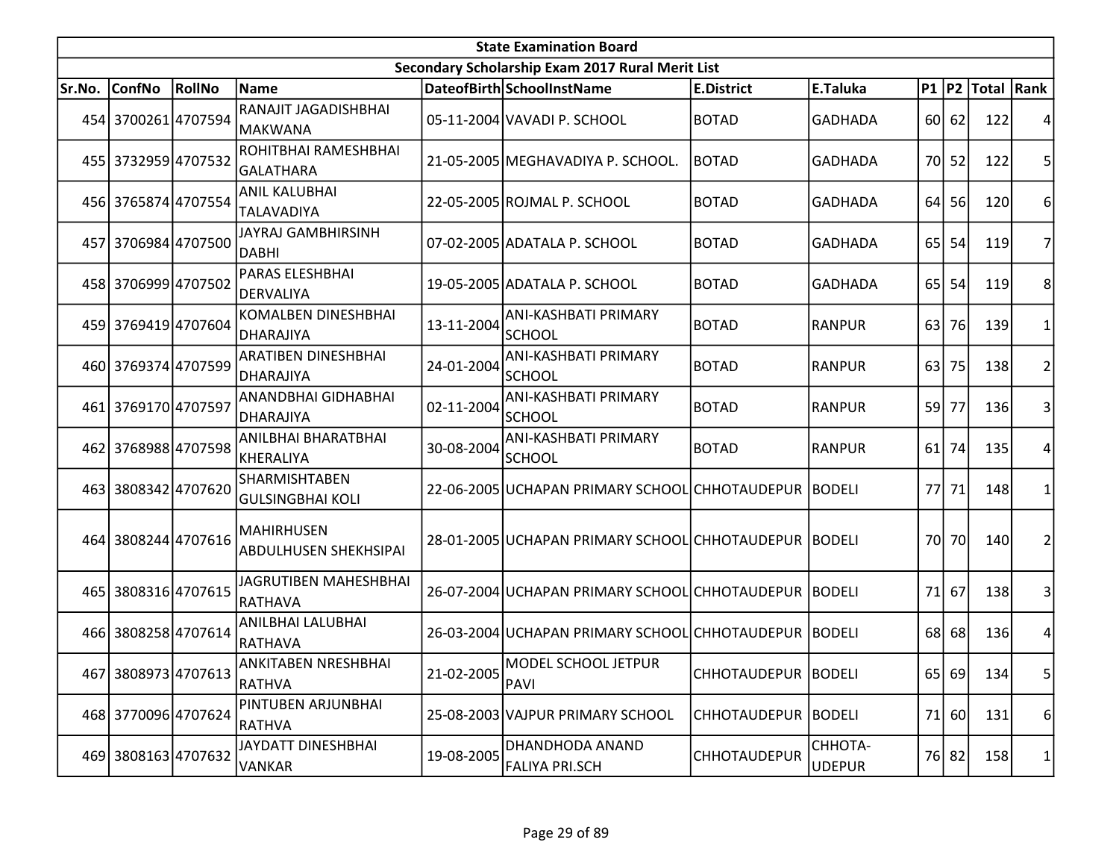|        | <b>State Examination Board</b> |        |                                                   |            |                                                       |                       |                          |                 |           |                     |                |  |  |
|--------|--------------------------------|--------|---------------------------------------------------|------------|-------------------------------------------------------|-----------------------|--------------------------|-----------------|-----------|---------------------|----------------|--|--|
|        |                                |        |                                                   |            | Secondary Scholarship Exam 2017 Rural Merit List      |                       |                          |                 |           |                     |                |  |  |
| Sr.No. | <b>ConfNo</b>                  | RollNo | Name                                              |            | DateofBirth SchoolInstName                            | <b>E.District</b>     | E.Taluka                 |                 |           | P1  P2  Total  Rank |                |  |  |
|        | 454 3700261 4707594            |        | RANAJIT JAGADISHBHAI<br> MAKWANA                  |            | 05-11-2004 VAVADI P. SCHOOL                           | <b>BOTAD</b>          | <b>GADHADA</b>           |                 | 60 62     | 122                 |                |  |  |
|        | 455 3732959 4707532            |        | ROHITBHAI RAMESHBHAI<br> GALATHARA                |            | 21-05-2005 MEGHAVADIYA P. SCHOOL.                     | <b>BOTAD</b>          | <b>GADHADA</b>           |                 | 70 52     | 122                 | 5              |  |  |
|        | 456 3765874 4707554            |        | <b>ANIL KALUBHAI</b><br><b>TALAVADIYA</b>         |            | 22-05-2005 ROJMAL P. SCHOOL                           | <b>BOTAD</b>          | <b>GADHADA</b>           |                 | 64 56     | 120                 | 6              |  |  |
|        | 457 3706984 4707500            |        | <b>JAYRAJ GAMBHIRSINH</b><br><b>DABHI</b>         |            | 07-02-2005 ADATALA P. SCHOOL                          | <b>BOTAD</b>          | <b>GADHADA</b>           |                 | $65$   54 | 119                 | 7              |  |  |
|        | 458 3706999 4707502            |        | PARAS ELESHBHAI<br>DERVALIYA                      |            | 19-05-2005 ADATALA P. SCHOOL                          | <b>BOTAD</b>          | <b>GADHADA</b>           | 65 <sup> </sup> | 54        | 119                 | 8              |  |  |
|        | 459 3769419 4707604            |        | <b>KOMALBEN DINESHBHAI</b><br>DHARAJIYA           | 13-11-2004 | <b>ANI-KASHBATI PRIMARY</b><br><b>SCHOOL</b>          | <b>BOTAD</b>          | <b>RANPUR</b>            | 63              | 76        | 139                 | 1              |  |  |
|        | 460 3769374 4707599            |        | <b>ARATIBEN DINESHBHAI</b><br>DHARAJIYA           | 24-01-2004 | <b>ANI-KASHBATI PRIMARY</b><br><b>SCHOOL</b>          | <b>BOTAD</b>          | <b>RANPUR</b>            | 63              | 75        | 138                 | $\overline{2}$ |  |  |
|        | 461 3769170 4707597            |        | ANANDBHAI GIDHABHAI<br>DHARAJIYA                  | 02-11-2004 | <b>ANI-KASHBATI PRIMARY</b><br><b>SCHOOL</b>          | <b>BOTAD</b>          | <b>RANPUR</b>            | 59              | 77        | 136                 | 3              |  |  |
|        | 462 3768988 4707598            |        | ANILBHAI BHARATBHAI<br><b>KHERALIYA</b>           | 30-08-2004 | <b>ANI-KASHBATI PRIMARY</b><br><b>SCHOOL</b>          | <b>BOTAD</b>          | <b>RANPUR</b>            |                 | $61$ 74   | 135                 | 4              |  |  |
|        | 463 3808342 4707620            |        | SHARMISHTABEN<br> GULSINGBHAI KOLI                |            | 22-06-2005 UCHAPAN PRIMARY SCHOOL CHHOTAUDEPUR BODELI |                       |                          | 77I             | 71        | 148                 | 1              |  |  |
|        | 464 3808244 4707616            |        | <b>MAHIRHUSEN</b><br><b>ABDULHUSEN SHEKHSIPAI</b> |            | 28-01-2005 UCHAPAN PRIMARY SCHOOL CHHOTAUDEPUR BODELI |                       |                          | 70I             | <b>70</b> | 140                 | $\overline{2}$ |  |  |
|        | 465 3808316 4707615            |        | JAGRUTIBEN MAHESHBHAI<br>RATHAVA                  |            | 26-07-2004 UCHAPAN PRIMARY SCHOOL CHHOTAUDEPUR BODELI |                       |                          | 71              | 67        | 138                 | 3              |  |  |
|        | 466 3808258 4707614            |        | ANILBHAI LALUBHAI<br>RATHAVA                      |            | 26-03-2004 UCHAPAN PRIMARY SCHOOL CHHOTAUDEPUR BODELI |                       |                          |                 | 68 68     | 136                 | 4              |  |  |
|        | 467 3808973 4707613            |        | ANKITABEN NRESHBHAI<br><b>RATHVA</b>              | 21-02-2005 | MODEL SCHOOL JETPUR<br>PAVI                           | CHHOTAUDEPUR BODELI   |                          |                 | 65 69     | 134                 | 5 <sup>1</sup> |  |  |
|        | 468 3770096 4707624            |        | PINTUBEN ARJUNBHAI<br><b>RATHVA</b>               |            | 25-08-2003 VAJPUR PRIMARY SCHOOL                      | CHHOTAUDEPUR   BODELI |                          | 71              | 60        | 131                 | 6              |  |  |
|        | 469 3808163 4707632            |        | JAYDATT DINESHBHAI<br><b>VANKAR</b>               | 19-08-2005 | DHANDHODA ANAND<br>FALIYA PRI.SCH                     | <b>CHHOTAUDEPUR</b>   | CHHOTA-<br><b>UDEPUR</b> |                 | 76 82     | 158                 | 1              |  |  |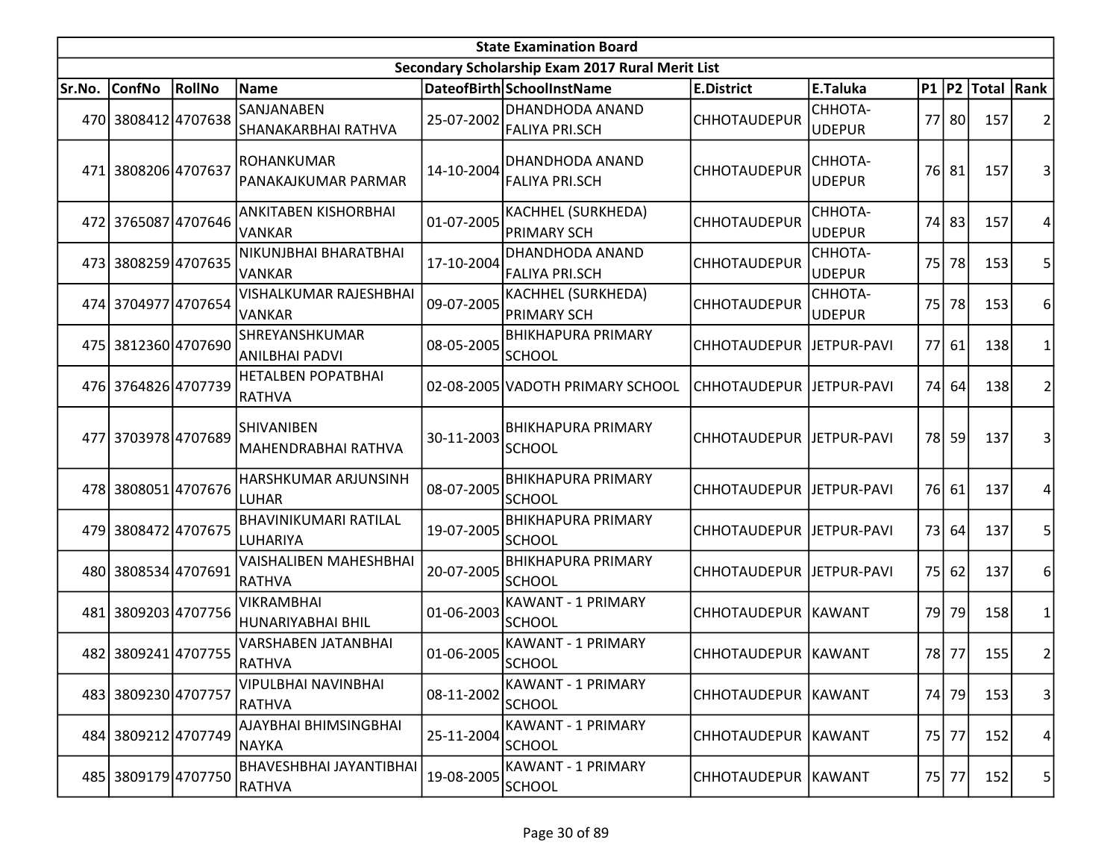| <b>State Examination Board</b> |                     |                 |                                                 |            |                                                  |                            |                          |                 |       |                     |                         |  |
|--------------------------------|---------------------|-----------------|-------------------------------------------------|------------|--------------------------------------------------|----------------------------|--------------------------|-----------------|-------|---------------------|-------------------------|--|
|                                |                     |                 |                                                 |            | Secondary Scholarship Exam 2017 Rural Merit List |                            |                          |                 |       |                     |                         |  |
| Sr.No.                         | <b>ConfNo</b>       | RollNo          | Name                                            |            | DateofBirth SchoolInstName                       | <b>E.District</b>          | E.Taluka                 |                 |       | P1  P2  Total  Rank |                         |  |
|                                | 470 3808412 4707638 |                 | SANJANABEN<br>SHANAKARBHAI RATHVA               | 25-07-2002 | DHANDHODA ANAND<br>FALIYA PRI.SCH                | <b>CHHOTAUDEPUR</b>        | CHHOTA-<br><b>UDEPUR</b> |                 | 77 80 | 157                 | 2                       |  |
| 471 I                          | 3808206 4707637     |                 | <b>ROHANKUMAR</b><br>PANAKAJKUMAR PARMAR        | 14-10-2004 | DHANDHODA ANAND<br><b>FALIYA PRI.SCH</b>         | <b>CHHOTAUDEPUR</b>        | CHHOTA-<br><b>UDEPUR</b> |                 | 76 81 | 157                 | 3                       |  |
|                                | 472 3765087 4707646 |                 | ANKITABEN KISHORBHAI<br><b>VANKAR</b>           | 01-07-2005 | KACHHEL (SURKHEDA)<br><b>PRIMARY SCH</b>         | <b>CHHOTAUDEPUR</b>        | CHHOTA-<br><b>UDEPUR</b> |                 | 74 83 | 157                 | 4                       |  |
|                                | 473 3808259 4707635 |                 | NIKUNJBHAI BHARATBHAI<br><b>VANKAR</b>          | 17-10-2004 | <b>DHANDHODA ANAND</b><br><b>FALIYA PRI.SCH</b>  | <b>CHHOTAUDEPUR</b>        | CHHOTA-<br><b>UDEPUR</b> | 75 <sup> </sup> | 78    | 153                 | 5                       |  |
|                                | 474 3704977 4707654 |                 | VISHALKUMAR RAJESHBHAI<br><b>VANKAR</b>         | 09-07-2005 | KACHHEL (SURKHEDA)<br><b>PRIMARY SCH</b>         | <b>CHHOTAUDEPUR</b>        | CHHOTA-<br><b>UDEPUR</b> | 75 <sup> </sup> | 78    | 153                 | 6                       |  |
| 475                            | 3812360 4707690     |                 | SHREYANSHKUMAR<br><b>ANILBHAI PADVI</b>         | 08-05-2005 | <b>BHIKHAPURA PRIMARY</b><br><b>SCHOOL</b>       | CHHOTAUDEPUR JETPUR-PAVI   |                          | 77I             | 61    | 138                 | $\mathbf{1}$            |  |
|                                | 476 3764826 4707739 |                 | <b>HETALBEN POPATBHAI</b><br>RATHVA             |            | 02-08-2005 VADOTH PRIMARY SCHOOL                 | CHHOTAUDEPUR   JETPUR-PAVI |                          | 74I             | 64    | 138                 | $\overline{2}$          |  |
|                                | 477 3703978 4707689 |                 | <b>SHIVANIBEN</b><br><b>MAHENDRABHAI RATHVA</b> | 30-11-2003 | <b>BHIKHAPURA PRIMARY</b><br><b>SCHOOL</b>       | CHHOTAUDEPUR   JETPUR-PAVI |                          |                 | 78 59 | 137                 | 3                       |  |
|                                | 478 3808051 4707676 |                 | HARSHKUMAR ARJUNSINH<br>LUHAR                   | 08-07-2005 | <b>BHIKHAPURA PRIMARY</b><br><b>SCHOOL</b>       | CHHOTAUDEPUR JETPUR-PAVI   |                          |                 | 76 61 | 137                 | 4                       |  |
|                                | 479 3808472 4707675 |                 | BHAVINIKUMARI RATILAL<br>LUHARIYA               | 19-07-2005 | <b>BHIKHAPURA PRIMARY</b><br><b>SCHOOL</b>       | CHHOTAUDEPUR   JETPUR-PAVI |                          |                 | 73 64 | 137                 | 5                       |  |
|                                | 480 3808534 4707691 |                 | VAISHALIBEN MAHESHBHAI<br><b>RATHVA</b>         | 20-07-2005 | <b>BHIKHAPURA PRIMARY</b><br><b>SCHOOL</b>       | CHHOTAUDEPUR JETPUR-PAVI   |                          | 75              | 62    | 137                 | 6                       |  |
| 481                            |                     | 3809203 4707756 | <b>VIKRAMBHAI</b><br>HUNARIYABHAI BHIL          | 01-06-2003 | <b>KAWANT - 1 PRIMARY</b><br><b>SCHOOL</b>       | CHHOTAUDEPUR KAWANT        |                          | 79I             | 79    | 158                 | 1                       |  |
|                                | 482 3809241 4707755 |                 | VARSHABEN JATANBHAI<br>RATHVA                   | 01-06-2005 | <b>KAWANT - 1 PRIMARY</b><br>SCHOOL              | CHHOTAUDEPUR  KAWANT       |                          | 78I             | 77    | 155                 | $\overline{\mathbf{c}}$ |  |
|                                | 483 3809230 4707757 |                 | VIPULBHAI NAVINBHAI<br>RATHVA                   | 08-11-2002 | <b>KAWANT - 1 PRIMARY</b><br><b>SCHOOL</b>       | CHHOTAUDEPUR KAWANT        |                          | 74              | 79    | 153                 | $\vert 3 \vert$         |  |
|                                | 484 3809212 4707749 |                 | AJAYBHAI BHIMSINGBHAI<br>NAYKA                  | 25-11-2004 | <b>KAWANT - 1 PRIMARY</b><br><b>SCHOOL</b>       | CHHOTAUDEPUR KAWANT        |                          |                 | 75 77 | 152                 | 4                       |  |
|                                | 485 3809179 4707750 |                 | BHAVESHBHAI JAYANTIBHAI<br><b>RATHVA</b>        | 19-08-2005 | <b>KAWANT - 1 PRIMARY</b><br>SCHOOL              | CHHOTAUDEPUR   KAWANT      |                          |                 | 75 77 | 152                 | 5                       |  |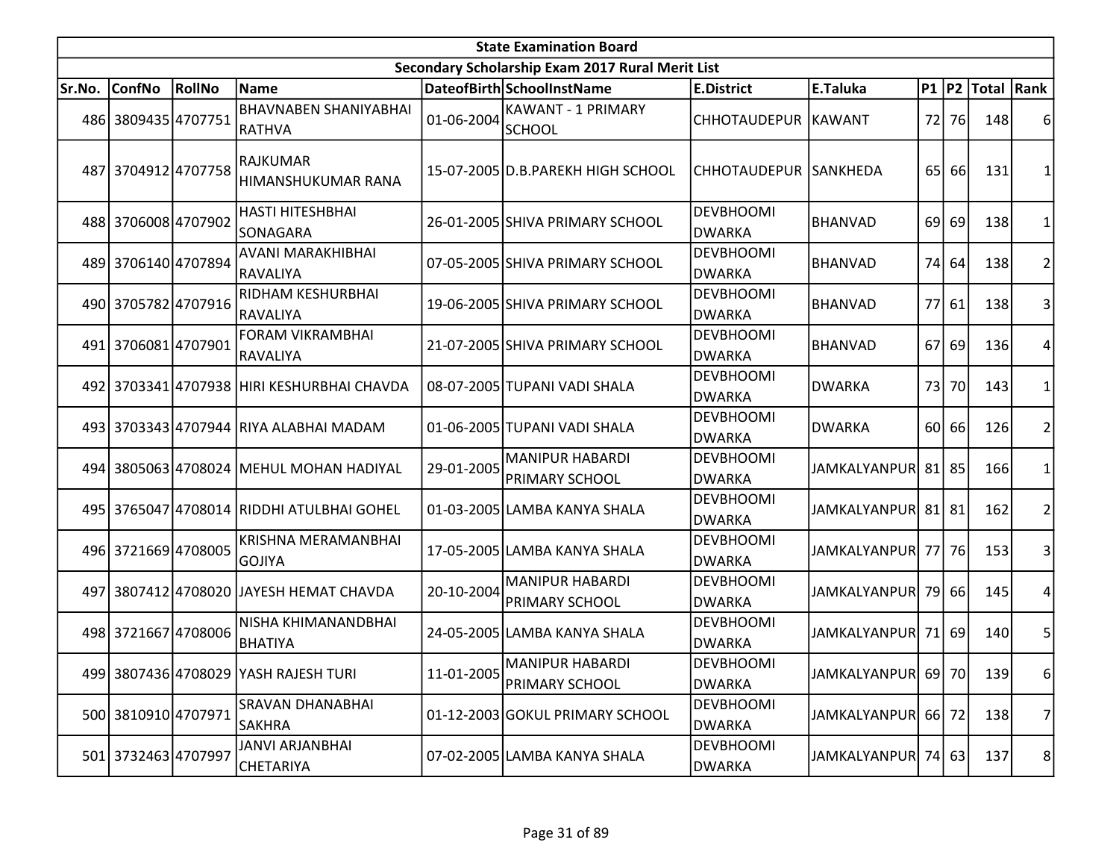| <b>State Examination Board</b> |                     |        |                                               |            |                                                  |                                   |                     |                 |             |                     |                |  |
|--------------------------------|---------------------|--------|-----------------------------------------------|------------|--------------------------------------------------|-----------------------------------|---------------------|-----------------|-------------|---------------------|----------------|--|
|                                |                     |        |                                               |            | Secondary Scholarship Exam 2017 Rural Merit List |                                   |                     |                 |             |                     |                |  |
| Sr.No.                         | <b>ConfNo</b>       | RollNo | Name                                          |            | DateofBirth SchoolInstName                       | <b>E.District</b>                 | E.Taluka            |                 |             | P1  P2  Total  Rank |                |  |
|                                | 486 3809435 4707751 |        | <b>BHAVNABEN SHANIYABHAI</b><br><b>RATHVA</b> | 01-06-2004 | <b>KAWANT - 1 PRIMARY</b><br>SCHOOL              | CHHOTAUDEPUR KAWANT               |                     | 72              | 76I         | 148                 | 6              |  |
|                                | 487 3704912 4707758 |        | <b>RAJKUMAR</b><br>HIMANSHUKUMAR RANA         |            | 15-07-2005 D.B.PAREKH HIGH SCHOOL                | CHHOTAUDEPUR SANKHEDA             |                     | 65 <sup> </sup> | 66l         | 131                 |                |  |
|                                | 488 3706008 4707902 |        | <b>HASTI HITESHBHAI</b><br>SONAGARA           |            | 26-01-2005 SHIVA PRIMARY SCHOOL                  | <b>DEVBHOOMI</b><br><b>DWARKA</b> | <b>BHANVAD</b>      |                 | 69 69       | 138                 | 1              |  |
|                                | 489 3706140 4707894 |        | AVANI MARAKHIBHAI<br>RAVALIYA                 |            | 07-05-2005 SHIVA PRIMARY SCHOOL                  | <b>DEVBHOOMI</b><br><b>DWARKA</b> | <b>BHANVAD</b>      |                 | 74 64       | 138                 | $\overline{2}$ |  |
|                                | 490 3705782 4707916 |        | RIDHAM KESHURBHAI<br> RAVALIYA                |            | 19-06-2005 SHIVA PRIMARY SCHOOL                  | <b>DEVBHOOMI</b><br><b>DWARKA</b> | <b>BHANVAD</b>      |                 | 77 61       | 138                 | 3              |  |
|                                | 491 3706081 4707901 |        | <b>FORAM VIKRAMBHAI</b><br>RAVALIYA           |            | 21-07-2005 SHIVA PRIMARY SCHOOL                  | <b>DEVBHOOMI</b><br><b>DWARKA</b> | <b>BHANVAD</b>      |                 | 67 69       | 136                 | 4              |  |
|                                |                     |        | 492 3703341 4707938 HIRI KESHURBHAI CHAVDA    |            | 08-07-2005 TUPANI VADI SHALA                     | <b>DEVBHOOMI</b><br><b>DWARKA</b> | <b>DWARKA</b>       | 73              | 70          | 143                 | 1              |  |
|                                |                     |        | 493 3703343 4707944 RIYA ALABHAI MADAM        |            | 01-06-2005 TUPANI VADI SHALA                     | <b>DEVBHOOMI</b><br><b>DWARKA</b> | <b>DWARKA</b>       |                 | 60 66       | 126                 | 2              |  |
|                                |                     |        | 494 3805063 4708024 MEHUL MOHAN HADIYAL       | 29-01-2005 | <b>MANIPUR HABARDI</b><br>PRIMARY SCHOOL         | DEVBHOOMI<br><b>DWARKA</b>        | <b>JAMKALYANPUR</b> |                 | 81 85       | 166                 | 1              |  |
|                                |                     |        | 495 3765047 4708014 RIDDHI ATULBHAI GOHEL     |            | 01-03-2005 LAMBA KANYA SHALA                     | <b>DEVBHOOMI</b><br><b>DWARKA</b> | JAMKALYANPUR        |                 | $81$   $81$ | 162                 | $\overline{2}$ |  |
|                                | 496 3721669 4708005 |        | <b>KRISHNA MERAMANBHAI</b><br>lgojiya         |            | 17-05-2005 LAMBA KANYA SHALA                     | <b>DEVBHOOMI</b><br><b>DWARKA</b> | JAMKALYANPUR 77 76  |                 |             | 153                 | 3              |  |
|                                |                     |        | 497 3807412 4708020 JAYESH HEMAT CHAVDA       | 20-10-2004 | <b>MANIPUR HABARDI</b><br>PRIMARY SCHOOL         | <b>DEVBHOOMI</b><br><b>DWARKA</b> | <b>JAMKALYANPUR</b> |                 | 79 66       | 145                 | 4              |  |
|                                | 498 3721667 4708006 |        | NISHA KHIMANANDBHAI<br>BHATIYA                |            | 24-05-2005 LAMBA KANYA SHALA                     | <b>DEVBHOOMI</b><br><b>DWARKA</b> | JAMKALYANPUR        |                 | 71 69       | 140                 | 5              |  |
|                                |                     |        | 499 3807436 4708029 YASH RAJESH TURI          | 11-01-2005 | MANIPUR HABARDI<br><b>PRIMARY SCHOOL</b>         | <b>DEVBHOOMI</b><br><b>DWARKA</b> | JAMKALYANPUR 69 70  |                 |             | 139                 | 6              |  |
|                                | 500 3810910 4707971 |        | <b>SRAVAN DHANABHAI</b><br><b>SAKHRA</b>      |            | 01-12-2003 GOKUL PRIMARY SCHOOL                  | <b>DEVBHOOMI</b><br><b>DWARKA</b> | JAMKALYANPUR        |                 | 66 72       | 138                 | 7              |  |
|                                | 501 3732463 4707997 |        | JANVI ARJANBHAI<br>CHETARIYA                  |            | 07-02-2005 LAMBA KANYA SHALA                     | <b>DEVBHOOMI</b><br><b>DWARKA</b> | JAMKALYANPUR 74 63  |                 |             | 137                 | 8 <sup>2</sup> |  |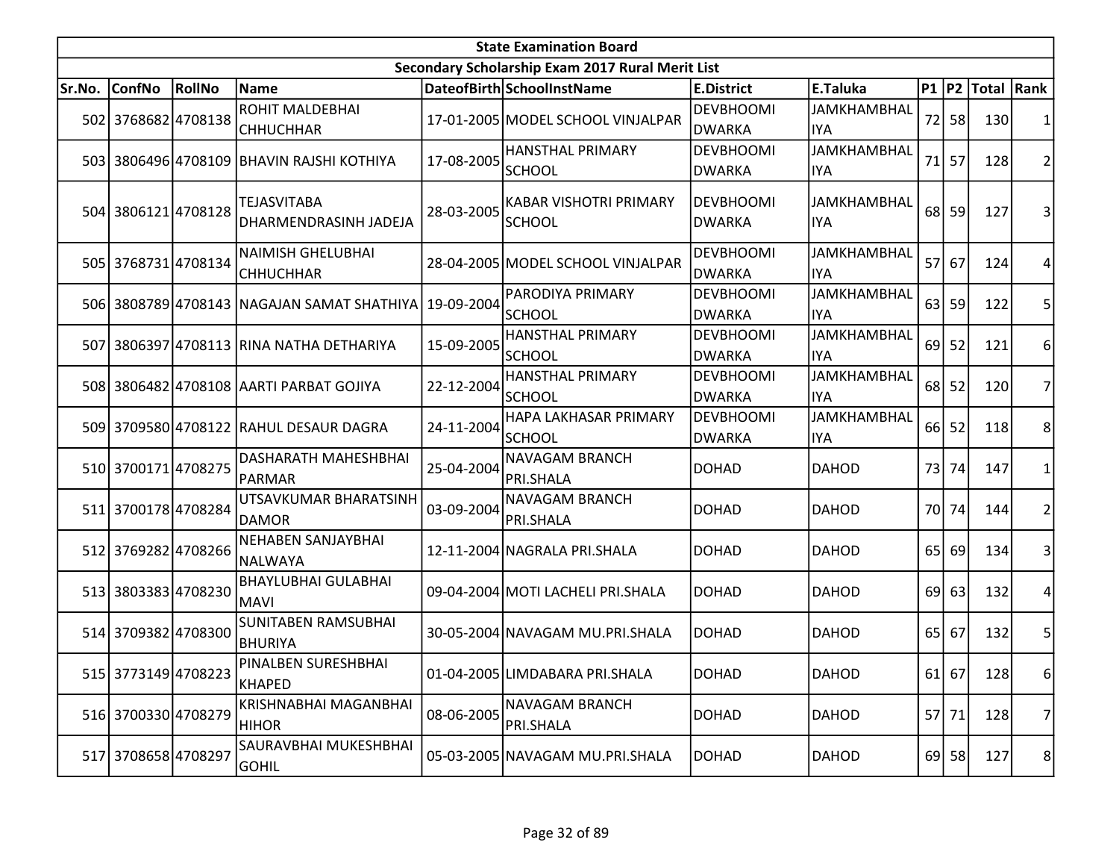|        | <b>State Examination Board</b> |        |                                                    |            |                                                  |                                   |                                  |                 |           |                     |                         |  |  |
|--------|--------------------------------|--------|----------------------------------------------------|------------|--------------------------------------------------|-----------------------------------|----------------------------------|-----------------|-----------|---------------------|-------------------------|--|--|
|        |                                |        |                                                    |            | Secondary Scholarship Exam 2017 Rural Merit List |                                   |                                  |                 |           |                     |                         |  |  |
| Sr.No. | <b>ConfNo</b>                  | RollNo | <b>Name</b>                                        |            | DateofBirth SchoolInstName                       | <b>E.District</b>                 | E.Taluka                         |                 |           | P1  P2  Total  Rank |                         |  |  |
|        | 502 3768682 4708138            |        | ROHIT MALDEBHAI<br><b>CHHUCHHAR</b>                |            | 17-01-2005 MODEL SCHOOL VINJALPAR                | <b>DEVBHOOMI</b><br>DWARKA        | <b>JAMKHAMBHAL</b><br><b>IYA</b> |                 | 72 58     | 130                 | 1                       |  |  |
|        |                                |        | 503 3806496 4708109 BHAVIN RAJSHI KOTHIYA          | 17-08-2005 | <b>HANSTHAL PRIMARY</b><br><b>SCHOOL</b>         | <b>DEVBHOOMI</b><br><b>DWARKA</b> | <b>JAMKHAMBHAL</b><br><b>IYA</b> | 71              | 57        | 128                 | $\overline{\mathbf{c}}$ |  |  |
|        | 504 3806121 4708128            |        | <b>TEJASVITABA</b><br><b>DHARMENDRASINH JADEJA</b> | 28-03-2005 | <b>KABAR VISHOTRI PRIMARY</b><br><b>SCHOOL</b>   | <b>DEVBHOOMI</b><br><b>DWARKA</b> | <b>JAMKHAMBHAL</b><br><b>IYA</b> | 68              | 59        | 127                 | 3                       |  |  |
|        | 505 3768731 4708134            |        | <b>NAIMISH GHELUBHAI</b><br><b>CHHUCHHAR</b>       |            | 28-04-2005 MODEL SCHOOL VINJALPAR                | <b>DEVBHOOMI</b><br>DWARKA        | <b>JAMKHAMBHAL</b><br><b>IYA</b> | 57 <sup>1</sup> | 67        | 124                 | 4                       |  |  |
|        |                                |        | 506 3808789 4708143 NAGAJAN SAMAT SHATHIYA         | 19-09-2004 | PARODIYA PRIMARY<br><b>SCHOOL</b>                | <b>DEVBHOOMI</b><br><b>DWARKA</b> | <b>JAMKHAMBHAL</b><br><b>IYA</b> |                 | $63$   59 | 122                 | 5                       |  |  |
|        |                                |        | 507 3806397 4708113 RINA NATHA DETHARIYA           | 15-09-2005 | <b>HANSTHAL PRIMARY</b><br><b>SCHOOL</b>         | <b>DEVBHOOMI</b><br><b>DWARKA</b> | <b>JAMKHAMBHAL</b><br><b>IYA</b> | 69              | 52        | 121                 | 6                       |  |  |
|        |                                |        | 508 3806482 4708108 AARTI PARBAT GOJIYA            | 22-12-2004 | <b>HANSTHAL PRIMARY</b><br><b>SCHOOL</b>         | <b>DEVBHOOMI</b><br>DWARKA        | <b>JAMKHAMBHAL</b><br><b>IYA</b> | 68 <sup>1</sup> | 52        | 120                 | 7                       |  |  |
|        |                                |        | 509 3709580 4708122 RAHUL DESAUR DAGRA             | 24-11-2004 | HAPA LAKHASAR PRIMARY<br><b>SCHOOL</b>           | <b>DEVBHOOMI</b><br><b>DWARKA</b> | <b>JAMKHAMBHAL</b><br><b>IYA</b> |                 | 66 52     | 118                 | 8                       |  |  |
|        | 510 3700171 4708275            |        | DASHARATH MAHESHBHAI<br>IPARMAR                    | 25-04-2004 | <b>NAVAGAM BRANCH</b><br>PRI.SHALA               | <b>DOHAD</b>                      | <b>DAHOD</b>                     | 73              | 74        | 147                 | 1                       |  |  |
|        | 511 3700178 4708284            |        | UTSAVKUMAR BHARATSINH<br>DAMOR                     | 03-09-2004 | <b>NAVAGAM BRANCH</b><br>PRI.SHALA               | <b>DOHAD</b>                      | <b>DAHOD</b>                     | 70I             | 74        | 144                 | 2                       |  |  |
|        | 512 3769282 4708266            |        | <b>NEHABEN SANJAYBHAI</b><br> NALWAYA              |            | 12-11-2004 NAGRALA PRI.SHALA                     | <b>DOHAD</b>                      | <b>DAHOD</b>                     |                 | 65 69     | 134                 | 3                       |  |  |
|        | 513 3803383 4708230            |        | <b>BHAYLUBHAI GULABHAI</b><br><b>MAVI</b>          |            | 09-04-2004 MOTI LACHELI PRI.SHALA                | <b>DOHAD</b>                      | <b>DAHOD</b>                     | 69              | 63        | 132                 | 4                       |  |  |
|        | 514 3709382 4708300            |        | <b>SUNITABEN RAMSUBHAI</b><br>BHURIYA              |            | 30-05-2004 NAVAGAM MU.PRI.SHALA                  | <b>DOHAD</b>                      | <b>DAHOD</b>                     |                 | $65$ 67   | 132                 | 5                       |  |  |
|        | 515 3773149 4708223            |        | PINALBEN SURESHBHAI<br>KHAPED                      |            | 01-04-2005 LIMDABARA PRI.SHALA                   | DOHAD                             | <b>DAHOD</b>                     |                 | $61$ 67   | 128                 | $6 \mid$                |  |  |
|        | 516 3700330 4708279            |        | KRISHNABHAI MAGANBHAI<br>HIHOR                     | 08-06-2005 | NAVAGAM BRANCH<br>PRI.SHALA                      | DOHAD                             | <b>DAHOD</b>                     |                 | 57 71     | 128                 | 7                       |  |  |
|        | 517 3708658 4708297            |        | SAURAVBHAI MUKESHBHAI<br> GOHIL                    |            | 05-03-2005 NAVAGAM MU.PRI.SHALA                  | <b>DOHAD</b>                      | <b>DAHOD</b>                     |                 | $69$ 58   | 127                 | 8                       |  |  |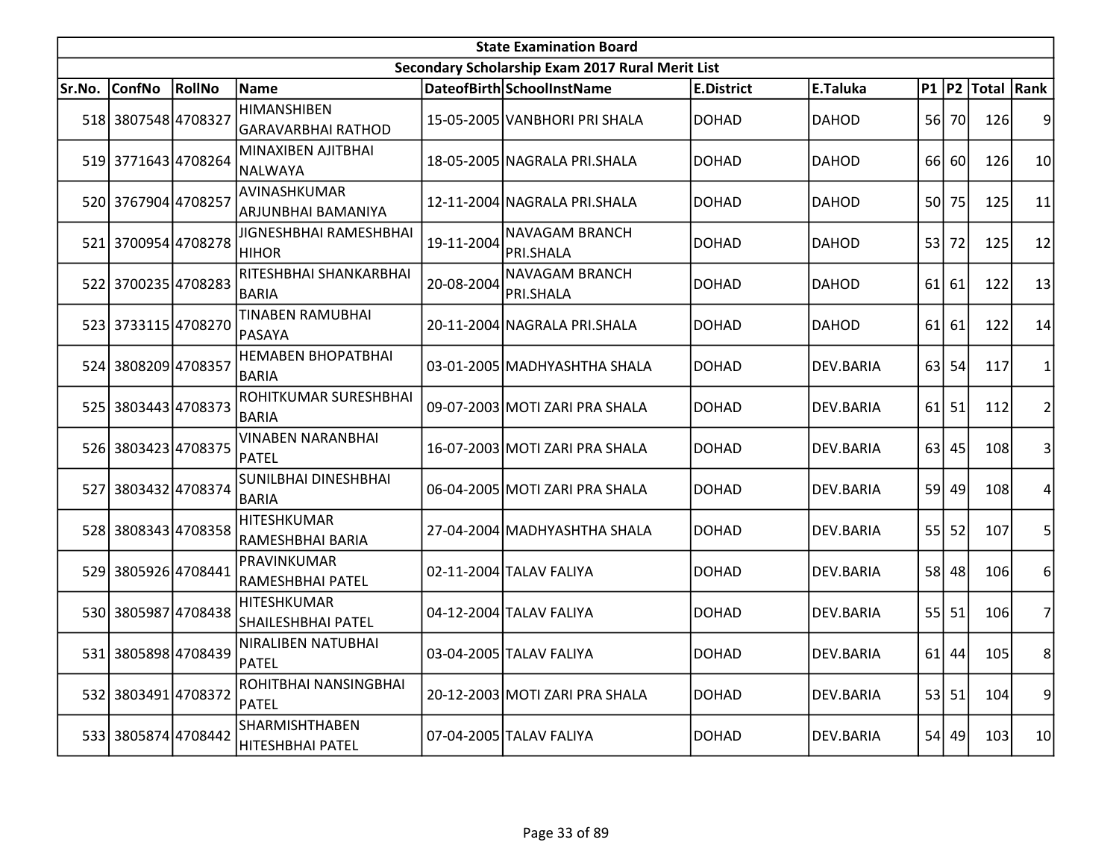|        | <b>State Examination Board</b><br>Secondary Scholarship Exam 2017 Rural Merit List |               |                                                 |            |                                    |                   |                  |                 |           |                        |                |  |  |
|--------|------------------------------------------------------------------------------------|---------------|-------------------------------------------------|------------|------------------------------------|-------------------|------------------|-----------------|-----------|------------------------|----------------|--|--|
|        |                                                                                    |               |                                                 |            |                                    |                   |                  |                 |           |                        |                |  |  |
| Sr.No. | <b>ConfNo</b>                                                                      | <b>RollNo</b> | Name                                            |            | DateofBirth SchoolInstName         | <b>E.District</b> | E.Taluka         |                 |           | P1   P2   Total   Rank |                |  |  |
|        | 518 3807548 4708327                                                                |               | <b>HIMANSHIBEN</b><br>GARAVARBHAI RATHOD        |            | 15-05-2005 VANBHORI PRI SHALA      | <b>DOHAD</b>      | <b>DAHOD</b>     |                 | 56 70     | 126                    | 9              |  |  |
|        | 519 3771643 4708264                                                                |               | MINAXIBEN AJITBHAI<br><b>NALWAYA</b>            |            | 18-05-2005 NAGRALA PRI.SHALA       | <b>DOHAD</b>      | <b>DAHOD</b>     |                 | 66 60     | 126                    | 10             |  |  |
|        | 520 3767904 4708257                                                                |               | AVINASHKUMAR<br>ARJUNBHAI BAMANIYA              |            | 12-11-2004 NAGRALA PRI.SHALA       | <b>DOHAD</b>      | <b>DAHOD</b>     | 50 <sup> </sup> | 75        | 125                    | 11             |  |  |
|        | 521 3700954 4708278                                                                |               | JIGNESHBHAI RAMESHBHAI<br><b>HIHOR</b>          | 19-11-2004 | <b>NAVAGAM BRANCH</b><br>PRI.SHALA | <b>DOHAD</b>      | <b>DAHOD</b>     | 53              | 72        | 125                    | 12             |  |  |
|        | 522 3700235 4708283                                                                |               | RITESHBHAI SHANKARBHAI<br><b>BARIA</b>          | 20-08-2004 | <b>NAVAGAM BRANCH</b><br>PRI.SHALA | <b>DOHAD</b>      | <b>DAHOD</b>     |                 | 61 61     | 122                    | 13             |  |  |
|        | 523 3733115 4708270                                                                |               | <b>TINABEN RAMUBHAI</b><br>PASAYA               |            | 20-11-2004 NAGRALA PRI.SHALA       | <b>DOHAD</b>      | <b>DAHOD</b>     |                 | $61$ 61   | 122                    | 14             |  |  |
|        | 524 3808209 4708357                                                                |               | <b>HEMABEN BHOPATBHAI</b><br><b>BARIA</b>       |            | 03-01-2005 MADHYASHTHA SHALA       | <b>DOHAD</b>      | DEV.BARIA        |                 | $63$ 54   | 117                    | 1              |  |  |
|        | 525 3803443 4708373                                                                |               | ROHITKUMAR SURESHBHAI<br><b>BARIA</b>           |            | 09-07-2003 MOTI ZARI PRA SHALA     | <b>DOHAD</b>      | DEV.BARIA        |                 | $61$ 51   | 112                    | $\overline{c}$ |  |  |
|        | 526 3803423 4708375                                                                |               | <b>VINABEN NARANBHAI</b><br><b>PATEL</b>        |            | 16-07-2003 MOTI ZARI PRA SHALA     | <b>DOHAD</b>      | DEV.BARIA        |                 | $63$ 45   | 108                    | 3              |  |  |
|        | 527 3803432 4708374                                                                |               | SUNILBHAI DINESHBHAI<br><b>BARIA</b>            |            | 06-04-2005 MOTI ZARI PRA SHALA     | <b>DOHAD</b>      | DEV.BARIA        |                 | 59 49     | 108                    | 4              |  |  |
|        | 528 3808343 4708358                                                                |               | <b>HITESHKUMAR</b><br>RAMESHBHAI BARIA          |            | 27-04-2004 MADHYASHTHA SHALA       | <b>DOHAD</b>      | DEV.BARIA        | 55              | 52        | 107                    | 5              |  |  |
|        | 529 3805926 4708441                                                                |               | PRAVINKUMAR<br>RAMESHBHAI PATEL                 |            | 02-11-2004 TALAV FALIYA            | <b>DOHAD</b>      | <b>DEV.BARIA</b> |                 | 58 48     | 106                    | 6              |  |  |
|        | 530 3805987 4708438                                                                |               | <b>HITESHKUMAR</b><br><b>SHAILESHBHAI PATEL</b> |            | 04-12-2004 TALAV FALIYA            | <b>DOHAD</b>      | <b>DEV.BARIA</b> |                 | $55$   51 | 106                    | $\overline{7}$ |  |  |
|        | 531 3805898 4708439                                                                |               | NIRALIBEN NATUBHAI<br>PATEL                     |            | 03-04-2005 TALAV FALIYA            | <b>DOHAD</b>      | DEV.BARIA        |                 | $61$ 44   | 105                    | 8              |  |  |
|        | 532 3803491 4708372                                                                |               | ROHITBHAI NANSINGBHAI<br>PATEL                  |            | 20-12-2003 MOTI ZARI PRA SHALA     | <b>DOHAD</b>      | DEV.BARIA        |                 | $53$ 51   | 104                    | 9              |  |  |
|        | 533 3805874 4708442                                                                |               | <b>SHARMISHTHABEN</b><br>HITESHBHAI PATEL       |            | 07-04-2005 TALAV FALIYA            | <b>DOHAD</b>      | DEV.BARIA        |                 | 54 49     | 103                    | 10             |  |  |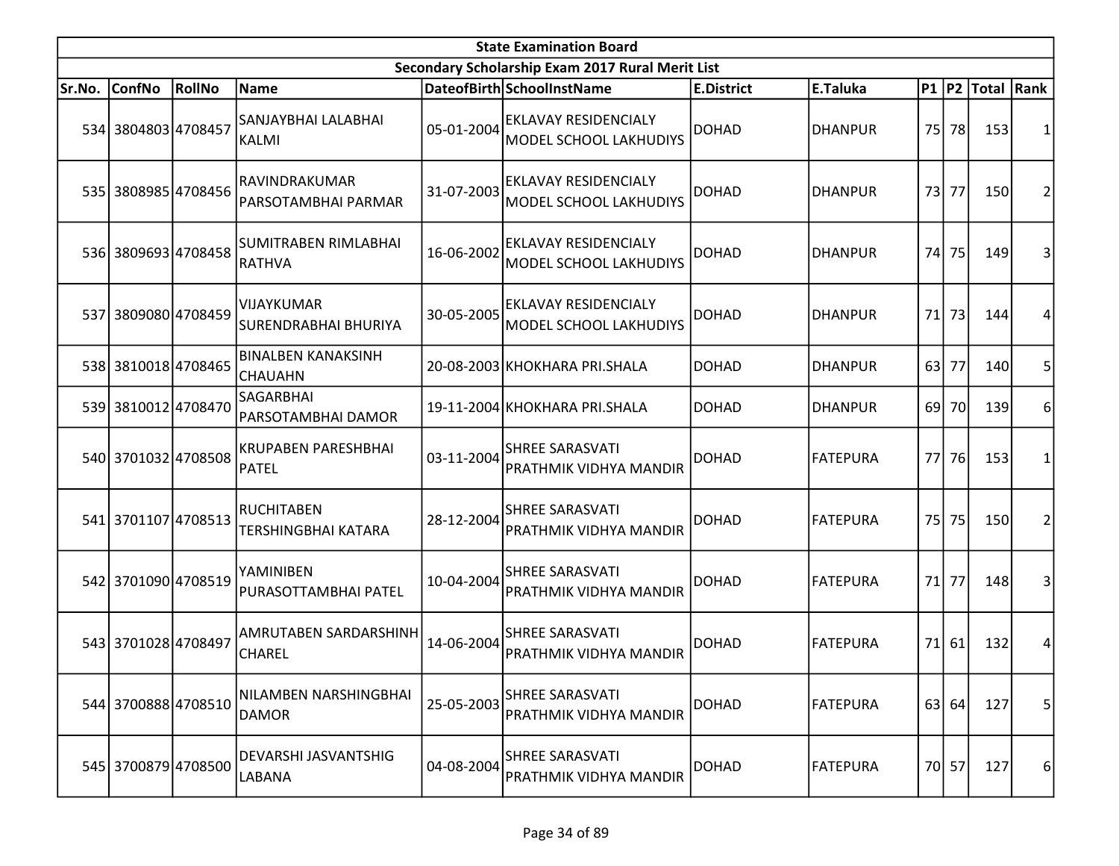| <b>State Examination Board</b> |                     |        |                                                  |            |                                                              |                   |                 |           |       |                        |   |  |
|--------------------------------|---------------------|--------|--------------------------------------------------|------------|--------------------------------------------------------------|-------------------|-----------------|-----------|-------|------------------------|---|--|
|                                |                     |        |                                                  |            | Secondary Scholarship Exam 2017 Rural Merit List             |                   |                 |           |       |                        |   |  |
| Sr.No.                         | <b>ConfNo</b>       | RollNo | Name                                             |            | DateofBirth SchoolInstName                                   | <b>E.District</b> | E.Taluka        |           |       | P1   P2   Total   Rank |   |  |
|                                | 534 3804803 4708457 |        | SANJAYBHAI LALABHAI<br>KALMI                     | 05-01-2004 | <b>EKLAVAY RESIDENCIALY</b><br><b>MODEL SCHOOL LAKHUDIYS</b> | <b>DOHAD</b>      | DHANPUR         | 75        | 78    | 153                    | 1 |  |
|                                | 535 3808985 4708456 |        | RAVINDRAKUMAR<br>PARSOTAMBHAI PARMAR             | 31-07-2003 | <b>EKLAVAY RESIDENCIALY</b><br><b>MODEL SCHOOL LAKHUDIYS</b> | <b>DOHAD</b>      | <b>DHANPUR</b>  | 73        | 77    | 150                    | 2 |  |
|                                | 536 3809693 4708458 |        | SUMITRABEN RIMLABHAI<br><b>RATHVA</b>            | 16-06-2002 | <b>EKLAVAY RESIDENCIALY</b><br><b>MODEL SCHOOL LAKHUDIYS</b> | <b>DOHAD</b>      | <b>DHANPUR</b>  | 74        | 75    | 149                    | 3 |  |
|                                | 537 3809080 4708459 |        | <b>VIJAYKUMAR</b><br><b>SURENDRABHAI BHURIYA</b> | 30-05-2005 | <b>EKLAVAY RESIDENCIALY</b><br>MODEL SCHOOL LAKHUDIYS        | <b>DOHAD</b>      | <b>DHANPUR</b>  | 71        | 73    | 144                    | 4 |  |
|                                | 538 3810018 4708465 |        | <b>BINALBEN KANAKSINH</b><br><b>CHAUAHN</b>      |            | 20-08-2003 KHOKHARA PRI.SHALA                                | DOHAD             | <b>DHANPUR</b>  | 63        | 77    | 140                    | 5 |  |
|                                | 539 3810012 4708470 |        | SAGARBHAI<br>PARSOTAMBHAI DAMOR                  |            | 19-11-2004 KHOKHARA PRI.SHALA                                | <b>DOHAD</b>      | <b>DHANPUR</b>  | 69        | 70I   | 139                    | 6 |  |
|                                | 540 3701032 4708508 |        | <b>KRUPABEN PARESHBHAI</b><br>PATEL              | 03-11-2004 | <b>SHREE SARASVATI</b><br>PRATHMIK VIDHYA MANDIR             | <b>DOHAD</b>      | <b>FATEPURA</b> | <b>77</b> | 76    | 153                    | 1 |  |
|                                | 541 3701107 4708513 |        | <b>RUCHITABEN</b><br>TERSHINGBHAI KATARA         | 28-12-2004 | <b>SHREE SARASVATI</b><br><b>PRATHMIK VIDHYA MANDIR</b>      | <b>DOHAD</b>      | <b>FATEPURA</b> | 75        | 75    | 150                    | 2 |  |
|                                | 542 3701090 4708519 |        | YAMINIBEN<br>PURASOTTAMBHAI PATEL                | 10-04-2004 | <b>SHREE SARASVATI</b><br><b>PRATHMIK VIDHYA MANDIR</b>      | <b>DOHAD</b>      | <b>FATEPURA</b> | 71        | 77    | 148                    | 3 |  |
|                                | 543 3701028 4708497 |        | AMRUTABEN SARDARSHINH<br>CHAREL                  | 14-06-2004 | <b>SHREE SARASVATI</b><br><b>PRATHMIK VIDHYA MANDIR</b>      | <b>DOHAD</b>      | <b>FATEPURA</b> | 71        | 61    | 132                    | 4 |  |
|                                | 544 3700888 4708510 |        | NILAMBEN NARSHINGBHAI<br><b>DAMOR</b>            | 25-05-2003 | <b>SHREE SARASVATI</b><br>PRATHMIK VIDHYA MANDIR             | <b>DOHAD</b>      | <b>FATEPURA</b> |           | 63 64 | 127                    | 5 |  |
|                                | 545 3700879 4708500 |        | DEVARSHI JASVANTSHIG<br>LABANA                   | 04-08-2004 | <b>SHREE SARASVATI</b><br>PRATHMIK VIDHYA MANDIR             | <b>DOHAD</b>      | <b>FATEPURA</b> |           | 70 57 | 127                    | 6 |  |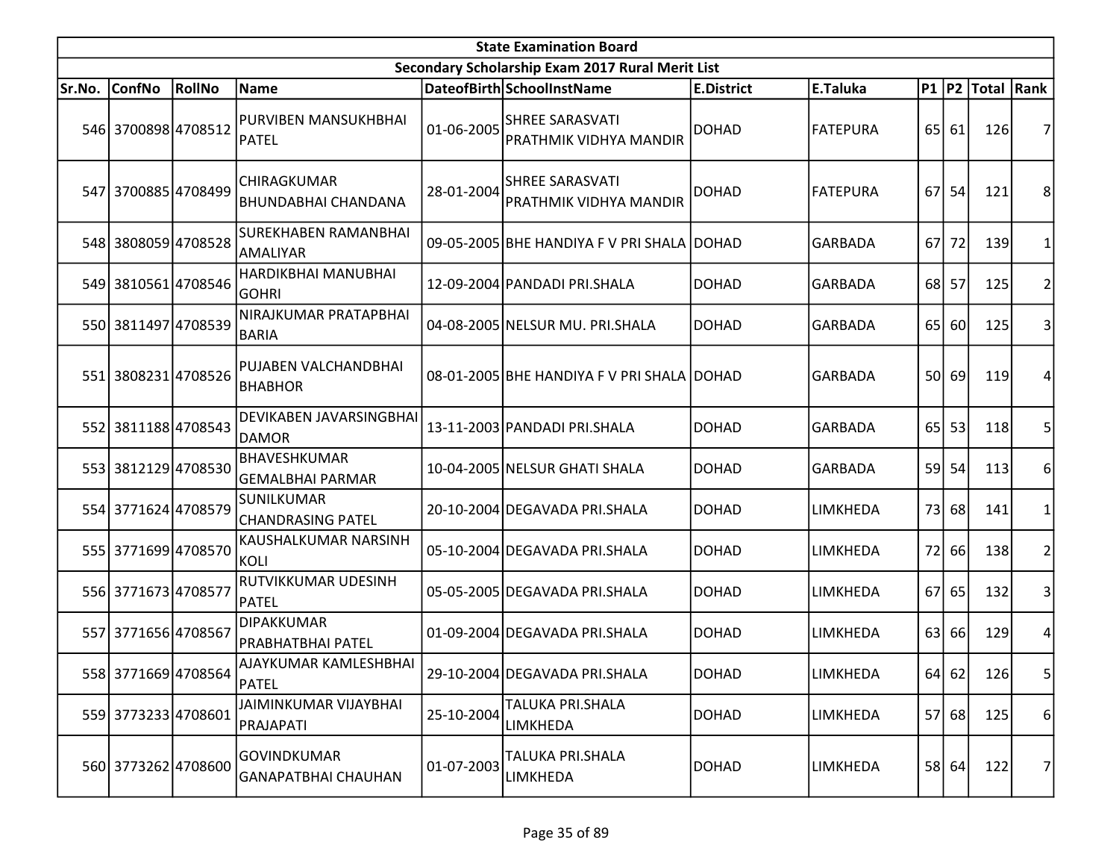| <b>State Examination Board</b> |                     |        |                                                  |            |                                                         |                   |                 |                 |           |                  |                |  |
|--------------------------------|---------------------|--------|--------------------------------------------------|------------|---------------------------------------------------------|-------------------|-----------------|-----------------|-----------|------------------|----------------|--|
|                                |                     |        |                                                  |            | Secondary Scholarship Exam 2017 Rural Merit List        |                   |                 |                 |           |                  |                |  |
| Sr.No.                         | <b>ConfNo</b>       | RollNo | Name                                             |            | DateofBirth SchoolInstName                              | <b>E.District</b> | E.Taluka        |                 |           | P1 P2 Total Rank |                |  |
|                                | 546 3700898 4708512 |        | PURVIBEN MANSUKHBHAI<br>PATEL                    | 01-06-2005 | <b>SHREE SARASVATI</b><br><b>PRATHMIK VIDHYA MANDIR</b> | <b>DOHAD</b>      | <b>FATEPURA</b> |                 | 65 61     | 126              | 7              |  |
|                                | 547 3700885 4708499 |        | <b>CHIRAGKUMAR</b><br><b>BHUNDABHAI CHANDANA</b> | 28-01-2004 | <b>SHREE SARASVATI</b><br><b>PRATHMIK VIDHYA MANDIR</b> | <b>DOHAD</b>      | <b>FATEPURA</b> | 67              | 54        | 121              | 8              |  |
|                                | 548 3808059 4708528 |        | <b>SUREKHABEN RAMANBHAI</b><br>AMALIYAR          |            | 09-05-2005 BHE HANDIYA F V PRI SHALA                    | <b>DOHAD</b>      | <b>GARBADA</b>  | 67              | 72        | 139              | 1              |  |
|                                | 549 3810561 4708546 |        | HARDIKBHAI MANUBHAI<br><b>GOHRI</b>              |            | 12-09-2004 PANDADI PRI.SHALA                            | <b>DOHAD</b>      | <b>GARBADA</b>  | 68              | 57        | 125              | $\overline{2}$ |  |
|                                | 550 3811497 4708539 |        | NIRAJKUMAR PRATAPBHAI<br><b>BARIA</b>            |            | 04-08-2005 NELSUR MU. PRI.SHALA                         | <b>DOHAD</b>      | <b>GARBADA</b>  | 65              | 60        | 125              | 3              |  |
|                                | 551 3808231 4708526 |        | PUJABEN VALCHANDBHAI<br><b>BHABHOR</b>           |            | 08-01-2005 BHE HANDIYA F V PRI SHALA DOHAD              |                   | <b>GARBADA</b>  | 50 <sup> </sup> | 69        | 119              | 4              |  |
|                                | 552 3811188 4708543 |        | DEVIKABEN JAVARSINGBHAI<br><b>DAMOR</b>          |            | 13-11-2003 PANDADI PRI.SHALA                            | DOHAD             | <b>GARBADA</b>  | 65 <sup> </sup> | 53        | 118              | 5              |  |
|                                | 553 3812129 4708530 |        | BHAVESHKUMAR<br><b>GEMALBHAI PARMAR</b>          |            | 10-04-2005 NELSUR GHATI SHALA                           | <b>DOHAD</b>      | <b>GARBADA</b>  | 59              | 54        | 113              | 6              |  |
|                                | 554 3771624 4708579 |        | SUNILKUMAR<br><b>CHANDRASING PATEL</b>           |            | 20-10-2004 DEGAVADA PRI.SHALA                           | DOHAD             | LIMKHEDA        | 73              | 68        | 141              | 1              |  |
|                                | 555 3771699 4708570 |        | KAUSHALKUMAR NARSINH<br>KOLI                     |            | 05-10-2004 DEGAVADA PRI.SHALA                           | <b>DOHAD</b>      | LIMKHEDA        | 72              | <b>66</b> | 138              | $\overline{2}$ |  |
|                                | 556 3771673 4708577 |        | RUTVIKKUMAR UDESINH<br>PATEL                     |            | 05-05-2005 DEGAVADA PRI.SHALA                           | <b>DOHAD</b>      | LIMKHEDA        | 67              | 65        | 132              | 3              |  |
|                                | 557 3771656 4708567 |        | <b>DIPAKKUMAR</b><br><b>PRABHATBHAI PATEL</b>    |            | 01-09-2004 DEGAVADA PRI.SHALA                           | <b>DOHAD</b>      | LIMKHEDA        | 63              | 66        | 129              | 4              |  |
|                                | 558 3771669 4708564 |        | AJAYKUMAR KAMLESHBHAI<br>PATEL                   |            | 29-10-2004 DEGAVADA PRI.SHALA                           | DOHAD             | <b>LIMKHEDA</b> |                 | 64 62     | 126              | 5 <sup>1</sup> |  |
|                                | 559 3773233 4708601 |        | <b>JAIMINKUMAR VIJAYBHAI</b><br>PRAJAPATI        | 25-10-2004 | TALUKA PRI.SHALA<br>LIMKHEDA                            | DOHAD             | <b>LIMKHEDA</b> |                 | 57 68     | 125              | 6              |  |
|                                | 560 3773262 4708600 |        | GOVINDKUMAR<br><b>GANAPATBHAI CHAUHAN</b>        | 01-07-2003 | TALUKA PRI.SHALA<br>LIMKHEDA                            | DOHAD             | <b>LIMKHEDA</b> |                 | 58 64     | 122              | 7              |  |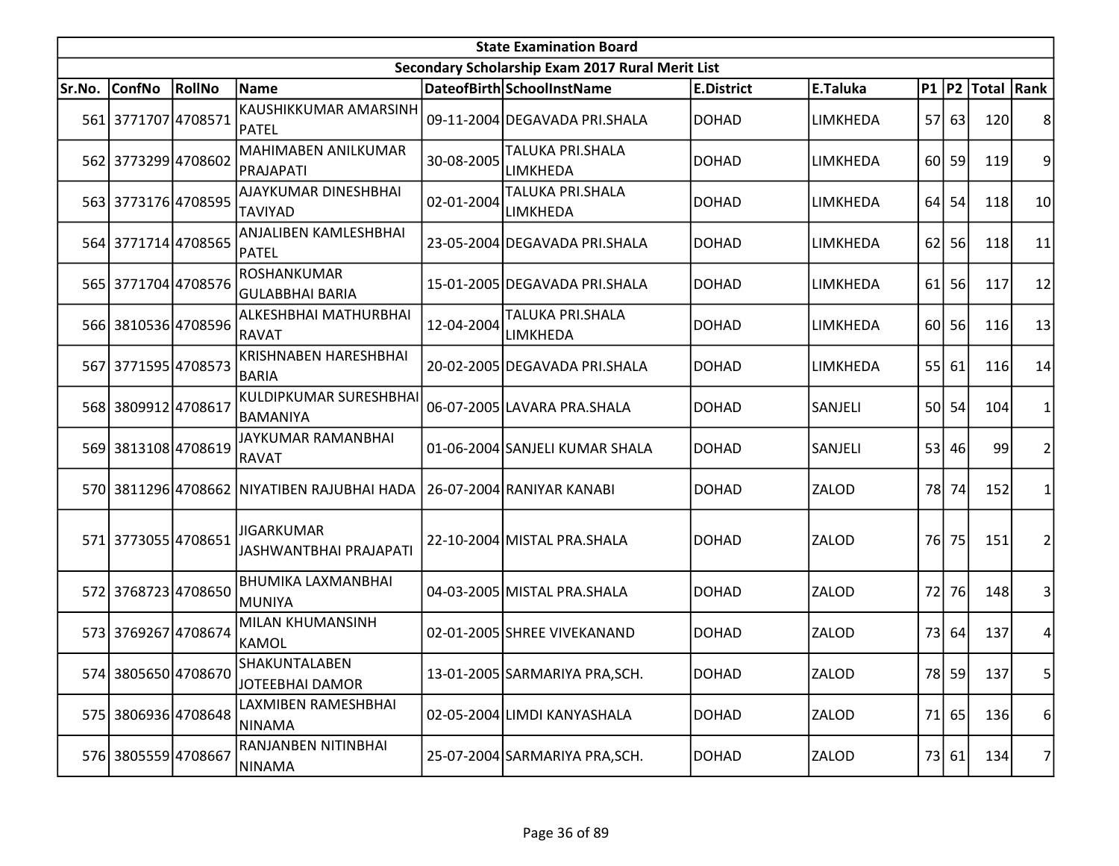|        | <b>State Examination Board</b><br>Secondary Scholarship Exam 2017 Rural Merit List |        |                                              |            |                                            |                   |                 |                 |           |                     |                |  |  |
|--------|------------------------------------------------------------------------------------|--------|----------------------------------------------|------------|--------------------------------------------|-------------------|-----------------|-----------------|-----------|---------------------|----------------|--|--|
|        |                                                                                    |        |                                              |            |                                            |                   |                 |                 |           |                     |                |  |  |
| Sr.No. | <b>ConfNo</b>                                                                      | RollNo | Name                                         |            | DateofBirth SchoolInstName                 | <b>E.District</b> | E.Taluka        |                 |           | P1  P2  Total  Rank |                |  |  |
|        | 561 3771707 4708571                                                                |        | KAUSHIKKUMAR AMARSINH<br><b>PATEL</b>        |            | 09-11-2004 DEGAVADA PRI.SHALA              | <b>DOHAD</b>      | LIMKHEDA        |                 | 57 63     | 120                 | 8              |  |  |
|        | 562 3773299 4708602                                                                |        | MAHIMABEN ANILKUMAR<br>PRAJAPATI             | 30-08-2005 | TALUKA PRI.SHALA<br>LIMKHEDA               | <b>DOHAD</b>      | LIMKHEDA        |                 | 60 59     | 119                 | 9              |  |  |
|        | 563 3773176 4708595                                                                |        | AJAYKUMAR DINESHBHAI<br><b>TAVIYAD</b>       | 02-01-2004 | TALUKA PRI.SHALA<br>LIMKHEDA               | <b>DOHAD</b>      | LIMKHEDA        | 64              | 54        | 118                 | 10             |  |  |
|        | 564 3771714 4708565                                                                |        | <b>ANJALIBEN KAMLESHBHAI</b><br>PATEL        |            | 23-05-2004 DEGAVADA PRI.SHALA              | <b>DOHAD</b>      | LIMKHEDA        | 62              | 56        | 118                 | 11             |  |  |
|        | 565 3771704 4708576                                                                |        | <b>ROSHANKUMAR</b><br><b>GULABBHAI BARIA</b> |            | 15-01-2005 DEGAVADA PRI.SHALA              | <b>DOHAD</b>      | LIMKHEDA        | 61              | 56        | 117                 | 12             |  |  |
|        | 566 3810536 4708596                                                                |        | ALKESHBHAI MATHURBHAI<br>RAVAT               | 12-04-2004 | <b>TALUKA PRI.SHALA</b><br><b>LIMKHEDA</b> | <b>DOHAD</b>      | <b>LIMKHEDA</b> |                 | $60$   56 | 116                 | 13             |  |  |
|        | 567 3771595 4708573                                                                |        | <b>KRISHNABEN HARESHBHAI</b><br><b>BARIA</b> |            | 20-02-2005 DEGAVADA PRI.SHALA              | <b>DOHAD</b>      | LIMKHEDA        | 55              | 61        | 116                 | 14             |  |  |
|        | 568 3809912 4708617                                                                |        | KULDIPKUMAR SURESHBHAI<br>BAMANIYA           |            | 06-07-2005 LAVARA PRA.SHALA                | <b>DOHAD</b>      | SANJELI         | 50 <sup> </sup> | 54        | 104                 | 1              |  |  |
|        | 569 3813108 4708619                                                                |        | JAYKUMAR RAMANBHAI<br><b>RAVAT</b>           |            | 01-06-2004 SANJELI KUMAR SHALA             | <b>DOHAD</b>      | SANJELI         |                 | 53 46     | 99                  | $\overline{2}$ |  |  |
|        |                                                                                    |        | 570 3811296 4708662 NIYATIBEN RAJUBHAI HADA  |            | 26-07-2004 RANIYAR KANABI                  | <b>DOHAD</b>      | ZALOD           | 78I             | 74        | 152                 | 1              |  |  |
|        | 571 3773055 4708651                                                                |        | <b>JIGARKUMAR</b><br>JASHWANTBHAI PRAJAPATI  |            | 22-10-2004 MISTAL PRA.SHALA                | <b>DOHAD</b>      | ZALOD           | 76 <sup> </sup> | 75        | 151                 | $\overline{2}$ |  |  |
|        | 572 3768723 4708650                                                                |        | <b>BHUMIKA LAXMANBHAI</b><br><b>MUNIYA</b>   |            | 04-03-2005 MISTAL PRA.SHALA                | <b>DOHAD</b>      | ZALOD           | 72              | 76        | 148                 | 3              |  |  |
|        | 573 3769267 4708674                                                                |        | MILAN KHUMANSINH<br>KAMOL                    |            | 02-01-2005 SHREE VIVEKANAND                | <b>DOHAD</b>      | ZALOD           | 73              | 64        | 137                 | 4              |  |  |
|        | 574 3805650 4708670                                                                |        | SHAKUNTALABEN<br><b>JOTEEBHAI DAMOR</b>      |            | 13-01-2005 SARMARIYA PRA, SCH.             | <b>DOHAD</b>      | ZALOD           |                 | 78 59     | 137                 | 5 <sup>1</sup> |  |  |
|        | 575 3806936 4708648                                                                |        | LAXMIBEN RAMESHBHAI<br><b>NINAMA</b>         |            | 02-05-2004 LIMDI KANYASHALA                | <b>DOHAD</b>      | ZALOD           |                 | 71 65     | 136                 | 6              |  |  |
|        | 576 3805559 4708667                                                                |        | RANJANBEN NITINBHAI<br>NINAMA                |            | 25-07-2004 SARMARIYA PRA, SCH.             | <b>DOHAD</b>      | ZALOD           |                 | 73 61     | 134                 | 7              |  |  |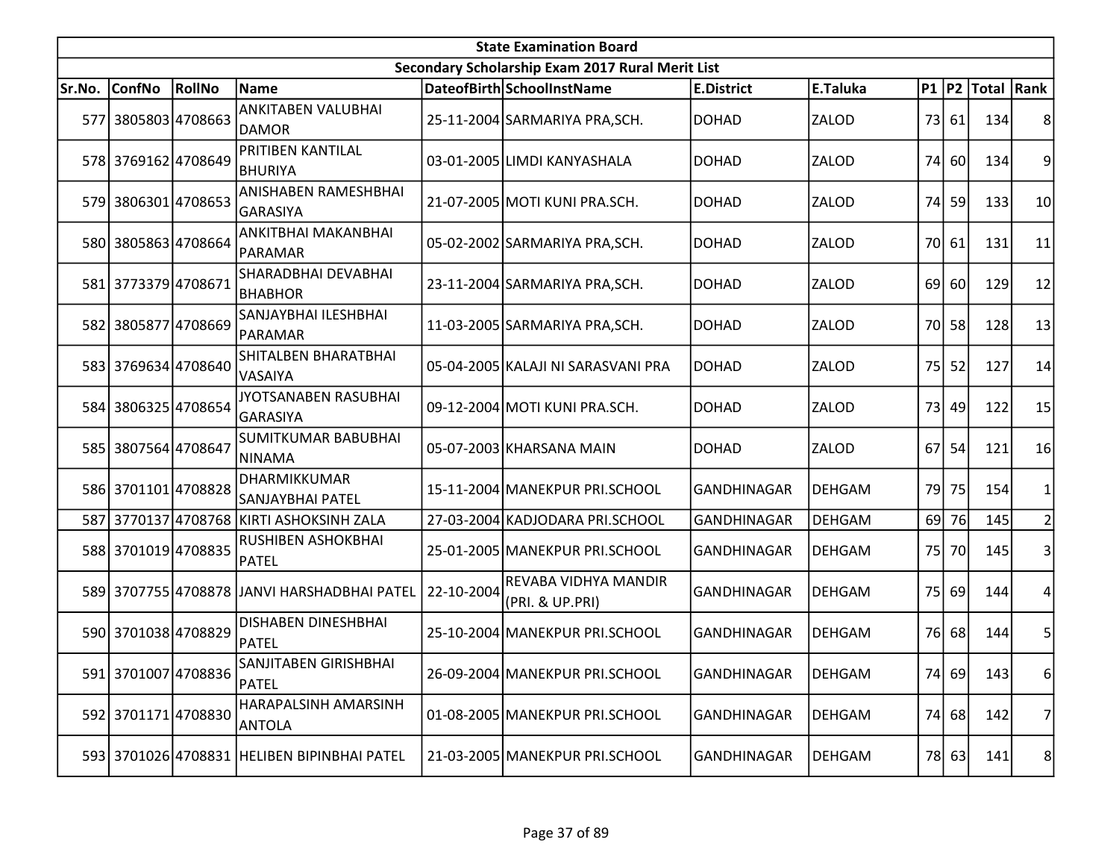|        | <b>State Examination Board</b><br>Secondary Scholarship Exam 2017 Rural Merit List |               |                                              |            |                                         |                    |               |      |       |                  |                |  |  |
|--------|------------------------------------------------------------------------------------|---------------|----------------------------------------------|------------|-----------------------------------------|--------------------|---------------|------|-------|------------------|----------------|--|--|
|        |                                                                                    |               |                                              |            |                                         |                    |               |      |       |                  |                |  |  |
| Sr.No. | <b>ConfNo</b>                                                                      | <b>RollNo</b> | Name                                         |            | DateofBirth SchoolInstName              | <b>E.District</b>  | E.Taluka      |      |       | P1 P2 Total Rank |                |  |  |
|        | 577 3805803 4708663                                                                |               | <b>ANKITABEN VALUBHAI</b><br>DAMOR           |            | 25-11-2004 SARMARIYA PRA, SCH.          | <b>DOHAD</b>       | ZALOD         |      | 73 61 | 134              | 8              |  |  |
|        | 578 3769162 4708649                                                                |               | <b>PRITIBEN KANTILAL</b><br>BHURIYA          |            | 03-01-2005 LIMDI KANYASHALA             | DOHAD              | ZALOD         |      | 74 60 | 134              | 9              |  |  |
|        | 579 3806301 4708653                                                                |               | <b>ANISHABEN RAMESHBHAI</b><br>GARASIYA      |            | 21-07-2005 MOTI KUNI PRA.SCH.           | <b>DOHAD</b>       | ZALOD         | 74   | 59    | 133              | 10             |  |  |
|        | 580 3805863 4708664                                                                |               | ANKITBHAI MAKANBHAI<br>PARAMAR               |            | 05-02-2002 SARMARIYA PRA, SCH.          | <b>DOHAD</b>       | ZALOD         |      | 70 61 | 131              | 11             |  |  |
|        | 581 3773379 4708671                                                                |               | SHARADBHAI DEVABHAI<br><b>BHABHOR</b>        |            | 23-11-2004 SARMARIYA PRA, SCH.          | <b>DOHAD</b>       | ZALOD         | 69   | 60    | 129              | 12             |  |  |
|        | 582 3805877 4708669                                                                |               | SANJAYBHAI ILESHBHAI<br>PARAMAR              |            | 11-03-2005 SARMARIYA PRA, SCH.          | <b>DOHAD</b>       | ZALOD         |      | 70 58 | 128              | 13             |  |  |
|        | 583 3769634 4708640                                                                |               | SHITALBEN BHARATBHAI<br><b>VASAIYA</b>       |            | 05-04-2005 KALAJI NI SARASVANI PRA      | <b>DOHAD</b>       | ZALOD         | 75   | 52    | 127              | 14             |  |  |
|        | 584 3806325 4708654                                                                |               | JYOTSANABEN RASUBHAI<br>GARASIYA             |            | 09-12-2004 MOTI KUNI PRA.SCH.           | <b>DOHAD</b>       | ZALOD         |      | 73 49 | 122              | 15             |  |  |
|        | 585 3807564 4708647                                                                |               | <b>SUMITKUMAR BABUBHAI</b><br>NINAMA         |            | 05-07-2003 KHARSANA MAIN                | DOHAD              | <b>ZALOD</b>  | 67 I | 54    | 121              | 16             |  |  |
|        | 586 3701101 4708828                                                                |               | DHARMIKKUMAR<br>SANJAYBHAI PATEL             |            | 15-11-2004 MANEKPUR PRI.SCHOOL          | <b>GANDHINAGAR</b> | <b>DEHGAM</b> | 79 l | 75    | 154              |                |  |  |
|        |                                                                                    |               | 587 3770137 4708768 KIRTI ASHOKSINH ZALA     |            | 27-03-2004 KADJODARA PRI.SCHOOL         | GANDHINAGAR        | <b>DEHGAM</b> |      | 69 76 | 145              |                |  |  |
|        | 588 3701019 4708835                                                                |               | RUSHIBEN ASHOKBHAI<br>PATEL                  |            | 25-01-2005 MANEKPUR PRI.SCHOOL          | <b>GANDHINAGAR</b> | <b>DEHGAM</b> |      | 75 70 | 145              | 3              |  |  |
|        |                                                                                    |               | 589 3707755 4708878 JJANVI HARSHADBHAI PATEL | 22-10-2004 | REVABA VIDHYA MANDIR<br>(PRI. & UP.PRI) | GANDHINAGAR        | <b>DEHGAM</b> |      | 75 69 | 144              | 4              |  |  |
|        | 590 3701038 4708829                                                                |               | <b>DISHABEN DINESHBHAI</b><br>PATEL          |            | 25-10-2004 MANEKPUR PRI.SCHOOL          | <b>GANDHINAGAR</b> | <b>DEHGAM</b> |      | 76 68 | 144              | 5              |  |  |
|        | 591 3701007 4708836                                                                |               | SANJITABEN GIRISHBHAI<br>PATEL               |            | 26-09-2004 MANEKPUR PRI.SCHOOL          | GANDHINAGAR        | <b>DEHGAM</b> |      | 74 69 | 143              | 6              |  |  |
|        | 592 3701171 4708830                                                                |               | HARAPALSINH AMARSINH<br><b>ANTOLA</b>        |            | 01-08-2005 MANEKPUR PRI.SCHOOL          | GANDHINAGAR        | <b>DEHGAM</b> | 74   | 68    | 142              | 7              |  |  |
|        |                                                                                    |               | 593 3701026 4708831 HELIBEN BIPINBHAI PATEL  |            | 21-03-2005 MANEKPUR PRI.SCHOOL          | GANDHINAGAR        | <b>DEHGAM</b> |      | 78 63 | 141              | 8 <sup>1</sup> |  |  |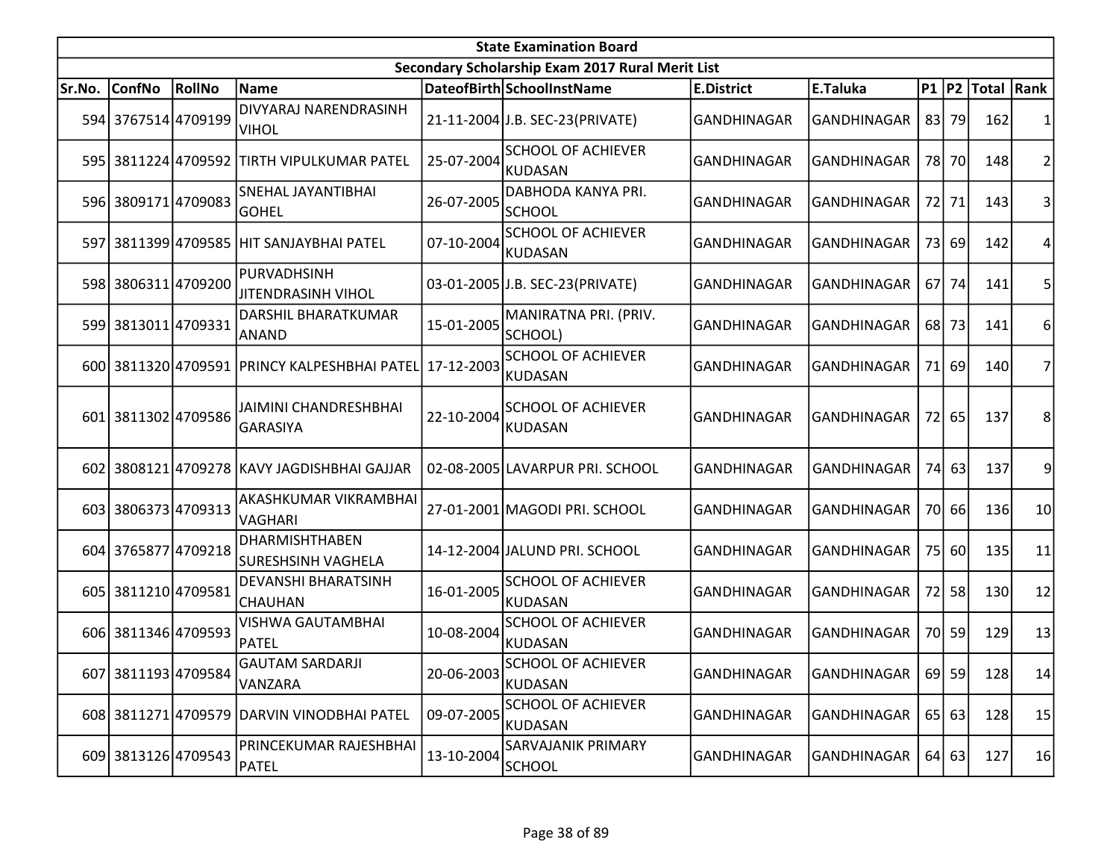|        | <b>State Examination Board</b><br>Secondary Scholarship Exam 2017 Rural Merit List |        |                                                    |            |                                             |                    |                    |    |           |                     |    |  |  |  |
|--------|------------------------------------------------------------------------------------|--------|----------------------------------------------------|------------|---------------------------------------------|--------------------|--------------------|----|-----------|---------------------|----|--|--|--|
|        |                                                                                    |        |                                                    |            |                                             |                    |                    |    |           |                     |    |  |  |  |
| Sr.No. | <b>ConfNo</b>                                                                      | RollNo | <b>Name</b>                                        |            | DateofBirth SchoolInstName                  | <b>E.District</b>  | E.Taluka           |    |           | P1  P2  Total  Rank |    |  |  |  |
|        | 594 3767514 4709199                                                                |        | DIVYARAJ NARENDRASINH<br><b>VIHOL</b>              |            | 21-11-2004 J.B. SEC-23 (PRIVATE)            | GANDHINAGAR        | GANDHINAGAR        |    | 83 79     | 162                 |    |  |  |  |
|        |                                                                                    |        | 595 3811224 4709592 TIRTH VIPULKUMAR PATEL         | 25-07-2004 | <b>SCHOOL OF ACHIEVER</b><br>KUDASAN        | GANDHINAGAR        | GANDHINAGAR        |    | 78 70     | 148                 | 2  |  |  |  |
|        | 596 3809171 4709083                                                                |        | SNEHAL JAYANTIBHAI<br><b>GOHEL</b>                 | 26-07-2005 | DABHODA KANYA PRI.<br><b>SCHOOL</b>         | <b>GANDHINAGAR</b> | GANDHINAGAR        |    | 72 71     | 143                 | 3  |  |  |  |
|        |                                                                                    |        | 597 3811399 4709585 HIT SANJAYBHAI PATEL           | 07-10-2004 | <b>SCHOOL OF ACHIEVER</b><br><b>KUDASAN</b> | GANDHINAGAR        | GANDHINAGAR        |    | 73 69     | 142                 | 4  |  |  |  |
|        | 598 3806311 4709200                                                                |        | PURVADHSINH<br><b>JITENDRASINH VIHOL</b>           |            | 03-01-2005 J.B. SEC-23 (PRIVATE)            | GANDHINAGAR        | GANDHINAGAR        |    | 67 74     | 141                 |    |  |  |  |
|        | 599 3813011 4709331                                                                |        | DARSHIL BHARATKUMAR<br>ANAND                       | 15-01-2005 | MANIRATNA PRI. (PRIV.<br>SCHOOL)            | GANDHINAGAR        | GANDHINAGAR        |    | 68 73     | 141                 | 6  |  |  |  |
|        |                                                                                    |        | 600 3811320 4709591 PRINCY KALPESHBHAI PATEL       | 17-12-2003 | <b>SCHOOL OF ACHIEVER</b><br><b>KUDASAN</b> | <b>GANDHINAGAR</b> | <b>GANDHINAGAR</b> |    | 71 69     | 140                 |    |  |  |  |
|        | 601 3811302 4709586                                                                |        | JAIMINI CHANDRESHBHAI<br><b>GARASIYA</b>           | 22-10-2004 | <b>SCHOOL OF ACHIEVER</b><br><b>KUDASAN</b> | GANDHINAGAR        | GANDHINAGAR        |    | 72 65     | 137                 | 8  |  |  |  |
| 602    |                                                                                    |        | 3808121 4709278 KAVY JAGDISHBHAI GAJJAR            |            | 02-08-2005 LAVARPUR PRI. SCHOOL             | GANDHINAGAR        | GANDHINAGAR        |    | 74 63     | 137                 | 9  |  |  |  |
|        | 603 3806373 4709313                                                                |        | AKASHKUMAR VIKRAMBHAI<br>VAGHARI                   |            | 27-01-2001 MAGODI PRI. SCHOOL               | <b>GANDHINAGAR</b> | <b>GANDHINAGAR</b> |    | 70 66     | 136                 | 10 |  |  |  |
|        | 604 3765877 4709218                                                                |        | <b>DHARMISHTHABEN</b><br><b>SURESHSINH VAGHELA</b> |            | 14-12-2004 JALUND PRI. SCHOOL               | <b>GANDHINAGAR</b> | GANDHINAGAR        |    | 75 60     | 135                 | 11 |  |  |  |
|        | 605 3811210 4709581                                                                |        | DEVANSHI BHARATSINH<br>CHAUHAN                     | 16-01-2005 | <b>SCHOOL OF ACHIEVER</b><br><b>KUDASAN</b> | <b>GANDHINAGAR</b> | <b>GANDHINAGAR</b> | 72 | 58        | 130                 | 12 |  |  |  |
|        | 606 3811346 4709593                                                                |        | <b>VISHWA GAUTAMBHAI</b><br>PATEL                  | 10-08-2004 | <b>SCHOOL OF ACHIEVER</b><br><b>KUDASAN</b> | <b>GANDHINAGAR</b> | GANDHINAGAR        |    | 70 59     | 129                 | 13 |  |  |  |
|        | 607 3811193 4709584                                                                |        | <b>GAUTAM SARDARJI</b><br>VANZARA                  | 20-06-2003 | <b>SCHOOL OF ACHIEVER</b><br><b>KUDASAN</b> | GANDHINAGAR        | GANDHINAGAR        |    | $69$   59 | 128                 | 14 |  |  |  |
|        |                                                                                    |        | 608 3811271 4709579 DARVIN VINODBHAI PATEL         | 09-07-2005 | <b>SCHOOL OF ACHIEVER</b><br><b>KUDASAN</b> | GANDHINAGAR        | GANDHINAGAR        |    | 65 63     | 128                 | 15 |  |  |  |
|        | 609 3813126 4709543                                                                |        | PRINCEKUMAR RAJESHBHAI<br><b>PATEL</b>             | 13-10-2004 | <b>SARVAJANIK PRIMARY</b><br><b>SCHOOL</b>  | <b>GANDHINAGAR</b> | GANDHINAGAR        |    | $64$ 63   | 127                 | 16 |  |  |  |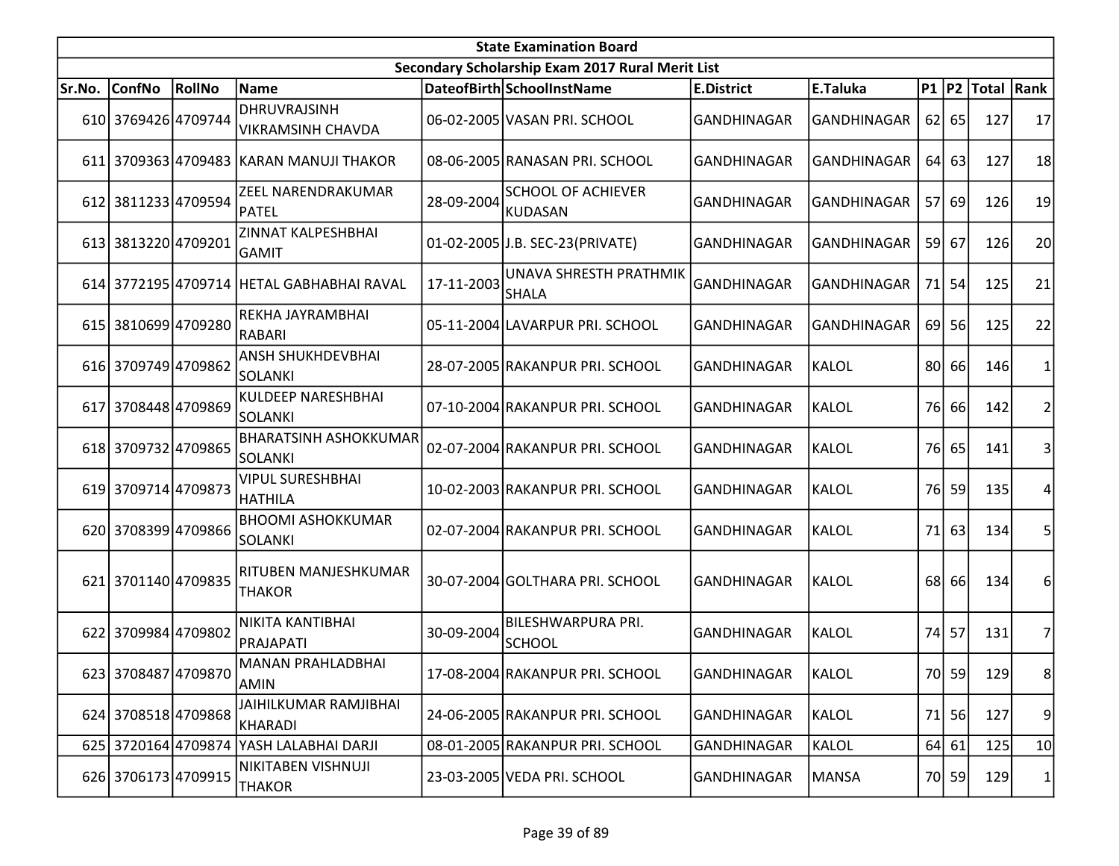| <b>State Examination Board</b> |                     |        |                                            |            |                                                  |                    |                    |                 |         |                  |                |  |  |
|--------------------------------|---------------------|--------|--------------------------------------------|------------|--------------------------------------------------|--------------------|--------------------|-----------------|---------|------------------|----------------|--|--|
|                                |                     |        |                                            |            | Secondary Scholarship Exam 2017 Rural Merit List |                    |                    |                 |         |                  |                |  |  |
| Sr.No.                         | <b>ConfNo</b>       | RollNo | Name                                       |            | DateofBirth SchoolInstName                       | <b>E.District</b>  | E.Taluka           |                 |         | P1 P2 Total Rank |                |  |  |
|                                | 610 3769426 4709744 |        | <b>DHRUVRAJSINH</b><br>VIKRAMSINH CHAVDA   |            | 06-02-2005 VASAN PRI. SCHOOL                     | <b>GANDHINAGAR</b> | <b>GANDHINAGAR</b> |                 | 62 65   | 127              | 17             |  |  |
|                                |                     |        | 611 3709363 4709483 KARAN MANUJI THAKOR    |            | 08-06-2005 RANASAN PRI. SCHOOL                   | GANDHINAGAR        | GANDHINAGAR        | 64              | 63      | 127              | 18             |  |  |
|                                | 612 3811233 4709594 |        | ZEEL NARENDRAKUMAR<br>PATEL                | 28-09-2004 | <b>SCHOOL OF ACHIEVER</b><br><b>KUDASAN</b>      | <b>GANDHINAGAR</b> | <b>GANDHINAGAR</b> | 57              | 69      | 126              | 19             |  |  |
|                                | 613 3813220 4709201 |        | <b>ZINNAT KALPESHBHAI</b><br><b>GAMIT</b>  |            | 01-02-2005 J.B. SEC-23 (PRIVATE)                 | <b>GANDHINAGAR</b> | GANDHINAGAR        |                 | 59 67   | 126              | 20             |  |  |
|                                |                     |        | 614 3772195 4709714 HETAL GABHABHAI RAVAL  | 17-11-2003 | UNAVA SHRESTH PRATHMIK<br><b>SHALA</b>           | <b>GANDHINAGAR</b> | <b>GANDHINAGAR</b> | 71              | 54      | 125              | 21             |  |  |
|                                | 615 3810699 4709280 |        | REKHA JAYRAMBHAI<br>RABARI                 |            | 05-11-2004 LAVARPUR PRI. SCHOOL                  | GANDHINAGAR        | <b>GANDHINAGAR</b> | 69              | 56      | 125              | 22             |  |  |
|                                | 616 3709749 4709862 |        | <b>ANSH SHUKHDEVBHAI</b><br><b>SOLANKI</b> |            | 28-07-2005 RAKANPUR PRI. SCHOOL                  | <b>GANDHINAGAR</b> | KALOL              | 80              | 66      | 146              | 1              |  |  |
|                                | 617 3708448 4709869 |        | KULDEEP NARESHBHAI<br>ISOLANKI             |            | 07-10-2004 RAKANPUR PRI. SCHOOL                  | <b>GANDHINAGAR</b> | KALOL              |                 | 76 66   | 142              | $\overline{2}$ |  |  |
|                                | 618 3709732 4709865 |        | <b>BHARATSINH ASHOKKUMAR</b><br>SOLANKI    |            | 02-07-2004 RAKANPUR PRI. SCHOOL                  | <b>GANDHINAGAR</b> | KALOL              |                 | 76 65   | 141              | 3              |  |  |
|                                | 619 3709714 4709873 |        | <b>VIPUL SURESHBHAI</b><br>HATHILA         |            | 10-02-2003 RAKANPUR PRI. SCHOOL                  | <b>GANDHINAGAR</b> | <b>KALOL</b>       | 76 <sup> </sup> | 59      | 135              | 4              |  |  |
|                                | 620 3708399 4709866 |        | <b>BHOOMI ASHOKKUMAR</b><br>SOLANKI        |            | 02-07-2004 RAKANPUR PRI. SCHOOL                  | <b>GANDHINAGAR</b> | <b>KALOL</b>       | 71              | 63      | 134              | 5              |  |  |
|                                | 621 3701140 4709835 |        | RITUBEN MANJESHKUMAR<br><b>THAKOR</b>      |            | 30-07-2004 GOLTHARA PRI. SCHOOL                  | GANDHINAGAR        | <b>KALOL</b>       | 68              | 66      | 134              | 6              |  |  |
|                                | 622 3709984 4709802 |        | NIKITA KANTIBHAI<br>PRAJAPATI              | 30-09-2004 | <b>BILESHWARPURA PRI.</b><br><b>SCHOOL</b>       | <b>GANDHINAGAR</b> | <b>KALOL</b>       | 74              | 57      | 131              | 7              |  |  |
|                                | 623 3708487 4709870 |        | IMANAN PRAHLADBHAI<br>AMIN                 |            | 17-08-2004 RAKANPUR PRI. SCHOOL                  | <b>GANDHINAGAR</b> | KALOL              |                 | 70 59   | 129              | 8              |  |  |
|                                | 624 3708518 4709868 |        | JAIHILKUMAR RAMJIBHAI<br>KHARADI           |            | 24-06-2005 RAKANPUR PRI. SCHOOL                  | <b>GANDHINAGAR</b> | <b>KALOL</b>       | 71              | 56      | 127              | 9              |  |  |
|                                |                     |        | 625 3720164 4709874 YASH LALABHAI DARJI    |            | 08-01-2005 RAKANPUR PRI. SCHOOL                  | GANDHINAGAR        | KALOL              |                 | 64   61 | 125              | 10             |  |  |
|                                | 626 3706173 4709915 |        | NIKITABEN VISHNUJI<br><b>THAKOR</b>        |            | 23-03-2005 VEDA PRI. SCHOOL                      | GANDHINAGAR        | <b>MANSA</b>       |                 | 70 59   | 129              | $\mathbf{1}$   |  |  |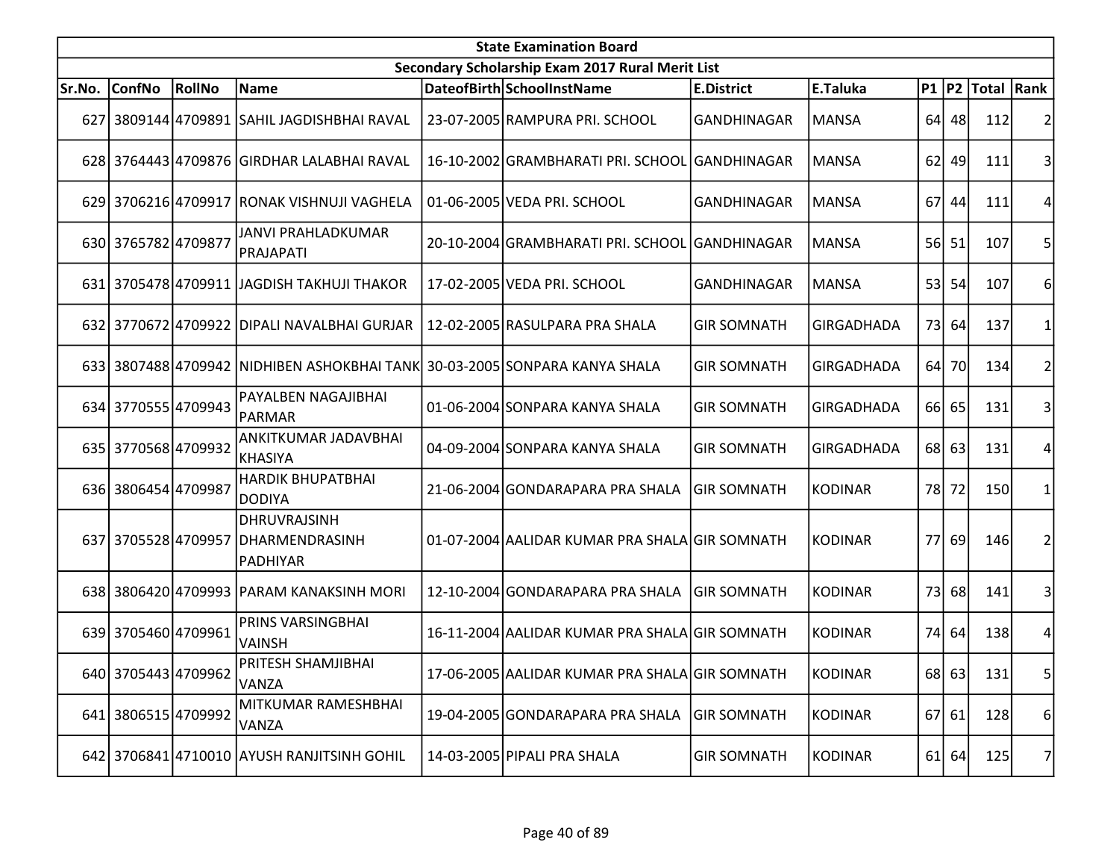|        | <b>State Examination Board</b> |        |                                                   |  |                                                  |                    |                   |     |           |                  |    |  |  |
|--------|--------------------------------|--------|---------------------------------------------------|--|--------------------------------------------------|--------------------|-------------------|-----|-----------|------------------|----|--|--|
|        |                                |        |                                                   |  | Secondary Scholarship Exam 2017 Rural Merit List |                    |                   |     |           |                  |    |  |  |
| Sr.No. | <b>ConfNo</b>                  | RollNo | Name                                              |  | DateofBirth SchoolInstName                       | <b>E.District</b>  | E.Taluka          |     |           | P1 P2 Total Rank |    |  |  |
|        |                                |        | 627 3809144 4709891 SAHIL JAGDISHBHAI RAVAL       |  | 23-07-2005 RAMPURA PRI. SCHOOL                   | <b>GANDHINAGAR</b> | <b>MANSA</b>      |     | 64 48     | 112              |    |  |  |
|        |                                |        | 628 3764443 4709876 GIRDHAR LALABHAI RAVAL        |  | 16-10-2002 GRAMBHARATI PRI. SCHOOL GANDHINAGAR   |                    | <b>MANSA</b>      |     | $62$   49 | 111              | 3  |  |  |
|        |                                |        | 629 3706216 4709917 RONAK VISHNUJI VAGHELA        |  | 01-06-2005 VEDA PRI. SCHOOL                      | GANDHINAGAR        | <b>MANSA</b>      |     | 67 44     | 111              |    |  |  |
|        | 630 3765782 4709877            |        | JANVI PRAHLADKUMAR<br>PRAJAPATI                   |  | 20-10-2004 GRAMBHARATI PRI. SCHOOL               | GANDHINAGAR        | <b>MANSA</b>      |     | 56 51     | 107              | 5  |  |  |
|        |                                |        | 631 3705478 4709911 JAGDISH TAKHUJI THAKOR        |  | 17-02-2005 VEDA PRI. SCHOOL                      | GANDHINAGAR        | <b>MANSA</b>      | 53  | 54        | 107              | 6  |  |  |
|        |                                |        | 632 3770672 4709922 DIPALI NAVALBHAI GURJAR       |  | 12-02-2005 RASULPARA PRA SHALA                   | <b>GIR SOMNATH</b> | <b>GIRGADHADA</b> |     | 73 64     | 137              |    |  |  |
|        |                                |        | 633 3807488 4709942 NIDHIBEN ASHOKBHAI TANK       |  | 30-03-2005 SONPARA KANYA SHALA                   | <b>GIR SOMNATH</b> | <b>GIRGADHADA</b> | 64  | 70        | 134              |    |  |  |
|        | 634 3770555 4709943            |        | PAYALBEN NAGAJIBHAI<br> PARMAR                    |  | 01-06-2004 SONPARA KANYA SHALA                   | <b>GIR SOMNATH</b> | <b>GIRGADHADA</b> |     | 66 65     | 131              | 3  |  |  |
|        | 635 3770568 4709932            |        | <b>ANKITKUMAR JADAVBHAI</b><br>KHASIYA            |  | 04-09-2004 SONPARA KANYA SHALA                   | <b>GIR SOMNATH</b> | <b>GIRGADHADA</b> |     | 68 63     | 131              | 4  |  |  |
|        | 636 3806454 4709987            |        | <b>HARDIK BHUPATBHAI</b><br>DODIYA                |  | 21-06-2004 GONDARAPARA PRA SHALA                 | <b>GIR SOMNATH</b> | <b>KODINAR</b>    |     | 78 72     | 150              |    |  |  |
|        | 637 3705528 4709957            |        | DHRUVRAJSINH<br><b>DHARMENDRASINH</b><br>PADHIYAR |  | 01-07-2004 AALIDAR KUMAR PRA SHALA GIR SOMNATH   |                    | <b>KODINAR</b>    | 77I | 69        | 146              | 2  |  |  |
|        |                                |        | 638 3806420 4709993 PARAM KANAKSINH MORI          |  | 12-10-2004 GONDARAPARA PRA SHALA                 | <b>GIR SOMNATH</b> | <b>KODINAR</b>    | 73  | 68        | 141              | 31 |  |  |
|        | 639 3705460 4709961            |        | PRINS VARSINGBHAI<br><b>VAINSH</b>                |  | 16-11-2004 AALIDAR KUMAR PRA SHALA GIR SOMNATH   |                    | <b>KODINAR</b>    |     | 74 64     | 138              | 4  |  |  |
|        | 640 3705443 4709962            |        | PRITESH SHAMJIBHAI<br>VANZA                       |  | 17-06-2005 AALIDAR KUMAR PRA SHALA GIR SOMNATH   |                    | <b>KODINAR</b>    |     | 68 63     | 131              | 5  |  |  |
|        | 641 3806515 4709992            |        | MITKUMAR RAMESHBHAI<br>VANZA                      |  | 19-04-2005 GONDARAPARA PRA SHALA                 | <b>GIR SOMNATH</b> | <b>KODINAR</b>    |     | 67 61     | 128              | 6  |  |  |
|        |                                |        | 642 3706841 4710010 AYUSH RANJITSINH GOHIL        |  | 14-03-2005 PIPALI PRA SHALA                      | <b>GIR SOMNATH</b> | <b>KODINAR</b>    |     | $61$ 64   | 125              | 7  |  |  |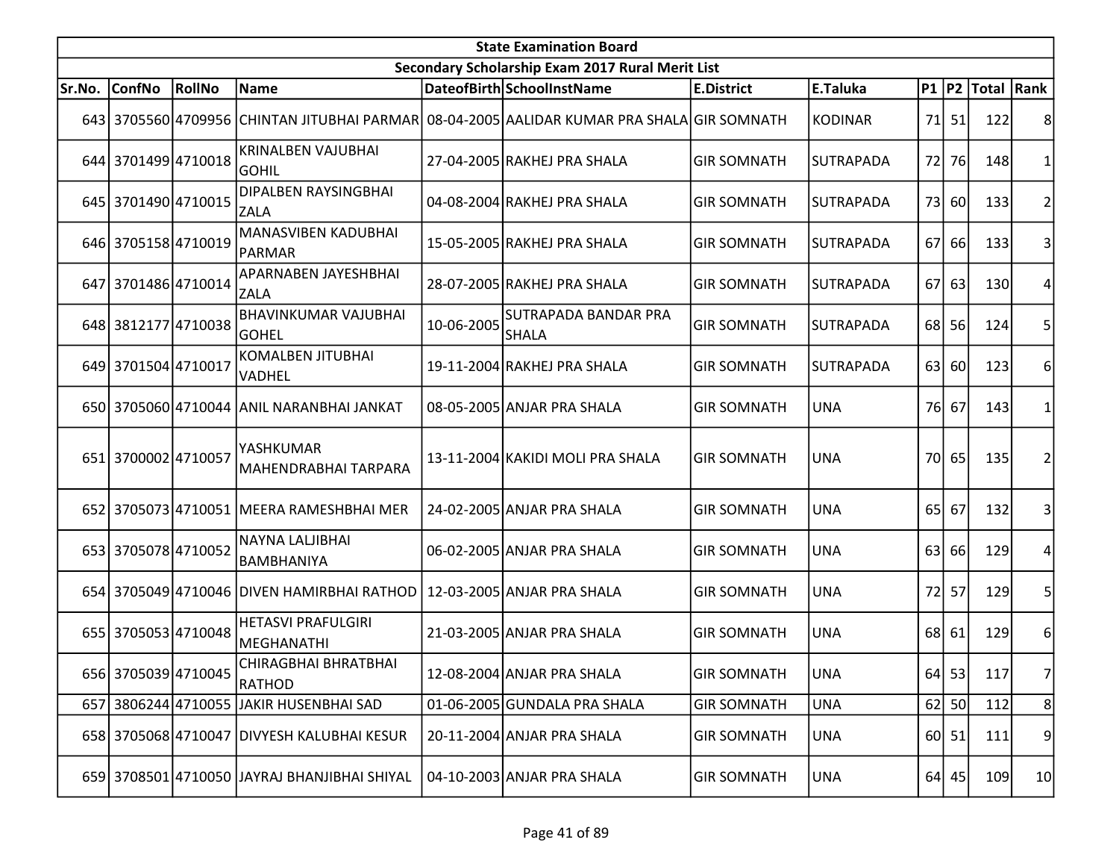| <b>State Examination Board</b> |                     |        |                                               |            |                                                                                            |                    |                  |                 |           |                     |                |  |
|--------------------------------|---------------------|--------|-----------------------------------------------|------------|--------------------------------------------------------------------------------------------|--------------------|------------------|-----------------|-----------|---------------------|----------------|--|
|                                |                     |        |                                               |            | Secondary Scholarship Exam 2017 Rural Merit List                                           |                    |                  |                 |           |                     |                |  |
| Sr.No.                         | <b>ConfNo</b>       | RollNo | Name                                          |            | DateofBirth SchoolInstName                                                                 | <b>E.District</b>  | E.Taluka         |                 |           | P1  P2  Total  Rank |                |  |
|                                |                     |        |                                               |            | 643 3705560 4709956 CHINTAN JITUBHAI PARMAR 08-04-2005 AALIDAR KUMAR PRA SHALA GIR SOMNATH |                    | <b>KODINAR</b>   |                 | 71 51     | 122                 | 8              |  |
|                                | 644 3701499 4710018 |        | <b>KRINALBEN VAJUBHAI</b><br><b>GOHIL</b>     |            | 27-04-2005 RAKHEJ PRA SHALA                                                                | <b>GIR SOMNATH</b> | SUTRAPADA        | 72              | 76        | 148                 |                |  |
|                                | 645 3701490 4710015 |        | <b>DIPALBEN RAYSINGBHAI</b><br><b>ZALA</b>    |            | 04-08-2004 RAKHEJ PRA SHALA                                                                | <b>GIR SOMNATH</b> | <b>SUTRAPADA</b> | 73I             | <b>60</b> | 133                 | 2              |  |
|                                | 646 3705158 4710019 |        | MANASVIBEN KADUBHAI<br>PARMAR                 |            | 15-05-2005 RAKHEJ PRA SHALA                                                                | <b>GIR SOMNATH</b> | SUTRAPADA        |                 | 67 66     | 133                 | 3              |  |
|                                | 647 3701486 4710014 |        | APARNABEN JAYESHBHAI<br><b>ZALA</b>           |            | 28-07-2005 RAKHEJ PRA SHALA                                                                | <b>GIR SOMNATH</b> | SUTRAPADA        | 67 <sup> </sup> | 63        | 130                 |                |  |
|                                | 648 3812177 4710038 |        | <b>BHAVINKUMAR VAJUBHAI</b><br><b>GOHEL</b>   | 10-06-2005 | <b>SUTRAPADA BANDAR PRA</b><br>SHALA                                                       | <b>GIR SOMNATH</b> | SUTRAPADA        |                 | 68 56     | 124                 | 5              |  |
|                                | 649 3701504 4710017 |        | <b>KOMALBEN JITUBHAI</b><br><b>VADHEL</b>     |            | 19-11-2004 RAKHEJ PRA SHALA                                                                | <b>GIR SOMNATH</b> | SUTRAPADA        |                 | 63 60     | 123                 | 6              |  |
|                                |                     |        | 650 3705060 4710044 ANIL NARANBHAI JANKAT     |            | 08-05-2005 ANJAR PRA SHALA                                                                 | <b>GIR SOMNATH</b> | <b>UNA</b>       |                 | 76 67     | 143                 |                |  |
|                                | 651 3700002 4710057 |        | YASHKUMAR<br>MAHENDRABHAI TARPARA             |            | 13-11-2004 KAKIDI MOLI PRA SHALA                                                           | <b>GIR SOMNATH</b> | <b>UNA</b>       |                 | 70 65     | 135                 | 2              |  |
|                                |                     |        | 652 3705073 4710051 MEERA RAMESHBHAI MER      |            | 24-02-2005 ANJAR PRA SHALA                                                                 | <b>GIR SOMNATH</b> | <b>UNA</b>       |                 | 65 67     | 132                 | 3              |  |
|                                | 653 3705078 4710052 |        | NAYNA LALJIBHAI<br><b>BAMBHANIYA</b>          |            | 06-02-2005 ANJAR PRA SHALA                                                                 | <b>GIR SOMNATH</b> | <b>UNA</b>       | 63 l            | 66        | 129                 | 4              |  |
|                                |                     |        | 654 3705049 4710046 DIVEN HAMIRBHAI RATHOD    |            | 12-03-2005 ANJAR PRA SHALA                                                                 | <b>GIR SOMNATH</b> | <b>UNA</b>       | 72              | 57        | 129                 | 5              |  |
|                                | 655 3705053 4710048 |        | <b>HETASVI PRAFULGIRI</b><br>MEGHANATHI       |            | 21-03-2005 ANJAR PRA SHALA                                                                 | <b>GIR SOMNATH</b> | <b>UNA</b>       |                 | 68 61     | 129                 | 6              |  |
|                                | 656 3705039 4710045 |        | CHIRAGBHAI BHRATBHAI<br>RATHOD                |            | 12-08-2004 ANJAR PRA SHALA                                                                 | <b>GIR SOMNATH</b> | <b>UNA</b>       |                 | 64 53     | 117                 | 7              |  |
|                                | 657 3806244 4710055 |        | JAKIR HUSENBHAI SAD                           |            | 01-06-2005 GUNDALA PRA SHALA                                                               | <b>GIR SOMNATH</b> | <b>UNA</b>       |                 | $62$ 50   | 112                 | 8 <sup>0</sup> |  |
|                                |                     |        | 658 3705068 4710047 DIVYESH KALUBHAI KESUR    |            | 20-11-2004 ANJAR PRA SHALA                                                                 | <b>GIR SOMNATH</b> | <b>UNA</b>       |                 | 60 51     | 111                 | $\overline{9}$ |  |
|                                |                     |        | 659 3708501 4710050 JJAYRAJ BHANJIBHAI SHIYAL |            | 04-10-2003 ANJAR PRA SHALA                                                                 | <b>GIR SOMNATH</b> | <b>UNA</b>       |                 | $64$ 45   | 109                 | 10             |  |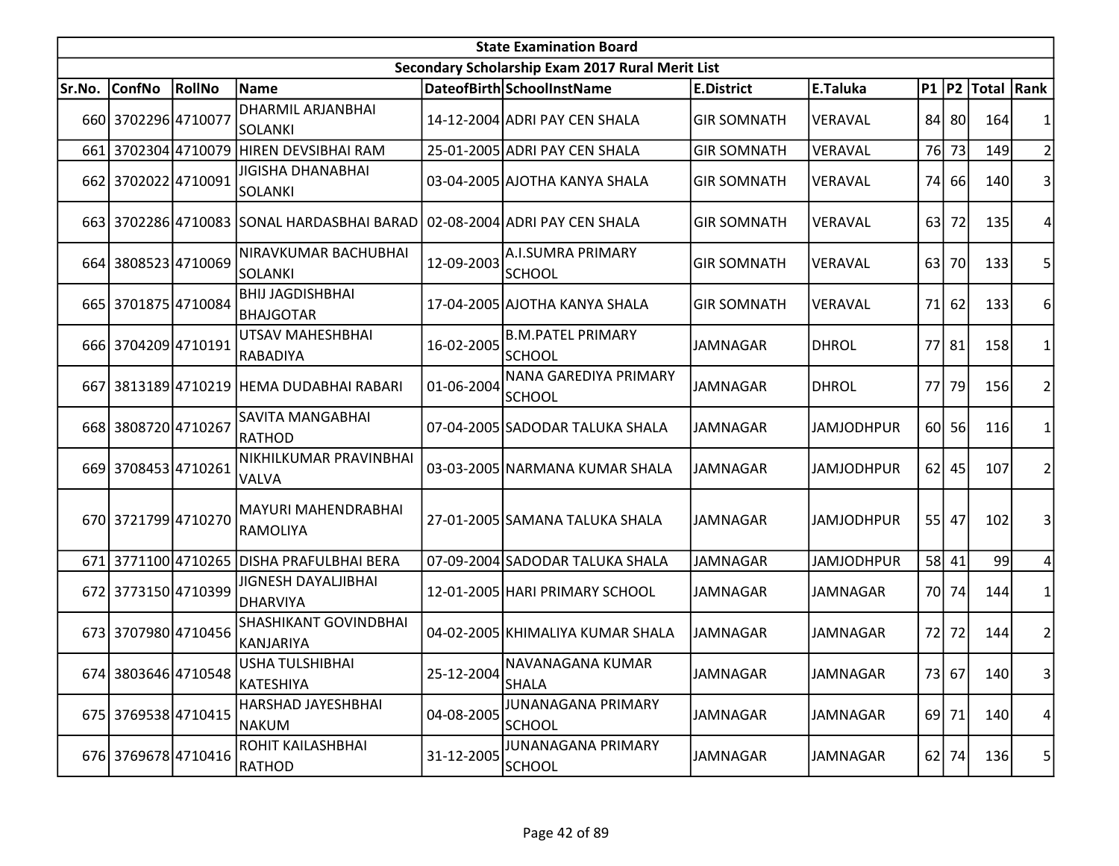|        | <b>State Examination Board</b><br>Secondary Scholarship Exam 2017 Rural Merit List |               |                                            |            |                                           |                    |                   |      |           |                     |                |  |  |  |
|--------|------------------------------------------------------------------------------------|---------------|--------------------------------------------|------------|-------------------------------------------|--------------------|-------------------|------|-----------|---------------------|----------------|--|--|--|
|        |                                                                                    |               |                                            |            |                                           |                    |                   |      |           |                     |                |  |  |  |
| Sr.No. | ConfNo                                                                             | <b>RollNo</b> | Name                                       |            | DateofBirth SchoolInstName                | <b>E.District</b>  | E.Taluka          |      |           | P1  P2  Total  Rank |                |  |  |  |
|        | 660 3702296 4710077                                                                |               | <b>DHARMIL ARJANBHAI</b><br><b>SOLANKI</b> |            | 14-12-2004 ADRI PAY CEN SHALA             | <b>GIR SOMNATH</b> | VERAVAL           |      | 84 80     | 164                 |                |  |  |  |
|        |                                                                                    |               | 661 3702304 4710079 HIREN DEVSIBHAI RAM    |            | 25-01-2005 ADRI PAY CEN SHALA             | <b>GIR SOMNATH</b> | VERAVAL           |      | 76 73     | 149                 |                |  |  |  |
|        | 662 3702022 4710091                                                                |               | <b>JIGISHA DHANABHAI</b><br>SOLANKI        |            | 03-04-2005 AJOTHA KANYA SHALA             | <b>GIR SOMNATH</b> | VERAVAL           |      | 74 66     | 140                 |                |  |  |  |
|        |                                                                                    |               | 663 3702286 4710083 SONAL HARDASBHAI BARAD |            | 02-08-2004 ADRI PAY CEN SHALA             | <b>GIR SOMNATH</b> | VERAVAL           | 63   | 72        | 135                 |                |  |  |  |
|        | 664 3808523 4710069                                                                |               | NIRAVKUMAR BACHUBHAI<br><b>SOLANKI</b>     | 12-09-2003 | <b>A.I.SUMRA PRIMARY</b><br><b>SCHOOL</b> | <b>GIR SOMNATH</b> | VERAVAL           | 63 I | <b>70</b> | 133                 | 5              |  |  |  |
|        | 665 3701875 4710084                                                                |               | <b>BHIJ JAGDISHBHAI</b><br>BHAJGOTAR       |            | 17-04-2005 AJOTHA KANYA SHALA             | <b>GIR SOMNATH</b> | VERAVAL           | 71   | 62        | 133                 | 6              |  |  |  |
|        | 666 3704209 4710191                                                                |               | UTSAV MAHESHBHAI<br>RABADIYA               | 16-02-2005 | <b>B.M.PATEL PRIMARY</b><br><b>SCHOOL</b> | <b>JAMNAGAR</b>    | <b>DHROL</b>      |      | 77 81     | 158                 | 1              |  |  |  |
| 6671   |                                                                                    |               | 3813189 4710219 HEMA DUDABHAI RABARI       | 01-06-2004 | NANA GAREDIYA PRIMARY<br><b>SCHOOL</b>    | <b>JAMNAGAR</b>    | <b>DHROL</b>      | 77 l | 79        | 156                 | 2              |  |  |  |
|        | 668 3808720 4710267                                                                |               | SAVITA MANGABHAI<br>RATHOD                 |            | 07-04-2005 SADODAR TALUKA SHALA           | JAMNAGAR           | <b>JAMJODHPUR</b> |      | 60 56     | 116                 |                |  |  |  |
|        | 669 3708453 4710261                                                                |               | NIKHILKUMAR PRAVINBHAI<br><b>VALVA</b>     |            | 03-03-2005 NARMANA KUMAR SHALA            | JAMNAGAR           | <b>JAMJODHPUR</b> |      | 62 45     | 107                 |                |  |  |  |
|        | 670 3721799 4710270                                                                |               | MAYURI MAHENDRABHAI<br>RAMOLIYA            |            | 27-01-2005 SAMANA TALUKA SHALA            | <b>JAMNAGAR</b>    | <b>JAMJODHPUR</b> |      | 55 47     | 102                 |                |  |  |  |
|        | 671 3771100 4710265                                                                |               | DISHA PRAFULBHAI BERA                      |            | 07-09-2004 SADODAR TALUKA SHALA           | <b>JAMNAGAR</b>    | <b>JAMJODHPUR</b> |      | 58 41     | 99                  | 4              |  |  |  |
|        | 672 3773150 4710399                                                                |               | JIGNESH DAYALJIBHAI<br>DHARVIYA            |            | 12-01-2005 HARI PRIMARY SCHOOL            | <b>JAMNAGAR</b>    | <b>JAMNAGAR</b>   |      | 70 74     | 144                 |                |  |  |  |
|        | 673 3707980 4710456                                                                |               | <b>SHASHIKANT GOVINDBHAI</b><br>KANJARIYA  |            | 04-02-2005 KHIMALIYA KUMAR SHALA          | <b>JAMNAGAR</b>    | JAMNAGAR          |      | 72 72     | 144                 | $\overline{2}$ |  |  |  |
|        | 674 3803646 4710548                                                                |               | IUSHA TULSHIBHAI<br>KATESHIYA              | 25-12-2004 | INAVANAGANA KUMAR<br><b>SHALA</b>         | JAMNAGAR           | JAMNAGAR          |      | 73 67     | 140                 | 3              |  |  |  |
|        | 675 3769538 4710415                                                                |               | HARSHAD JAYESHBHAI<br>NAKUM                | 04-08-2005 | JUNANAGANA PRIMARY<br><b>SCHOOL</b>       | JAMNAGAR           | JAMNAGAR          |      | 69 71     | 140                 | 4              |  |  |  |
|        | 676 3769678 4710416                                                                |               | ROHIT KAILASHBHAI<br>RATHOD                | 31-12-2005 | JUNANAGANA PRIMARY<br><b>SCHOOL</b>       | JAMNAGAR           | JAMNAGAR          |      | 62 74     | 136                 | 5              |  |  |  |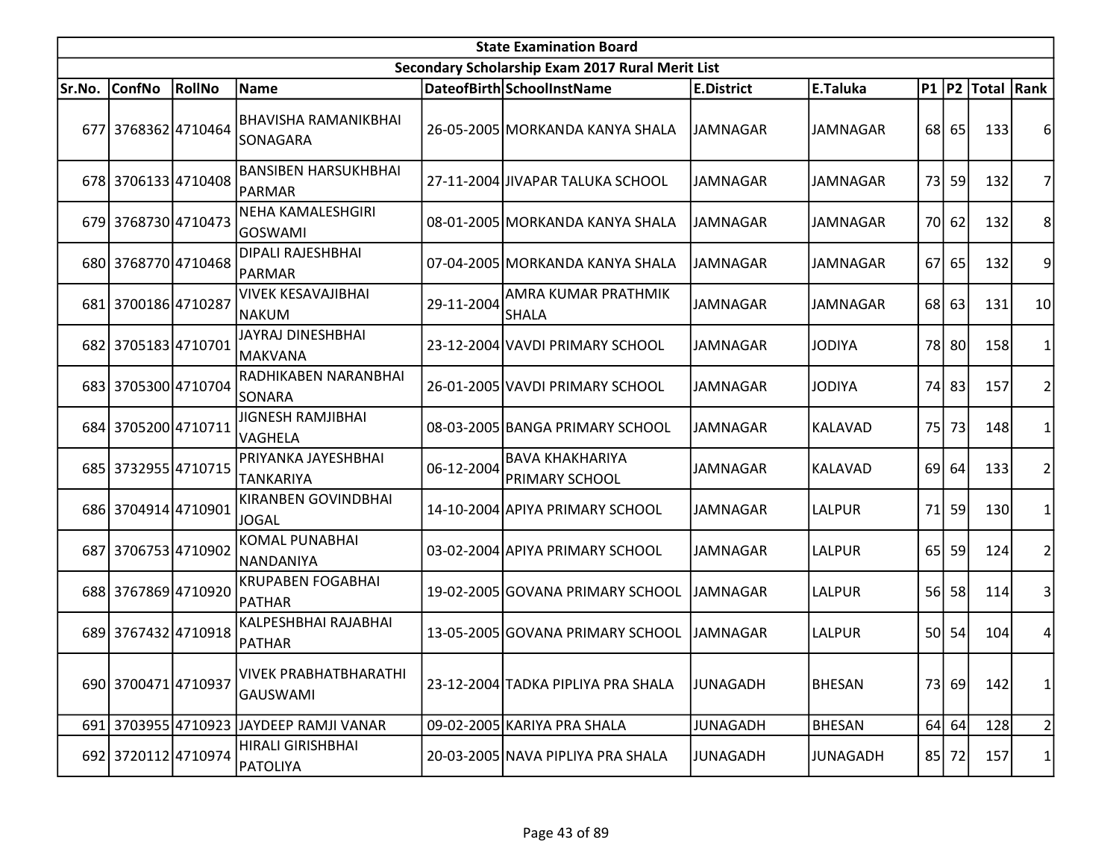|        | <b>State Examination Board</b> |        |                                                 |            |                                                  |                   |                 |                 |         |                  |                         |  |  |
|--------|--------------------------------|--------|-------------------------------------------------|------------|--------------------------------------------------|-------------------|-----------------|-----------------|---------|------------------|-------------------------|--|--|
|        |                                |        |                                                 |            | Secondary Scholarship Exam 2017 Rural Merit List |                   |                 |                 |         |                  |                         |  |  |
| Sr.No. | <b>ConfNo</b>                  | RollNo | Name                                            |            | DateofBirth SchoolInstName                       | <b>E.District</b> | E.Taluka        |                 |         | P1 P2 Total Rank |                         |  |  |
|        | 677 3768362 4710464            |        | BHAVISHA RAMANIKBHAI<br>SONAGARA                |            | 26-05-2005 MORKANDA KANYA SHALA                  | JAMNAGAR          | <b>JAMNAGAR</b> |                 | 68 65   | 133              | 6                       |  |  |
|        | 678 3706133 4710408            |        | <b>BANSIBEN HARSUKHBHAI</b><br>PARMAR           |            | 27-11-2004 JIVAPAR TALUKA SCHOOL                 | <b>JAMNAGAR</b>   | <b>JAMNAGAR</b> | 73I             | 59      | 132              | 7                       |  |  |
|        | 679 3768730 4710473            |        | <b>NEHA KAMALESHGIRI</b><br>lGOSWAMI            |            | 08-01-2005 MORKANDA KANYA SHALA                  | JAMNAGAR          | <b>JAMNAGAR</b> |                 | 70 62   | 132              | 8                       |  |  |
|        | 680 3768770 4710468            |        | <b>DIPALI RAJESHBHAI</b><br> PARMAR             |            | 07-04-2005 MORKANDA KANYA SHALA                  | <b>JAMNAGAR</b>   | <b>JAMNAGAR</b> | 67              | 65      | 132              | 9                       |  |  |
|        | 681 3700186 4710287            |        | <b>VIVEK KESAVAJIBHAI</b><br> NAKUM             | 29-11-2004 | AMRA KUMAR PRATHMIK<br><b>SHALA</b>              | <b>JAMNAGAR</b>   | <b>JAMNAGAR</b> |                 | $68$ 63 | 131              | 10                      |  |  |
|        | 682 3705183 4710701            |        | <b>JAYRAJ DINESHBHAI</b><br> MAKVANA            |            | 23-12-2004 VAVDI PRIMARY SCHOOL                  | <b>JAMNAGAR</b>   | <b>JODIYA</b>   |                 | 78 80   | 158              | $\mathbf{1}$            |  |  |
|        | 683 3705300 4710704            |        | RADHIKABEN NARANBHAI<br>SONARA                  |            | 26-01-2005 VAVDI PRIMARY SCHOOL                  | <b>JAMNAGAR</b>   | <b>JODIYA</b>   |                 | 74 83   | 157              | $\overline{2}$          |  |  |
|        | 684 3705200 4710711            |        | <b>JIGNESH RAMJIBHAI</b><br><b>VAGHELA</b>      |            | 08-03-2005 BANGA PRIMARY SCHOOL                  | <b>JAMNAGAR</b>   | <b>KALAVAD</b>  | 75I             | 73      | 148              | 1                       |  |  |
|        | 685 3732955 4710715            |        | PRIYANKA JAYESHBHAI<br><b>TANKARIYA</b>         | 06-12-2004 | <b>BAVA KHAKHARIYA</b><br><b>PRIMARY SCHOOL</b>  | <b>JAMNAGAR</b>   | <b>KALAVAD</b>  | 69              | 64      | 133              | $\overline{2}$          |  |  |
|        | 686 3704914 4710901            |        | <b>KIRANBEN GOVINDBHAI</b><br><b>JOGAL</b>      |            | 14-10-2004 APIYA PRIMARY SCHOOL                  | <b>JAMNAGAR</b>   | <b>LALPUR</b>   | 71              | 59      | 130              | 1                       |  |  |
|        | 687 3706753 4710902            |        | <b>KOMAL PUNABHAI</b><br>NANDANIYA              |            | 03-02-2004 APIYA PRIMARY SCHOOL                  | <b>JAMNAGAR</b>   | LALPUR          | 65              | 59      | 124              | $\overline{c}$          |  |  |
|        | 688 3767869 4710920            |        | <b>KRUPABEN FOGABHAI</b><br>PATHAR              |            | 19-02-2005 GOVANA PRIMARY SCHOOL                 | <b>JAMNAGAR</b>   | <b>LALPUR</b>   | 56              | 58      | 114              | 3                       |  |  |
|        | 689 3767432 4710918            |        | KALPESHBHAI RAJABHAI<br>PATHAR                  |            | 13-05-2005 GOVANA PRIMARY SCHOOL                 | <b>JAMNAGAR</b>   | LALPUR          | 50 <sup>1</sup> | 54      | 104              | 4                       |  |  |
|        | 690 3700471 4710937            |        | <b>VIVEK PRABHATBHARATHI</b><br><b>GAUSWAMI</b> |            | 23-12-2004 TADKA PIPLIYA PRA SHALA               | JUNAGADH          | <b>BHESAN</b>   |                 | 73 69   | 142              | 1                       |  |  |
|        |                                |        | 691 3703955 4710923 JAYDEEP RAMJI VANAR         |            | 09-02-2005 KARIYA PRA SHALA                      | <b>JUNAGADH</b>   | <b>BHESAN</b>   |                 | 64   64 | 128              | $\overline{\mathbf{c}}$ |  |  |
|        | 692 3720112 4710974            |        | HIRALI GIRISHBHAI<br>PATOLIYA                   |            | 20-03-2005 NAVA PIPLIYA PRA SHALA                | <b>JUNAGADH</b>   | <b>JUNAGADH</b> |                 | 85 72   | 157              | 1                       |  |  |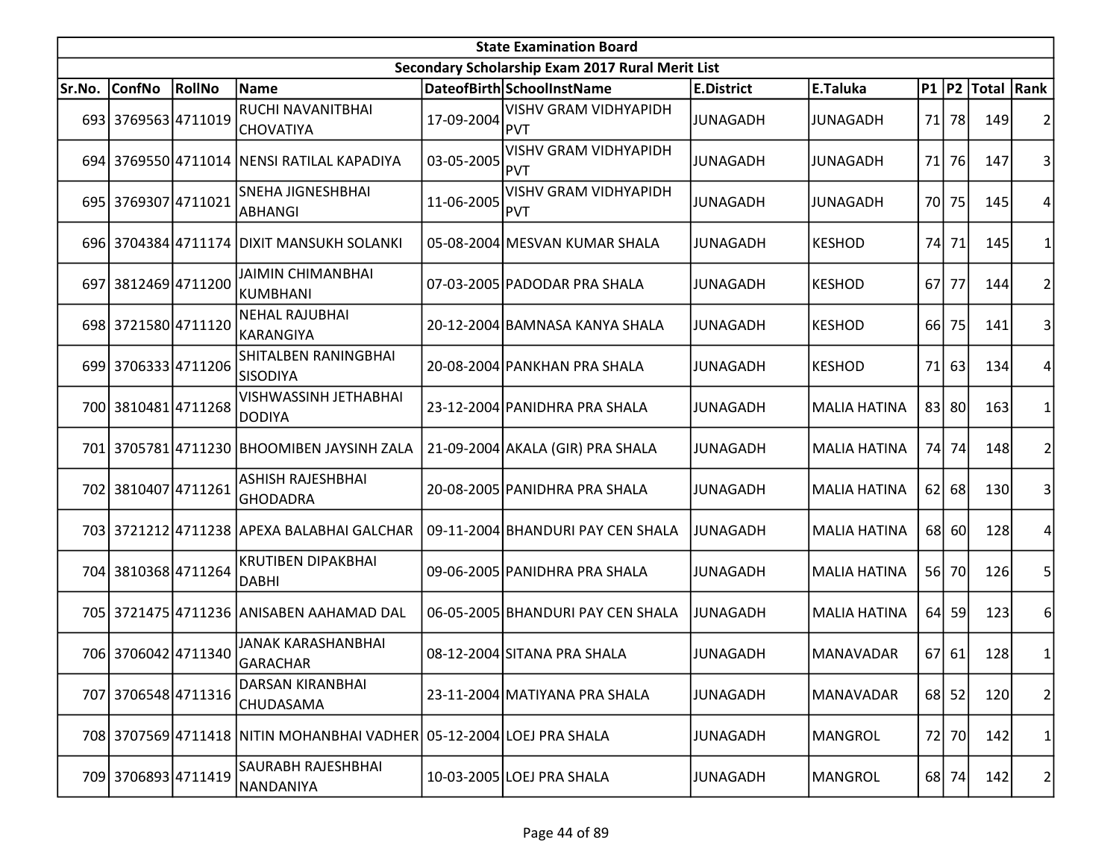| <b>State Examination Board</b> |                     |        |                                                                      |            |                                                  |                   |                     |    |         |                     |                |  |
|--------------------------------|---------------------|--------|----------------------------------------------------------------------|------------|--------------------------------------------------|-------------------|---------------------|----|---------|---------------------|----------------|--|
|                                |                     |        |                                                                      |            | Secondary Scholarship Exam 2017 Rural Merit List |                   |                     |    |         |                     |                |  |
| Sr.No.                         | <b>ConfNo</b>       | RollNo | <b>Name</b>                                                          |            | DateofBirth SchoolInstName                       | <b>E.District</b> | E.Taluka            |    |         | P1  P2  Total  Rank |                |  |
|                                | 693 3769563 4711019 |        | RUCHI NAVANITBHAI<br><b>CHOVATIYA</b>                                | 17-09-2004 | <b>VISHV GRAM VIDHYAPIDH</b><br><b>PVT</b>       | <b>JUNAGADH</b>   | <b>JUNAGADH</b>     |    | 71 78   | 149                 | 2              |  |
|                                |                     |        | 694 3769550 4711014 NENSI RATILAL KAPADIYA                           | 03-05-2005 | <b>VISHV GRAM VIDHYAPIDH</b><br><b>PVT</b>       | <b>JUNAGADH</b>   | JUNAGADH            |    | 71 76   | 147                 | 3              |  |
|                                | 695 3769307 4711021 |        | <b>SNEHA JIGNESHBHAI</b><br><b>ABHANGI</b>                           | 11-06-2005 | <b>VISHV GRAM VIDHYAPIDH</b><br><b>PVT</b>       | <b>JUNAGADH</b>   | <b>JUNAGADH</b>     |    | 70 75   | 145                 |                |  |
|                                |                     |        | 696 3704384 4711174 DIXIT MANSUKH SOLANKI                            |            | 05-08-2004 MESVAN KUMAR SHALA                    | <b>JUNAGADH</b>   | <b>KESHOD</b>       |    | 74 71   | 145                 |                |  |
|                                | 697 3812469 4711200 |        | JAIMIN CHIMANBHAI<br>KUMBHANI                                        |            | 07-03-2005 PADODAR PRA SHALA                     | <b>JUNAGADH</b>   | <b>KESHOD</b>       | 67 | 77      | 144                 | 2              |  |
|                                | 698 3721580 4711120 |        | <b>NEHAL RAJUBHAI</b><br>lkarangiya                                  |            | 20-12-2004 BAMNASA KANYA SHALA                   | <b>JUNAGADH</b>   | <b>KESHOD</b>       | 66 | 75      | 141                 | 3              |  |
|                                | 699 3706333 4711206 |        | SHITALBEN RANINGBHAI<br>ISISODIYA                                    |            | 20-08-2004 PANKHAN PRA SHALA                     | <b>JUNAGADH</b>   | <b>KESHOD</b>       | 71 | 63      | 134                 | 4              |  |
|                                | 700 3810481 4711268 |        | <b>VISHWASSINH JETHABHAI</b><br>DODIYA                               |            | 23-12-2004 PANIDHRA PRA SHALA                    | <b>JUNAGADH</b>   | <b>MALIA HATINA</b> |    | 83 80   | 163                 |                |  |
|                                |                     |        | 701 3705781 4711230 BHOOMIBEN JAYSINH ZALA                           |            | 21-09-2004 AKALA (GIR) PRA SHALA                 | <b>JUNAGADH</b>   | <b>MALIA HATINA</b> |    | 74 74   | 148                 | 2              |  |
|                                | 702 3810407 4711261 |        | ASHISH RAJESHBHAI<br>GHODADRA                                        |            | 20-08-2005 PANIDHRA PRA SHALA                    | <b>JUNAGADH</b>   | <b>MALIA HATINA</b> |    | $62$ 68 | 130                 | 3              |  |
|                                |                     |        | 703 3721212 4711238 APEXA BALABHAI GALCHAR                           |            | 09-11-2004 BHANDURI PAY CEN SHALA                | JUNAGADH          | <b>MALIA HATINA</b> |    | 68 60   | <b>128</b>          |                |  |
|                                | 704 3810368 4711264 |        | <b>KRUTIBEN DIPAKBHAI</b><br>DABHI                                   |            | 09-06-2005 PANIDHRA PRA SHALA                    | <b>JUNAGADH</b>   | <b>MALIA HATINA</b> |    | 56 70   | 126                 | 5              |  |
|                                |                     |        | 705 3721475 4711236 ANISABEN AAHAMAD DAL                             |            | 06-05-2005 BHANDURI PAY CEN SHALA                | <b>JUNAGADH</b>   | <b>MALIA HATINA</b> |    | 64 59   | 123                 | 6              |  |
|                                | 706 3706042 4711340 |        | <b>JANAK KARASHANBHAI</b><br>GARACHAR                                |            | 08-12-2004 SITANA PRA SHALA                      | <b>JUNAGADH</b>   | <b>MANAVADAR</b>    |    | 67 61   | 128                 | 1              |  |
|                                | 707 3706548 4711316 |        | <b>DARSAN KIRANBHAI</b><br>CHUDASAMA                                 |            | 23-11-2004 MATIYANA PRA SHALA                    | <b>JUNAGADH</b>   | MANAVADAR           |    | 68 52   | 120                 | $\overline{2}$ |  |
|                                |                     |        | 708 3707569 4711418 NITIN MOHANBHAI VADHER 05-12-2004 LOEJ PRA SHALA |            |                                                  | <b>JUNAGADH</b>   | <b>MANGROL</b>      |    | 72 70   | 142                 | 1              |  |
|                                | 709 3706893 4711419 |        | SAURABH RAJESHBHAI<br>NANDANIYA                                      |            | 10-03-2005 LOEJ PRA SHALA                        | <b>JUNAGADH</b>   | MANGROL             |    | 68 74   | 142                 | 2              |  |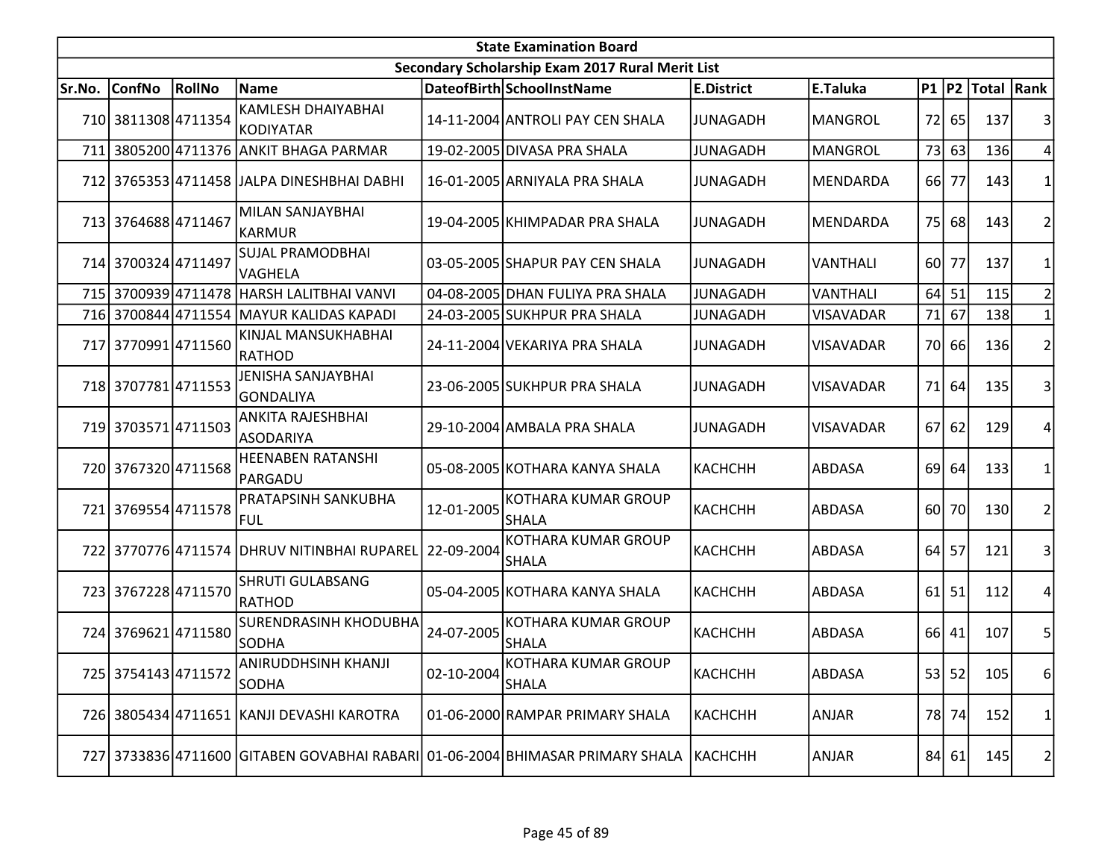|        | <b>State Examination Board</b><br>Secondary Scholarship Exam 2017 Rural Merit List |        |                                                                               |                  |                                            |                   |                  |    |         |                  |                |  |  |
|--------|------------------------------------------------------------------------------------|--------|-------------------------------------------------------------------------------|------------------|--------------------------------------------|-------------------|------------------|----|---------|------------------|----------------|--|--|
|        |                                                                                    |        |                                                                               |                  |                                            |                   |                  |    |         |                  |                |  |  |
| Sr.No. | <b>ConfNo</b>                                                                      | RollNo | Name                                                                          |                  | DateofBirth SchoolInstName                 | <b>E.District</b> | E.Taluka         |    |         | P1 P2 Total Rank |                |  |  |
|        | 710 3811308 4711354                                                                |        | <b>KAMLESH DHAIYABHAI</b><br>KODIYATAR                                        |                  | 14-11-2004 ANTROLI PAY CEN SHALA           | <b>JUNAGADH</b>   | <b>MANGROL</b>   |    | 72 65   | 137              |                |  |  |
| 711    |                                                                                    |        | 3805200 4711376 ANKIT BHAGA PARMAR                                            |                  | 19-02-2005 DIVASA PRA SHALA                | <b>JUNAGADH</b>   | <b>MANGROL</b>   |    | 73 63   | 136              |                |  |  |
|        |                                                                                    |        | 712 3765353 4711458 JALPA DINESHBHAI DABHI                                    |                  | 16-01-2005 ARNIYALA PRA SHALA              | <b>JUNAGADH</b>   | MENDARDA         |    | 66 77   | 143              |                |  |  |
|        | 713 3764688 4711467                                                                |        | MILAN SANJAYBHAI<br><b>KARMUR</b>                                             |                  | 19-04-2005 KHIMPADAR PRA SHALA             | <b>JUNAGADH</b>   | MENDARDA         | 75 | 68      | 143              | 2              |  |  |
|        | 714 3700324 4711497                                                                |        | SUJAL PRAMODBHAI<br>VAGHELA                                                   |                  | 03-05-2005 SHAPUR PAY CEN SHALA            | <b>JUNAGADH</b>   | <b>VANTHALI</b>  |    | 60 77   | 137              |                |  |  |
| 715    |                                                                                    |        | 3700939 4711478 HARSH LALITBHAI VANVI                                         |                  | 04-08-2005 DHAN FULIYA PRA SHALA           | <b>JUNAGADH</b>   | <b>VANTHALI</b>  |    | $64$ 51 | 115              | $\overline{2}$ |  |  |
|        |                                                                                    |        | 716 3700844 4711554 MAYUR KALIDAS KAPADI                                      |                  | 24-03-2005 SUKHPUR PRA SHALA               | <b>JUNAGADH</b>   | <b>VISAVADAR</b> | 71 | 67      | 138              |                |  |  |
|        | 717 3770991 4711560                                                                |        | KINJAL MANSUKHABHAI<br>RATHOD                                                 |                  | 24-11-2004 VEKARIYA PRA SHALA              | <b>JUNAGADH</b>   | <b>VISAVADAR</b> |    | 70 66   | 136              | $\overline{2}$ |  |  |
|        | 718 3707781 4711553                                                                |        | JENISHA SANJAYBHAI<br>GONDALIYA                                               |                  | 23-06-2005 SUKHPUR PRA SHALA               | <b>JUNAGADH</b>   | <b>VISAVADAR</b> | 71 | 64      | 135              | 3              |  |  |
|        | 719 3703571 4711503                                                                |        | <b>ANKITA RAJESHBHAI</b><br><b>ASODARIYA</b>                                  |                  | 29-10-2004 AMBALA PRA SHALA                | <b>JUNAGADH</b>   | <b>VISAVADAR</b> | 67 | 62      | 129              | 4              |  |  |
|        | 720 3767320 4711568                                                                |        | <b>HEENABEN RATANSHI</b><br>PARGADU                                           |                  | 05-08-2005 KOTHARA KANYA SHALA             | КАСНСНН           | ABDASA           | 69 | 64      | 133              |                |  |  |
|        | 721 3769554 4711578                                                                |        | <b>PRATAPSINH SANKUBHA</b><br>FUL                                             | 12-01-2005       | <b>KOTHARA KUMAR GROUP</b><br><b>SHALA</b> | <b>КАСНСНН</b>    | ABDASA           |    | 60 70   | 130              | $\overline{2}$ |  |  |
|        |                                                                                    |        | 722 3770776 4711574 DHRUV NITINBHAI RUPAREL                                   | 22-09-2004       | <b>KOTHARA KUMAR GROUP</b><br><b>SHALA</b> | <b>КАСНСНН</b>    | ABDASA           |    | 64 57   | 121              | 3              |  |  |
|        | 723 3767228 4711570                                                                |        | <b>SHRUTI GULABSANG</b><br>RATHOD                                             |                  | 05-04-2005 KOTHARA KANYA SHALA             | КАСНСНН           | ABDASA           | 61 | 51      | 112              | 4              |  |  |
|        | 724 3769621 4711580                                                                |        | <b>SURENDRASINH KHODUBHA</b><br><b>SODHA</b>                                  | 24-07-2005       | <b>KOTHARA KUMAR GROUP</b><br><b>SHALA</b> | <b>КАСНСНН</b>    | ABDASA           |    | 66 41   | 107              | 5              |  |  |
|        | 725 3754143 4711572                                                                |        | ANIRUDDHSINH KHANJI<br>SODHA                                                  | $02 - 10 - 2004$ | KOTHARA KUMAR GROUP<br><b>SHALA</b>        | КАСНСНН           | <b>ABDASA</b>    |    | 53 52   | 105              | 6              |  |  |
|        |                                                                                    |        | 726 3805434 4711651 KANJI DEVASHI KAROTRA                                     |                  | 01-06-2000 RAMPAR PRIMARY SHALA            | КАСНСНН           | ANJAR            |    | 78 74   | 152              | 1              |  |  |
|        |                                                                                    |        | 727 3733836 4711600 GITABEN GOVABHAI RABARI 01-06-2004 BHIMASAR PRIMARY SHALA |                  |                                            | <b>KACHCHH</b>    | ANJAR            |    | 84 61   | 145              | $\mathbf{2}$   |  |  |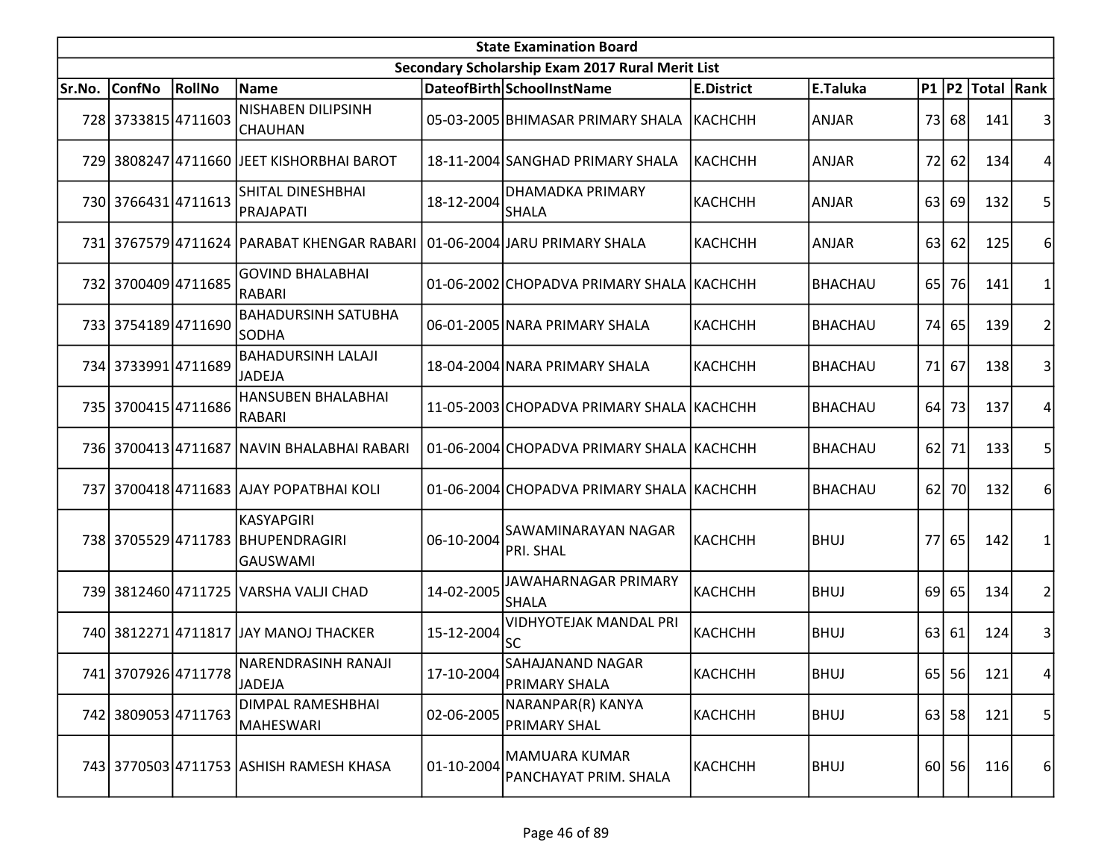|        | <b>State Examination Board</b> |        |                                                                          |            |                                                  |                   |                |                 |           |                  |                |  |  |
|--------|--------------------------------|--------|--------------------------------------------------------------------------|------------|--------------------------------------------------|-------------------|----------------|-----------------|-----------|------------------|----------------|--|--|
|        |                                |        |                                                                          |            | Secondary Scholarship Exam 2017 Rural Merit List |                   |                |                 |           |                  |                |  |  |
| Sr.No. | <b>ConfNo</b>                  | RollNo | <b>Name</b>                                                              |            | DateofBirth SchoolInstName                       | <b>E.District</b> | E.Taluka       |                 |           | P1 P2 Total Rank |                |  |  |
|        | 728 3733815 4711603            |        | NISHABEN DILIPSINH<br><b>CHAUHAN</b>                                     |            | 05-03-2005 BHIMASAR PRIMARY SHALA                | <b>КАСНСНН</b>    | ANJAR          |                 | 73 68     | 141              | 3              |  |  |
|        |                                |        | 729 3808247 4711660 JEET KISHORBHAI BAROT                                |            | 18-11-2004 SANGHAD PRIMARY SHALA                 | <b>КАСНСНН</b>    | <b>ANJAR</b>   | 72              | 62        | 134              | 4              |  |  |
|        | 730 3766431 4711613            |        | SHITAL DINESHBHAI<br>PRAJAPATI                                           | 18-12-2004 | DHAMADKA PRIMARY<br><b>SHALA</b>                 | <b>КАСНСНН</b>    | <b>ANJAR</b>   | 63              | 69        | 132              | 5              |  |  |
|        |                                |        | 731 3767579 4711624 PARABAT KHENGAR RABARI 01-06-2004 JARU PRIMARY SHALA |            |                                                  | <b>KACHCHH</b>    | <b>ANJAR</b>   | 63 l            | 62        | 125              | 6              |  |  |
|        | 732 3700409 4711685            |        | <b>GOVIND BHALABHAI</b><br>RABARI                                        |            | 01-06-2002 CHOPADVA PRIMARY SHALA   KACHCHH      |                   | <b>BHACHAU</b> | 65 <sup> </sup> | <b>76</b> | 141              |                |  |  |
|        | 733 3754189 4711690            |        | <b>BAHADURSINH SATUBHA</b><br>SODHA                                      |            | 06-01-2005 NARA PRIMARY SHALA                    | <b>КАСНСНН</b>    | <b>BHACHAU</b> | 74              | 65        | 139              | 2              |  |  |
|        | 734 3733991 4711689            |        | <b>BAHADURSINH LALAJI</b><br><b>JADEJA</b>                               |            | 18-04-2004 NARA PRIMARY SHALA                    | <b>КАСНСНН</b>    | <b>BHACHAU</b> | 71              | 67        | 138              |                |  |  |
|        | 735 3700415 4711686            |        | HANSUBEN BHALABHAI<br>RABARI                                             |            | 11-05-2003 CHOPADVA PRIMARY SHALA KACHCHH        |                   | <b>BHACHAU</b> | 64              | 73        | 137              |                |  |  |
|        |                                |        | 736 3700413 4711687 NAVIN BHALABHAI RABARI                               |            | 01-06-2004 CHOPADVA PRIMARY SHALA KACHCHH        |                   | <b>BHACHAU</b> |                 | 62 71     | 133              | 5              |  |  |
|        |                                |        | 737 3700418 4711683 AJAY POPATBHAI KOLI                                  |            | 01-06-2004 CHOPADVA PRIMARY SHALA KACHCHH        |                   | <b>BHACHAU</b> | 62              | <b>70</b> | 132              | 6              |  |  |
|        |                                |        | KASYAPGIRI<br>738 3705529 4711783 BHUPENDRAGIRI<br><b>GAUSWAMI</b>       | 06-10-2004 | SAWAMINARAYAN NAGAR<br>PRI. SHAL                 | КАСНСНН           | <b>BHUJ</b>    |                 | 77 65     | 142              |                |  |  |
|        |                                |        | 739 3812460 4711725 VARSHA VALJI CHAD                                    | 14-02-2005 | JAWAHARNAGAR PRIMARY<br><b>SHALA</b>             | <b>КАСНСНН</b>    | <b>BHUJ</b>    | 69 l            | 65        | 134              | $\overline{2}$ |  |  |
|        |                                |        | 740 3812271 4711817 JJAY MANOJ THACKER                                   | 15-12-2004 | <b>VIDHYOTEJAK MANDAL PRI</b><br><b>SC</b>       | <b>КАСНСНН</b>    | <b>BHUJ</b>    |                 | 63 61     | 124              | 3              |  |  |
|        | 741 3707926 4711778            |        | NARENDRASINH RANAJI<br>JADEJA                                            | 17-10-2004 | SAHAJANAND NAGAR<br><b>PRIMARY SHALA</b>         | КАСНСНН           | <b>BHUJ</b>    |                 | 65 56     | 121              | 4              |  |  |
|        | 742 3809053 4711763            |        | DIMPAL RAMESHBHAI<br>MAHESWARI                                           | 02-06-2005 | NARANPAR(R) KANYA<br><b>PRIMARY SHAL</b>         | КАСНСНН           | <b>BHUJ</b>    |                 | $63$ 58   | 121              | 5              |  |  |
|        |                                |        | 743 3770503 4711753 ASHISH RAMESH KHASA                                  | 01-10-2004 | MAMUARA KUMAR<br>PANCHAYAT PRIM. SHALA           | КАСНСНН           | <b>BHUJ</b>    |                 | $60$   56 | 116              | $6 \mid$       |  |  |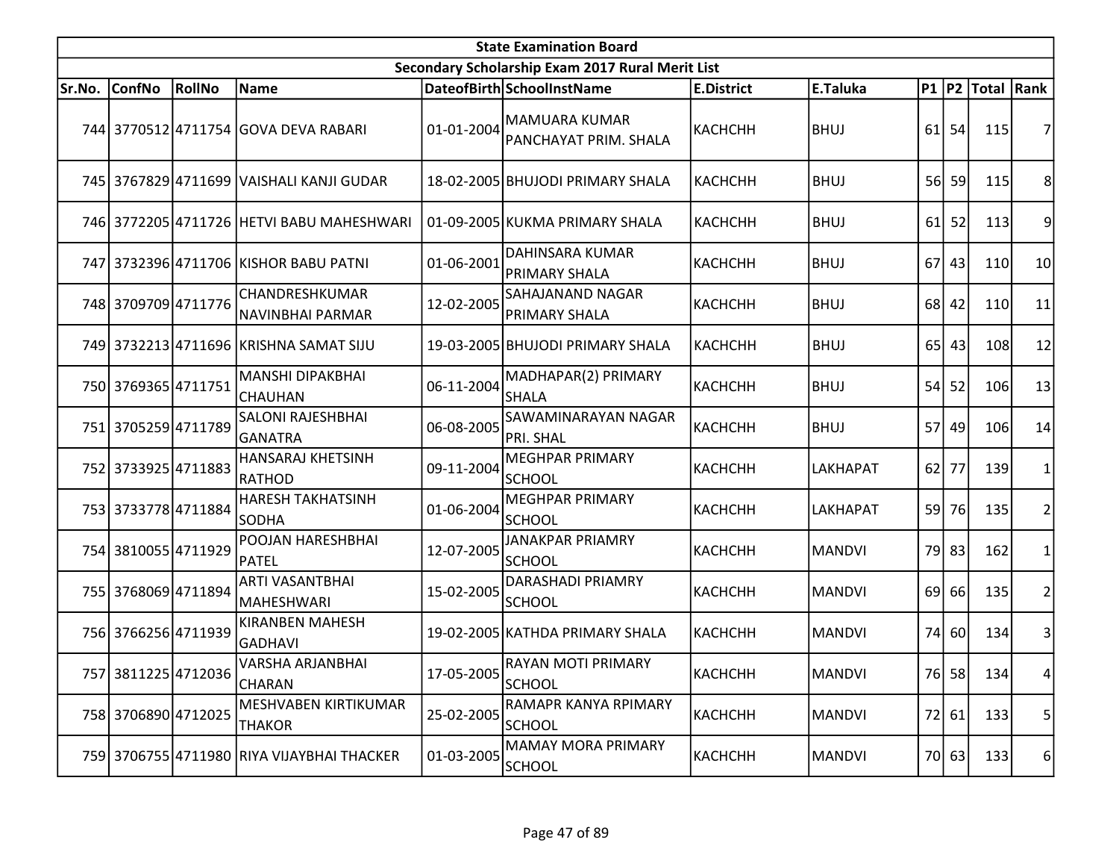|        | <b>State Examination Board</b><br>Secondary Scholarship Exam 2017 Rural Merit List |        |                                            |            |                                               |                   |               |    |           |                  |                 |  |  |  |
|--------|------------------------------------------------------------------------------------|--------|--------------------------------------------|------------|-----------------------------------------------|-------------------|---------------|----|-----------|------------------|-----------------|--|--|--|
|        |                                                                                    |        |                                            |            |                                               |                   |               |    |           |                  |                 |  |  |  |
| Sr.No. | <b>ConfNo</b>                                                                      | RollNo | Name                                       |            | DateofBirth SchoolInstName                    | <b>E.District</b> | E.Taluka      |    |           | P1 P2 Total Rank |                 |  |  |  |
|        |                                                                                    |        | 744 3770512 4711754 GOVA DEVA RABARI       | 01-01-2004 | <b>MAMUARA KUMAR</b><br>PANCHAYAT PRIM. SHALA | <b>КАСНСНН</b>    | <b>BHUJ</b>   |    | $61$ 54   | 115              |                 |  |  |  |
|        |                                                                                    |        | 745 3767829 4711699 VAISHALI KANJI GUDAR   |            | 18-02-2005 BHUJODI PRIMARY SHALA              | <b>КАСНСНН</b>    | <b>BHUJ</b>   |    | 56 59     | 115              | 8               |  |  |  |
|        |                                                                                    |        | 746 3772205 4711726 HETVI BABU MAHESHWARI  |            | 01-09-2005 KUKMA PRIMARY SHALA                | <b>КАСНСНН</b>    | <b>BHUJ</b>   | 61 | 52        | 113              | 9               |  |  |  |
|        |                                                                                    |        | 747 3732396 4711706 KISHOR BABU PATNI      | 01-06-2001 | DAHINSARA KUMAR<br><b>PRIMARY SHALA</b>       | <b>КАСНСНН</b>    | <b>BHUJ</b>   |    | $67$   43 | 110              | 10 <sup>1</sup> |  |  |  |
|        | 748 3709709 4711776                                                                |        | CHANDRESHKUMAR<br>NAVINBHAI PARMAR         | 12-02-2005 | SAHAJANAND NAGAR<br>PRIMARY SHALA             | <b>КАСНСНН</b>    | <b>BHUJ</b>   |    | 68 42     | 110              | 11              |  |  |  |
|        |                                                                                    |        | 749 3732213 4711696 KRISHNA SAMAT SIJU     |            | 19-03-2005 BHUJODI PRIMARY SHALA              | <b>КАСНСНН</b>    | <b>BHUJ</b>   |    | 65 43     | <b>108</b>       | 12              |  |  |  |
|        | 750 3769365 4711751                                                                |        | MANSHI DIPAKBHAI<br><b>CHAUHAN</b>         | 06-11-2004 | MADHAPAR(2) PRIMARY<br><b>SHALA</b>           | КАСНСНН           | <b>BHUJ</b>   |    | $54$ 52   | 106              | 13              |  |  |  |
|        | 751 3705259 4711789                                                                |        | SALONI RAJESHBHAI<br>GANATRA               | 06-08-2005 | SAWAMINARAYAN NAGAR<br>PRI. SHAL              | <b>КАСНСНН</b>    | <b>BHUJ</b>   |    | 57 49     | <b>106</b>       | 14              |  |  |  |
|        | 752 3733925 4711883                                                                |        | HANSARAJ KHETSINH<br>RATHOD                | 09-11-2004 | <b>MEGHPAR PRIMARY</b><br><b>SCHOOL</b>       | <b>КАСНСНН</b>    | LAKHAPAT      |    | $62$   77 | 139              |                 |  |  |  |
|        | 753 3733778 4711884                                                                |        | <b>HARESH TAKHATSINH</b><br><b>SODHA</b>   | 01-06-2004 | <b>MEGHPAR PRIMARY</b><br><b>SCHOOL</b>       | КАСНСНН           | LAKHAPAT      |    | 59 76     | 135              | 2               |  |  |  |
|        | 754 3810055 4711929                                                                |        | POOJAN HARESHBHAI<br>PATEL                 | 12-07-2005 | JANAKPAR PRIAMRY<br><b>SCHOOL</b>             | КАСНСНН           | <b>MANDVI</b> |    | 79 83     | 162              |                 |  |  |  |
|        | 755 3768069 4711894                                                                |        | ARTI VASANTBHAI<br>MAHESHWARI              | 15-02-2005 | DARASHADI PRIAMRY<br><b>SCHOOL</b>            | <b>КАСНСНН</b>    | <b>MANDVI</b> |    | 69 66     | 135              | $\overline{2}$  |  |  |  |
|        | 756 3766256 4711939                                                                |        | <b>KIRANBEN MAHESH</b><br><b>GADHAVI</b>   |            | 19-02-2005 KATHDA PRIMARY SHALA               | <b>КАСНСНН</b>    | <b>MANDVI</b> |    | 74 60     | 134              | 3               |  |  |  |
|        | 757 3811225 4712036                                                                |        | VARSHA ARJANBHAI<br>CHARAN                 | 17-05-2005 | RAYAN MOTI PRIMARY<br><b>SCHOOL</b>           | <b>КАСНСНН</b>    | <b>MANDVI</b> |    | 76 58     | 134              | 4               |  |  |  |
|        | 758 3706890 4712025                                                                |        | MESHVABEN KIRTIKUMAR<br><b>THAKOR</b>      | 25-02-2005 | RAMAPR KANYA RPIMARY<br><b>SCHOOL</b>         | <b>КАСНСНН</b>    | <b>MANDVI</b> |    | 72 61     | 133              | 5               |  |  |  |
|        |                                                                                    |        | 759 3706755 4711980 RIYA VIJAYBHAI THACKER | 01-03-2005 | <b>MAMAY MORA PRIMARY</b><br><b>SCHOOL</b>    | КАСНСНН           | <b>MANDVI</b> |    | 70 63     | 133              | 6               |  |  |  |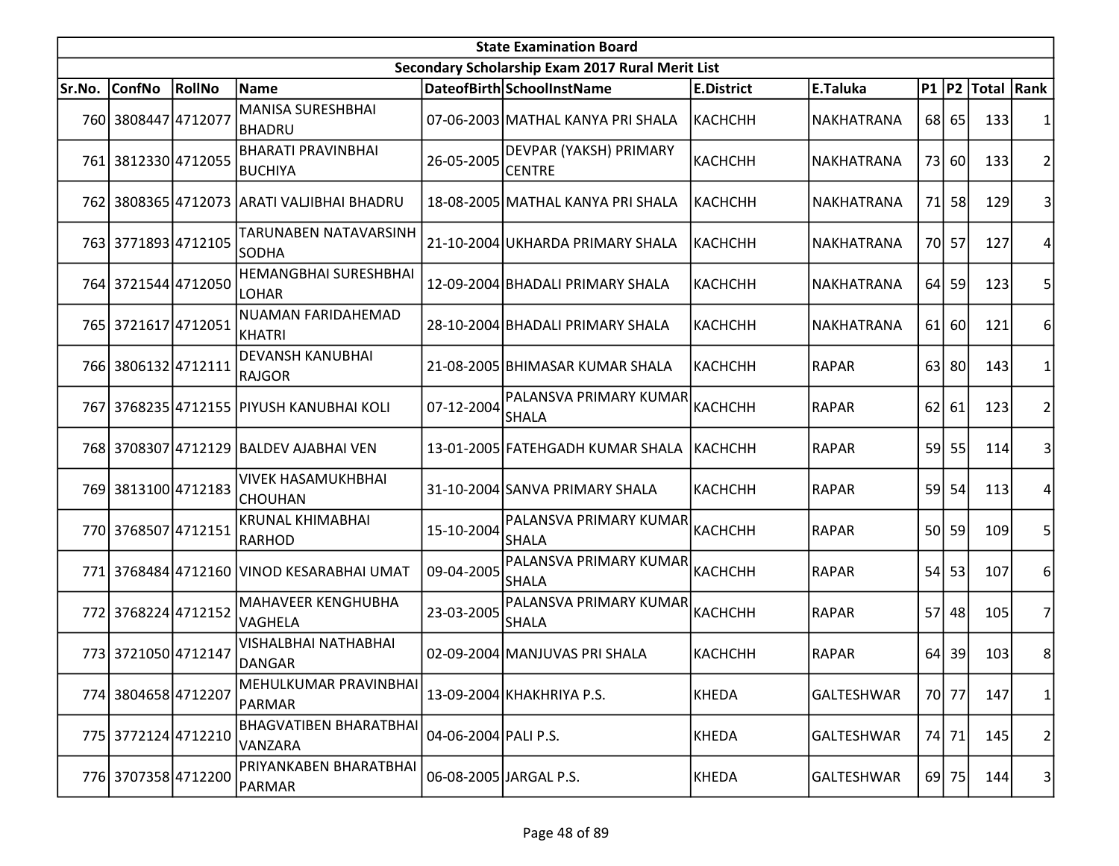| <b>State Examination Board</b> |                     |        |                                             |                      |                                                  |                   |                   |      |           |                     |                 |  |
|--------------------------------|---------------------|--------|---------------------------------------------|----------------------|--------------------------------------------------|-------------------|-------------------|------|-----------|---------------------|-----------------|--|
|                                |                     |        |                                             |                      | Secondary Scholarship Exam 2017 Rural Merit List |                   |                   |      |           |                     |                 |  |
| Sr.No.                         | <b>ConfNo</b>       | RollNo | <b>Name</b>                                 |                      | DateofBirth SchoolInstName                       | <b>E.District</b> | E.Taluka          |      |           | P1  P2  Total  Rank |                 |  |
|                                | 760 3808447 4712077 |        | MANISA SURESHBHAI<br> BHADRU                |                      | 07-06-2003 MATHAL KANYA PRI SHALA                | КАСНСНН           | NAKHATRANA        |      | 68 65     | 133                 |                 |  |
|                                | 761 3812330 4712055 |        | <b>BHARATI PRAVINBHAI</b><br>BUCHIYA        | 26-05-2005           | DEVPAR (YAKSH) PRIMARY<br><b>CENTRE</b>          | <b>КАСНСНН</b>    | <b>NAKHATRANA</b> |      | 73 60     | 133                 | 2               |  |
| 762I                           |                     |        | 3808365 4712073 ARATI VALJIBHAI BHADRU      |                      | 18-08-2005 MATHAL KANYA PRI SHALA                | <b>KACHCHH</b>    | NAKHATRANA        | 71   | <b>58</b> | 129                 | 3               |  |
|                                | 763 3771893 4712105 |        | TARUNABEN NATAVARSINH<br>SODHA              |                      | 21-10-2004 UKHARDA PRIMARY SHALA                 | <b>КАСНСНН</b>    | NAKHATRANA        |      | 70 57     | 127                 | 4               |  |
|                                | 764 3721544 4712050 |        | <b>HEMANGBHAI SURESHBHAI</b><br>LOHAR       |                      | 12-09-2004 BHADALI PRIMARY SHALA                 | <b>KACHCHH</b>    | NAKHATRANA        | 64 I | 59        | 123                 | 5               |  |
|                                | 765 3721617 4712051 |        | <b>NUAMAN FARIDAHEMAD</b><br>KHATRI         |                      | 28-10-2004 BHADALI PRIMARY SHALA                 | <b>KACHCHH</b>    | NAKHATRANA        | 61   | 60        | 121                 | 6               |  |
|                                | 766 3806132 4712111 |        | <b>DEVANSH KANUBHAI</b><br>RAJGOR           |                      | 21-08-2005 BHIMASAR KUMAR SHALA                  | KACHCHH           | <b>RAPAR</b>      |      | 63 80     | 143                 |                 |  |
|                                |                     |        | 767 3768235 4712155 PIYUSH KANUBHAI KOLI    | 07-12-2004           | PALANSVA PRIMARY KUMAR<br><b>SHALA</b>           | КАСНСНН           | <b>RAPAR</b>      | 62   | 61        | 123                 | 2               |  |
|                                |                     |        | 768 3708307 4712129 BALDEV AJABHAI VEN      |                      | 13-01-2005 FATEHGADH KUMAR SHALA                 | <b>KACHCHH</b>    | <b>RAPAR</b>      | 59   | 55        | 114                 | 3               |  |
|                                | 769 3813100 4712183 |        | <b>VIVEK HASAMUKHBHAI</b><br><b>CHOUHAN</b> |                      | 31-10-2004 SANVA PRIMARY SHALA                   | <b>КАСНСНН</b>    | <b>RAPAR</b>      |      | 59 54     | 113                 | Δ               |  |
|                                | 770 3768507 4712151 |        | <b>KRUNAL KHIMABHAI</b><br>RARHOD           | 15-10-2004           | PALANSVA PRIMARY KUMAR<br><b>SHALA</b>           | <b>КАСНСНН</b>    | <b>RAPAR</b>      |      | 50 59     | 109                 | 5               |  |
|                                |                     |        | 771 3768484 4712160 VINOD KESARABHAI UMAT   | 09-04-2005           | PALANSVA PRIMARY KUMAR<br><b>SHALA</b>           | <b>КАСНСНН</b>    | <b>RAPAR</b>      | 54   | 53        | 107                 | 6               |  |
|                                | 772 3768224 4712152 |        | MAHAVEER KENGHUBHA<br>VAGHELA               | 23-03-2005           | PALANSVA PRIMARY KUMAR<br><b>SHALA</b>           | КАСНСНН           | <b>RAPAR</b>      | 57   | 48        | 105                 | 7               |  |
|                                | 773 3721050 4712147 |        | <b>VISHALBHAI NATHABHAI</b><br>DANGAR       |                      | 02-09-2004 MANJUVAS PRI SHALA                    | <b>КАСНСНН</b>    | <b>RAPAR</b>      | 64   | 39        | 103                 | 8               |  |
|                                | 774 3804658 4712207 |        | MEHULKUMAR PRAVINBHAI<br>PARMAR             |                      | 13-09-2004 KHAKHRIYA P.S.                        | KHEDA             | <b>GALTESHWAR</b> |      | 70 77     | 147                 | 1               |  |
|                                | 775 3772124 4712210 |        | <b>BHAGVATIBEN BHARATBHAI</b><br>VANZARA    | 04-06-2004 PALI P.S. |                                                  | <b>KHEDA</b>      | GALTESHWAR        |      | 74 71     | 145                 | 2               |  |
|                                | 776 3707358 4712200 |        | PRIYANKABEN BHARATBHAI<br>PARMAR            |                      | 06-08-2005 JARGAL P.S.                           | <b>KHEDA</b>      | GALTESHWAR        |      | 69 75     | 144                 | $\vert 3 \vert$ |  |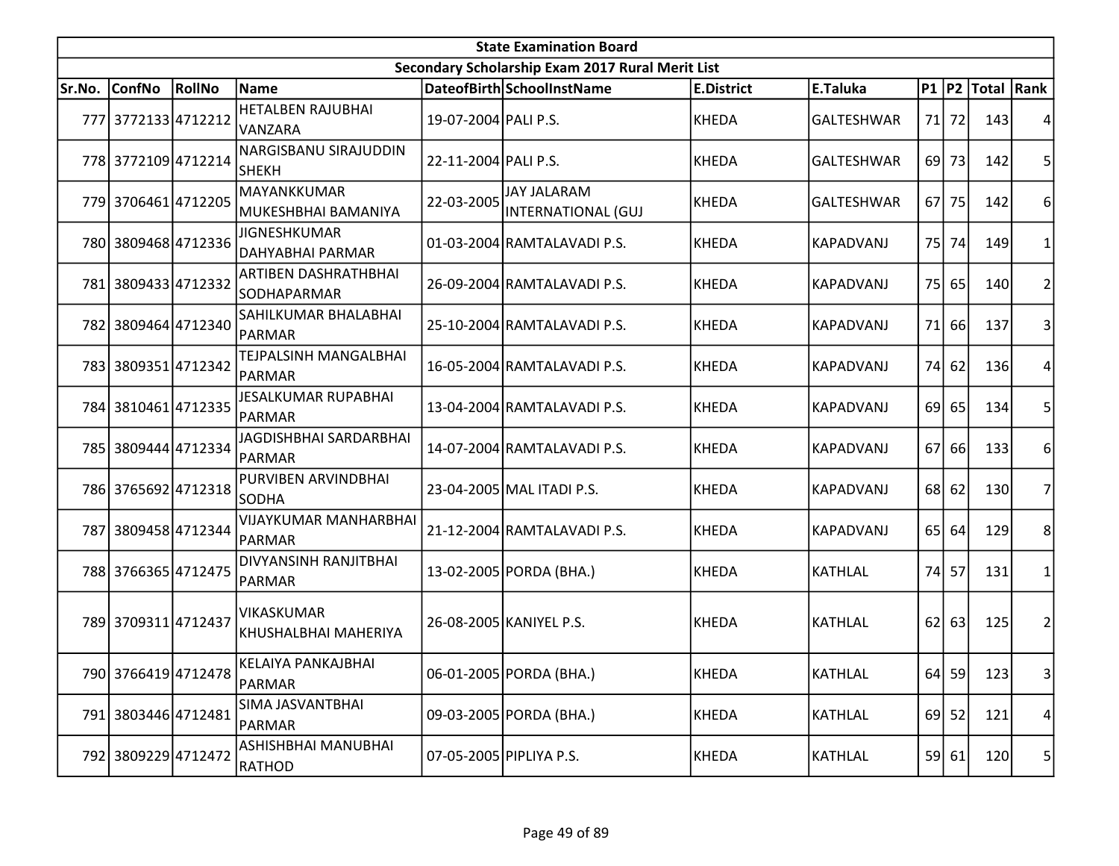|        | <b>State Examination Board</b> |        |                                            |                      |                                                  |                   |                   |    |         |                     |                |  |  |
|--------|--------------------------------|--------|--------------------------------------------|----------------------|--------------------------------------------------|-------------------|-------------------|----|---------|---------------------|----------------|--|--|
|        |                                |        |                                            |                      | Secondary Scholarship Exam 2017 Rural Merit List |                   |                   |    |         |                     |                |  |  |
| Sr.No. | <b>ConfNo</b>                  | RollNo | <b>Name</b>                                |                      | DateofBirth SchoolInstName                       | <b>E.District</b> | E.Taluka          |    |         | P1  P2  Total  Rank |                |  |  |
|        | 777 3772133 4712212            |        | <b>HETALBEN RAJUBHAI</b><br><b>VANZARA</b> | 19-07-2004 PALI P.S. |                                                  | <b>KHEDA</b>      | <b>GALTESHWAR</b> |    | 71 72   | 143                 |                |  |  |
|        | 778 3772109 4712214            |        | NARGISBANU SIRAJUDDIN<br><b>SHEKH</b>      | 22-11-2004 PALI P.S. |                                                  | <b>KHEDA</b>      | <b>GALTESHWAR</b> |    | 69 73   | 142                 | 5              |  |  |
|        | 779 3706461 4712205            |        | MAYANKKUMAR<br>MUKESHBHAI BAMANIYA         | 22-03-2005           | <b>JAY JALARAM</b><br>INTERNATIONAL (GUJ         | <b>KHEDA</b>      | <b>GALTESHWAR</b> |    | 67 75   | 142                 | 6              |  |  |
|        | 780 3809468 4712336            |        | JIGNESHKUMAR<br>DAHYABHAI PARMAR           |                      | 01-03-2004 RAMTALAVADI P.S.                      | <b>KHEDA</b>      | KAPADVANJ         | 75 | 74      | 149                 | 1              |  |  |
|        | 781 3809433 4712332            |        | ARTIBEN DASHRATHBHAI<br>SODHAPARMAR        |                      | 26-09-2004 RAMTALAVADI P.S.                      | <b>KHEDA</b>      | KAPADVANJ         |    | 75 65   | 140                 | $\overline{2}$ |  |  |
|        | 782 3809464 4712340            |        | SAHILKUMAR BHALABHAI<br>PARMAR             |                      | 25-10-2004 RAMTALAVADI P.S.                      | <b>KHEDA</b>      | <b>KAPADVANJ</b>  | 71 | 66      | 137                 | 3              |  |  |
|        | 783 3809351 4712342            |        | TEJPALSINH MANGALBHAI<br>PARMAR            |                      | 16-05-2004 RAMTALAVADI P.S.                      | <b>KHEDA</b>      | KAPADVANJ         |    | 74 62   | 136                 | 4              |  |  |
|        | 784 3810461 4712335            |        | <b>JESALKUMAR RUPABHAI</b><br>PARMAR       |                      | 13-04-2004 RAMTALAVADI P.S.                      | <b>KHEDA</b>      | KAPADVANJ         |    | 69 65   | 134                 | 5              |  |  |
|        | 785 3809444 4712334            |        | <b>JAGDISHBHAI SARDARBHAI</b><br>PARMAR    |                      | 14-07-2004 RAMTALAVADI P.S.                      | <b>KHEDA</b>      | KAPADVANJ         |    | 67 66   | 133                 | 6              |  |  |
|        | 786 3765692 4712318            |        | PURVIBEN ARVINDBHAI<br>lsodha              |                      | 23-04-2005 MAL ITADI P.S.                        | <b>KHEDA</b>      | KAPADVANJ         |    | $68$ 62 | 130                 | 7              |  |  |
| 787    | 3809458 4712344                |        | <b>VIJAYKUMAR MANHARBHAI</b><br>PARMAR     |                      | 21-12-2004 RAMTALAVADI P.S.                      | KHEDA             | <b>KAPADVANJ</b>  |    | 65 64   | 129                 | 8              |  |  |
|        | 788 3766365 4712475            |        | DIVYANSINH RANJITBHAI<br>PARMAR            |                      | 13-02-2005 PORDA (BHA.)                          | <b>KHEDA</b>      | <b>KATHLAL</b>    |    | 74 57   | 131                 | 1              |  |  |
|        | 789 3709311 4712437            |        | <b>VIKASKUMAR</b><br>KHUSHALBHAI MAHERIYA  |                      | 26-08-2005 KANIYEL P.S.                          | <b>KHEDA</b>      | <b>KATHLAL</b>    |    | 62 63   | 125                 | 2              |  |  |
|        | 790 3766419 4712478            |        | KELAIYA PANKAJBHAI<br>PARMAR               |                      | 06-01-2005 PORDA (BHA.)                          | <b>KHEDA</b>      | <b>KATHLAL</b>    |    | $64$ 59 | 123                 | $\vert$ 3      |  |  |
|        | 791 3803446 4712481            |        | SIMA JASVANTBHAI<br>PARMAR                 |                      | 09-03-2005 PORDA (BHA.)                          | KHEDA             | <b>KATHLAL</b>    |    | $69$ 52 | 121                 | 4              |  |  |
|        | 792 3809229 4712472            |        | ASHISHBHAI MANUBHAI<br>RATHOD              |                      | 07-05-2005 PIPLIYA P.S.                          | <b>KHEDA</b>      | <b>KATHLAL</b>    |    | 59 61   | 120                 | 5              |  |  |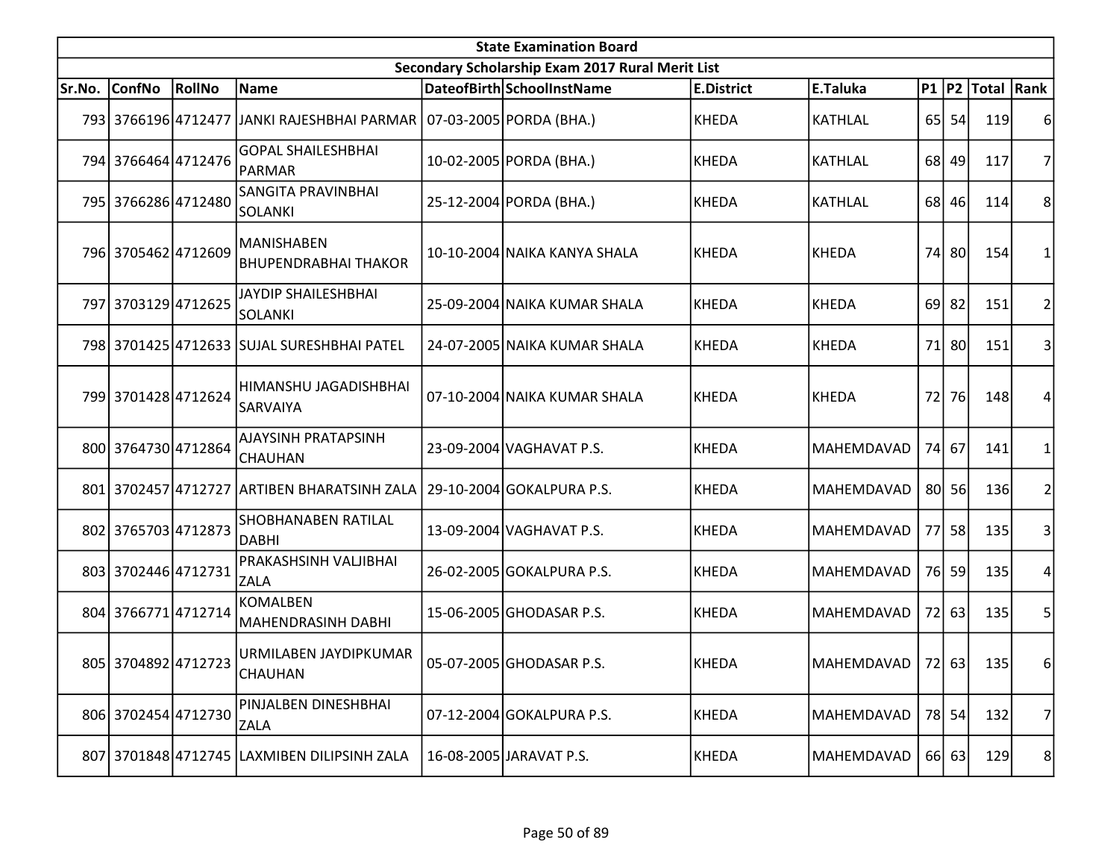|        | <b>State Examination Board</b><br>Secondary Scholarship Exam 2017 Rural Merit List |        |                                              |  |                              |                   |                     |    |         |                  |                |  |  |
|--------|------------------------------------------------------------------------------------|--------|----------------------------------------------|--|------------------------------|-------------------|---------------------|----|---------|------------------|----------------|--|--|
|        |                                                                                    |        |                                              |  |                              |                   |                     |    |         |                  |                |  |  |
| Sr.No. | <b>ConfNo</b>                                                                      | RollNo | Name                                         |  | DateofBirth SchoolInstName   | <b>E.District</b> | E.Taluka            |    |         | P1 P2 Total Rank |                |  |  |
|        |                                                                                    |        | 793 3766196 4712477 JJANKI RAJESHBHAI PARMAR |  | 07-03-2005 PORDA (BHA.)      | <b>KHEDA</b>      | <b>KATHLAL</b>      |    | 65 54   | 119              | 6              |  |  |
|        | 794 3766464 4712476                                                                |        | <b>GOPAL SHAILESHBHAI</b><br>PARMAR          |  | 10-02-2005 PORDA (BHA.)      | <b>KHEDA</b>      | <b>KATHLAL</b>      |    | 68 49   | 117              | 7              |  |  |
|        | 795 3766286 4712480                                                                |        | <b>SANGITA PRAVINBHAI</b><br>SOLANKI         |  | 25-12-2004 PORDA (BHA.)      | <b>KHEDA</b>      | <b>KATHLAL</b>      |    | 68 46   | 114              | 8              |  |  |
|        | 796 3705462 4712609                                                                |        | MANISHABEN<br><b>BHUPENDRABHAI THAKOR</b>    |  | 10-10-2004 NAIKA KANYA SHALA | KHEDA             | <b>KHEDA</b>        |    | 74 80   | 154              |                |  |  |
|        | 797 3703129 4712625                                                                |        | JAYDIP SHAILESHBHAI<br>SOLANKI               |  | 25-09-2004 NAIKA KUMAR SHALA | KHEDA             | <b>KHEDA</b>        |    | $69$ 82 | 151              | 2              |  |  |
|        |                                                                                    |        | 798 3701425 4712633 SUJAL SURESHBHAI PATEL   |  | 24-07-2005 NAIKA KUMAR SHALA | <b>KHEDA</b>      | <b>KHEDA</b>        |    | 71 80   | 151              | 3              |  |  |
|        | 799 3701428 4712624                                                                |        | HIMANSHU JAGADISHBHAI<br><b>SARVAIYA</b>     |  | 07-10-2004 NAIKA KUMAR SHALA | <b>KHEDA</b>      | <b>KHEDA</b>        | 72 | 76      | 148              | 4              |  |  |
|        | 800 3764730 4712864                                                                |        | AJAYSINH PRATAPSINH<br>CHAUHAN               |  | 23-09-2004 VAGHAVAT P.S.     | <b>KHEDA</b>      | MAHEMDAVAD          |    | 74 67   | 141              |                |  |  |
|        | 801 3702457 4712727                                                                |        | <b>ARTIBEN BHARATSINH ZALA</b>               |  | 29-10-2004 GOKALPURA P.S.    | <b>KHEDA</b>      | MAHEMDAVAD          |    | 80 56   | 136              |                |  |  |
|        | 802 3765703 4712873                                                                |        | <b>SHOBHANABEN RATILAL</b><br>DABHI          |  | 13-09-2004 VAGHAVAT P.S.     | <b>KHEDA</b>      | MAHEMDAVAD          |    | 77 58   | 135              | 3              |  |  |
|        | 803 3702446 4712731                                                                |        | PRAKASHSINH VALJIBHAI<br><b>ZALA</b>         |  | 26-02-2005 GOKALPURA P.S.    | <b>KHEDA</b>      | MAHEMDAVAD          |    | 76 59   | 135              |                |  |  |
|        | 804 3766771 4712714                                                                |        | <b>KOMALBEN</b><br>MAHENDRASINH DABHI        |  | 15-06-2005 GHODASAR P.S.     | KHEDA             | MAHEMDAVAD          |    | 72 63   | 135              | 5              |  |  |
|        | 805 3704892 4712723                                                                |        | URMILABEN JAYDIPKUMAR<br><b>CHAUHAN</b>      |  | 05-07-2005 GHODASAR P.S.     | KHEDA             | MAHEMDAVAD   72  63 |    |         | - 135            | 61             |  |  |
|        | 806 3702454 4712730                                                                |        | PINJALBEN DINESHBHAI<br><b>ZALA</b>          |  | 07-12-2004 GOKALPURA P.S.    | KHEDA             | MAHEMDAVAD          |    | 78 54   | 132              | 7              |  |  |
|        |                                                                                    |        | 807 3701848 4712745 LAXMIBEN DILIPSINH ZALA  |  | 16-08-2005 JARAVAT P.S.      | KHEDA             | MAHEMDAVAD          |    | 66 63   | 129              | 8 <sup>2</sup> |  |  |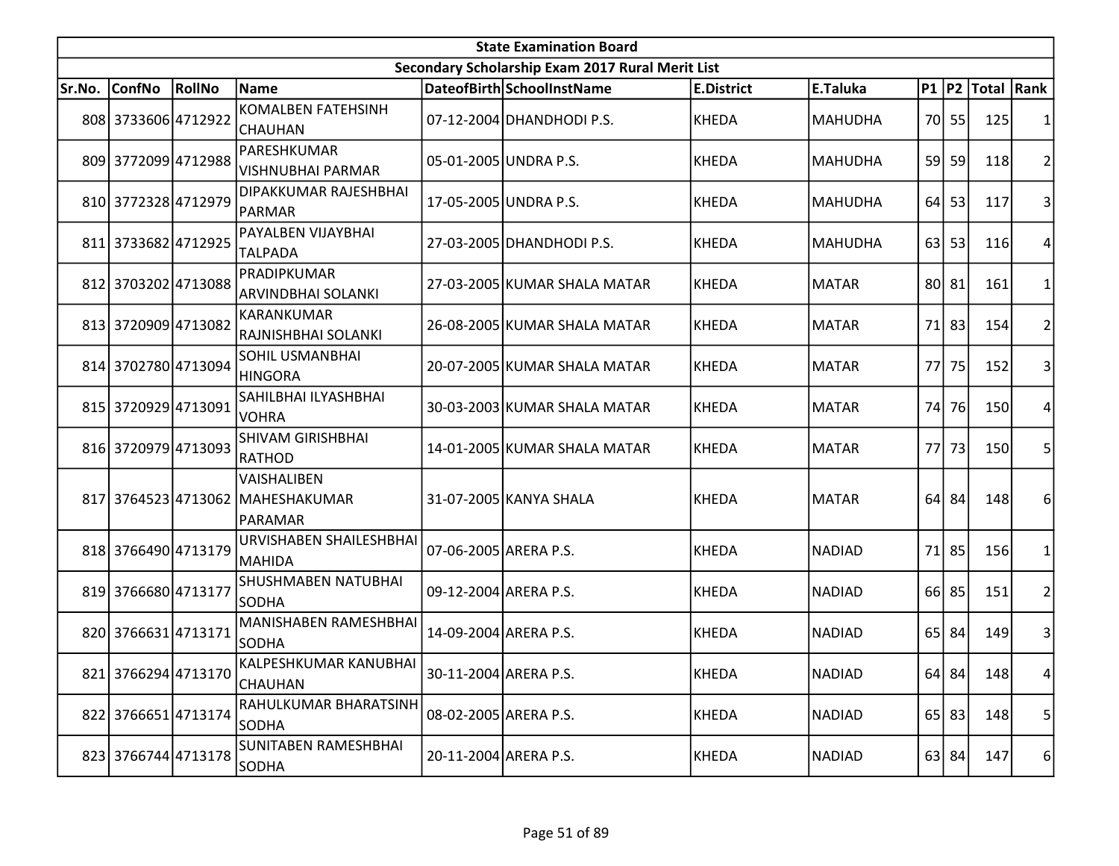|        | <b>State Examination Board</b> |        |                                                            |                       |                                                  |                   |                |      |           |                  |                 |  |  |
|--------|--------------------------------|--------|------------------------------------------------------------|-----------------------|--------------------------------------------------|-------------------|----------------|------|-----------|------------------|-----------------|--|--|
|        |                                |        |                                                            |                       | Secondary Scholarship Exam 2017 Rural Merit List |                   |                |      |           |                  |                 |  |  |
| Sr.No. | <b>ConfNo</b>                  | RollNo | Name                                                       |                       | DateofBirth SchoolInstName                       | <b>E.District</b> | E.Taluka       |      |           | P1 P2 Total Rank |                 |  |  |
|        | 808 3733606 4712922            |        | <b>KOMALBEN FATEHSINH</b><br><b>CHAUHAN</b>                |                       | 07-12-2004 DHANDHODI P.S.                        | <b>KHEDA</b>      | <b>MAHUDHA</b> |      | 70 55     | 125              | 1               |  |  |
|        | 809 3772099 4712988            |        | PARESHKUMAR<br><b>VISHNUBHAI PARMAR</b>                    |                       | 05-01-2005 UNDRA P.S.                            | <b>KHEDA</b>      | <b>MAHUDHA</b> |      | 59 59     | 118              | $\overline{2}$  |  |  |
|        | 810 3772328 4712979            |        | DIPAKKUMAR RAJESHBHAI<br>PARMAR                            |                       | 17-05-2005 UNDRA P.S.                            | <b>KHEDA</b>      | <b>MAHUDHA</b> |      | $64$ 53   | 117              | 3               |  |  |
|        | 811 3733682 4712925            |        | PAYALBEN VIJAYBHAI<br><b>TALPADA</b>                       |                       | 27-03-2005 DHANDHODI P.S.                        | <b>KHEDA</b>      | <b>MAHUDHA</b> |      | $63$ 53   | 116              | 4               |  |  |
|        | 812 3703202 4713088            |        | PRADIPKUMAR<br><b>ARVINDBHAI SOLANKI</b>                   |                       | 27-03-2005 KUMAR SHALA MATAR                     | <b>KHEDA</b>      | <b>MATAR</b>   |      | 80 81     | 161              | 1               |  |  |
|        | 813 3720909 4713082            |        | KARANKUMAR<br>RAJNISHBHAI SOLANKI                          |                       | 26-08-2005 KUMAR SHALA MATAR                     | <b>KHEDA</b>      | <b>MATAR</b>   |      | 71 83     | 154              | 2               |  |  |
|        | 814 3702780 4713094            |        | SOHIL USMANBHAI<br><b>HINGORA</b>                          |                       | 20-07-2005 KUMAR SHALA MATAR                     | <b>KHEDA</b>      | <b>MATAR</b>   | 77 l | 75        | 152              | 3               |  |  |
|        | 815 3720929 4713091            |        | SAHILBHAI ILYASHBHAI<br><b>VOHRA</b>                       |                       | 30-03-2003 KUMAR SHALA MATAR                     | <b>KHEDA</b>      | <b>MATAR</b>   |      | 74 76     | 150              | 4               |  |  |
|        | 816 3720979 4713093            |        | <b>SHIVAM GIRISHBHAI</b><br>RATHOD                         |                       | 14-01-2005 KUMAR SHALA MATAR                     | <b>KHEDA</b>      | <b>MATAR</b>   |      | 77 73     | 150              | 5               |  |  |
|        |                                |        | VAISHALIBEN<br>817 3764523 4713062 MAHESHAKUMAR<br>PARAMAR |                       | 31-07-2005 KANYA SHALA                           | <b>KHEDA</b>      | <b>MATAR</b>   |      | $64$ 84   | 148              | 6               |  |  |
|        | 818 3766490 4713179            |        | URVISHABEN SHAILESHBHAI<br>MAHIDA                          | 07-06-2005 ARERA P.S. |                                                  | <b>KHEDA</b>      | <b>NADIAD</b>  |      | 71 85     | <b>156</b>       | 1               |  |  |
|        | 819 3766680 4713177            |        | SHUSHMABEN NATUBHAI<br>SODHA                               | 09-12-2004 ARERA P.S. |                                                  | <b>KHEDA</b>      | <b>NADIAD</b>  |      | 66 85     | 151              | $\overline{2}$  |  |  |
|        | 820 3766631 4713171            |        | MANISHABEN RAMESHBHAI<br><b>SODHA</b>                      | 14-09-2004 ARERA P.S. |                                                  | <b>KHEDA</b>      | <b>NADIAD</b>  |      | 65 84     | 149              | 3               |  |  |
|        | 821 3766294 4713170            |        | KALPESHKUMAR KANUBHAI<br><b>CHAUHAN</b>                    | 30-11-2004 ARERA P.S. |                                                  | KHEDA             | NADIAD         |      | $64$ 84   | 148              | $\vert 4 \vert$ |  |  |
|        | 822 3766651 4713174            |        | RAHULKUMAR BHARATSINH<br><b>SODHA</b>                      | 08-02-2005 ARERA P.S. |                                                  | <b>KHEDA</b>      | <b>NADIAD</b>  |      | $65$   83 | 148              | 5               |  |  |
|        | 823 3766744 4713178            |        | SUNITABEN RAMESHBHAI<br>SODHA                              | 20-11-2004 ARERA P.S. |                                                  | <b>KHEDA</b>      | <b>NADIAD</b>  |      | 63 84     | 147              | 6               |  |  |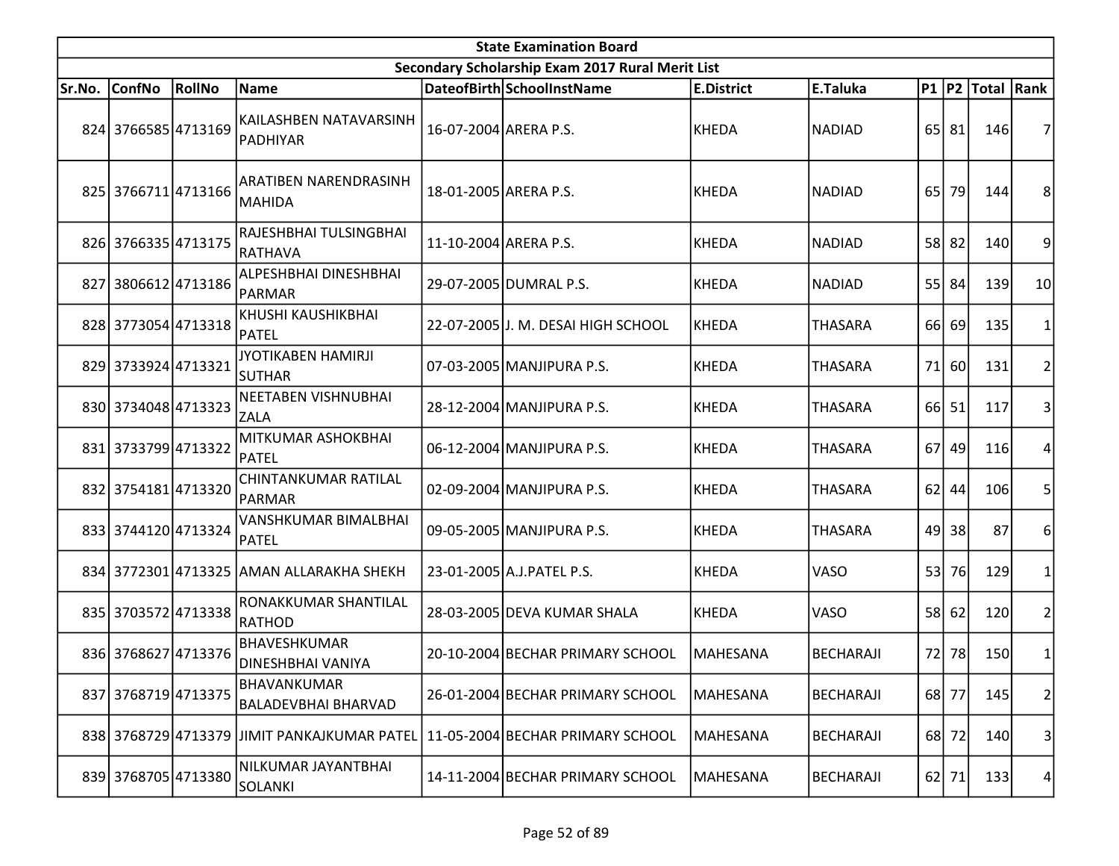|        | <b>State Examination Board</b> |        |                                              |                       |                                                  |                   |                  |    |         |                  |                |  |  |
|--------|--------------------------------|--------|----------------------------------------------|-----------------------|--------------------------------------------------|-------------------|------------------|----|---------|------------------|----------------|--|--|
|        |                                |        |                                              |                       | Secondary Scholarship Exam 2017 Rural Merit List |                   |                  |    |         |                  |                |  |  |
| Sr.No. | <b>ConfNo</b>                  | RollNo | Name                                         |                       | DateofBirth SchoolInstName                       | <b>E.District</b> | E.Taluka         |    |         | P1 P2 Total Rank |                |  |  |
|        | 824 3766585 4713169            |        | KAILASHBEN NATAVARSINH<br>PADHIYAR           | 16-07-2004 ARERA P.S. |                                                  | KHEDA             | <b>NADIAD</b>    |    | 65 81   | 146              | 7              |  |  |
|        | 825 3766711 4713166            |        | ARATIBEN NARENDRASINH<br>MAHIDA              | 18-01-2005 ARERA P.S. |                                                  | KHEDA             | <b>NADIAD</b>    | 65 | 79      | 144              | 8              |  |  |
|        | 826 3766335 4713175            |        | RAJESHBHAI TULSINGBHAI<br>RATHAVA            | 11-10-2004 ARERA P.S. |                                                  | KHEDA             | <b>NADIAD</b>    |    | 58 82   | 140              | 9              |  |  |
|        | 827 3806612 4713186            |        | ALPESHBHAI DINESHBHAI<br>PARMAR              |                       | 29-07-2005 DUMRAL P.S.                           | KHEDA             | <b>NADIAD</b>    |    | 55 84   | 139              | 10             |  |  |
|        | 828 3773054 4713318            |        | KHUSHI KAUSHIKBHAI<br>PATEL                  |                       | 22-07-2005 J. M. DESAI HIGH SCHOOL               | KHEDA             | <b>THASARA</b>   | 66 | 69      | 135              | 1              |  |  |
|        | 829 3733924 4713321            |        | JYOTIKABEN HAMIRJI<br><b>SUTHAR</b>          |                       | 07-03-2005 MANJIPURA P.S.                        | KHEDA             | <b>THASARA</b>   | 71 | 60      | 131              | $\overline{2}$ |  |  |
|        | 830 3734048 4713323            |        | NEETABEN VISHNUBHAI<br><b>ZALA</b>           |                       | 28-12-2004 MANJIPURA P.S.                        | KHEDA             | <b>THASARA</b>   |    | 66 51   | 117              | 3              |  |  |
|        | 831 3733799 4713322            |        | MITKUMAR ASHOKBHAI<br>PATEL                  |                       | 06-12-2004 MANJIPURA P.S.                        | KHEDA             | <b>THASARA</b>   | 67 | 49      | 116              | 4              |  |  |
|        | 832 3754181 4713320            |        | CHINTANKUMAR RATILAL<br><b>PARMAR</b>        |                       | 02-09-2004 MANJIPURA P.S.                        | KHEDA             | <b>THASARA</b>   | 62 | 44      | 106              | 5              |  |  |
|        | 833 3744120 4713324            |        | VANSHKUMAR BIMALBHAI<br>PATEL                |                       | 09-05-2005 MANJIPURA P.S.                        | KHEDA             | <b>THASARA</b>   | 49 | 38      | 87               | 6              |  |  |
|        |                                |        | 834 3772301 4713325 AMAN ALLARAKHA SHEKH     |                       | 23-01-2005 A.J. PATEL P.S.                       | KHEDA             | VASO             | 53 | 76      | 129              | 1              |  |  |
|        | 835 3703572 4713338            |        | RONAKKUMAR SHANTILAL<br>RATHOD               |                       | 28-03-2005 DEVA KUMAR SHALA                      | KHEDA             | VASO             | 58 | 62      | 120              | $\overline{2}$ |  |  |
|        | 836 3768627 4713376            |        | BHAVESHKUMAR<br><b>DINESHBHAI VANIYA</b>     |                       | 20-10-2004 BECHAR PRIMARY SCHOOL                 | MAHESANA          | <b>BECHARAJI</b> | 72 | 78      | 150              | 1              |  |  |
|        | 837 3768719 4713375            |        | BHAVANKUMAR<br><b>BALADEVBHAI BHARVAD</b>    |                       | 26-01-2004 BECHAR PRIMARY SCHOOL                 | <b>MAHESANA</b>   | <b>BECHARAJI</b> |    | 68 77   | 145              | 2              |  |  |
|        |                                |        | 838 3768729 4713379 JJIMIT PANKAJKUMAR PATEL |                       | 11-05-2004 BECHAR PRIMARY SCHOOL                 | <b>MAHESANA</b>   | <b>BECHARAJI</b> |    | 68 72   | 140              | 3              |  |  |
|        | 839 3768705 4713380            |        | NILKUMAR JAYANTBHAI<br>SOLANKI               |                       | 14-11-2004 BECHAR PRIMARY SCHOOL                 | <b>MAHESANA</b>   | <b>BECHARAJI</b> |    | $62$ 71 | 133              | 4              |  |  |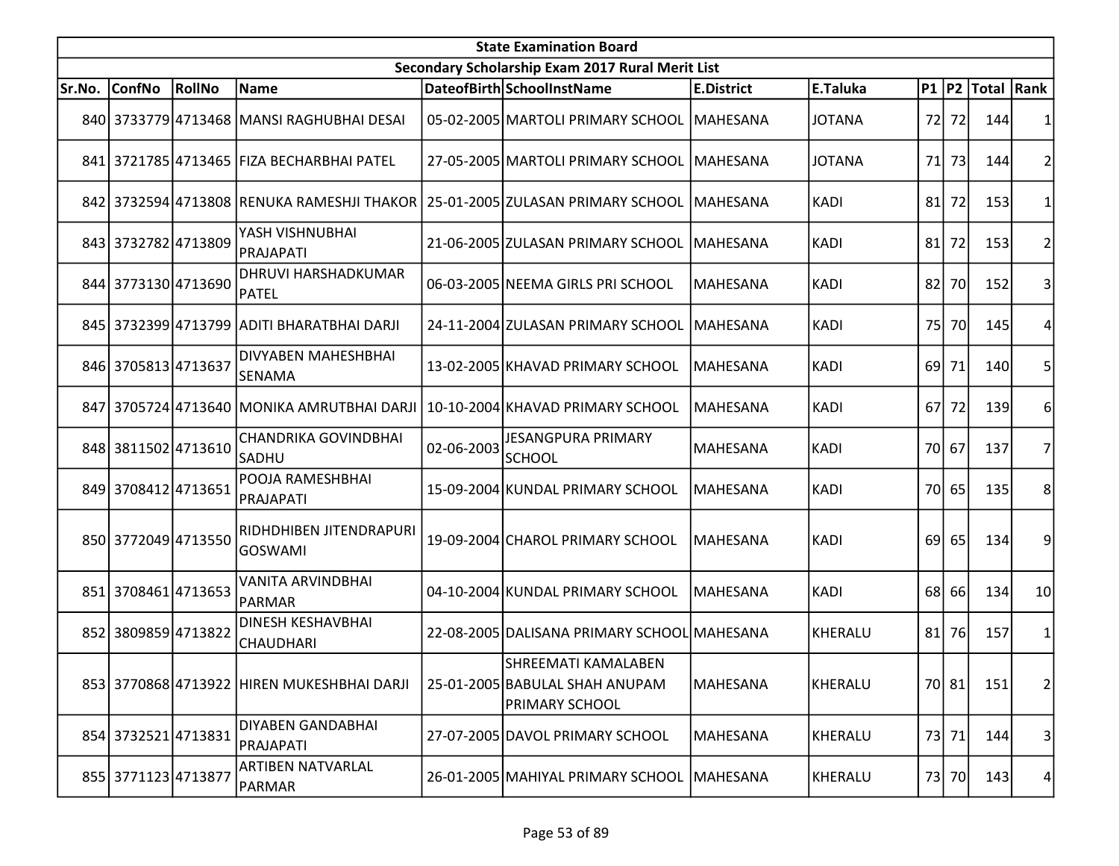| <b>State Examination Board</b> |                     |        |                                                  |            |                                                                                  |                   |               |      |       |                     |                |  |
|--------------------------------|---------------------|--------|--------------------------------------------------|------------|----------------------------------------------------------------------------------|-------------------|---------------|------|-------|---------------------|----------------|--|
|                                |                     |        |                                                  |            | Secondary Scholarship Exam 2017 Rural Merit List                                 |                   |               |      |       |                     |                |  |
| Sr.No.                         | <b>ConfNo</b>       | RollNo | Name                                             |            | DateofBirth SchoolInstName                                                       | <b>E.District</b> | E.Taluka      |      |       | P1  P2  Total  Rank |                |  |
|                                |                     |        | 840 3733779 4713468 MANSI RAGHUBHAI DESAI        |            | 05-02-2005 MARTOLI PRIMARY SCHOOL                                                | <b>MAHESANA</b>   | <b>JOTANA</b> | 72   | 72    | 144                 |                |  |
|                                |                     |        | 841 3721785 4713465 FIZA BECHARBHAI PATEL        |            | 27-05-2005 MARTOLI PRIMARY SCHOOL                                                | <b>MAHESANA</b>   | <b>JOTANA</b> | 71   | 73    | 144                 |                |  |
|                                |                     |        |                                                  |            | 842 3732594 4713808 RENUKA RAMESHJI THAKOR   25-01-2005   ZULASAN PRIMARY SCHOOL | IMAHESANA         | <b>KADI</b>   | 81   | 72    | 153                 |                |  |
|                                | 843 3732782 4713809 |        | YASH VISHNUBHAI<br>PRAJAPATI                     |            | 21-06-2005 ZULASAN PRIMARY SCHOOL                                                | MAHESANA          | <b>KADI</b>   | 81   | 72    | 153                 | 2              |  |
|                                | 844 3773130 4713690 |        | DHRUVI HARSHADKUMAR<br>PATEL                     |            | 06-03-2005 NEEMA GIRLS PRI SCHOOL                                                | <b>MAHESANA</b>   | <b>KADI</b>   | 82   | 70    | 152                 |                |  |
|                                |                     |        | 845 3732399 4713799 ADITI BHARATBHAI DARJI       |            | 24-11-2004 ZULASAN PRIMARY SCHOOL                                                | MAHESANA          | <b>KADI</b>   | 75I  | 70    | 145                 |                |  |
|                                | 846 3705813 4713637 |        | DIVYABEN MAHESHBHAI<br><b>SENAMA</b>             |            | 13-02-2005 KHAVAD PRIMARY SCHOOL                                                 | <b>MAHESANA</b>   | <b>KADI</b>   | 69   | 71    | 140                 | 5              |  |
|                                |                     |        | 847   3705724   4713640   MONIKA AMRUTBHAI DARJI |            | 10-10-2004 KHAVAD PRIMARY SCHOOL                                                 | <b>MAHESANA</b>   | <b>KADI</b>   | 67I  | 72    | 139                 | 6              |  |
|                                | 848 3811502 4713610 |        | <b>CHANDRIKA GOVINDBHAI</b><br>SADHU             | 02-06-2003 | <b>JESANGPURA PRIMARY</b><br>SCHOOL                                              | MAHESANA          | <b>KADI</b>   |      | 70 67 | 137                 | 7              |  |
|                                | 849 3708412 4713651 |        | POOJA RAMESHBHAI<br>PRAJAPATI                    |            | 15-09-2004 KUNDAL PRIMARY SCHOOL                                                 | <b>MAHESANA</b>   | <b>KADI</b>   |      | 70 65 | 135                 | 8              |  |
|                                | 850 3772049 4713550 |        | RIDHDHIBEN JITENDRAPURI<br><b>GOSWAMI</b>        |            | 19-09-2004 CHAROL PRIMARY SCHOOL                                                 | <b>MAHESANA</b>   | <b>KADI</b>   | 69   | 65    | 134                 | 9              |  |
|                                | 851 3708461 4713653 |        | VANITA ARVINDBHAI<br>PARMAR                      |            | 04-10-2004 KUNDAL PRIMARY SCHOOL                                                 | MAHESANA          | <b>KADI</b>   | 68 l | 66    | 134                 | 10             |  |
|                                | 852 3809859 4713822 |        | <b>DINESH KESHAVBHAI</b><br>CHAUDHARI            |            | 22-08-2005 DALISANA PRIMARY SCHOOL MAHESANA                                      |                   | KHERALU       |      | 81 76 | 157                 |                |  |
|                                |                     |        | 853 3770868 4713922 HIREN MUKESHBHAI DARJI       |            | SHREEMATI KAMALABEN<br>25-01-2005 BABULAL SHAH ANUPAM<br><b>PRIMARY SCHOOL</b>   | MAHESANA          | KHERALU       |      | 70 81 | 151                 | $\overline{2}$ |  |
|                                | 854 3732521 4713831 |        | <b>DIYABEN GANDABHAI</b><br>PRAJAPATI            |            | 27-07-2005 DAVOL PRIMARY SCHOOL                                                  | MAHESANA          | KHERALU       |      | 73 71 | 144                 | 3              |  |
|                                | 855 3771123 4713877 |        | ARTIBEN NATVARLAL<br>PARMAR                      |            | 26-01-2005   MAHIYAL PRIMARY SCHOOL                                              | MAHESANA          | KHERALU       |      | 73 70 | 143                 | 4 <sup>1</sup> |  |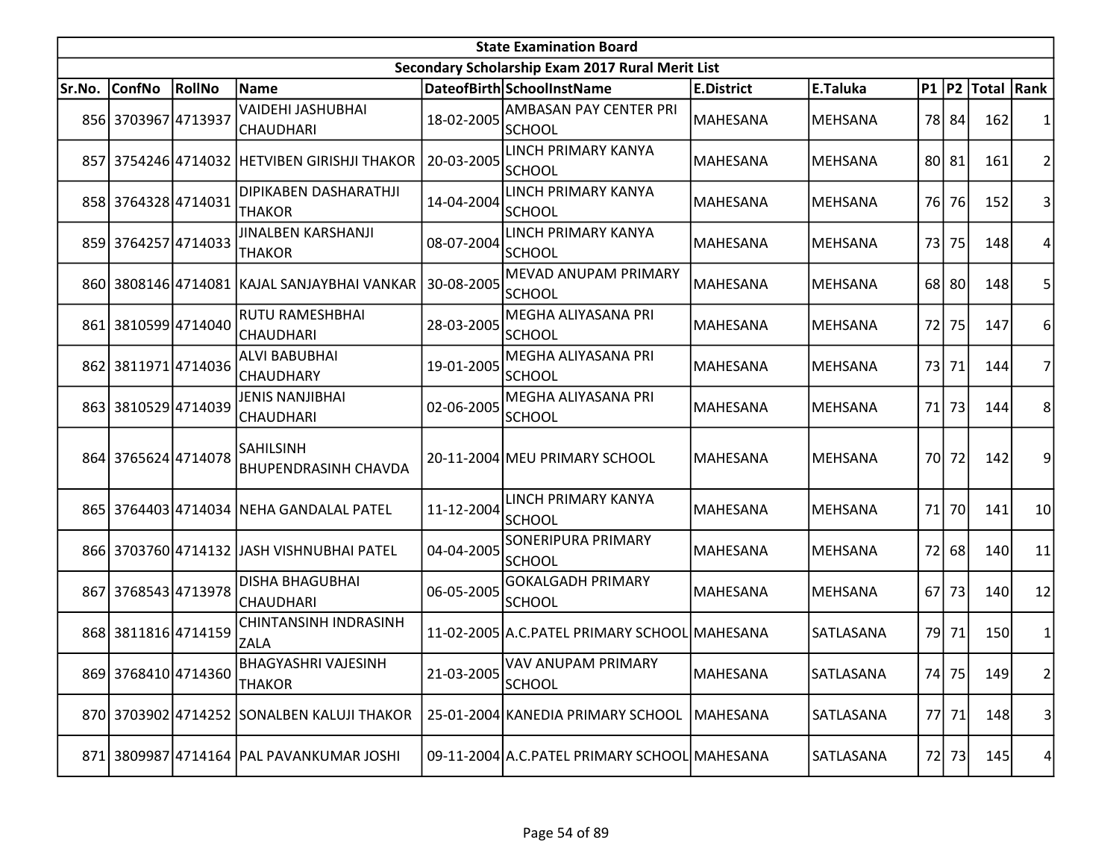|        | <b>State Examination Board</b><br>Secondary Scholarship Exam 2017 Rural Merit List |        |                                                 |            |                                               |                   |                |                 |       |                     |                 |  |  |
|--------|------------------------------------------------------------------------------------|--------|-------------------------------------------------|------------|-----------------------------------------------|-------------------|----------------|-----------------|-------|---------------------|-----------------|--|--|
|        |                                                                                    |        |                                                 |            |                                               |                   |                |                 |       |                     |                 |  |  |
| Sr.No. | <b>ConfNo</b>                                                                      | RollNo | <b>Name</b>                                     |            | DateofBirth SchoolInstName                    | <b>E.District</b> | E.Taluka       |                 |       | P1  P2  Total  Rank |                 |  |  |
|        | 856 3703967 4713937                                                                |        | VAIDEHI JASHUBHAI<br><b>CHAUDHARI</b>           | 18-02-2005 | AMBASAN PAY CENTER PRI<br><b>SCHOOL</b>       | MAHESANA          | <b>MEHSANA</b> |                 | 78 84 | 162                 |                 |  |  |
|        |                                                                                    |        | 857 3754246 4714032 HETVIBEN GIRISHJI THAKOR    | 20-03-2005 | LINCH PRIMARY KANYA<br><b>SCHOOL</b>          | MAHESANA          | <b>MEHSANA</b> |                 | 80 81 | 161                 | 2               |  |  |
|        | 858 3764328 4714031                                                                |        | DIPIKABEN DASHARATHJI<br><b>THAKOR</b>          | 14-04-2004 | LINCH PRIMARY KANYA<br><b>SCHOOL</b>          | MAHESANA          | <b>MEHSANA</b> |                 | 76 76 | 152                 | 3               |  |  |
|        | 859 3764257 4714033                                                                |        | JINALBEN KARSHANJI<br><b>THAKOR</b>             | 08-07-2004 | LINCH PRIMARY KANYA<br><b>SCHOOL</b>          | MAHESANA          | MEHSANA        |                 | 73 75 | 148                 | 4               |  |  |
|        |                                                                                    |        | 860 3808146 4714081 KAJAL SANJAYBHAI VANKAR     | 30-08-2005 | MEVAD ANUPAM PRIMARY<br><b>SCHOOL</b>         | MAHESANA          | <b>MEHSANA</b> |                 | 68 80 | 148                 | 5               |  |  |
|        | 861 3810599 4714040                                                                |        | RUTU RAMESHBHAI<br><b>CHAUDHARI</b>             | 28-03-2005 | MEGHA ALIYASANA PRI<br><b>SCHOOL</b>          | MAHESANA          | <b>MEHSANA</b> |                 | 72 75 | 147                 | 6               |  |  |
|        | 862 3811971 4714036                                                                |        | <b>ALVI BABUBHAI</b><br><b>CHAUDHARY</b>        | 19-01-2005 | MEGHA ALIYASANA PRI<br>SCHOOL                 | MAHESANA          | <b>MEHSANA</b> |                 | 73 71 | 144                 |                 |  |  |
|        | 863 3810529 4714039                                                                |        | JENIS NANJIBHAI<br><b>CHAUDHARI</b>             | 02-06-2005 | MEGHA ALIYASANA PRI<br><b>SCHOOL</b>          | MAHESANA          | <b>MEHSANA</b> |                 | 71 73 | 144                 | 8               |  |  |
|        | 864 3765624 4714078                                                                |        | <b>SAHILSINH</b><br><b>BHUPENDRASINH CHAVDA</b> |            | 20-11-2004 MEU PRIMARY SCHOOL                 | <b>MAHESANA</b>   | <b>MEHSANA</b> |                 | 70 72 | 142                 | 9               |  |  |
|        |                                                                                    |        | 865 3764403 4714034 NEHA GANDALAL PATEL         | 11-12-2004 | LINCH PRIMARY KANYA<br><b>SCHOOL</b>          | MAHESANA          | <b>MEHSANA</b> | 71              | 70    | 141                 | 10 <sup>1</sup> |  |  |
|        |                                                                                    |        | 866 3703760 4714132 JJASH VISHNUBHAI PATEL      | 04-04-2005 | <b>SONERIPURA PRIMARY</b><br><b>SCHOOL</b>    | MAHESANA          | <b>MEHSANA</b> |                 | 72 68 | 140                 | 11              |  |  |
|        | 867 3768543 4713978                                                                |        | <b>DISHA BHAGUBHAI</b><br>CHAUDHARI             | 06-05-2005 | <b>GOKALGADH PRIMARY</b><br><b>SCHOOL</b>     | MAHESANA          | <b>MEHSANA</b> | 67 <sup>1</sup> | 73    | 140                 | 12              |  |  |
|        | 868 3811816 4714159                                                                |        | CHINTANSINH INDRASINH<br><b>ZALA</b>            |            | 11-02-2005 A.C. PATEL PRIMARY SCHOOL MAHESANA |                   | SATLASANA      |                 | 79 71 | 150                 | 1               |  |  |
|        | 869 3768410 4714360                                                                |        | <b>BHAGYASHRI VAJESINH</b><br><b>THAKOR</b>     | 21-03-2005 | VAV ANUPAM PRIMARY<br>SCHOOL                  | MAHESANA          | SATLASANA      |                 | 74 75 | 149                 | 2               |  |  |
|        |                                                                                    |        | 870 3703902 4714252 SONALBEN KALUJI THAKOR      |            | 25-01-2004 KANEDIA PRIMARY SCHOOL             | <b>MAHESANA</b>   | SATLASANA      |                 | 77 71 | <b>148</b>          | $\vert$         |  |  |
| 871    |                                                                                    |        | 3809987 4714164 PAL PAVANKUMAR JOSHI            |            | 09-11-2004 A.C. PATEL PRIMARY SCHOOL MAHESANA |                   | SATLASANA      |                 | 72 73 | 145                 | 4               |  |  |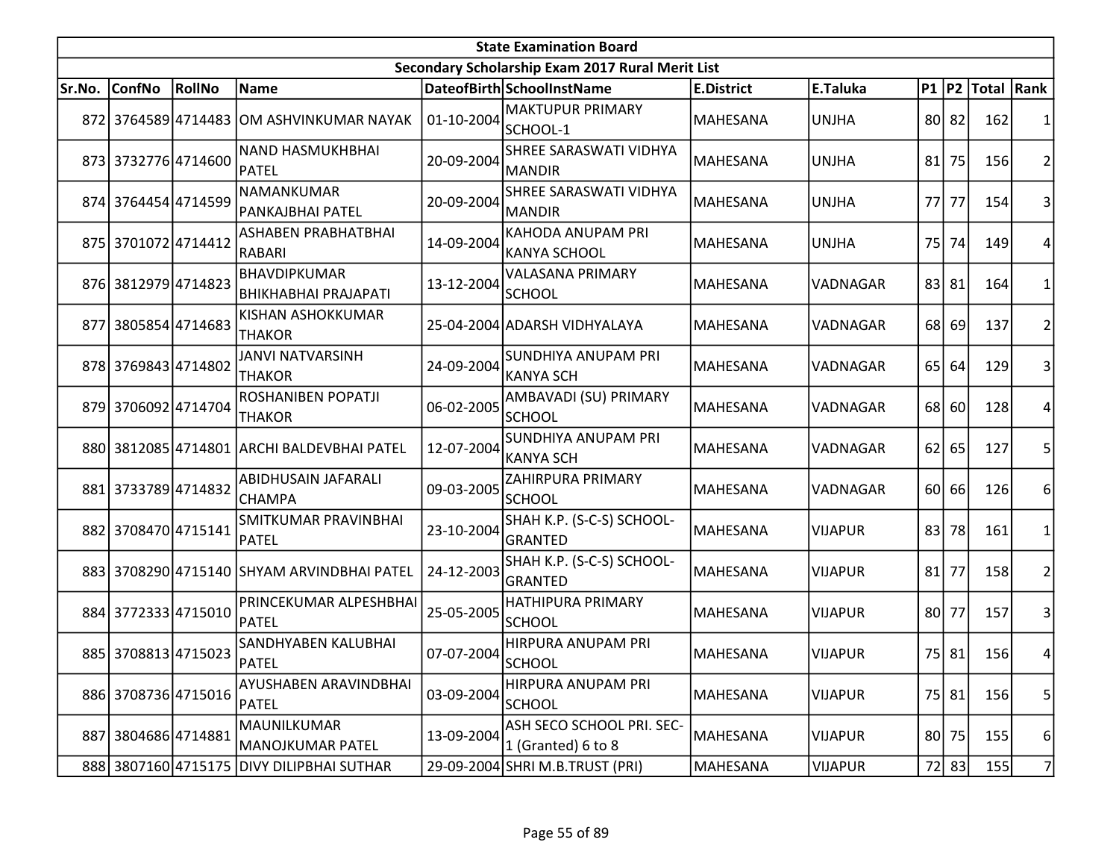|        | <b>State Examination Board</b><br>Secondary Scholarship Exam 2017 Rural Merit List |        |                                                    |            |                                                 |                   |                |           |         |                     |                |  |  |
|--------|------------------------------------------------------------------------------------|--------|----------------------------------------------------|------------|-------------------------------------------------|-------------------|----------------|-----------|---------|---------------------|----------------|--|--|
|        |                                                                                    |        |                                                    |            |                                                 |                   |                |           |         |                     |                |  |  |
| Sr.No. | <b>ConfNo</b>                                                                      | RollNo | Name                                               |            | DateofBirth SchoolInstName                      | <b>E.District</b> | E.Taluka       |           |         | P1  P2  Total  Rank |                |  |  |
|        |                                                                                    |        | 872 3764589 4714483 OM ASHVINKUMAR NAYAK           | 01-10-2004 | <b>MAKTUPUR PRIMARY</b><br>SCHOOL-1             | MAHESANA          | <b>UNJHA</b>   |           | 80 82   | 162                 |                |  |  |
|        | 873 3732776 4714600                                                                |        | <b>NAND HASMUKHBHAI</b><br>PATEL                   | 20-09-2004 | SHREE SARASWATI VIDHYA<br><b>MANDIR</b>         | <b>MAHESANA</b>   | <b>UNJHA</b>   |           | $81$ 75 | 156                 | 2              |  |  |
|        | 874 3764454 4714599                                                                |        | NAMANKUMAR<br>PANKAJBHAI PATEL                     | 20-09-2004 | SHREE SARASWATI VIDHYA<br><b>MANDIR</b>         | <b>MAHESANA</b>   | <b>UNJHA</b>   | <b>77</b> | 77      | 154                 | 3              |  |  |
|        | 875 3701072 4714412                                                                |        | ASHABEN PRABHATBHAI<br>RABARI                      | 14-09-2004 | <b>KAHODA ANUPAM PRI</b><br><b>KANYA SCHOOL</b> | MAHESANA          | <b>UNJHA</b>   |           | 75 74   | 149                 | 4              |  |  |
|        | 876 3812979 4714823                                                                |        | <b>BHAVDIPKUMAR</b><br><b>BHIKHABHAI PRAJAPATI</b> | 13-12-2004 | <b>VALASANA PRIMARY</b><br><b>SCHOOL</b>        | <b>MAHESANA</b>   | VADNAGAR       |           | 83 81   | 164                 |                |  |  |
| 8771   | 3805854 4714683                                                                    |        | KISHAN ASHOKKUMAR<br><b>THAKOR</b>                 |            | 25-04-2004 ADARSH VIDHYALAYA                    | MAHESANA          | VADNAGAR       | 68        | 69      | 137                 | 2              |  |  |
|        | 878 3769843 4714802                                                                |        | <b>JANVI NATVARSINH</b><br><b>THAKOR</b>           | 24-09-2004 | SUNDHIYA ANUPAM PRI<br><b>KANYA SCH</b>         | MAHESANA          | VADNAGAR       |           | 65 64   | 129                 | 3              |  |  |
|        | 879 3706092 4714704                                                                |        | ROSHANIBEN POPATJI<br><b>THAKOR</b>                | 06-02-2005 | AMBAVADI (SU) PRIMARY<br><b>SCHOOL</b>          | <b>MAHESANA</b>   | VADNAGAR       |           | 68 60   | 128                 |                |  |  |
|        |                                                                                    |        | 880 3812085 4714801 ARCHI BALDEVBHAI PATEL         | 12-07-2004 | <b>SUNDHIYA ANUPAM PRI</b><br><b>KANYA SCH</b>  | <b>MAHESANA</b>   | VADNAGAR       |           | $62$ 65 | 127                 | 5              |  |  |
|        | 881 3733789 4714832                                                                |        | ABIDHUSAIN JAFARALI<br>CHAMPA                      | 09-03-2005 | <b>ZAHIRPURA PRIMARY</b><br><b>SCHOOL</b>       | MAHESANA          | VADNAGAR       |           | 60 66   | 126                 | 6              |  |  |
|        | 882 3708470 4715141                                                                |        | SMITKUMAR PRAVINBHAI<br>PATEL                      | 23-10-2004 | SHAH K.P. (S-C-S) SCHOOL-<br><b>GRANTED</b>     | MAHESANA          | <b>VIJAPUR</b> |           | 83 78   | 161                 | 1              |  |  |
|        |                                                                                    |        | 883 3708290 4715140 SHYAM ARVINDBHAI PATEL         | 24-12-2003 | SHAH K.P. (S-C-S) SCHOOL-<br><b>GRANTED</b>     | <b>MAHESANA</b>   | <b>VIJAPUR</b> |           | $81$ 77 | 158                 | 2              |  |  |
|        | 884 3772333 4715010                                                                |        | PRINCEKUMAR ALPESHBHAI<br><b>PATEL</b>             | 25-05-2005 | HATHIPURA PRIMARY<br><b>SCHOOL</b>              | MAHESANA          | <b>VIJAPUR</b> |           | 80 77   | 157                 | 3              |  |  |
|        | 885 3708813 4715023                                                                |        | SANDHYABEN KALUBHAI<br>PATEL                       | 07-07-2004 | HIRPURA ANUPAM PRI<br><b>SCHOOL</b>             | MAHESANA          | <b>VIJAPUR</b> |           | 75 81   | 156                 | 4              |  |  |
|        | 886 3708736 4715016                                                                |        | AYUSHABEN ARAVINDBHAI<br>PATEL                     | 03-09-2004 | HIRPURA ANUPAM PRI<br><b>SCHOOL</b>             | MAHESANA          | <b>VIJAPUR</b> |           | 75 81   | 156                 | 5 <sup>1</sup> |  |  |
| 887    | 3804686 4714881                                                                    |        | MAUNILKUMAR<br>MANOJKUMAR PATEL                    | 13-09-2004 | ASH SECO SCHOOL PRI. SEC-<br>1 (Granted) 6 to 8 | MAHESANA          | <b>VIJAPUR</b> |           | 80 75   | 155                 | $6 \mid$       |  |  |
|        |                                                                                    |        | 888 3807160 4715175 DIVY DILIPBHAI SUTHAR          |            | 29-09-2004 SHRI M.B.TRUST (PRI)                 | MAHESANA          | <b>VIJAPUR</b> |           | 72 83   | 155                 | $\overline{7}$ |  |  |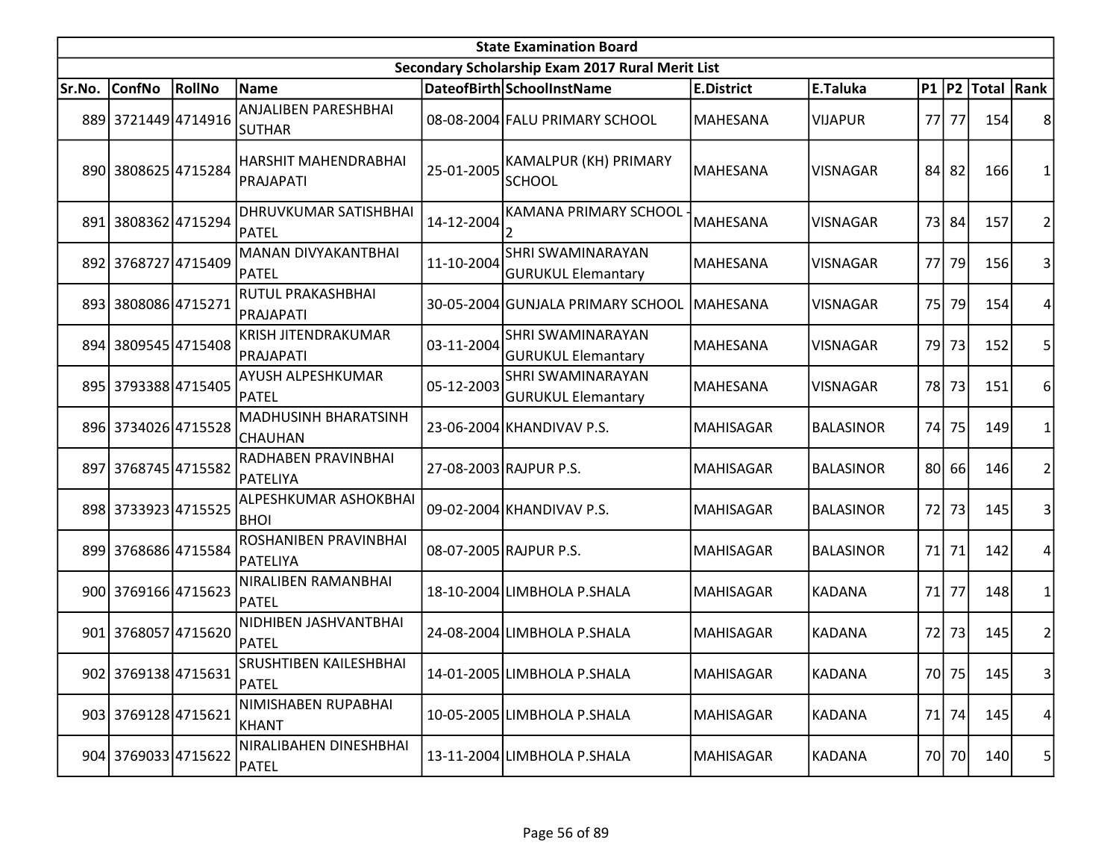|        | <b>State Examination Board</b> |        |                                               |            |                                                       |                   |                  |      |       |                        |                |  |
|--------|--------------------------------|--------|-----------------------------------------------|------------|-------------------------------------------------------|-------------------|------------------|------|-------|------------------------|----------------|--|
|        |                                |        |                                               |            | Secondary Scholarship Exam 2017 Rural Merit List      |                   |                  |      |       |                        |                |  |
| Sr.No. | <b>ConfNo</b>                  | RollNo | Name                                          |            | DateofBirth SchoolInstName                            | <b>E.District</b> | E.Taluka         |      |       | P1   P2   Total   Rank |                |  |
|        | 889 3721449 4714916            |        | <b>ANJALIBEN PARESHBHAI</b><br><b>SUTHAR</b>  |            | 08-08-2004 FALU PRIMARY SCHOOL                        | <b>MAHESANA</b>   | <b>VIJAPUR</b>   | 77 l | 77    | 154                    | 8              |  |
|        | 890 3808625 4715284            |        | <b>HARSHIT MAHENDRABHAI</b><br>PRAJAPATI      | 25-01-2005 | KAMALPUR (KH) PRIMARY<br><b>SCHOOL</b>                | MAHESANA          | <b>VISNAGAR</b>  | 84   | 82    | 166                    | 1              |  |
|        | 891 3808362 4715294            |        | DHRUVKUMAR SATISHBHAI<br>PATEL                | 14-12-2004 | KAMANA PRIMARY SCHOOL                                 | <b>MAHESANA</b>   | <b>VISNAGAR</b>  |      | 73 84 | 157                    | $\overline{2}$ |  |
|        | 892 3768727 4715409            |        | <b>MANAN DIVYAKANTBHAI</b><br>PATEL           | 11-10-2004 | <b>SHRI SWAMINARAYAN</b><br><b>GURUKUL Elemantary</b> | MAHESANA          | <b>VISNAGAR</b>  | 77   | 79    | 156                    | 3              |  |
|        | 893 3808086 4715271            |        | RUTUL PRAKASHBHAI<br>PRAJAPATI                |            | 30-05-2004 GUNJALA PRIMARY SCHOOL                     | <b>MAHESANA</b>   | <b>VISNAGAR</b>  | 75   | 79    | 154                    | 4              |  |
|        | 894 3809545 4715408            |        | KRISH JITENDRAKUMAR<br>PRAJAPATI              | 03-11-2004 | SHRI SWAMINARAYAN<br><b>GURUKUL Elemantary</b>        | <b>MAHESANA</b>   | <b>VISNAGAR</b>  |      | 79 73 | 152                    | 5              |  |
|        | 895 3793388 4715405            |        | AYUSH ALPESHKUMAR<br>PATEL                    | 05-12-2003 | <b>SHRI SWAMINARAYAN</b><br><b>GURUKUL Elemantary</b> | <b>MAHESANA</b>   | <b>VISNAGAR</b>  | 78I  | 73    | 151                    | 6              |  |
|        | 896 3734026 4715528            |        | <b>MADHUSINH BHARATSINH</b><br><b>CHAUHAN</b> |            | 23-06-2004 KHANDIVAV P.S.                             | MAHISAGAR         | <b>BALASINOR</b> | 74   | 75    | 149                    | 1              |  |
|        | 897 3768745 4715582            |        | RADHABEN PRAVINBHAI<br>PATELIYA               |            | 27-08-2003 RAJPUR P.S.                                | <b>MAHISAGAR</b>  | <b>BALASINOR</b> |      | 80 66 | 146                    | $\overline{2}$ |  |
|        | 898 3733923 4715525            |        | ALPESHKUMAR ASHOKBHAI<br><b>BHOI</b>          |            | 09-02-2004 KHANDIVAV P.S.                             | MAHISAGAR         | <b>BALASINOR</b> | 72   | 73    | 145                    | 3              |  |
|        | 899 3768686 4715584            |        | ROSHANIBEN PRAVINBHAI<br>PATELIYA             |            | 08-07-2005 RAJPUR P.S.                                | <b>MAHISAGAR</b>  | <b>BALASINOR</b> | 71   | 71    | 142                    | 4              |  |
|        | 900 3769166 4715623            |        | NIRALIBEN RAMANBHAI<br>PATEL                  |            | 18-10-2004 LIMBHOLA P.SHALA                           | <b>MAHISAGAR</b>  | <b>KADANA</b>    | 71   | 77    | 148                    | $\mathbf{1}$   |  |
|        | 901 3768057 4715620            |        | NIDHIBEN JASHVANTBHAI<br>PATEL                |            | 24-08-2004 LIMBHOLA P.SHALA                           | MAHISAGAR         | <b>KADANA</b>    | 72   | 73    | 145                    | $\overline{c}$ |  |
|        | 902 3769138 4715631            |        | SRUSHTIBEN KAILESHBHAI<br>PATEL               |            | 14-01-2005 LIMBHOLA P.SHALA                           | MAHISAGAR         | <b>KADANA</b>    |      | 70 75 | 145                    | $\vert$ 3      |  |
|        | 903 3769128 4715621            |        | NIMISHABEN RUPABHAI<br>KHANT                  |            | 10-05-2005 LIMBHOLA P.SHALA                           | <b>MAHISAGAR</b>  | <b>KADANA</b>    |      | 71 74 | 145                    | 4              |  |
|        | 904 3769033 4715622            |        | NIRALIBAHEN DINESHBHAI<br><b>PATEL</b>        |            | 13-11-2004 LIMBHOLA P.SHALA                           | MAHISAGAR         | KADANA           |      | 70 70 | 140                    | 5              |  |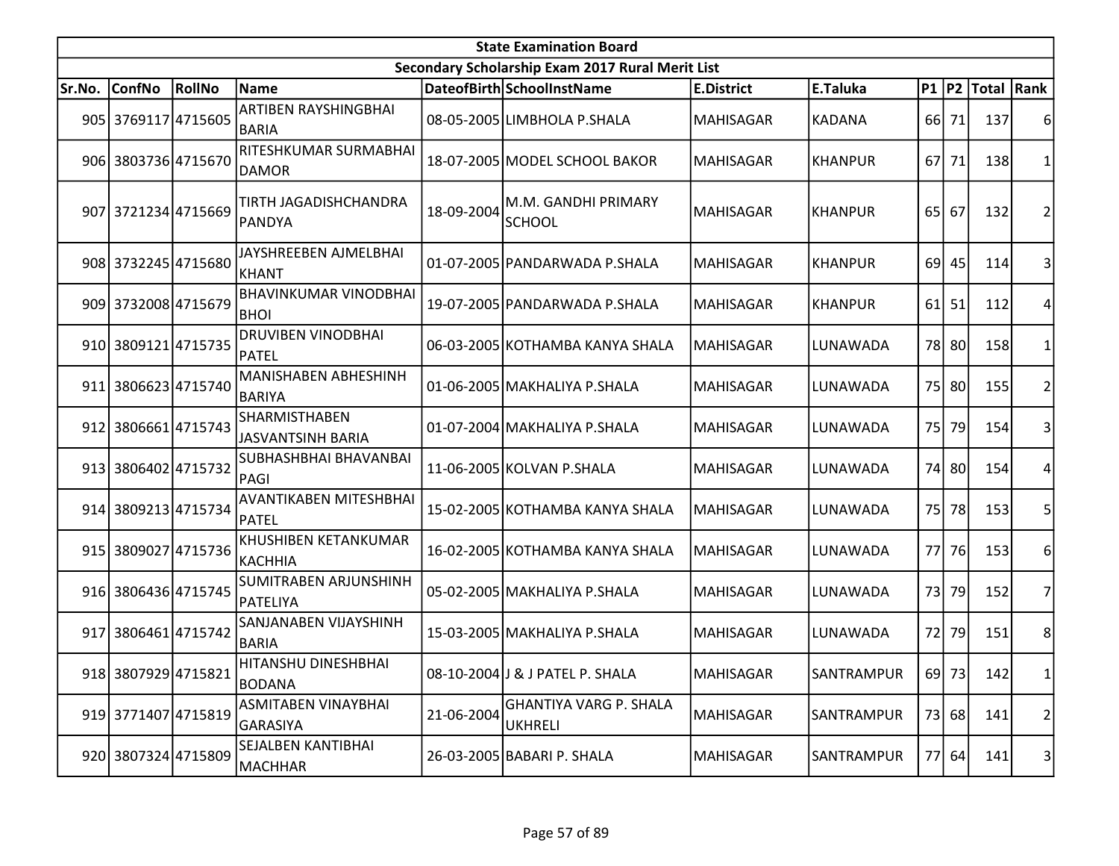|        | <b>State Examination Board</b> |        |                                                  |            |                                                  |                   |                |                 |       |                     |                |  |  |
|--------|--------------------------------|--------|--------------------------------------------------|------------|--------------------------------------------------|-------------------|----------------|-----------------|-------|---------------------|----------------|--|--|
|        |                                |        |                                                  |            | Secondary Scholarship Exam 2017 Rural Merit List |                   |                |                 |       |                     |                |  |  |
| Sr.No. | <b>ConfNo</b>                  | RollNo | <b>Name</b>                                      |            | DateofBirth SchoolInstName                       | <b>E.District</b> | E.Taluka       |                 |       | P1  P2  Total  Rank |                |  |  |
|        | 905 3769117 4715605            |        | ARTIBEN RAYSHINGBHAI<br><b>BARIA</b>             |            | 08-05-2005 LIMBHOLA P.SHALA                      | <b>MAHISAGAR</b>  | <b>KADANA</b>  |                 | 66 71 | 137                 | 6              |  |  |
|        | 906 3803736 4715670            |        | RITESHKUMAR SURMABHAI<br><b>DAMOR</b>            |            | 18-07-2005 MODEL SCHOOL BAKOR                    | <b>MAHISAGAR</b>  | <b>KHANPUR</b> |                 | 67 71 | 138                 | 1              |  |  |
|        | 907 3721234 4715669            |        | TIRTH JAGADISHCHANDRA<br><b>PANDYA</b>           | 18-09-2004 | M.M. GANDHI PRIMARY<br><b>SCHOOL</b>             | <b>MAHISAGAR</b>  | KHANPUR        | 65              | 67    | 132                 | $\overline{2}$ |  |  |
|        | 908 3732245 4715680            |        | JAYSHREEBEN AJMELBHAI<br>KHANT                   |            | 01-07-2005 PANDARWADA P.SHALA                    | <b>MAHISAGAR</b>  | <b>KHANPUR</b> |                 | 69 45 | 114                 | 3              |  |  |
|        | 909 3732008 4715679            |        | <b>BHAVINKUMAR VINODBHAI</b><br><b>BHOI</b>      |            | 19-07-2005 PANDARWADA P.SHALA                    | <b>MAHISAGAR</b>  | <b>KHANPUR</b> | 61 <sup>1</sup> | 51    | 112                 | 4              |  |  |
|        | 910 3809121 4715735            |        | <b>DRUVIBEN VINODBHAI</b><br><b>PATEL</b>        |            | 06-03-2005 KOTHAMBA KANYA SHALA                  | <b>MAHISAGAR</b>  | LUNAWADA       |                 | 78 80 | 158                 | 1              |  |  |
| 911    | 3806623 4715740                |        | <b>MANISHABEN ABHESHINH</b><br><b>BARIYA</b>     |            | 01-06-2005 MAKHALIYA P.SHALA                     | <b>MAHISAGAR</b>  | LUNAWADA       |                 | 75 80 | 155                 | $\overline{2}$ |  |  |
|        | 912 3806661 4715743            |        | <b>SHARMISTHABEN</b><br><b>JASVANTSINH BARIA</b> |            | 01-07-2004 MAKHALIYA P.SHALA                     | <b>MAHISAGAR</b>  | LUNAWADA       | 75I             | 79    | 154                 | 3              |  |  |
|        | 913 3806402 4715732            |        | SUBHASHBHAI BHAVANBAI<br>PAGI                    |            | 11-06-2005 KOLVAN P.SHALA                        | <b>MAHISAGAR</b>  | LUNAWADA       | 74              | 80l   | 154                 | 4              |  |  |
|        | 914 3809213 4715734            |        | AVANTIKABEN MITESHBHAI<br>PATEL                  |            | 15-02-2005 KOTHAMBA KANYA SHALA                  | <b>MAHISAGAR</b>  | LUNAWADA       | 75              | 78    | 153                 | 5              |  |  |
|        | 915 3809027 4715736            |        | KHUSHIBEN KETANKUMAR<br>KACHHIA                  |            | 16-02-2005 KOTHAMBA KANYA SHALA                  | <b>MAHISAGAR</b>  | LUNAWADA       |                 | 77 76 | 153                 | 6              |  |  |
|        | 916 3806436 4715745            |        | SUMITRABEN ARJUNSHINH<br>PATELIYA                |            | 05-02-2005 MAKHALIYA P.SHALA                     | <b>MAHISAGAR</b>  | LUNAWADA       | 73              | 79    | 152                 | 7              |  |  |
| 917    | 3806461 4715742                |        | SANJANABEN VIJAYSHINH<br><b>BARIA</b>            |            | 15-03-2005 MAKHALIYA P.SHALA                     | <b>MAHISAGAR</b>  | LUNAWADA       | 72              | 79    | 151                 | 8              |  |  |
|        | 918 3807929 4715821            |        | HITANSHU DINESHBHAI<br><b>BODANA</b>             |            | 08-10-2004 J & J PATEL P. SHALA                  | <b>MAHISAGAR</b>  | SANTRAMPUR     |                 | 69 73 | 142                 | $\mathbf{1}$   |  |  |
|        | 919 3771407 4715819            |        | <b>ASMITABEN VINAYBHAI</b><br>GARASIYA           | 21-06-2004 | <b>GHANTIYA VARG P. SHALA</b><br><b>UKHRELI</b>  | <b>MAHISAGAR</b>  | SANTRAMPUR     |                 | 73 68 | 141                 | 2              |  |  |
|        | 920 3807324 4715809            |        | SEJALBEN KANTIBHAI<br>MACHHAR                    |            | 26-03-2005 BABARI P. SHALA                       | <b>MAHISAGAR</b>  | SANTRAMPUR     |                 | 77 64 | 141                 | 3              |  |  |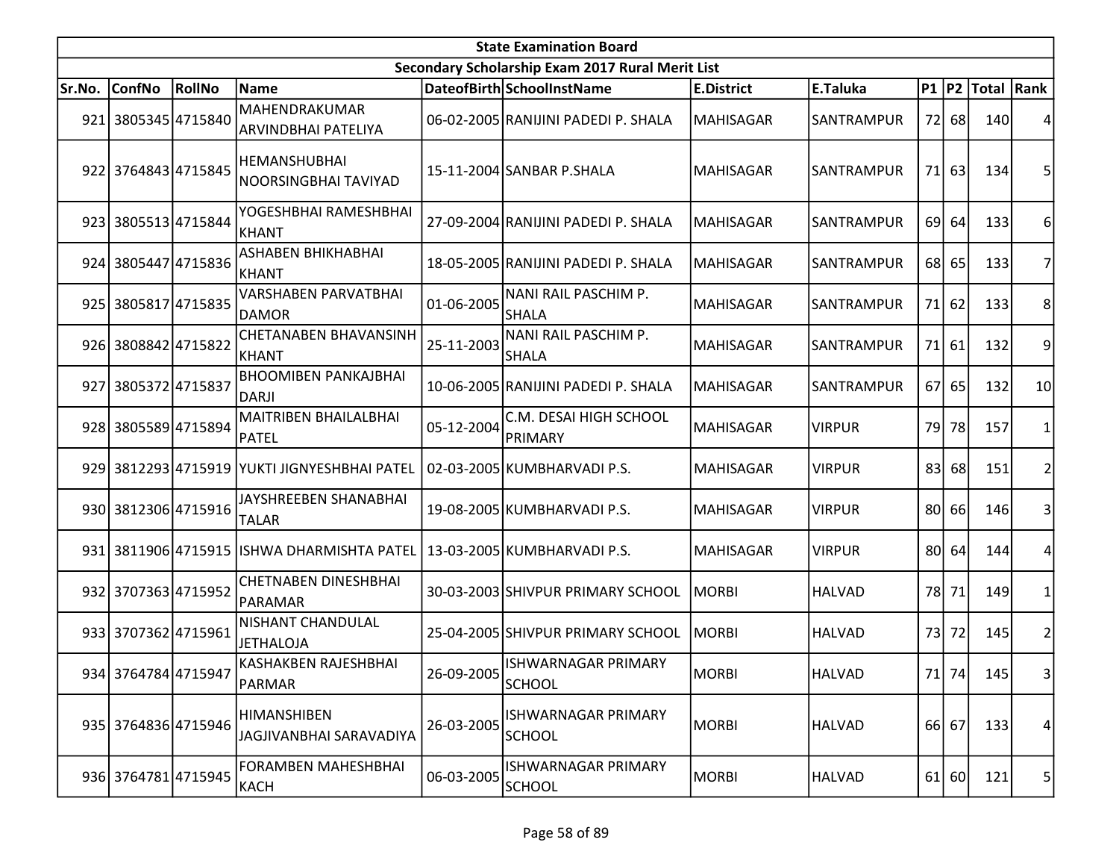|        | <b>State Examination Board</b> |        |                                               |            |                                                  |                   |               |    |         |                  |                |  |  |
|--------|--------------------------------|--------|-----------------------------------------------|------------|--------------------------------------------------|-------------------|---------------|----|---------|------------------|----------------|--|--|
|        |                                |        |                                               |            | Secondary Scholarship Exam 2017 Rural Merit List |                   |               |    |         |                  |                |  |  |
| Sr.No. | <b>ConfNo</b>                  | RollNo | Name                                          |            | DateofBirth SchoolInstName                       | <b>E.District</b> | E.Taluka      |    |         | P1 P2 Total Rank |                |  |  |
| 921    | 3805345 4715840                |        | MAHENDRAKUMAR<br>ARVINDBHAI PATELIYA          |            | 06-02-2005 RANIJINI PADEDI P. SHALA              | MAHISAGAR         | SANTRAMPUR    |    | 72 68   | 140              |                |  |  |
|        | 922 3764843 4715845            |        | <b>HEMANSHUBHAI</b><br>NOORSINGBHAI TAVIYAD   |            | 15-11-2004 SANBAR P.SHALA                        | <b>MAHISAGAR</b>  | SANTRAMPUR    |    | 71 63   | 134              |                |  |  |
|        | 923 3805513 4715844            |        | YOGESHBHAI RAMESHBHAI<br>KHANT                |            | 27-09-2004 RANIJINI PADEDI P. SHALA              | <b>MAHISAGAR</b>  | SANTRAMPUR    | 69 | 64      | 133              | 6              |  |  |
|        | 924 3805447 4715836            |        | ASHABEN BHIKHABHAI<br> KHANT                  |            | 18-05-2005 RANIJINI PADEDI P. SHALA              | MAHISAGAR         | SANTRAMPUR    |    | 68 65   | 133              |                |  |  |
|        | 925 3805817 4715835            |        | <b>VARSHABEN PARVATBHAI</b><br><b>DAMOR</b>   | 01-06-2005 | NANI RAIL PASCHIM P.<br><b>SHALA</b>             | <b>MAHISAGAR</b>  | SANTRAMPUR    |    | 71 62   | 133              | 8              |  |  |
|        | 926 3808842 4715822            |        | <b>CHETANABEN BHAVANSINH</b><br>KHANT         | 25-11-2003 | NANI RAIL PASCHIM P.<br><b>SHALA</b>             | <b>MAHISAGAR</b>  | SANTRAMPUR    |    | 71 61   | 132              | 9              |  |  |
| 927    | 38053724715837                 |        | <b>BHOOMIBEN PANKAJBHAI</b><br>DARJI          |            | 10-06-2005 RANIJINI PADEDI P. SHALA              | <b>MAHISAGAR</b>  | SANTRAMPUR    |    | 67 65   | 132              | 10             |  |  |
|        | 928 3805589 4715894            |        | MAITRIBEN BHAILALBHAI<br>PATEL                | 05-12-2004 | C.M. DESAI HIGH SCHOOL<br>PRIMARY                | <b>MAHISAGAR</b>  | <b>VIRPUR</b> |    | 79 78   | 157              |                |  |  |
|        |                                |        | 929 3812293 4715919 YUKTI JIGNYESHBHAI PATEL  |            | 02-03-2005 KUMBHARVADI P.S.                      | <b>MAHISAGAR</b>  | <b>VIRPUR</b> | 83 | 68      | 151              |                |  |  |
|        | 930 3812306 4715916            |        | JAYSHREEBEN SHANABHAI<br><b>TALAR</b>         |            | 19-08-2005 KUMBHARVADI P.S.                      | <b>MAHISAGAR</b>  | <b>VIRPUR</b> |    | 80 66   | 146              | 3              |  |  |
|        |                                |        | 931 3811906 4715915 ISHWA DHARMISHTA PATEL    |            | 13-03-2005 KUMBHARVADI P.S.                      | <b>MAHISAGAR</b>  | <b>VIRPUR</b> |    | 80 64   | 144              |                |  |  |
|        | 932 3707363 4715952            |        | <b>CHETNABEN DINESHBHAI</b><br>PARAMAR        |            | 30-03-2003 SHIVPUR PRIMARY SCHOOL                | <b>MORBI</b>      | <b>HALVAD</b> |    | 78 71   | 149              |                |  |  |
|        | 933 3707362 4715961            |        | NISHANT CHANDULAL<br><b>JETHALOJA</b>         |            | 25-04-2005 SHIVPUR PRIMARY SCHOOL                | <b>MORBI</b>      | <b>HALVAD</b> |    | 73 72   | 145              | 2              |  |  |
|        | 934 3764784 4715947            |        | KASHAKBEN RAJESHBHAI<br>PARMAR                | 26-09-2005 | ISHWARNAGAR PRIMARY<br><b>SCHOOL</b>             | MORBI             | <b>HALVAD</b> |    | 71 74   | 145              | 3 <sup>1</sup> |  |  |
|        | 935 3764836 4715946            |        | <b>HIMANSHIBEN</b><br>JAGJIVANBHAI SARAVADIYA | 26-03-2005 | ISHWARNAGAR PRIMARY<br><b>SCHOOL</b>             | <b>MORBI</b>      | <b>HALVAD</b> |    | 66 67   | 133              | 4              |  |  |
|        | 936 3764781 4715945            |        | <b>FORAMBEN MAHESHBHAI</b><br>KACH            | 06-03-2005 | ISHWARNAGAR PRIMARY<br><b>SCHOOL</b>             | MORBI             | <b>HALVAD</b> |    | $61$ 60 | 121              | 5 <sub>l</sub> |  |  |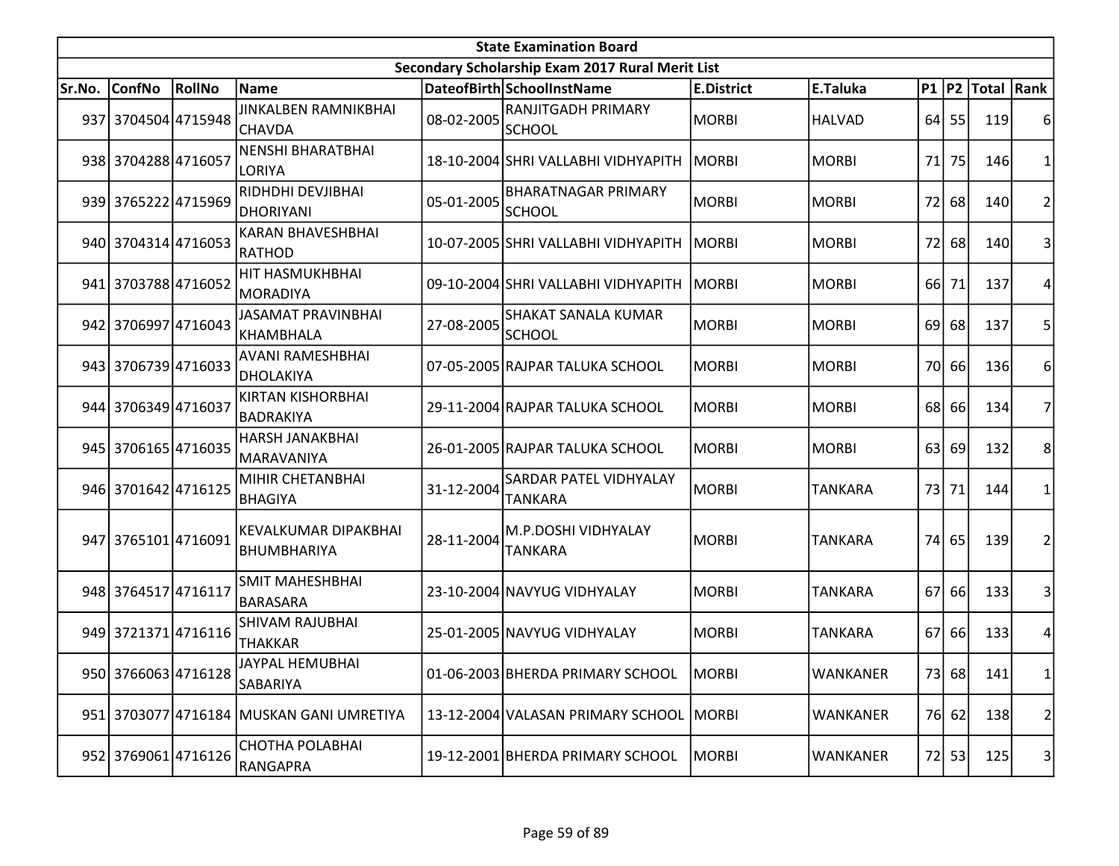|        | <b>State Examination Board</b><br>Secondary Scholarship Exam 2017 Rural Merit List |        |                                            |            |                                             |                   |                 |      |         |                  |                |  |  |
|--------|------------------------------------------------------------------------------------|--------|--------------------------------------------|------------|---------------------------------------------|-------------------|-----------------|------|---------|------------------|----------------|--|--|
|        |                                                                                    |        |                                            |            |                                             |                   |                 |      |         |                  |                |  |  |
| Sr.No. | <b>ConfNo</b>                                                                      | RollNo | <b>Name</b>                                |            | DateofBirth SchoolInstName                  | <b>E.District</b> | E.Taluka        |      |         | P1 P2 Total Rank |                |  |  |
|        | 937 3704504 4715948                                                                |        | JINKALBEN RAMNIKBHAI<br><b>CHAVDA</b>      | 08-02-2005 | <b>RANJITGADH PRIMARY</b><br>SCHOOL         | MORBI             | <b>HALVAD</b>   |      | $64$ 55 | 119              |                |  |  |
|        | 938 3704288 4716057                                                                |        | <b>NENSHI BHARATBHAI</b><br>LORIYA         |            | 18-10-2004 SHRI VALLABHI VIDHYAPITH         | MORBI             | <b>MORBI</b>    | 71   | 75      | <b>146</b>       |                |  |  |
|        | 939 3765222 4715969                                                                |        | RIDHDHI DEVJIBHAI<br><b>DHORIYANI</b>      | 05-01-2005 | <b>BHARATNAGAR PRIMARY</b><br><b>SCHOOL</b> | MORBI             | <b>MORBI</b>    | 72   | 68      | 140              | $\overline{2}$ |  |  |
|        | 940 3704314 4716053                                                                |        | <b>KARAN BHAVESHBHAI</b><br><b>RATHOD</b>  |            | 10-07-2005 SHRI VALLABHI VIDHYAPITH         | MORBI             | <b>MORBI</b>    | 72   | 68      | 140              | 3              |  |  |
|        | 941 3703788 4716052                                                                |        | HIT HASMUKHBHAI<br>MORADIYA                |            | 09-10-2004 SHRI VALLABHI VIDHYAPITH         | MORBI             | <b>MORBI</b>    |      | 66 71   | 137              |                |  |  |
|        | 942 3706997 4716043                                                                |        | <b>JASAMAT PRAVINBHAI</b><br>KHAMBHALA     | 27-08-2005 | <b>SHAKAT SANALA KUMAR</b><br><b>SCHOOL</b> | MORBI             | <b>MORBI</b>    | 69 l | 68      | 137              | 5              |  |  |
|        | 943 3706739 4716033                                                                |        | <b>AVANI RAMESHBHAI</b><br>DHOLAKIYA       |            | 07-05-2005 RAJPAR TALUKA SCHOOL             | MORBI             | <b>MORBI</b>    |      | 70 66   | 136              | 6              |  |  |
|        | 944 3706349 4716037                                                                |        | <b>KIRTAN KISHORBHAI</b><br>BADRAKIYA      |            | 29-11-2004 RAJPAR TALUKA SCHOOL             | MORBI             | <b>MORBI</b>    |      | 68 66   | 134              | 7              |  |  |
|        | 945 3706165 4716035                                                                |        | <b>HARSH JANAKBHAI</b><br>MARAVANIYA       |            | 26-01-2005 RAJPAR TALUKA SCHOOL             | MORBI             | <b>MORBI</b>    | 63   | 69      | 132              | 8              |  |  |
|        | 946 3701642 4716125                                                                |        | MIHIR CHETANBHAI<br><b>BHAGIYA</b>         | 31-12-2004 | SARDAR PATEL VIDHYALAY<br><b>TANKARA</b>    | MORBI             | <b>TANKARA</b>  |      | 73 71   | 144              |                |  |  |
|        | 947 3765101 4716091                                                                |        | KEVALKUMAR DIPAKBHAI<br><b>BHUMBHARIYA</b> | 28-11-2004 | M.P.DOSHI VIDHYALAY<br><b>TANKARA</b>       | MORBI             | <b>TANKARA</b>  |      | 74 65   | 139              | 2              |  |  |
|        | 948 3764517 4716117                                                                |        | SMIT MAHESHBHAI<br><b>BARASARA</b>         |            | 23-10-2004 NAVYUG VIDHYALAY                 | MORBI             | <b>TANKARA</b>  | 67   | 66      | 133              | $\vert$ 3      |  |  |
|        | 949 3721371 4716116                                                                |        | <b>SHIVAM RAJUBHAI</b><br><b>THAKKAR</b>   |            | 25-01-2005 NAVYUG VIDHYALAY                 | MORBI             | <b>TANKARA</b>  |      | 67 66   | 133              | 4              |  |  |
|        | 950 3766063 4716128                                                                |        | JAYPAL HEMUBHAI<br>SABARIYA                |            | 01-06-2003 BHERDA PRIMARY SCHOOL            | MORBI             | <b>WANKANER</b> |      | 73 68   | 141              | 1              |  |  |
|        |                                                                                    |        | 951 3703077 4716184 MUSKAN GANI UMRETIYA   |            | 13-12-2004 VALASAN PRIMARY SCHOOL           | MORBI             | WANKANER        |      | 76 62   | 138              | 2              |  |  |
|        | 952 3769061 4716126                                                                |        | CHOTHA POLABHAI<br><b>RANGAPRA</b>         |            | 19-12-2001 BHERDA PRIMARY SCHOOL            | MORBI             | <b>WANKANER</b> |      | 72 53   | 125              | $\vert$        |  |  |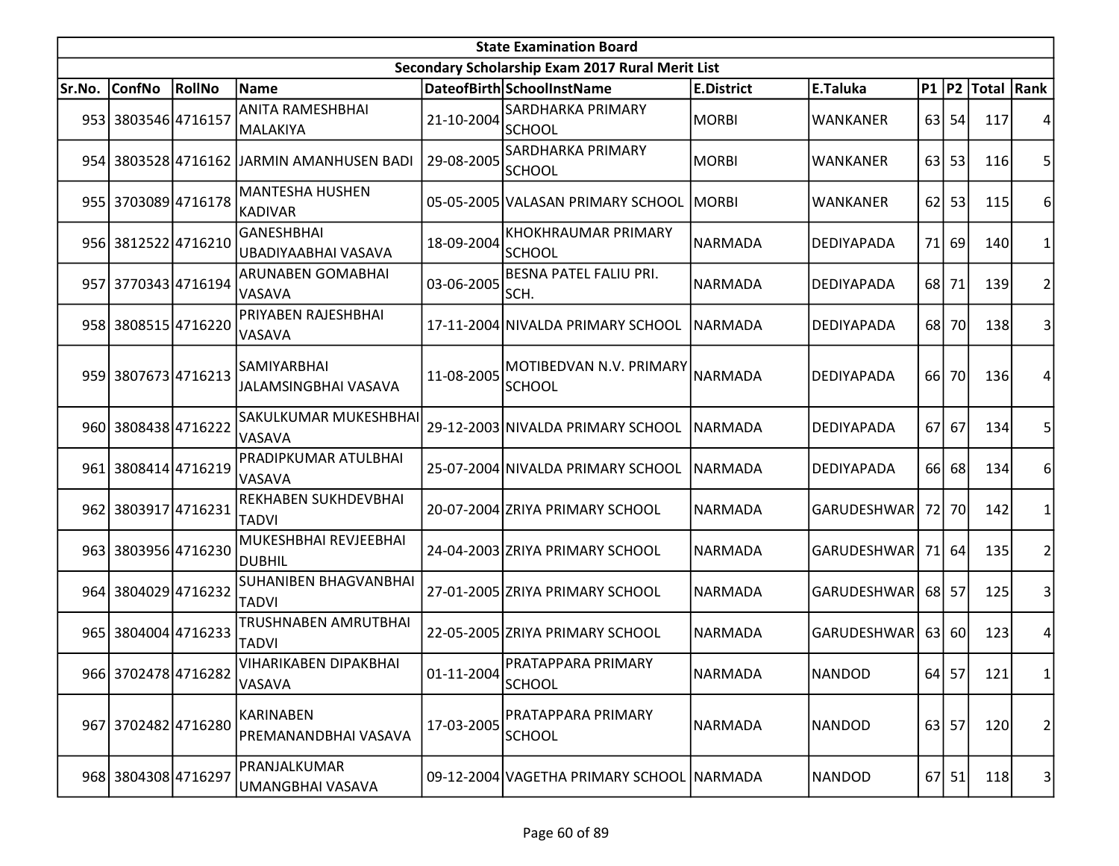| <b>State Examination Board</b> |                     |        |                                              |                  |                                                  |                   |                    |      |           |                     |                   |  |
|--------------------------------|---------------------|--------|----------------------------------------------|------------------|--------------------------------------------------|-------------------|--------------------|------|-----------|---------------------|-------------------|--|
|                                |                     |        |                                              |                  | Secondary Scholarship Exam 2017 Rural Merit List |                   |                    |      |           |                     |                   |  |
| Sr.No.                         | <b>ConfNo</b>       | RollNo | <b>Name</b>                                  |                  | DateofBirth SchoolInstName                       | <b>E.District</b> | E.Taluka           |      |           | P1  P2  Total  Rank |                   |  |
|                                | 953 3803546 4716157 |        | <b>ANITA RAMESHBHAI</b><br> MALAKIYA         | 21-10-2004       | SARDHARKA PRIMARY<br>SCHOOL                      | MORBI             | <b>WANKANER</b>    |      | $63$   54 | 117                 | 4                 |  |
|                                |                     |        | 954 3803528 4716162 JARMIN AMANHUSEN BADI    | 29-08-2005       | <b>SARDHARKA PRIMARY</b><br><b>SCHOOL</b>        | MORBI             | <b>WANKANER</b>    |      | $63$ 53   | 116                 | 5                 |  |
|                                | 955 3703089 4716178 |        | <b>MANTESHA HUSHEN</b><br>KADIVAR            |                  | 05-05-2005 VALASAN PRIMARY SCHOOL                | MORBI             | <b>WANKANER</b>    | 62   | 53        | 115                 | 6                 |  |
|                                | 956 3812522 4716210 |        | <b>GANESHBHAI</b><br>UBADIYAABHAI VASAVA     | 18-09-2004       | <b>KHOKHRAUMAR PRIMARY</b><br><b>SCHOOL</b>      | NARMADA           | DEDIYAPADA         | 71   | 69        | 140                 | 1                 |  |
|                                | 957 3770343 4716194 |        | ARUNABEN GOMABHAI<br><b>VASAVA</b>           | 03-06-2005       | <b>BESNA PATEL FALIU PRI.</b><br>SCH.            | NARMADA           | DEDIYAPADA         | 68 l | 71        | 139                 | 2                 |  |
|                                | 958 3808515 4716220 |        | PRIYABEN RAJESHBHAI<br>lVASAVA               |                  | 17-11-2004 NIVALDA PRIMARY SCHOOL                | NARMADA           | <b>DEDIYAPADA</b>  | 68I  | 70l       | 138                 | 3                 |  |
|                                | 959 3807673 4716213 |        | SAMIYARBHAI<br>JALAMSINGBHAI VASAVA          | 11-08-2005       | MOTIBEDVAN N.V. PRIMARY<br><b>SCHOOL</b>         | <b>NARMADA</b>    | DEDIYAPADA         | 66 I | 70I       | 136                 | 4                 |  |
|                                | 960 3808438 4716222 |        | SAKULKUMAR MUKESHBHAI<br><b>VASAVA</b>       |                  | 29-12-2003 NIVALDA PRIMARY SCHOOL                | <b>NARMADA</b>    | DEDIYAPADA         | 67   | 67        | 134                 | 5                 |  |
| 961                            | 3808414 4716219     |        | PRADIPKUMAR ATULBHAI<br><b>VASAVA</b>        |                  | 25-07-2004 NIVALDA PRIMARY SCHOOL                | <b>NARMADA</b>    | DEDIYAPADA         |      | 66 68     | 134                 | 6                 |  |
|                                | 962 3803917 4716231 |        | REKHABEN SUKHDEVBHAI<br><b>TADVI</b>         |                  | 20-07-2004 ZRIYA PRIMARY SCHOOL                  | <b>NARMADA</b>    | <b>GARUDESHWAR</b> | 72   | 70I       | 142                 | 1                 |  |
|                                | 963 3803956 4716230 |        | MUKESHBHAI REVJEEBHAI<br>DUBHIL              |                  | 24-04-2003 ZRIYA PRIMARY SCHOOL                  | <b>NARMADA</b>    | GARUDESHWAR        | 71   | 64        | 135                 | $\overline{2}$    |  |
|                                | 964 3804029 4716232 |        | <b>SUHANIBEN BHAGVANBHAI</b><br><b>TADVI</b> |                  | 27-01-2005 ZRIYA PRIMARY SCHOOL                  | NARMADA           | GARUDESHWAR        |      | 68 57     | 125                 | 3                 |  |
|                                | 965 3804004 4716233 |        | TRUSHNABEN AMRUTBHAI<br><b>TADVI</b>         |                  | 22-05-2005 ZRIYA PRIMARY SCHOOL                  | NARMADA           | GARUDESHWAR        |      | 63 60     | 123                 | 4                 |  |
|                                | 966 3702478 4716282 |        | <b>VIHARIKABEN DIPAKBHAI</b><br>VASAVA       | $01 - 11 - 2004$ | PRATAPPARA PRIMARY<br>SCHOOL                     | NARMADA           | NANDOD             |      | 64 57     | 121                 | $\mathbf{1}$      |  |
|                                | 967 3702482 4716280 |        | KARINABEN<br>PREMANANDBHAI VASAVA            | 17-03-2005       | PRATAPPARA PRIMARY<br><b>SCHOOL</b>              | NARMADA           | <b>NANDOD</b>      |      | $63$ 57   | 120                 | $\overline{2}$    |  |
|                                | 968 3804308 4716297 |        | PRANJALKUMAR<br>UMANGBHAI VASAVA             |                  | 09-12-2004 VAGETHA PRIMARY SCHOOL NARMADA        |                   | <b>NANDOD</b>      |      | $67$   51 | 118                 | $\lvert 3 \rvert$ |  |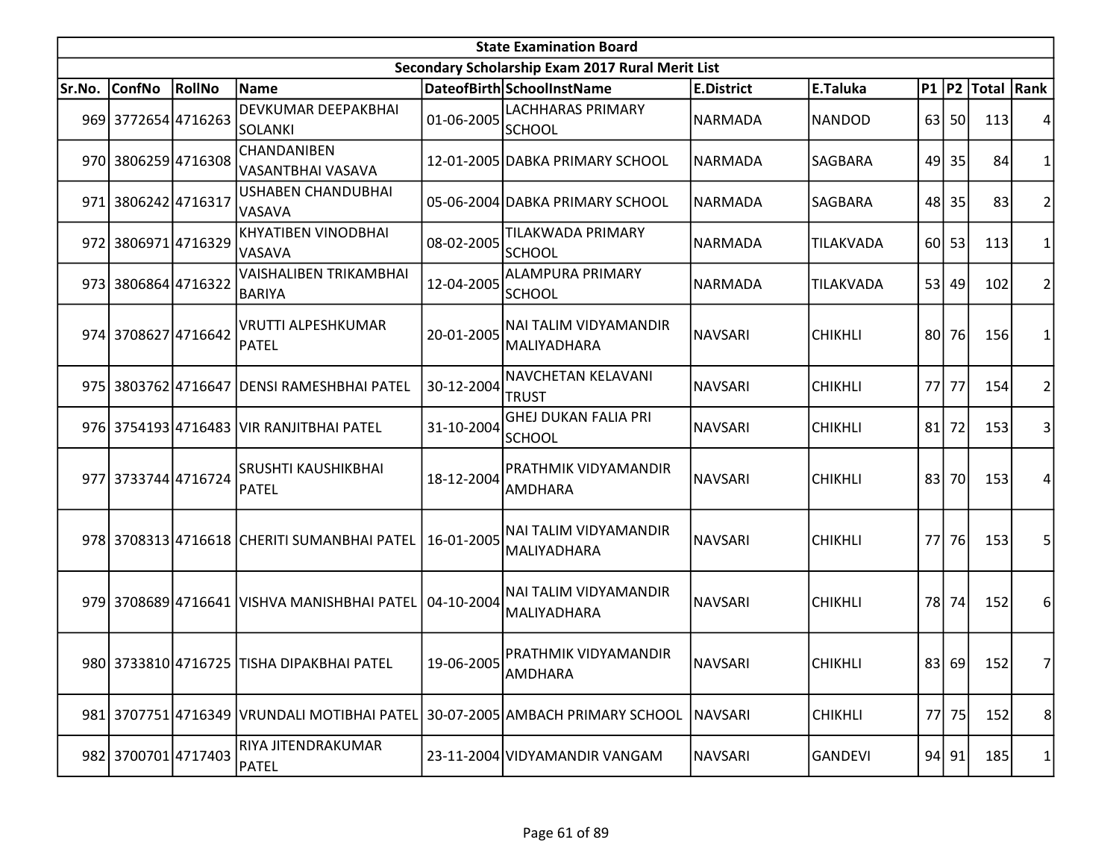|        | <b>State Examination Board</b> |        |                                                        |            |                                                  |                   |                |     |           |                  |                |  |  |
|--------|--------------------------------|--------|--------------------------------------------------------|------------|--------------------------------------------------|-------------------|----------------|-----|-----------|------------------|----------------|--|--|
|        |                                |        |                                                        |            | Secondary Scholarship Exam 2017 Rural Merit List |                   |                |     |           |                  |                |  |  |
| Sr.No. | <b>ConfNo</b>                  | RollNo | Name                                                   |            | DateofBirth SchoolInstName                       | <b>E.District</b> | E.Taluka       |     |           | P1 P2 Total Rank |                |  |  |
|        | 969 3772654 4716263            |        | DEVKUMAR DEEPAKBHAI<br><b>SOLANKI</b>                  | 01-06-2005 | <b>LACHHARAS PRIMARY</b><br>SCHOOL               | NARMADA           | <b>NANDOD</b>  |     | 63 50     | 113              |                |  |  |
|        | 970 3806259 4716308            |        | CHANDANIBEN<br>VASANTBHAI VASAVA                       |            | 12-01-2005 DABKA PRIMARY SCHOOL                  | <b>NARMADA</b>    | SAGBARA        |     | 49 35     | 84               |                |  |  |
|        | 971 3806242 4716317            |        | USHABEN CHANDUBHAI<br>VASAVA                           |            | 05-06-2004 DABKA PRIMARY SCHOOL                  | NARMADA           | SAGBARA        |     | 48 35     | 83               | 2              |  |  |
|        | 972 3806971 4716329            |        | KHYATIBEN VINODBHAI<br>VASAVA                          | 08-02-2005 | <b>TILAKWADA PRIMARY</b><br><b>SCHOOL</b>        | <b>NARMADA</b>    | TILAKVADA      |     | $60$   53 | 113              | 1              |  |  |
|        | 973 3806864 4716322            |        | VAISHALIBEN TRIKAMBHAI<br><b>BARIYA</b>                | 12-04-2005 | <b>ALAMPURA PRIMARY</b><br><b>SCHOOL</b>         | NARMADA           | TILAKVADA      |     | 53 49     | 102              |                |  |  |
|        | 974 3708627 4716642            |        | VRUTTI ALPESHKUMAR<br><b>PATEL</b>                     | 20-01-2005 | NAI TALIM VIDYAMANDIR<br>MALIYADHARA             | <b>NAVSARI</b>    | <b>CHIKHLI</b> |     | 80 76     | 156              |                |  |  |
|        |                                |        | 975 3803762 4716647 DENSI RAMESHBHAI PATEL             | 30-12-2004 | <b>NAVCHETAN KELAVANI</b><br><b>TRUST</b>        | <b>NAVSARI</b>    | <b>CHIKHLI</b> | 77I | 77        | 154              | 2              |  |  |
|        |                                |        | 976 3754193 4716483 VIR RANJITBHAI PATEL               | 31-10-2004 | <b>GHEJ DUKAN FALIA PRI</b><br><b>SCHOOL</b>     | <b>NAVSARI</b>    | <b>CHIKHLI</b> |     | $81$ 72   | 153              | 3              |  |  |
|        | 977 3733744 4716724            |        | SRUSHTI KAUSHIKBHAI<br>PATEL                           | 18-12-2004 | <b>PRATHMIK VIDYAMANDIR</b><br><b>AMDHARA</b>    | NAVSARI           | <b>CHIKHLI</b> | 83  | 70        | 153              | 4              |  |  |
|        |                                |        | 978 3708313 4716618 CHERITI SUMANBHAI PATEL            | 16-01-2005 | NAI TALIM VIDYAMANDIR<br>MALIYADHARA             | <b>NAVSARI</b>    | <b>CHIKHLI</b> |     | 77 76     | 153              | 5              |  |  |
|        |                                |        | 979 3708689 4716641 VISHVA MANISHBHAI PATEL 04-10-2004 |            | <b>NAI TALIM VIDYAMANDIR</b><br>MALIYADHARA      | NAVSARI           | <b>CHIKHLI</b> |     | 78 74     | 152              | 6              |  |  |
|        |                                |        | 980 3733810 4716725 TISHA DIPAKBHAI PATEL              | 19-06-2005 | PRATHMIK VIDYAMANDIR<br><b>AMDHARA</b>           | NAVSARI           | <b>CHIKHLI</b> |     | 83 69     | 152              | 7 <sup>1</sup> |  |  |
|        |                                |        | 981 3707751 4716349 VRUNDALI MOTIBHAI PATEL            |            | 30-07-2005 AMBACH PRIMARY SCHOOL                 | <b>NAVSARI</b>    | <b>CHIKHLI</b> |     | 77 75     | 152              | 8 <sup>2</sup> |  |  |
|        | 982 3700701 4717403            |        | RIYA JITENDRAKUMAR<br>PATEL                            |            | 23-11-2004 VIDYAMANDIR VANGAM                    | <b>NAVSARI</b>    | <b>GANDEVI</b> |     | 94 91     | 185              |                |  |  |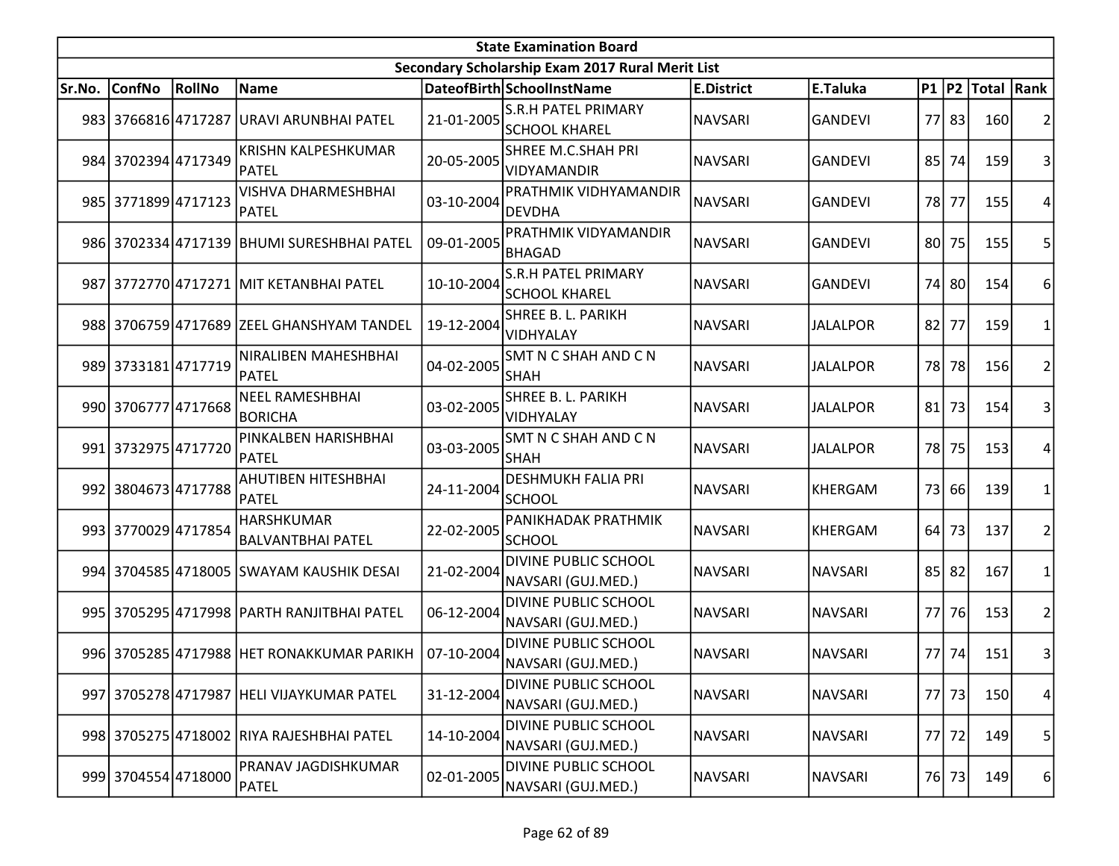|        | <b>State Examination Board</b> |               |                                               |            |                                                    |                   |                 |                 |       |                        |                 |  |  |
|--------|--------------------------------|---------------|-----------------------------------------------|------------|----------------------------------------------------|-------------------|-----------------|-----------------|-------|------------------------|-----------------|--|--|
|        |                                |               |                                               |            | Secondary Scholarship Exam 2017 Rural Merit List   |                   |                 |                 |       |                        |                 |  |  |
| Sr.No. | <b>ConfNo</b>                  | <b>RollNo</b> | Name                                          |            | DateofBirth SchoolInstName                         | <b>E.District</b> | E.Taluka        |                 |       | P1   P2   Total   Rank |                 |  |  |
|        |                                |               | 983 3766816 4717287 URAVI ARUNBHAI PATEL      | 21-01-2005 | <b>S.R.H PATEL PRIMARY</b><br><b>SCHOOL KHAREL</b> | <b>NAVSARI</b>    | <b>GANDEVI</b>  |                 | 77 83 | 160                    | 2               |  |  |
|        | 984 3702394 4717349            |               | KRISHN KALPESHKUMAR<br>PATEL                  | 20-05-2005 | SHREE M.C.SHAH PRI<br>VIDYAMANDIR                  | <b>NAVSARI</b>    | <b>GANDEVI</b>  | 85              | 74    | 159                    | $\overline{3}$  |  |  |
|        | 985 3771899 4717123            |               | <b>VISHVA DHARMESHBHAI</b><br>PATEL           | 03-10-2004 | PRATHMIK VIDHYAMANDIR<br><b>DEVDHA</b>             | <b>NAVSARI</b>    | <b>GANDEVI</b>  | 78 l            | 77    | 155                    | 4               |  |  |
|        |                                |               | 986 3702334 4717139 BHUMI SURESHBHAI PATEL    | 09-01-2005 | <b>PRATHMIK VIDYAMANDIR</b><br><b>BHAGAD</b>       | NAVSARI           | <b>GANDEVI</b>  | 80 <sup> </sup> | 75    | 155                    | 5               |  |  |
|        |                                |               | 987 3772770 4717271 MIT KETANBHAI PATEL       | 10-10-2004 | <b>S.R.H PATEL PRIMARY</b><br><b>SCHOOL KHAREL</b> | <b>NAVSARI</b>    | <b>GANDEVI</b>  |                 | 74 80 | 154                    | $6 \mid$        |  |  |
|        |                                |               | 988 3706759 4717689 ZEEL GHANSHYAM TANDEL     | 19-12-2004 | SHREE B. L. PARIKH<br>VIDHYALAY                    | <b>NAVSARI</b>    | <b>JALALPOR</b> | 82              | 77    | 159                    | 1               |  |  |
|        | 989 3733181 4717719            |               | NIRALIBEN MAHESHBHAI<br>PATEL                 | 04-02-2005 | SMT N C SHAH AND C N<br> SHAH                      | <b>NAVSARI</b>    | <b>JALALPOR</b> | 78              | 78    | 156                    | $\overline{2}$  |  |  |
|        | 990 3706777 4717668            |               | NEEL RAMESHBHAI<br><b>BORICHA</b>             | 03-02-2005 | SHREE B. L. PARIKH<br>VIDHYALAY                    | <b>NAVSARI</b>    | <b>JALALPOR</b> | 81              | 73    | 154                    | $\overline{3}$  |  |  |
|        | 991 3732975 4717720            |               | PINKALBEN HARISHBHAI<br>PATEL                 | 03-03-2005 | SMT N C SHAH AND C N<br><b>SHAH</b>                | <b>NAVSARI</b>    | <b>JALALPOR</b> |                 | 78 75 | 153                    | 4               |  |  |
|        | 992 3804673 4717788            |               | AHUTIBEN HITESHBHAI<br>PATEL                  | 24-11-2004 | <b>DESHMUKH FALIA PRI</b><br><b>SCHOOL</b>         | <b>NAVSARI</b>    | KHERGAM         | 73              | 66    | 139                    | 1               |  |  |
|        | 993 3770029 4717854            |               | <b>HARSHKUMAR</b><br><b>BALVANTBHAI PATEL</b> | 22-02-2005 | PANIKHADAK PRATHMIK<br><b>SCHOOL</b>               | <b>NAVSARI</b>    | <b>KHERGAM</b>  | 64              | 73    | 137                    | $\overline{2}$  |  |  |
|        |                                |               | 994 3704585 4718005 SWAYAM KAUSHIK DESAI      | 21-02-2004 | <b>DIVINE PUBLIC SCHOOL</b><br>NAVSARI (GUJ.MED.)  | <b>NAVSARI</b>    | <b>NAVSARI</b>  | 85              | 82    | 167                    | 1               |  |  |
|        |                                |               | 995 3705295 4717998 PARTH RANJITBHAI PATEL    | 06-12-2004 | <b>DIVINE PUBLIC SCHOOL</b><br>NAVSARI (GUJ.MED.)  | <b>NAVSARI</b>    | <b>NAVSARI</b>  | 77I             | 76    | 153                    | $\overline{2}$  |  |  |
|        |                                |               | 996 3705285 4717988 HET RONAKKUMAR PARIKH     | 07-10-2004 | <b>DIVINE PUBLIC SCHOOL</b><br>NAVSARI (GUJ.MED.)  | <b>NAVSARI</b>    | <b>NAVSARI</b>  |                 | 77 74 | 151                    | $\vert 3 \vert$ |  |  |
|        |                                |               | 997 3705278 4717987 HELI VIJAYKUMAR PATEL     | 31-12-2004 | <b>DIVINE PUBLIC SCHOOL</b><br>NAVSARI (GUJ.MED.)  | <b>NAVSARI</b>    | <b>NAVSARI</b>  |                 | 77 73 | 150                    | $\vert 4 \vert$ |  |  |
|        |                                |               | 998 3705275 4718002 RIYA RAJESHBHAI PATEL     | 14-10-2004 | <b>DIVINE PUBLIC SCHOOL</b><br>NAVSARI (GUJ.MED.)  | <b>NAVSARI</b>    | <b>NAVSARI</b>  |                 | 77 72 | 149                    | 5               |  |  |
|        | 999 3704554 4718000            |               | <b>PRANAV JAGDISHKUMAR</b><br><b>PATEL</b>    | 02-01-2005 | DIVINE PUBLIC SCHOOL<br>NAVSARI (GUJ.MED.)         | <b>NAVSARI</b>    | <b>NAVSARI</b>  |                 | 76 73 | 149                    | $6 \mid$        |  |  |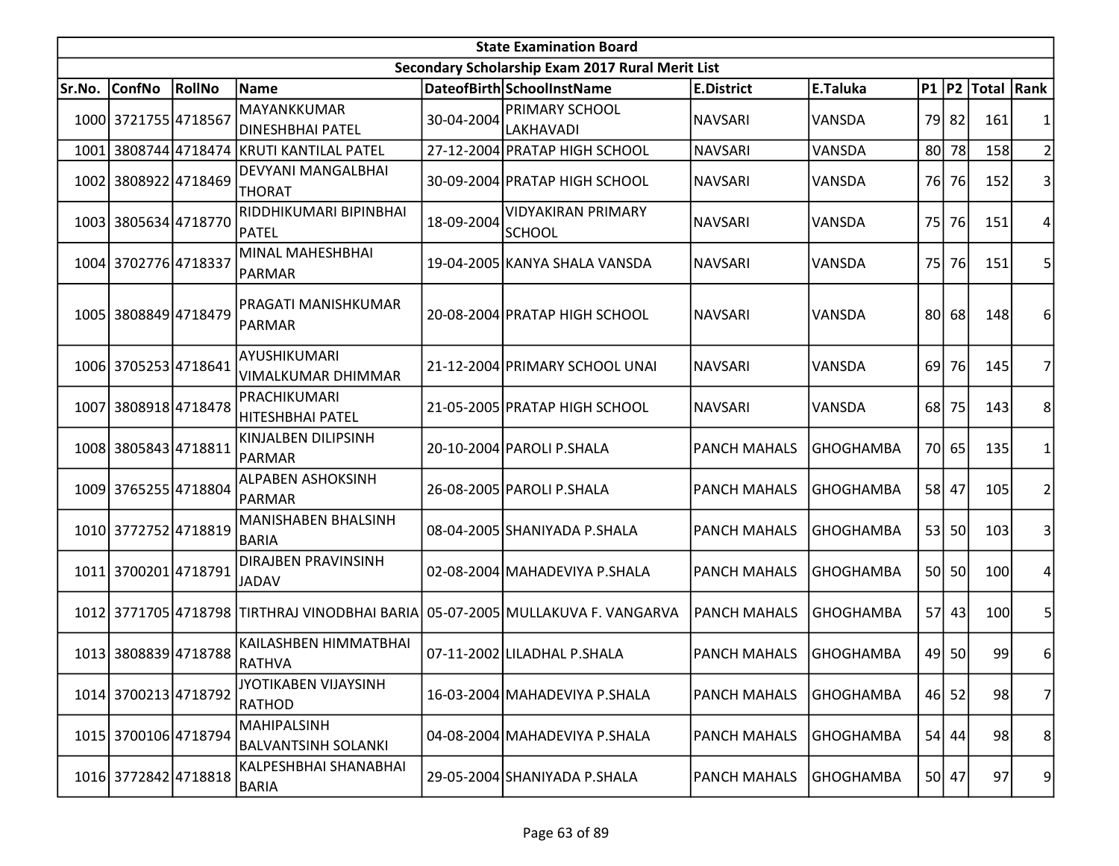|        | <b>State Examination Board</b> |                      |                                                                                |            |                                                  |                     |                  |                 |           |                  |                |  |  |
|--------|--------------------------------|----------------------|--------------------------------------------------------------------------------|------------|--------------------------------------------------|---------------------|------------------|-----------------|-----------|------------------|----------------|--|--|
|        |                                |                      |                                                                                |            | Secondary Scholarship Exam 2017 Rural Merit List |                     |                  |                 |           |                  |                |  |  |
| Sr.No. | <b>ConfNo</b>                  | RollNo               | Name                                                                           |            | DateofBirth SchoolInstName                       | <b>E.District</b>   | E.Taluka         |                 |           | P1 P2 Total Rank |                |  |  |
|        | 1000 3721755 4718567           |                      | MAYANKKUMAR<br><b>DINESHBHAI PATEL</b>                                         | 30-04-2004 | <b>PRIMARY SCHOOL</b><br><b>LAKHAVADI</b>        | <b>NAVSARI</b>      | VANSDA           |                 | 79 82     | 161              |                |  |  |
| 1001   |                                |                      | 3808744 4718474 KRUTI KANTILAL PATEL                                           |            | 27-12-2004 PRATAP HIGH SCHOOL                    | <b>NAVSARI</b>      | VANSDA           |                 | 80 78     | <b>158</b>       | $\overline{2}$ |  |  |
|        | 1002 3808922 4718469           |                      | DEVYANI MANGALBHAI<br><b>THORAT</b>                                            |            | 30-09-2004 PRATAP HIGH SCHOOL                    | <b>NAVSARI</b>      | VANSDA           |                 | 76 76     | 152              | 3              |  |  |
|        | 1003 3805634 4718770           |                      | RIDDHIKUMARI BIPINBHAI<br><b>PATEL</b>                                         | 18-09-2004 | <b>VIDYAKIRAN PRIMARY</b><br><b>SCHOOL</b>       | <b>NAVSARI</b>      | VANSDA           |                 | 75 76     | 151              | 4              |  |  |
|        | 1004 3702776 4718337           |                      | MINAL MAHESHBHAI<br>PARMAR                                                     |            | 19-04-2005 KANYA SHALA VANSDA                    | <b>NAVSARI</b>      | VANSDA           | 75              | 76        | 151              | 5              |  |  |
|        | 1005 3808849 4718479           |                      | PRAGATI MANISHKUMAR<br>PARMAR                                                  |            | 20-08-2004 PRATAP HIGH SCHOOL                    | <b>NAVSARI</b>      | <b>VANSDA</b>    |                 | 80 68     | 148              | 6              |  |  |
|        | 1006 3705253 4718641           |                      | AYUSHIKUMARI<br><b>VIMALKUMAR DHIMMAR</b>                                      |            | 21-12-2004 PRIMARY SCHOOL UNAI                   | NAVSARI             | VANSDA           | 69 <sup> </sup> | <b>76</b> | 145              |                |  |  |
|        | 1007 3808918 4718478           |                      | PRACHIKUMARI<br>HITESHBHAI PATEL                                               |            | 21-05-2005 PRATAP HIGH SCHOOL                    | <b>NAVSARI</b>      | VANSDA           |                 | 68 75     | 143              | 8              |  |  |
|        | 1008 3805843 4718811           |                      | KINJALBEN DILIPSINH<br>PARMAR                                                  |            | 20-10-2004 PAROLI P.SHALA                        | <b>PANCH MAHALS</b> | <b>GHOGHAMBA</b> |                 | 70 65     | 135              | 1              |  |  |
|        | 1009 3765255 4718804           |                      | ALPABEN ASHOKSINH<br>PARMAR                                                    |            | 26-08-2005 PAROLI P.SHALA                        | <b>PANCH MAHALS</b> | <b>GHOGHAMBA</b> |                 | 58 47     | 105              | 2              |  |  |
|        | 1010 3772752 4718819           |                      | MANISHABEN BHALSINH<br><b>BARIA</b>                                            |            | 08-04-2005 SHANIYADA P.SHALA                     | <b>PANCH MAHALS</b> | <b>GHOGHAMBA</b> |                 | 53 50     | 103              | 3              |  |  |
|        | 1011 3700201 4718791           |                      | DIRAJBEN PRAVINSINH<br>JADAV                                                   |            | 02-08-2004 MAHADEVIYA P.SHALA                    | <b>PANCH MAHALS</b> | <b>GHOGHAMBA</b> |                 | 50 50     | 100              | 4              |  |  |
|        |                                |                      | 1012 3771705 4718798 TIRTHRAJ VINODBHAI BARIA 05-07-2005 MULLAKUVA F. VANGARVA |            |                                                  | <b>PANCH MAHALS</b> | <b>GHOGHAMBA</b> | 57              | 43        | 100              | 5              |  |  |
|        | 1013 3808839 4718788           |                      | KAILASHBEN HIMMATBHAI<br>RATHVA                                                |            | 07-11-2002 LILADHAL P.SHALA                      | <b>PANCH MAHALS</b> | <b>GHOGHAMBA</b> |                 | 49 50     | 99               | 6              |  |  |
|        | 1014 3700213 4718792           |                      | <b>JYOTIKABEN VIJAYSINH</b><br><b>RATHOD</b>                                   |            | 16-03-2004 MAHADEVIYA P.SHALA                    | <b>PANCH MAHALS</b> | <b>GHOGHAMBA</b> |                 | $46$ 52   | 98               | $\overline{7}$ |  |  |
|        | 1015 3700106 4718794           |                      | MAHIPALSINH<br><b>BALVANTSINH SOLANKI</b>                                      |            | 04-08-2004   MAHADEVIYA P.SHALA                  | <b>PANCH MAHALS</b> | <b>GHOGHAMBA</b> |                 | $54$ 44   | 98               | 8 <sup>1</sup> |  |  |
|        |                                | 1016 3772842 4718818 | KALPESHBHAI SHANABHAI<br>BARIA                                                 |            | 29-05-2004 SHANIYADA P.SHALA                     | <b>PANCH MAHALS</b> | <b>GHOGHAMBA</b> |                 | 50 47     | 97               | 91             |  |  |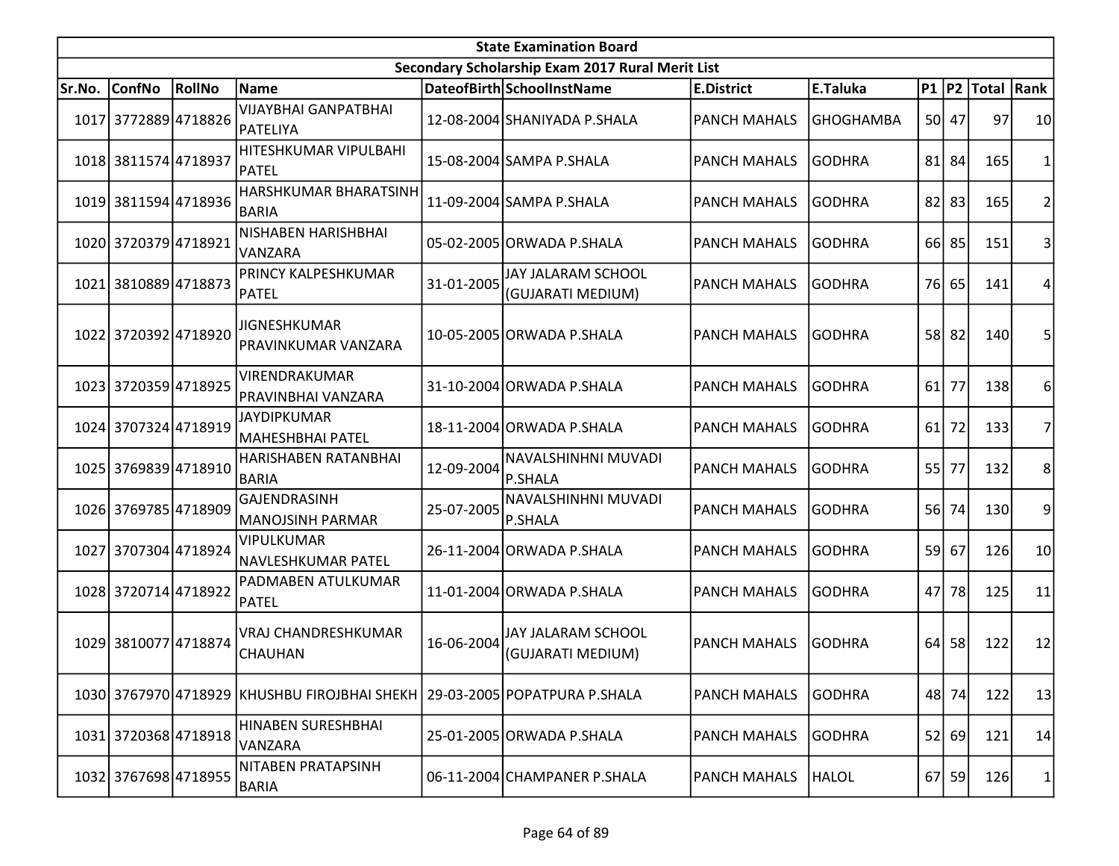|        | <b>State Examination Board</b> |        |                                                   |            |                                                  |                     |                  |                 |         |                  |                |  |  |
|--------|--------------------------------|--------|---------------------------------------------------|------------|--------------------------------------------------|---------------------|------------------|-----------------|---------|------------------|----------------|--|--|
|        |                                |        |                                                   |            | Secondary Scholarship Exam 2017 Rural Merit List |                     |                  |                 |         |                  |                |  |  |
| Sr.No. | <b>ConfNo</b>                  | RollNo | Name                                              |            | DateofBirth SchoolInstName                       | <b>E.District</b>   | E.Taluka         |                 |         | P1 P2 Total Rank |                |  |  |
|        | 1017 3772889 4718826           |        | <b>VIJAYBHAI GANPATBHAI</b><br>PATELIYA           |            | 12-08-2004 SHANIYADA P.SHALA                     | <b>PANCH MAHALS</b> | <b>GHOGHAMBA</b> |                 | 50 47   | 97               | 10             |  |  |
|        | 1018 3811574 4718937           |        | HITESHKUMAR VIPULBAHI<br>PATEL                    |            | 15-08-2004 SAMPA P.SHALA                         | <b>PANCH MAHALS</b> | <b>GODHRA</b>    | 81              | 84      | 165              | 1              |  |  |
|        | 1019 3811594 4718936           |        | HARSHKUMAR BHARATSINH<br><b>BARIA</b>             |            | 11-09-2004 SAMPA P.SHALA                         | <b>PANCH MAHALS</b> | <b>GODHRA</b>    | 82              | 83      | 165              | $\overline{c}$ |  |  |
|        | 1020 3720379 4718921           |        | NISHABEN HARISHBHAI<br>VANZARA                    |            | 05-02-2005 ORWADA P.SHALA                        | <b>PANCH MAHALS</b> | lGODHRA          |                 | 66 85   | 151              | 3              |  |  |
|        | 1021 3810889 4718873           |        | <b>PRINCY KALPESHKUMAR</b><br>PATEL               | 31-01-2005 | JAY JALARAM SCHOOL<br>(GUJARATI MEDIUM)          | <b>PANCH MAHALS</b> | <b>GODHRA</b>    | 76 <sup> </sup> | 65      | 141              | 4              |  |  |
|        | 1022 3720392 4718920           |        | <b>JIGNESHKUMAR</b><br><b>PRAVINKUMAR VANZARA</b> |            | 10-05-2005 ORWADA P.SHALA                        | <b>PANCH MAHALS</b> | <b>GODHRA</b>    |                 | 58 82   | 140              | 5              |  |  |
|        | 1023 3720359 4718925           |        | VIRENDRAKUMAR<br>PRAVINBHAI VANZARA               |            | 31-10-2004 ORWADA P.SHALA                        | <b>PANCH MAHALS</b> | <b>GODHRA</b>    | 61              | 77      | 138              | 6              |  |  |
|        | 1024 3707324 4718919           |        | <b>JAYDIPKUMAR</b><br>MAHESHBHAI PATEL            |            | 18-11-2004 ORWADA P.SHALA                        | <b>PANCH MAHALS</b> | <b>GODHRA</b>    | 61              | 72      | 133              | 7              |  |  |
|        | 1025 3769839 4718910           |        | HARISHABEN RATANBHAI<br><b>BARIA</b>              | 12-09-2004 | NAVALSHINHNI MUVADI<br><b>P.SHALA</b>            | PANCH MAHALS        | <b>GODHRA</b>    | 55              | 77      | 132              | 8              |  |  |
|        | 1026 3769785 4718909           |        | <b>GAJENDRASINH</b><br>MANOJSINH PARMAR           | 25-07-2005 | NAVALSHINHNI MUVADI<br>P.SHALA                   | PANCH MAHALS        | <b>GODHRA</b>    | <b>56</b>       | 74      | 130              | 9              |  |  |
|        | 1027 3707304 4718924           |        | <b>VIPULKUMAR</b><br>NAVLESHKUMAR PATEL           |            | 26-11-2004 ORWADA P.SHALA                        | <b>PANCH MAHALS</b> | <b>GODHRA</b>    | 59              | 67      | 126              | 10             |  |  |
|        | 1028 3720714 4718922           |        | PADMABEN ATULKUMAR<br><b>PATEL</b>                |            | 11-01-2004 ORWADA P.SHALA                        | <b>PANCH MAHALS</b> | <b>GODHRA</b>    | 47              | 78      | 125              | 11             |  |  |
|        | 1029 3810077 4718874           |        | VRAJ CHANDRESHKUMAR<br><b>CHAUHAN</b>             | 16-06-2004 | JAY JALARAM SCHOOL<br>(GUJARATI MEDIUM)          | <b>PANCH MAHALS</b> | <b>GODHRA</b>    | 64              | 58      | 122              | 12             |  |  |
|        |                                |        | 1030 3767970 4718929 KHUSHBU FIROJBHAI SHEKH      |            | 29-03-2005 POPATPURA P.SHALA                     | <b>PANCH MAHALS</b> | <b>GODHRA</b>    |                 | 48 74   | 122              | 13             |  |  |
|        | 1031 3720368 4718918           |        | HINABEN SURESHBHAI<br>VANZARA                     |            | 25-01-2005 ORWADA P.SHALA                        | <b>PANCH MAHALS</b> | <b>GODHRA</b>    | 52              | 69      | 121              | 14             |  |  |
|        | 1032 3767698 4718955           |        | NITABEN PRATAPSINH<br>BARIA                       |            | 06-11-2004 CHAMPANER P.SHALA                     | <b>PANCH MAHALS</b> | <b>HALOL</b>     |                 | $67$ 59 | 126              | 1              |  |  |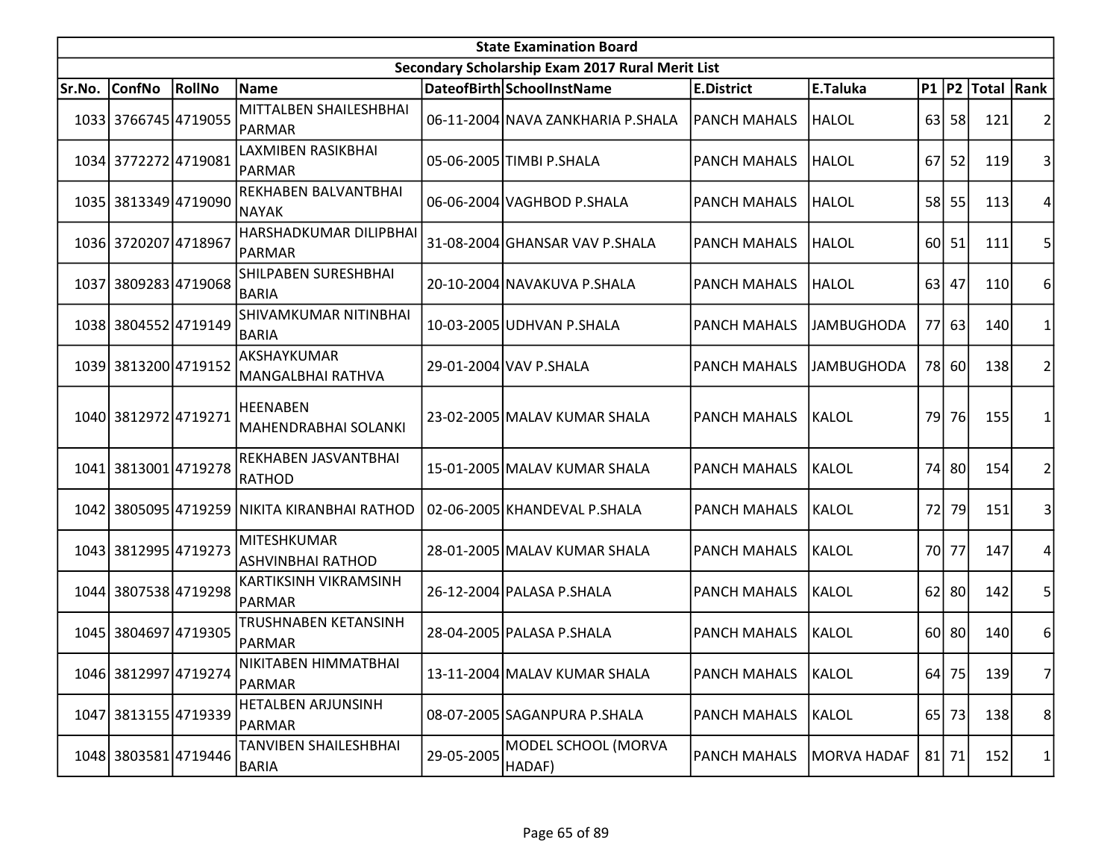|        | <b>State Examination Board</b> |        |                                              |            |                                                  |                     |                   |      |           |                  |                |  |  |
|--------|--------------------------------|--------|----------------------------------------------|------------|--------------------------------------------------|---------------------|-------------------|------|-----------|------------------|----------------|--|--|
|        |                                |        |                                              |            | Secondary Scholarship Exam 2017 Rural Merit List |                     |                   |      |           |                  |                |  |  |
| Sr.No. | ConfNo                         | RollNo | Name                                         |            | DateofBirth SchoolInstName                       | <b>E.District</b>   | E.Taluka          |      |           | P1 P2 Total Rank |                |  |  |
|        | 1033 3766745 4719055           |        | MITTALBEN SHAILESHBHAI<br>PARMAR             |            | 06-11-2004 NAVA ZANKHARIA P.SHALA                | <b>PANCH MAHALS</b> | <b>HALOL</b>      |      | $63$   58 | 121              |                |  |  |
|        | 1034 3772272 4719081           |        | LAXMIBEN RASIKBHAI<br>PARMAR                 |            | 05-06-2005 TIMBI P.SHALA                         | <b>PANCH MAHALS</b> | HALOL             | 67 I | 52        | 119              | 3              |  |  |
|        | 1035 3813349 4719090           |        | REKHABEN BALVANTBHAI<br>NAYAK                |            | 06-06-2004 VAGHBOD P.SHALA                       | <b>PANCH MAHALS</b> | <b>HALOL</b>      |      | 58 55     | 113              | 4              |  |  |
|        | 1036 3720207 4718967           |        | HARSHADKUMAR DILIPBHAI<br>PARMAR             |            | 31-08-2004 GHANSAR VAV P.SHALA                   | <b>PANCH MAHALS</b> | HALOL             |      | 60 51     | 111              | 5              |  |  |
|        | 1037 3809283 4719068           |        | SHILPABEN SURESHBHAI<br><b>BARIA</b>         |            | 20-10-2004 NAVAKUVA P.SHALA                      | <b>PANCH MAHALS</b> | <b>HALOL</b>      |      | 63 47     | 110              | 6              |  |  |
|        | 1038 3804552 4719149           |        | SHIVAMKUMAR NITINBHAI<br><b>BARIA</b>        |            | 10-03-2005 UDHVAN P.SHALA                        | <b>PANCH MAHALS</b> | <b>JAMBUGHODA</b> |      | $77$ 63   | 140              |                |  |  |
|        | 1039 3813200 4719152           |        | AKSHAYKUMAR<br>MANGALBHAI RATHVA             |            | 29-01-2004 VAV P.SHALA                           | <b>PANCH MAHALS</b> | <b>JAMBUGHODA</b> |      | 78 60     | 138              | 2              |  |  |
|        | 1040 3812972 4719271           |        | <b>HEENABEN</b><br>MAHENDRABHAI SOLANKI      |            | 23-02-2005 MALAV KUMAR SHALA                     | <b>PANCH MAHALS</b> | <b>KALOL</b>      | 791  | 76        | 155              |                |  |  |
|        | 1041 3813001 4719278           |        | REKHABEN JASVANTBHAI<br>RATHOD               |            | 15-01-2005 MALAV KUMAR SHALA                     | <b>PANCH MAHALS</b> | <b>KALOL</b>      | 74   | 80        | 154              | 2              |  |  |
|        |                                |        | 1042 3805095 4719259 NIKITA KIRANBHAI RATHOD |            | 02-06-2005 KHANDEVAL P.SHALA                     | <b>PANCH MAHALS</b> | KALOL             | 72   | 79        | 151              | 31             |  |  |
|        | 1043 3812995 4719273           |        | MITESHKUMAR<br><b>ASHVINBHAI RATHOD</b>      |            | 28-01-2005 MALAV KUMAR SHALA                     | <b>PANCH MAHALS</b> | <b>KALOL</b>      |      | 70 77     | 147              | 4              |  |  |
|        | 1044 3807538 4719298           |        | KARTIKSINH VIKRAMSINH<br>PARMAR              |            | 26-12-2004 PALASA P.SHALA                        | <b>PANCH MAHALS</b> | KALOL             |      | $62$   80 | 142              | 5              |  |  |
|        | 1045 3804697 4719305           |        | <b>TRUSHNABEN KETANSINH</b><br>PARMAR        |            | 28-04-2005 PALASA P.SHALA                        | <b>PANCH MAHALS</b> | <b>KALOL</b>      |      | 60 80     | 140              | 6              |  |  |
|        | 1046 3812997 4719274           |        | INIKITABEN HIMMATBHAI<br>PARMAR              |            | 13-11-2004 MALAV KUMAR SHALA                     | <b>PANCH MAHALS</b> | KALOL             |      | 64 75     | 139              | $\overline{7}$ |  |  |
|        | 1047 3813155 4719339           |        | <b>HETALBEN ARJUNSINH</b><br>PARMAR          |            | 08-07-2005 SAGANPURA P.SHALA                     | <b>PANCH MAHALS</b> | KALOL             |      | 65 73     | 138              | 8 <sup>2</sup> |  |  |
|        | 1048 3803581 4719446           |        | TANVIBEN SHAILESHBHAI<br>BARIA               | 29-05-2005 | MODEL SCHOOL (MORVA<br>HADAF)                    | <b>PANCH MAHALS</b> | MORVA HADAF       |      | $81$   71 | 152              | 1              |  |  |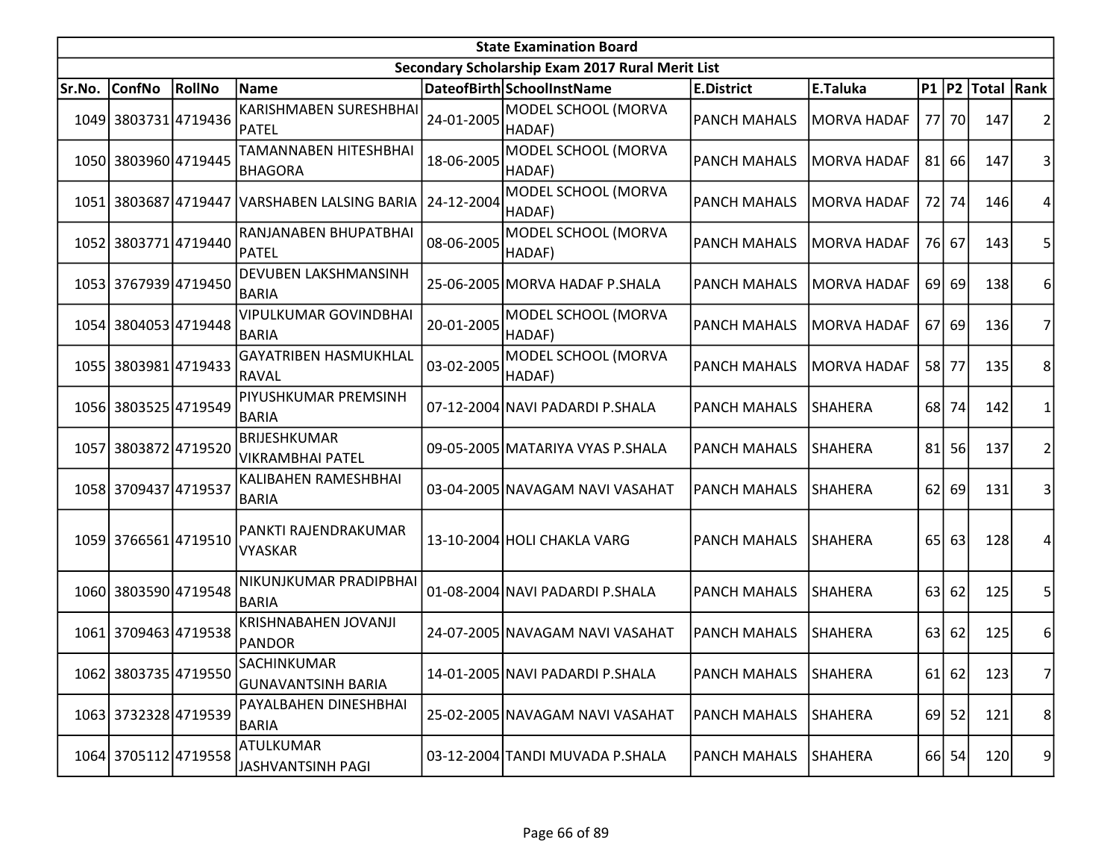|        | <b>State Examination Board</b> |        |                                                |            |                                                  |                     |                    |      |         |                     |                |  |  |
|--------|--------------------------------|--------|------------------------------------------------|------------|--------------------------------------------------|---------------------|--------------------|------|---------|---------------------|----------------|--|--|
|        |                                |        |                                                |            | Secondary Scholarship Exam 2017 Rural Merit List |                     |                    |      |         |                     |                |  |  |
| Sr.No. | <b>ConfNo</b>                  | RollNo | <b>Name</b>                                    |            | DateofBirth SchoolInstName                       | <b>E.District</b>   | E.Taluka           |      |         | P1  P2  Total  Rank |                |  |  |
|        | 1049 3803731 4719436           |        | <b>KARISHMABEN SURESHBHAI</b><br>PATEL         | 24-01-2005 | MODEL SCHOOL (MORVA<br>HADAF)                    | <b>PANCH MAHALS</b> | <b>MORVA HADAF</b> |      | 77 70   | 147                 | 2              |  |  |
|        | 1050 3803960 4719445           |        | TAMANNABEN HITESHBHAI<br><b>BHAGORA</b>        | 18-06-2005 | MODEL SCHOOL (MORVA<br>HADAF)                    | <b>PANCH MAHALS</b> | <b>MORVA HADAF</b> | 81   | 66      | 147                 | 3              |  |  |
|        |                                |        | 1051 3803687 4719447 VARSHABEN LALSING BARIA   | 24-12-2004 | MODEL SCHOOL (MORVA<br>HADAF)                    | <b>PANCH MAHALS</b> | <b>MORVA HADAF</b> | 72   | 74      | 146                 | 4              |  |  |
|        | 1052 3803771 4719440           |        | RANJANABEN BHUPATBHAI<br>PATEL                 | 08-06-2005 | MODEL SCHOOL (MORVA<br>HADAF)                    | <b>PANCH MAHALS</b> | <b>MORVA HADAF</b> |      | 76 67   | 143                 | 5              |  |  |
|        | 1053 3767939 4719450           |        | <b>DEVUBEN LAKSHMANSINH</b><br><b>BARIA</b>    |            | 25-06-2005 MORVA HADAF P.SHALA                   | <b>PANCH MAHALS</b> | <b>MORVA HADAF</b> |      | 69 69   | 138                 | 6              |  |  |
|        | 1054 3804053 4719448           |        | <b>VIPULKUMAR GOVINDBHAI</b><br><b>BARIA</b>   | 20-01-2005 | MODEL SCHOOL (MORVA<br>HADAF)                    | <b>PANCH MAHALS</b> | <b>MORVA HADAF</b> | 67I  | 69      | 136                 | 7              |  |  |
| 1055   | 3803981 4719433                |        | <b>GAYATRIBEN HASMUKHLAL</b><br>RAVAL          | 03-02-2005 | MODEL SCHOOL (MORVA<br>HADAF)                    | <b>PANCH MAHALS</b> | <b>MORVA HADAF</b> | 58   | 77      | 135                 | 8              |  |  |
|        | 1056 3803525 4719549           |        | PIYUSHKUMAR PREMSINH<br><b>BARIA</b>           |            | 07-12-2004 NAVI PADARDI P.SHALA                  | <b>PANCH MAHALS</b> | <b>SHAHERA</b>     | 68 l | 74      | 142                 | 1              |  |  |
|        | 1057 3803872 4719520           |        | <b>BRIJESHKUMAR</b><br><b>VIKRAMBHAI PATEL</b> |            | 09-05-2005 MATARIYA VYAS P.SHALA                 | <b>PANCH MAHALS</b> | <b>SHAHERA</b>     | 81   | 56      | 137                 | $\overline{c}$ |  |  |
|        | 1058 3709437 4719537           |        | KALIBAHEN RAMESHBHAI<br><b>BARIA</b>           |            | 03-04-2005 NAVAGAM NAVI VASAHAT                  | <b>PANCH MAHALS</b> | <b>SHAHERA</b>     | 62   | 69      | 131                 | 3              |  |  |
|        | 1059 3766561 4719510           |        | PANKTI RAJENDRAKUMAR<br><b>VYASKAR</b>         |            | 13-10-2004 HOLI CHAKLA VARG                      | <b>PANCH MAHALS</b> | <b>SHAHERA</b>     | 65   | 63      | 128                 | 4              |  |  |
|        | 1060 3803590 4719548           |        | NIKUNJKUMAR PRADIPBHAI<br><b>BARIA</b>         |            | 01-08-2004 NAVI PADARDI P.SHALA                  | <b>PANCH MAHALS</b> | <b>SHAHERA</b>     | 63   | 62      | 125                 | 5              |  |  |
| 1061   | 3709463 4719538                |        | KRISHNABAHEN JOVANJI<br>PANDOR                 |            | 24-07-2005 NAVAGAM NAVI VASAHAT                  | <b>PANCH MAHALS</b> | <b>SHAHERA</b>     | 63   | 62      | 125                 | 6              |  |  |
|        | 1062 3803735 4719550           |        | SACHINKUMAR<br><b>GUNAVANTSINH BARIA</b>       |            | 14-01-2005 NAVI PADARDI P.SHALA                  | <b>PANCH MAHALS</b> | SHAHERA            |      | $61$ 62 | 123                 | 7              |  |  |
|        | 1063 3732328 4719539           |        | PAYALBAHEN DINESHBHAI<br><b>BARIA</b>          |            | 25-02-2005 NAVAGAM NAVI VASAHAT                  | <b>PANCH MAHALS</b> | <b>SHAHERA</b>     |      | $69$ 52 | 121                 | 8 <sup>2</sup> |  |  |
|        | 1064 3705112 4719558           |        | ATULKUMAR<br>JASHVANTSINH PAGI                 |            | 03-12-2004 TANDI MUVADA P.SHALA                  | <b>PANCH MAHALS</b> | <b>SHAHERA</b>     |      | 66 54   | 120                 | 9              |  |  |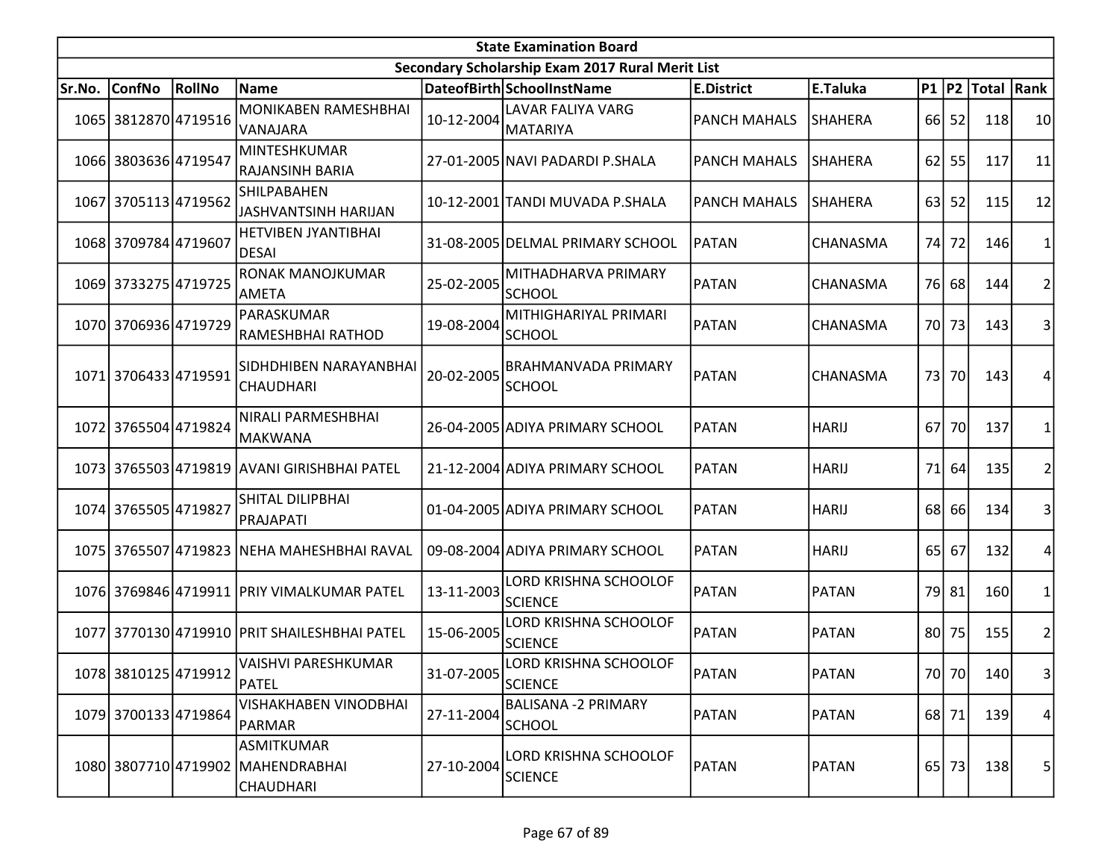| <b>State Examination Board</b> |                      |               |                                                                            |            |                                                  |                     |                |      |           |                  |                |  |  |
|--------------------------------|----------------------|---------------|----------------------------------------------------------------------------|------------|--------------------------------------------------|---------------------|----------------|------|-----------|------------------|----------------|--|--|
|                                |                      |               |                                                                            |            | Secondary Scholarship Exam 2017 Rural Merit List |                     |                |      |           |                  |                |  |  |
| Sr.No.                         | <b>ConfNo</b>        | <b>RollNo</b> | Name                                                                       |            | DateofBirth SchoolInstName                       | <b>E.District</b>   | E.Taluka       |      |           | P1 P2 Total Rank |                |  |  |
|                                | 1065 3812870 4719516 |               | MONIKABEN RAMESHBHAI<br>VANAJARA                                           | 10-12-2004 | LAVAR FALIYA VARG<br><b>MATARIYA</b>             | <b>PANCH MAHALS</b> | <b>SHAHERA</b> |      | 66 52     | 118              | 10             |  |  |
|                                | 1066 3803636 4719547 |               | <b>MINTESHKUMAR</b><br>RAJANSINH BARIA                                     |            | 27-01-2005 NAVI PADARDI P.SHALA                  | <b>PANCH MAHALS</b> | <b>SHAHERA</b> | 62   | 55        | 117              | 11             |  |  |
|                                | 1067 3705113 4719562 |               | <b>SHILPABAHEN</b><br><b>JASHVANTSINH HARIJAN</b>                          |            | 10-12-2001 TANDI MUVADA P.SHALA                  | <b>PANCH MAHALS</b> | <b>SHAHERA</b> | 63   | 52        | 115              | 12             |  |  |
|                                | 1068 3709784 4719607 |               | <b>HETVIBEN JYANTIBHAI</b><br><b>DESAI</b>                                 |            | 31-08-2005 DELMAL PRIMARY SCHOOL                 | <b>PATAN</b>        | CHANASMA       |      | 74 72     | <b>146</b>       |                |  |  |
|                                | 1069 3733275 4719725 |               | RONAK MANOJKUMAR<br><b>AMETA</b>                                           | 25-02-2005 | MITHADHARVA PRIMARY<br><b>SCHOOL</b>             | PATAN               | CHANASMA       |      | 76 68     | 144              |                |  |  |
|                                | 1070 3706936 4719729 |               | PARASKUMAR<br>RAMESHBHAI RATHOD                                            | 19-08-2004 | MITHIGHARIYAL PRIMARI<br><b>SCHOOL</b>           | PATAN               | CHANASMA       |      | 70 73     | 143              | 3              |  |  |
|                                | 1071 3706433 4719591 |               | SIDHDHIBEN NARAYANBHAI<br><b>CHAUDHARI</b>                                 | 20-02-2005 | <b>BRAHMANVADA PRIMARY</b><br><b>SCHOOL</b>      | PATAN               | CHANASMA       | 73 I | 70        | 143              | Δ              |  |  |
|                                | 1072 3765504 4719824 |               | NIRALI PARMESHBHAI<br>MAKWANA                                              |            | 26-04-2005 ADIYA PRIMARY SCHOOL                  | PATAN               | <b>HARIJ</b>   | 67 I | 70        | 137              |                |  |  |
|                                |                      |               | 1073 3765503 4719819 AVANI GIRISHBHAI PATEL                                |            | 21-12-2004 ADIYA PRIMARY SCHOOL                  | <b>PATAN</b>        | <b>HARIJ</b>   | 71   | 64        | 135              |                |  |  |
|                                | 1074 3765505 4719827 |               | <b>SHITAL DILIPBHAI</b><br>PRAJAPATI                                       |            | 01-04-2005 ADIYA PRIMARY SCHOOL                  | <b>PATAN</b>        | <b>HARIJ</b>   |      | 68 66     | 134              | 3              |  |  |
|                                |                      |               | 1075 3765507 4719823 NEHA MAHESHBHAI RAVAL                                 |            | 09-08-2004 ADIYA PRIMARY SCHOOL                  | PATAN               | <b>HARIJ</b>   |      | 65 67     | 132              |                |  |  |
|                                |                      |               | 1076 3769846 4719911 PRIY VIMALKUMAR PATEL                                 | 13-11-2003 | LORD KRISHNA SCHOOLOF<br><b>SCIENCE</b>          | PATAN               | <b>PATAN</b>   |      | 79 81     | <b>160</b>       | 1              |  |  |
|                                |                      |               | 1077 3770130 4719910 PRIT SHAILESHBHAI PATEL                               | 15-06-2005 | LORD KRISHNA SCHOOLOF<br><b>SCIENCE</b>          | PATAN               | <b>PATAN</b>   |      | $80$   75 | 155              | 2              |  |  |
|                                | 1078 3810125 4719912 |               | VAISHVI PARESHKUMAR<br>PATEL                                               | 31-07-2005 | LORD KRISHNA SCHOOLOF<br><b>SCIENCE</b>          | PATAN               | <b>PATAN</b>   |      | 70 70     | 140              | $\overline{3}$ |  |  |
|                                | 1079 3700133 4719864 |               | VISHAKHABEN VINODBHAI<br>PARMAR                                            | 27-11-2004 | <b>BALISANA -2 PRIMARY</b><br><b>SCHOOL</b>      | PATAN               | <b>PATAN</b>   |      | 68 71     | 139              | 4              |  |  |
|                                |                      |               | <b>ASMITKUMAR</b><br>1080 3807710 4719902 MAHENDRABHAI<br><b>CHAUDHARI</b> | 27-10-2004 | LORD KRISHNA SCHOOLOF<br><b>SCIENCE</b>          | PATAN               | <b>PATAN</b>   |      | 65 73     | 138              | 5              |  |  |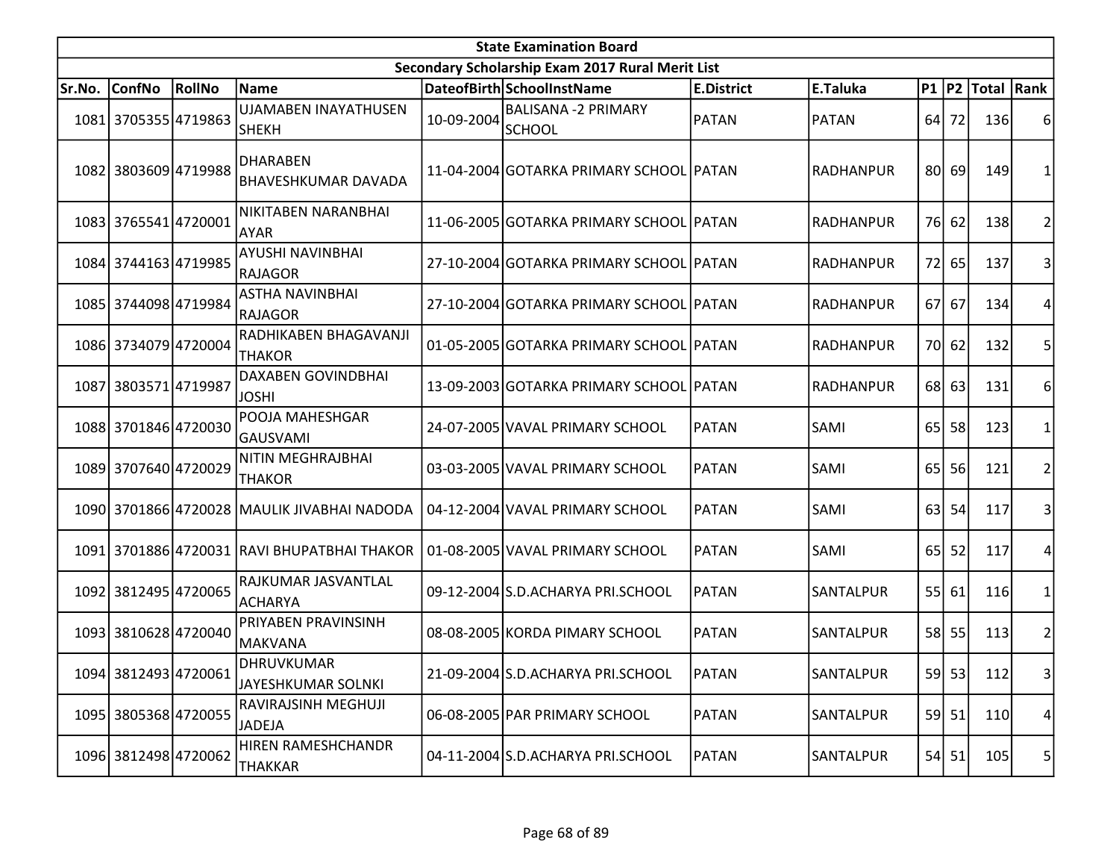| <b>State Examination Board</b> |                      |        |                                             |            |                                                  |                   |                  |                 |         |                        |                         |  |
|--------------------------------|----------------------|--------|---------------------------------------------|------------|--------------------------------------------------|-------------------|------------------|-----------------|---------|------------------------|-------------------------|--|
|                                |                      |        |                                             |            | Secondary Scholarship Exam 2017 Rural Merit List |                   |                  |                 |         |                        |                         |  |
| Sr.No.                         | <b>ConfNo</b>        | RollNo | Name                                        |            | DateofBirth SchoolInstName                       | <b>E.District</b> | E.Taluka         |                 |         | P1   P2   Total   Rank |                         |  |
|                                | 1081 3705355 4719863 |        | <b>UJAMABEN INAYATHUSEN</b><br>lsнекн       | 10-09-2004 | BALISANA -2 PRIMARY<br>SCHOOL                    | PATAN             | <b>PATAN</b>     | 64              | 72      | 136                    | 6                       |  |
|                                | 1082 3803609 4719988 |        | DHARABEN<br><b>BHAVESHKUMAR DAVADA</b>      |            | 11-04-2004 GOTARKA PRIMARY SCHOOL PATAN          |                   | <b>RADHANPUR</b> | 80I             | -69 l   | 149                    |                         |  |
|                                | 1083 3765541 4720001 |        | NIKITABEN NARANBHAI<br><b>AYAR</b>          |            | 11-06-2005 GOTARKA PRIMARY SCHOOL PATAN          |                   | <b>RADHANPUR</b> |                 | 76 62   | 138                    | 2                       |  |
|                                | 1084 3744163 4719985 |        | <b>AYUSHI NAVINBHAI</b><br> RAJAGOR         |            | 27-10-2004 GOTARKA PRIMARY SCHOOL PATAN          |                   | <b>RADHANPUR</b> |                 | 72 65   | 137                    | 3                       |  |
|                                | 1085 3744098 4719984 |        | <b>ASTHA NAVINBHAI</b><br><b>RAJAGOR</b>    |            | 27-10-2004 GOTARKA PRIMARY SCHOOL PATAN          |                   | <b>RADHANPUR</b> |                 | 67 67   | 134                    | 4                       |  |
|                                | 1086 3734079 4720004 |        | RADHIKABEN BHAGAVANJI<br><b>THAKOR</b>      |            | 01-05-2005 GOTARKA PRIMARY SCHOOL PATAN          |                   | <b>RADHANPUR</b> |                 | 70 62   | 132                    | 5                       |  |
| 1087                           | 38035714719987       |        | <b>DAXABEN GOVINDBHAI</b><br><b>JOSHI</b>   |            | 13-09-2003 GOTARKA PRIMARY SCHOOL PATAN          |                   | <b>RADHANPUR</b> |                 | 68 63   | 131                    | 6                       |  |
|                                | 1088 3701846 4720030 |        | POOJA MAHESHGAR<br>GAUSVAMI                 |            | 24-07-2005 VAVAL PRIMARY SCHOOL                  | PATAN             | SAMI             | 65 <sup> </sup> | 58      | 123                    | 1                       |  |
|                                | 1089 3707640 4720029 |        | NITIN MEGHRAJBHAI<br>THAKOR                 |            | 03-03-2005 VAVAL PRIMARY SCHOOL                  | <b>PATAN</b>      | SAMI             | 65              | 56      | 121                    | $\overline{2}$          |  |
|                                |                      |        | 1090 3701866 4720028 MAULIK JIVABHAI NADODA |            | 04-12-2004 VAVAL PRIMARY SCHOOL                  | PATAN             | SAMI             | 63              | 54      | 117                    | 3                       |  |
|                                |                      |        | 1091 3701886 4720031 RAVI BHUPATBHAI THAKOR |            | 01-08-2005 VAVAL PRIMARY SCHOOL                  | PATAN             | SAMI             | 65 <sup> </sup> | 52      | 117                    | 4                       |  |
|                                | 1092 3812495 4720065 |        | RAJKUMAR JASVANTLAL<br>ACHARYA              |            | 09-12-2004 S.D.ACHARYA PRI.SCHOOL                | PATAN             | <b>SANTALPUR</b> | 55              | 61      | 116                    | 1                       |  |
|                                | 1093 3810628 4720040 |        | <b>PRIYABEN PRAVINSINH</b><br>MAKVANA       |            | 08-08-2005 KORDA PIMARY SCHOOL                   | PATAN             | SANTALPUR        |                 | 58 55   | 113                    | $\overline{c}$          |  |
|                                | 1094 3812493 4720061 |        | DHRUVKUMAR<br>JAYESHKUMAR SOLNKI            |            | 21-09-2004 S.D.ACHARYA PRI.SCHOOL                | <b>PATAN</b>      | SANTALPUR        |                 | $59$ 53 | 112                    | $\overline{\mathbf{3}}$ |  |
|                                | 1095 3805368 4720055 |        | RAVIRAJSINH MEGHUJI<br><b>JADEJA</b>        |            | 06-08-2005 PAR PRIMARY SCHOOL                    | <b>PATAN</b>      | SANTALPUR        |                 | 59 51   | 110                    | 4                       |  |
|                                | 1096 3812498 4720062 |        | HIREN RAMESHCHANDR<br><b>THAKKAR</b>        |            | 04-11-2004 S.D.ACHARYA PRI.SCHOOL                | PATAN             | <b>SANTALPUR</b> |                 | 54 51   | 105                    | 5                       |  |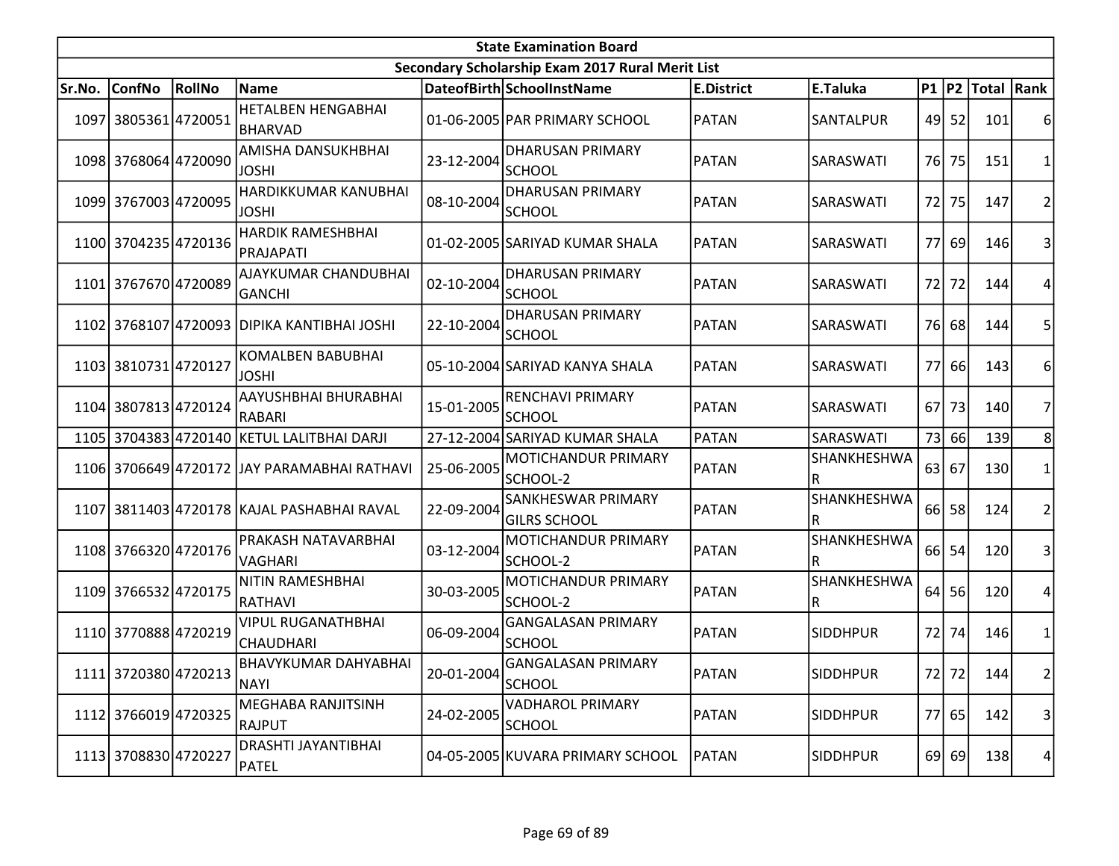| <b>State Examination Board</b> |                      |        |                                               |            |                                                  |                   |                  |           |         |                        |                |
|--------------------------------|----------------------|--------|-----------------------------------------------|------------|--------------------------------------------------|-------------------|------------------|-----------|---------|------------------------|----------------|
|                                |                      |        |                                               |            | Secondary Scholarship Exam 2017 Rural Merit List |                   |                  |           |         |                        |                |
| Sr.No.                         | <b>ConfNo</b>        | RollNo | Name                                          |            | DateofBirth SchoolInstName                       | <b>E.District</b> | E.Taluka         |           |         | P1   P2   Total   Rank |                |
|                                | 1097 3805361 4720051 |        | <b>HETALBEN HENGABHAI</b><br><b>BHARVAD</b>   |            | 01-06-2005 PAR PRIMARY SCHOOL                    | <b>PATAN</b>      | <b>SANTALPUR</b> |           | $49$ 52 | 101                    | 6              |
|                                | 1098 3768064 4720090 |        | AMISHA DANSUKHBHAI<br><b>JOSHI</b>            | 23-12-2004 | <b>DHARUSAN PRIMARY</b><br><b>SCHOOL</b>         | PATAN             | SARASWATI        |           | 76 75   | 151                    | 1              |
|                                | 1099 3767003 4720095 |        | HARDIKKUMAR KANUBHAI<br><b>JOSHI</b>          | 08-10-2004 | <b>DHARUSAN PRIMARY</b><br><b>SCHOOL</b>         | PATAN             | SARASWATI        | <b>72</b> | 75      | 147                    | $\overline{2}$ |
|                                | 1100 3704235 4720136 |        | HARDIK RAMESHBHAI<br>PRAJAPATI                |            | 01-02-2005 SARIYAD KUMAR SHALA                   | PATAN             | SARASWATI        | 77I       | 69      | 146                    | 3              |
|                                | 1101 3767670 4720089 |        | AJAYKUMAR CHANDUBHAI<br><b>GANCHI</b>         | 02-10-2004 | <b>DHARUSAN PRIMARY</b><br><b>SCHOOL</b>         | PATAN             | <b>SARASWATI</b> | 72        | 72      | 144                    | 4              |
|                                |                      |        | 1102 3768107 4720093 DIPIKA KANTIBHAI JOSHI   | 22-10-2004 | <b>DHARUSAN PRIMARY</b><br><b>SCHOOL</b>         | PATAN             | SARASWATI        |           | 76 68   | 144                    | 5              |
|                                | 1103 3810731 4720127 |        | <b>KOMALBEN BABUBHAI</b><br><b>JOSHI</b>      |            | 05-10-2004 SARIYAD KANYA SHALA                   | <b>PATAN</b>      | SARASWATI        | <b>77</b> | 66      | 143                    | 6              |
|                                | 1104 3807813 4720124 |        | AAYUSHBHAI BHURABHAI<br>RABARI                | 15-01-2005 | <b>RENCHAVI PRIMARY</b><br><b>SCHOOL</b>         | PATAN             | SARASWATI        |           | 67 73   | 140                    | $\overline{7}$ |
|                                |                      |        | 1105 3704383 4720140 KETUL LALITBHAI DARJI    |            | 27-12-2004 SARIYAD KUMAR SHALA                   | PATAN             | SARASWATI        |           | 73 66   | 139                    | 8              |
|                                |                      |        | 1106 3706649 4720172 JJAY PARAMABHAI RATHAVI  | 25-06-2005 | MOTICHANDUR PRIMARY<br>SCHOOL-2                  | PATAN             | SHANKHESHWA<br>R | 63        | 67      | 130                    | 1              |
|                                |                      |        | 1107 3811403 4720178 KAJAL PASHABHAI RAVAL    | 22-09-2004 | SANKHESWAR PRIMARY<br><b>GILRS SCHOOL</b>        | PATAN             | SHANKHESHWA<br>R |           | 66 58   | 124                    | $\overline{2}$ |
|                                | 1108 3766320 4720176 |        | PRAKASH NATAVARBHAI<br><b>VAGHARI</b>         | 03-12-2004 | MOTICHANDUR PRIMARY<br>SCHOOL-2                  | PATAN             | SHANKHESHWA<br>R |           | 66 54   | 120                    | 3              |
|                                | 1109 3766532 4720175 |        | NITIN RAMESHBHAI<br>RATHAVI                   | 30-03-2005 | MOTICHANDUR PRIMARY<br>SCHOOL-2                  | PATAN             | SHANKHESHWA<br>R | 64        | 56      | 120                    | 4              |
|                                | 1110 3770888 4720219 |        | <b>VIPUL RUGANATHBHAI</b><br><b>CHAUDHARI</b> | 06-09-2004 | <b>GANGALASAN PRIMARY</b><br><b>SCHOOL</b>       | PATAN             | <b>SIDDHPUR</b>  | 72        | 74      | 146                    | $\mathbf{1}$   |
|                                | 1111 3720380 4720213 |        | BHAVYKUMAR DAHYABHAI<br>NAYI                  | 20-01-2004 | <b>GANGALASAN PRIMARY</b><br>SCHOOL              | PATAN             | <b>SIDDHPUR</b>  |           | 72 72   | 144                    | 2              |
|                                | 1112 3766019 4720325 |        | <b>MEGHABA RANJITSINH</b><br>RAJPUT           | 24-02-2005 | <b>VADHAROL PRIMARY</b><br><b>SCHOOL</b>         | PATAN             | <b>SIDDHPUR</b>  |           | 77 65   | 142                    | 3              |
|                                | 1113 3708830 4720227 |        | <b>DRASHTI JAYANTIBHAI</b><br><b>PATEL</b>    |            | 04-05-2005 KUVARA PRIMARY SCHOOL                 | PATAN             | <b>SIDDHPUR</b>  |           | 69 69   | 138                    | 4              |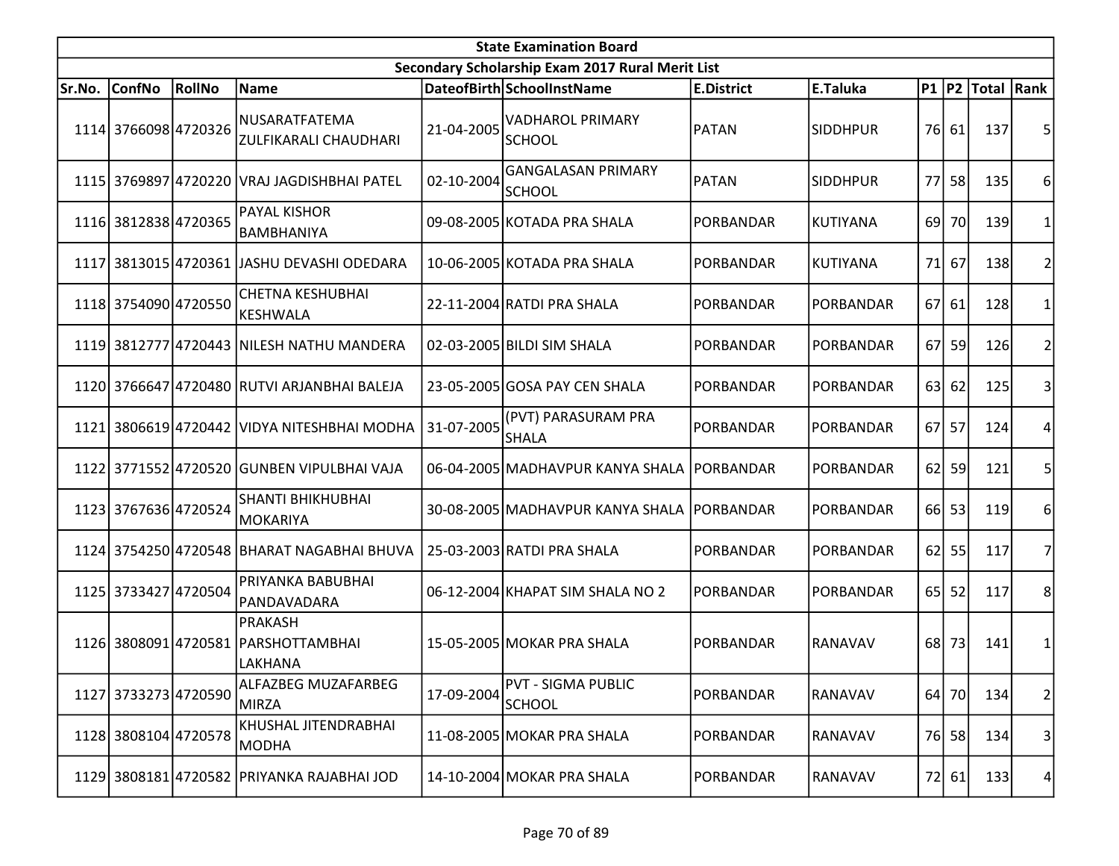| <b>State Examination Board</b> |                      |               |                                                           |            |                                                  |                   |                 |      |       |                     |                |  |
|--------------------------------|----------------------|---------------|-----------------------------------------------------------|------------|--------------------------------------------------|-------------------|-----------------|------|-------|---------------------|----------------|--|
|                                |                      |               |                                                           |            | Secondary Scholarship Exam 2017 Rural Merit List |                   |                 |      |       |                     |                |  |
| Sr.No.                         | <b>ConfNo</b>        | <b>RollNo</b> | Name                                                      |            | DateofBirth SchoolInstName                       | <b>E.District</b> | E.Taluka        |      |       | P1  P2  Total  Rank |                |  |
|                                | 1114 3766098 4720326 |               | NUSARATFATEMA<br>ZULFIKARALI CHAUDHARI                    | 21-04-2005 | <b>VADHAROL PRIMARY</b><br><b>SCHOOL</b>         | PATAN             | <b>SIDDHPUR</b> |      | 76 61 | 137                 | 5              |  |
|                                |                      |               | 1115 3769897 4720220 VRAJ JAGDISHBHAI PATEL               | 02-10-2004 | <b>GANGALASAN PRIMARY</b><br><b>SCHOOL</b>       | <b>PATAN</b>      | <b>SIDDHPUR</b> | 77 l | 58    | 135                 | 6              |  |
|                                | 1116 3812838 4720365 |               | PAYAL KISHOR<br><b>BAMBHANIYA</b>                         |            | 09-08-2005 KOTADA PRA SHALA                      | PORBANDAR         | <b>KUTIYANA</b> | 69 l | 70    | 139                 |                |  |
|                                |                      |               | 1117 3813015 4720361 JJASHU DEVASHI ODEDARA               |            | 10-06-2005 KOTADA PRA SHALA                      | PORBANDAR         | <b>KUTIYANA</b> | 71   | 67    | 138                 | 2              |  |
|                                | 1118 3754090 4720550 |               | <b>CHETNA KESHUBHAI</b><br>KESHWALA                       |            | 22-11-2004 RATDI PRA SHALA                       | PORBANDAR         | PORBANDAR       | 67   | 61    | 128                 |                |  |
|                                |                      |               | 1119 3812777 4720443 NILESH NATHU MANDERA                 |            | 02-03-2005 BILDI SIM SHALA                       | PORBANDAR         | PORBANDAR       | 67   | 59    | 126                 | 2              |  |
|                                |                      |               | 1120 3766647 4720480 RUTVI ARJANBHAI BALEJA               |            | 23-05-2005 GOSA PAY CEN SHALA                    | PORBANDAR         | PORBANDAR       | 63   | 62    | 125                 | 3              |  |
|                                |                      |               | 1121 3806619 4720442 VIDYA NITESHBHAI MODHA               | 31-07-2005 | (PVT) PARASURAM PRA<br><b>SHALA</b>              | PORBANDAR         | PORBANDAR       |      | 67 57 | 124                 | 4              |  |
|                                |                      |               | 1122 3771552 4720520 GUNBEN VIPULBHAI VAJA                |            | 06-04-2005 MADHAVPUR KANYA SHALA                 | PORBANDAR         | PORBANDAR       | 62   | 59    | 121                 |                |  |
|                                | 1123 3767636 4720524 |               | <b>SHANTI BHIKHUBHAI</b><br>MOKARIYA                      |            | 30-08-2005 MADHAVPUR KANYA SHALA                 | PORBANDAR         | PORBANDAR       |      | 66 53 | 119                 | 6              |  |
|                                |                      |               | 1124 3754250 4720548 BHARAT NAGABHAI BHUVA                |            | 25-03-2003 RATDI PRA SHALA                       | PORBANDAR         | PORBANDAR       |      | 62 55 | 117                 | 7              |  |
|                                | 1125 3733427 4720504 |               | PRIYANKA BABUBHAI<br>PANDAVADARA                          |            | 06-12-2004 KHAPAT SIM SHALA NO 2                 | PORBANDAR         | PORBANDAR       | 65   | 52    | 117                 | 8 <sup>1</sup> |  |
|                                |                      |               | PRAKASH<br>1126 3808091 4720581 PARSHOTTAMBHAI<br>LAKHANA |            | 15-05-2005 MOKAR PRA SHALA                       | PORBANDAR         | RANAVAV         | 68   | 73    | 141                 | 1              |  |
|                                | 1127 3733273 4720590 |               | ALFAZBEG MUZAFARBEG<br><b>MIRZA</b>                       | 17-09-2004 | <b>PVT - SIGMA PUBLIC</b><br><b>SCHOOL</b>       | PORBANDAR         | RANAVAV         |      | 64 70 | 134                 | $\overline{2}$ |  |
|                                | 1128 3808104 4720578 |               | KHUSHAL JITENDRABHAI<br>MODHA                             |            | 11-08-2005 MOKAR PRA SHALA                       | PORBANDAR         | RANAVAV         |      | 76 58 | 134                 | $\vert$        |  |
|                                |                      |               | 1129 3808181 4720582 PRIYANKA RAJABHAI JOD                |            | 14-10-2004 MOKAR PRA SHALA                       | PORBANDAR         | RANAVAV         |      | 72 61 | 133                 | 4 <sup>1</sup> |  |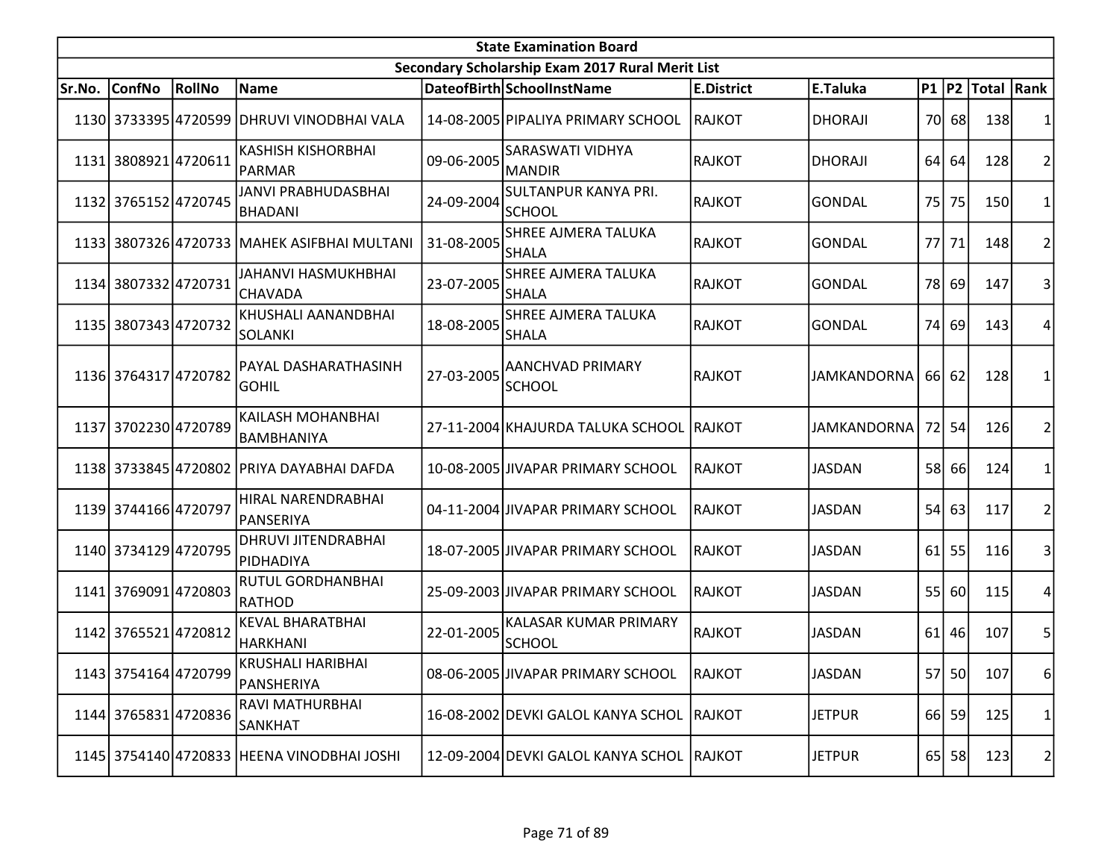|        | <b>State Examination Board</b> |        |                                              |            |                                                  |                   |                    |    |           |                  |                |  |  |
|--------|--------------------------------|--------|----------------------------------------------|------------|--------------------------------------------------|-------------------|--------------------|----|-----------|------------------|----------------|--|--|
|        |                                |        |                                              |            | Secondary Scholarship Exam 2017 Rural Merit List |                   |                    |    |           |                  |                |  |  |
| Sr.No. | <b>ConfNo</b>                  | RollNo | Name                                         |            | DateofBirth SchoolInstName                       | <b>E.District</b> | E.Taluka           |    |           | P1 P2 Total Rank |                |  |  |
|        |                                |        | 1130 3733395 4720599 DHRUVI VINODBHAI VALA   |            | 14-08-2005 PIPALIYA PRIMARY SCHOOL               | <b>RAJKOT</b>     | <b>DHORAJI</b>     |    | 70 68     | 138              |                |  |  |
|        | 1131 3808921 4720611           |        | <b>KASHISH KISHORBHAI</b><br>PARMAR          | 09-06-2005 | <b>SARASWATI VIDHYA</b><br><b>MANDIR</b>         | <b>RAJKOT</b>     | <b>DHORAJI</b>     | 64 | 64        | 128              | 2              |  |  |
|        | 1132 3765152 4720745           |        | <b>JANVI PRABHUDASBHAI</b><br><b>BHADANI</b> | 24-09-2004 | <b>SULTANPUR KANYA PRI.</b><br><b>SCHOOL</b>     | <b>RAJKOT</b>     | <b>GONDAL</b>      | 75 | 75        | 150              |                |  |  |
|        |                                |        | 1133 3807326 4720733 MAHEK ASIFBHAI MULTANI  | 31-08-2005 | <b>SHREE AJMERA TALUKA</b><br><b>SHALA</b>       | <b>RAJKOT</b>     | <b>GONDAL</b>      |    | 77 71     | 148              | $\overline{2}$ |  |  |
|        | 1134 3807332 4720731           |        | JAHANVI HASMUKHBHAI<br>CHAVADA               | 23-07-2005 | SHREE AJMERA TALUKA<br><b>SHALA</b>              | <b>RAJKOT</b>     | <b>GONDAL</b>      |    | 78 69     | 147              | 3              |  |  |
|        | 1135 3807343 4720732           |        | KHUSHALI AANANDBHAI<br><b>SOLANKI</b>        | 18-08-2005 | <b>SHREE AJMERA TALUKA</b><br><b>SHALA</b>       | <b>RAJKOT</b>     | <b>GONDAL</b>      | 74 | 69        | 143              | 4              |  |  |
|        | 1136 3764317 4720782           |        | PAYAL DASHARATHASINH<br><b>GOHIL</b>         | 27-03-2005 | AANCHVAD PRIMARY<br><b>SCHOOL</b>                | <b>RAJKOT</b>     | <b>JAMKANDORNA</b> |    | 66 62     | 128              |                |  |  |
|        | 1137 3702230 4720789           |        | KAILASH MOHANBHAI<br>BAMBHANIYA              |            | 27-11-2004 KHAJURDA TALUKA SCHOOL RAJKOT         |                   | <b>JAMKANDORNA</b> |    | 72 54     | 126              | 2              |  |  |
|        |                                |        | 1138 3733845 4720802 PRIYA DAYABHAI DAFDA    |            | 10-08-2005 JIVAPAR PRIMARY SCHOOL                | <b>RAJKOT</b>     | <b>JASDAN</b>      | 58 | 66        | 124              |                |  |  |
|        | 1139 3744166 4720797           |        | HIRAL NARENDRABHAI<br> PANSERIYA             |            | 04-11-2004 JIVAPAR PRIMARY SCHOOL                | <b>RAJKOT</b>     | <b>JASDAN</b>      | 54 | 63        | 117              | 2              |  |  |
|        | 1140 3734129 4720795           |        | DHRUVI JITENDRABHAI<br>PIDHADIYA             |            | 18-07-2005 JIVAPAR PRIMARY SCHOOL                | <b>RAJKOT</b>     | <b>JASDAN</b>      |    | $61$ 55   | 116              | 3              |  |  |
|        | 1141 3769091 4720803           |        | RUTUL GORDHANBHAI<br><b>RATHOD</b>           |            | 25-09-2003 JIVAPAR PRIMARY SCHOOL                | <b>RAJKOT</b>     | <b>JASDAN</b>      | 55 | 60        | 115              | 4              |  |  |
|        | 1142 3765521 4720812           |        | <b>KEVAL BHARATBHAI</b><br><b>HARKHANI</b>   | 22-01-2005 | KALASAR KUMAR PRIMARY<br><b>SCHOOL</b>           | <b>RAJKOT</b>     | <b>JASDAN</b>      |    | $61$   46 | 107              | 5              |  |  |
|        | 1143 3754164 4720799           |        | KRUSHALI HARIBHAI<br>PANSHERIYA              |            | 08-06-2005 JIVAPAR PRIMARY SCHOOL                | RAJKOT            | <b>JASDAN</b>      |    | 57 50     | 107              | 6              |  |  |
|        | 1144 3765831 4720836           |        | <b>RAVI MATHURBHAI</b><br>SANKHAT            |            | 16-08-2002 DEVKI GALOL KANYA SCHOL               | RAJKOT            | <b>JETPUR</b>      |    | 66 59     | 125              | 1              |  |  |
|        |                                |        | 1145 3754140 4720833 HEENA VINODBHAI JOSHI   |            | 12-09-2004 DEVKI GALOL KANYA SCHOL RAJKOT        |                   | <b>JETPUR</b>      |    | 65 58     | 123              | $\mathbf{Z}$   |  |  |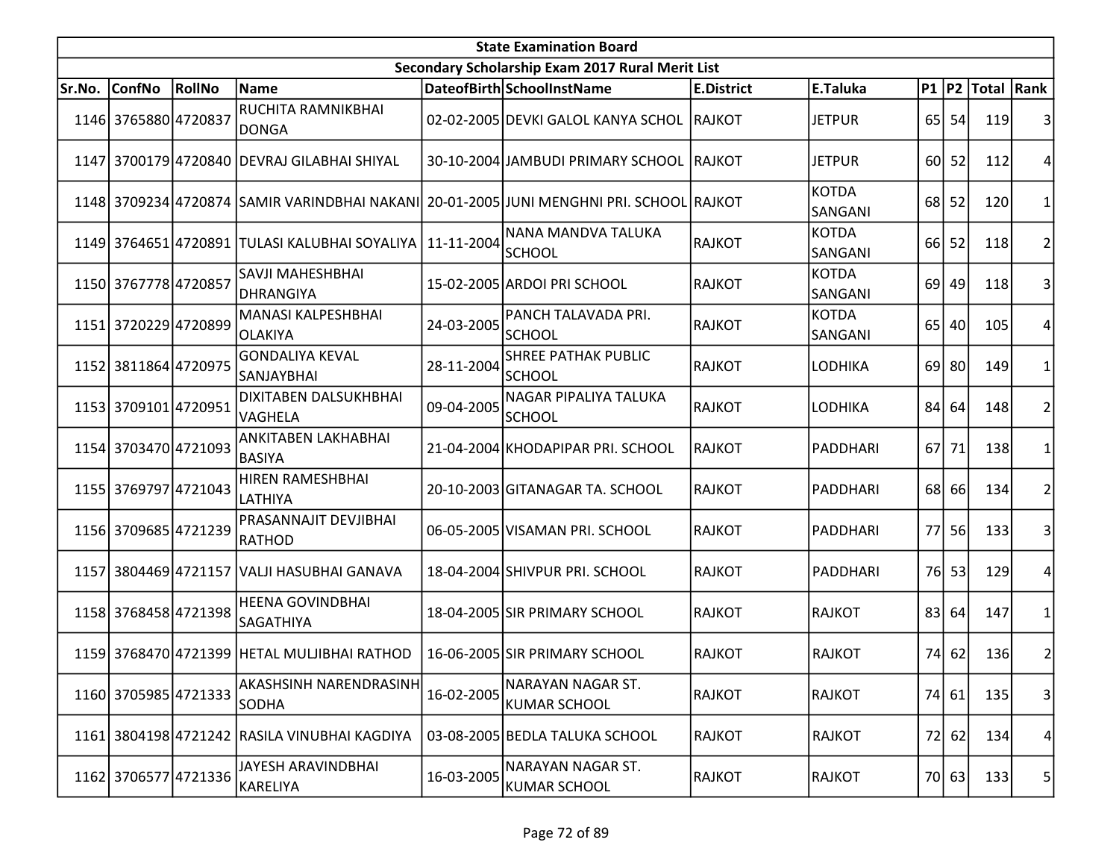|        | <b>State Examination Board</b> |        |                                               |            |                                                                                         |                   |                         |                 |           |                     |                 |  |  |
|--------|--------------------------------|--------|-----------------------------------------------|------------|-----------------------------------------------------------------------------------------|-------------------|-------------------------|-----------------|-----------|---------------------|-----------------|--|--|
|        |                                |        |                                               |            | Secondary Scholarship Exam 2017 Rural Merit List                                        |                   |                         |                 |           |                     |                 |  |  |
| Sr.No. | <b>ConfNo</b>                  | RollNo | <b>Name</b>                                   |            | DateofBirth SchoolInstName                                                              | <b>E.District</b> | E.Taluka                |                 |           | P1  P2  Total  Rank |                 |  |  |
|        | 1146 3765880 4720837           |        | RUCHITA RAMNIKBHAI<br><b>DONGA</b>            |            | 02-02-2005 DEVKI GALOL KANYA SCHOL                                                      | <b>RAJKOT</b>     | <b>JETPUR</b>           |                 | 65 54     | 119                 | 3               |  |  |
|        |                                |        | 1147 3700179 4720840 DEVRAJ GILABHAI SHIYAL   |            | 30-10-2004 JAMBUDI PRIMARY SCHOOL                                                       | <b>RAJKOT</b>     | <b>JETPUR</b>           |                 | 60 52     | 112                 | 4               |  |  |
|        |                                |        |                                               |            | 1148 3709234 4720874 SAMIR VARINDBHAI NAKANI 20-01-2005 JUNI MENGHNI PRI. SCHOOL RAJKOT |                   | <b>KOTDA</b><br>SANGANI |                 | $68$ 52   | 120                 | 1               |  |  |
|        |                                |        | 1149 3764651 4720891 TULASI KALUBHAI SOYALIYA | 11-11-2004 | NANA MANDVA TALUKA<br>SCHOOL                                                            | <b>RAJKOT</b>     | <b>KOTDA</b><br>SANGANI |                 | $66$ 52   | 118                 | $\overline{2}$  |  |  |
|        | 1150 3767778 4720857           |        | SAVJI MAHESHBHAI<br>DHRANGIYA                 |            | 15-02-2005 ARDOI PRI SCHOOL                                                             | <b>RAJKOT</b>     | <b>KOTDA</b><br>SANGANI | 69 l            | 49        | 118                 | 3               |  |  |
|        | 1151 3720229 4720899           |        | MANASI KALPESHBHAI<br>OLAKIYA                 | 24-03-2005 | PANCH TALAVADA PRI.<br><b>SCHOOL</b>                                                    | <b>RAJKOT</b>     | <b>KOTDA</b><br>SANGANI | 65              | 40        | 105                 | 4               |  |  |
|        | 1152 3811864 4720975           |        | <b>GONDALIYA KEVAL</b><br><b>SANJAYBHAI</b>   | 28-11-2004 | <b>SHREE PATHAK PUBLIC</b><br><b>SCHOOL</b>                                             | <b>RAJKOT</b>     | <b>LODHIKA</b>          |                 | 69 80     | 149                 | 1               |  |  |
|        | 1153 3709101 4720951           |        | <b>DIXITABEN DALSUKHBHAI</b><br>VAGHELA       | 09-04-2005 | NAGAR PIPALIYA TALUKA<br><b>SCHOOL</b>                                                  | <b>RAJKOT</b>     | <b>LODHIKA</b>          | 84              | 64        | 148                 | $\overline{2}$  |  |  |
|        | 1154 3703470 4721093           |        | ANKITABEN LAKHABHAI<br><b>BASIYA</b>          |            | 21-04-2004 KHODAPIPAR PRI. SCHOOL                                                       | <b>RAJKOT</b>     | PADDHARI                |                 | 67 71     | <b>138</b>          | 1               |  |  |
|        | 1155 3769797 4721043           |        | HIREN RAMESHBHAI<br>LATHIYA                   |            | 20-10-2003 GITANAGAR TA. SCHOOL                                                         | <b>RAJKOT</b>     | PADDHARI                | 68I             | <b>66</b> | 134                 | 2               |  |  |
|        | 1156 3709685 4721239           |        | <b>PRASANNAJIT DEVJIBHAI</b><br>RATHOD        |            | 06-05-2005 VISAMAN PRI. SCHOOL                                                          | <b>RAJKOT</b>     | PADDHARI                | 77 I            | <b>56</b> | 133                 | 3               |  |  |
|        |                                |        | 1157 3804469 4721157 VALJI HASUBHAI GANAVA    |            | 18-04-2004 SHIVPUR PRI. SCHOOL                                                          | <b>RAJKOT</b>     | PADDHARI                | 76 <sup> </sup> | 53        | 129                 | 4               |  |  |
|        | 1158 3768458 4721398           |        | <b>HEENA GOVINDBHAI</b><br><b>SAGATHIYA</b>   |            | 18-04-2005 SIR PRIMARY SCHOOL                                                           | <b>RAJKOT</b>     | <b>RAJKOT</b>           | 83              | 64        | 147                 | $\mathbf{1}$    |  |  |
|        |                                |        | 1159 3768470 4721399 HETAL MULJIBHAI RATHOD   |            | 16-06-2005 SIR PRIMARY SCHOOL                                                           | <b>RAJKOT</b>     | <b>RAJKOT</b>           | 74              | 62        | 136                 | 2 <sup>1</sup>  |  |  |
|        | 1160 3705985 4721333           |        | AKASHSINH NARENDRASINH<br><b>SODHA</b>        | 16-02-2005 | NARAYAN NAGAR ST.<br><b>KUMAR SCHOOL</b>                                                | <b>RAJKOT</b>     | <b>RAJKOT</b>           |                 | 74   61   | 135                 | 3 <sup>1</sup>  |  |  |
|        |                                |        | 1161 3804198 4721242 RASILA VINUBHAI KAGDIYA  |            | 03-08-2005 BEDLA TALUKA SCHOOL                                                          | <b>RAJKOT</b>     | <b>RAJKOT</b>           |                 | 72 62     | 134                 | $\vert 4 \vert$ |  |  |
|        | 1162 3706577 4721336           |        | JAYESH ARAVINDBHAI<br>KARELIYA                | 16-03-2005 | NARAYAN NAGAR ST.<br><b>KUMAR SCHOOL</b>                                                | <b>RAJKOT</b>     | RAJKOT                  |                 | 70 63     | 133                 | 5               |  |  |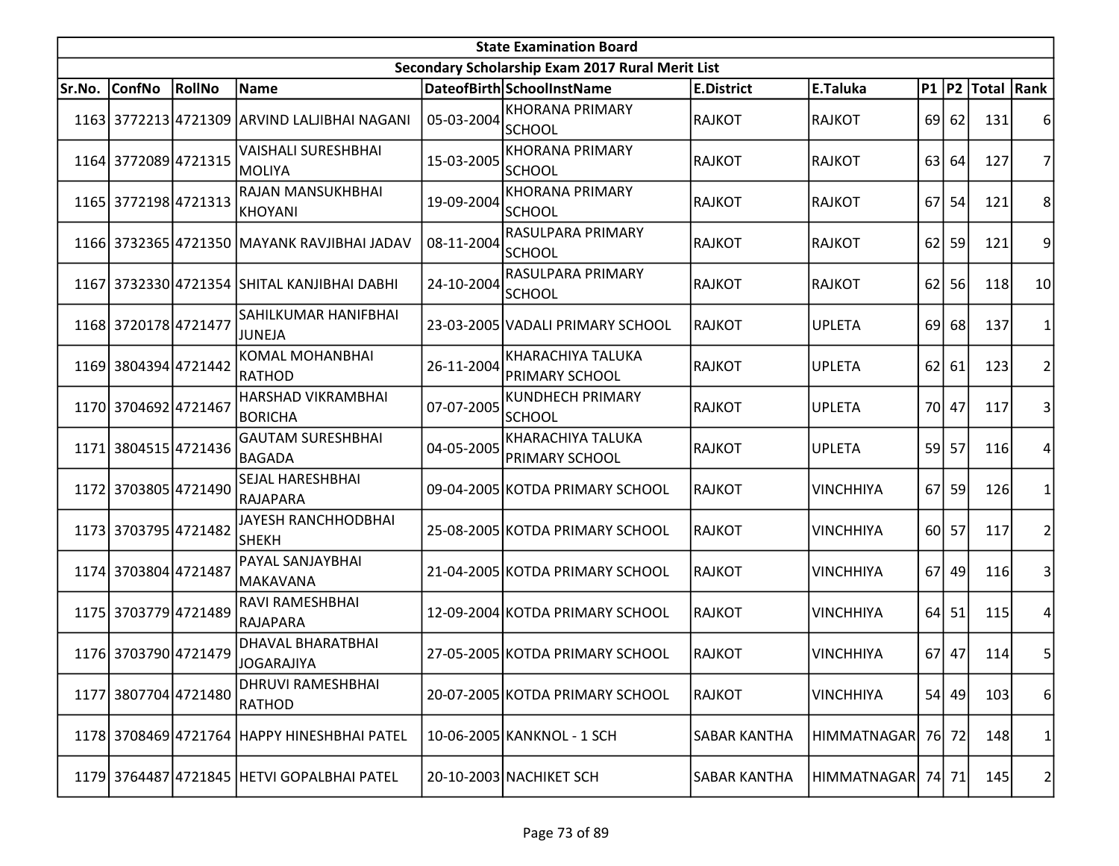| <b>State Examination Board</b> |                      |        |                                              |            |                                                  |                     |                  |    |           |                     |                 |  |
|--------------------------------|----------------------|--------|----------------------------------------------|------------|--------------------------------------------------|---------------------|------------------|----|-----------|---------------------|-----------------|--|
|                                |                      |        |                                              |            | Secondary Scholarship Exam 2017 Rural Merit List |                     |                  |    |           |                     |                 |  |
| Sr.No.                         | <b>ConfNo</b>        | RollNo | Name                                         |            | DateofBirth SchoolInstName                       | <b>E.District</b>   | E.Taluka         |    |           | P1  P2  Total  Rank |                 |  |
|                                |                      |        | 1163 3772213 4721309 ARVIND LALJIBHAI NAGANI | 05-03-2004 | <b>KHORANA PRIMARY</b><br><b>SCHOOL</b>          | <b>RAJKOT</b>       | <b>RAJKOT</b>    |    | 69 62     | 131                 | 6               |  |
|                                | 1164 3772089 4721315 |        | <b>VAISHALI SURESHBHAI</b><br>MOLIYA         | 15-03-2005 | <b>KHORANA PRIMARY</b><br><b>SCHOOL</b>          | <b>RAJKOT</b>       | <b>RAJKOT</b>    | 63 | 64        | 127                 | 7               |  |
|                                | 1165 3772198 4721313 |        | RAJAN MANSUKHBHAI<br>KHOYANI                 | 19-09-2004 | <b>KHORANA PRIMARY</b><br><b>SCHOOL</b>          | <b>RAJKOT</b>       | <b>RAJKOT</b>    | 67 | 54        | 121                 | 8               |  |
|                                |                      |        | 1166 3732365 4721350 MAYANK RAVJIBHAI JADAV  | 08-11-2004 | RASULPARA PRIMARY<br><b>SCHOOL</b>               | <b>RAJKOT</b>       | <b>RAJKOT</b>    |    | $62$ 59   | 121                 | 9               |  |
|                                |                      |        | 1167 3732330 4721354 SHITAL KANJIBHAI DABHI  | 24-10-2004 | RASULPARA PRIMARY<br><b>SCHOOL</b>               | <b>RAJKOT</b>       | <b>RAJKOT</b>    | 62 | 56        | 118                 | 10 <sup>1</sup> |  |
|                                | 1168 3720178 4721477 |        | SAHILKUMAR HANIFBHAI<br>JUNEJA               |            | 23-03-2005 VADALI PRIMARY SCHOOL                 | <b>RAJKOT</b>       | <b>UPLETA</b>    | 69 | 68        | 137                 |                 |  |
|                                | 1169 3804394 4721442 |        | <b>KOMAL MOHANBHAI</b><br>RATHOD             | 26-11-2004 | KHARACHIYA TALUKA<br>PRIMARY SCHOOL              | <b>RAJKOT</b>       | <b>UPLETA</b>    |    | $62$   61 | 123                 | 2               |  |
|                                | 1170 3704692 4721467 |        | HARSHAD VIKRAMBHAI<br><b>BORICHA</b>         | 07-07-2005 | <b>KUNDHECH PRIMARY</b><br><b>SCHOOL</b>         | <b>RAJKOT</b>       | <b>UPLETA</b>    |    | 70 47     | 117                 | 3               |  |
|                                | 1171 3804515 4721436 |        | <b>GAUTAM SURESHBHAI</b><br><b>BAGADA</b>    | 04-05-2005 | <b>KHARACHIYA TALUKA</b><br>PRIMARY SCHOOL       | <b>RAJKOT</b>       | <b>UPLETA</b>    |    | 59 57     | 116                 | 4               |  |
|                                | 1172 3703805 4721490 |        | SEJAL HARESHBHAI<br>RAJAPARA                 |            | 09-04-2005 KOTDA PRIMARY SCHOOL                  | <b>RAJKOT</b>       | <b>VINCHHIYA</b> | 67 | 59        | 126                 |                 |  |
|                                | 1173 3703795 4721482 |        | JAYESH RANCHHODBHAI<br><b>SHEKH</b>          |            | 25-08-2005 KOTDA PRIMARY SCHOOL                  | <b>RAJKOT</b>       | <b>VINCHHIYA</b> |    | 60 57     | 117                 | 2               |  |
|                                | 1174 3703804 4721487 |        | PAYAL SANJAYBHAI<br>MAKAVANA                 |            | 21-04-2005 KOTDA PRIMARY SCHOOL                  | <b>RAJKOT</b>       | <b>VINCHHIYA</b> | 67 | 49        | 116                 | 31              |  |
|                                | 1175 3703779 4721489 |        | <b>RAVI RAMESHBHAI</b><br>RAJAPARA           |            | 12-09-2004 KOTDA PRIMARY SCHOOL                  | <b>RAJKOT</b>       | <b>VINCHHIYA</b> |    | $64$ 51   | 115                 | 4               |  |
|                                | 1176 3703790 4721479 |        | <b>DHAVAL BHARATBHAI</b><br>JOGARAJIYA       |            | 27-05-2005 KOTDA PRIMARY SCHOOL                  | <b>RAJKOT</b>       | <b>VINCHHIYA</b> |    | 67 47     | 114                 | 5               |  |
|                                | 1177 3807704 4721480 |        | <b>DHRUVI RAMESHBHAI</b><br><b>RATHOD</b>    |            | 20-07-2005 KOTDA PRIMARY SCHOOL                  | <b>RAJKOT</b>       | <b>VINCHHIYA</b> |    | 54 49     | 103                 | $6 \mid$        |  |
|                                |                      |        | 1178 3708469 4721764 HAPPY HINESHBHAI PATEL  |            | 10-06-2005 KANKNOL - 1 SCH                       | <b>SABAR KANTHA</b> | HIMMATNAGAR      |    | 76 72     | 148                 | 1               |  |
|                                |                      |        | 1179 3764487 4721845 HETVI GOPALBHAI PATEL   |            | 20-10-2003 NACHIKET SCH                          | SABAR KANTHA        | HIMMATNAGAR      |    | 74 71     | 145                 | $\mathbf{2}$    |  |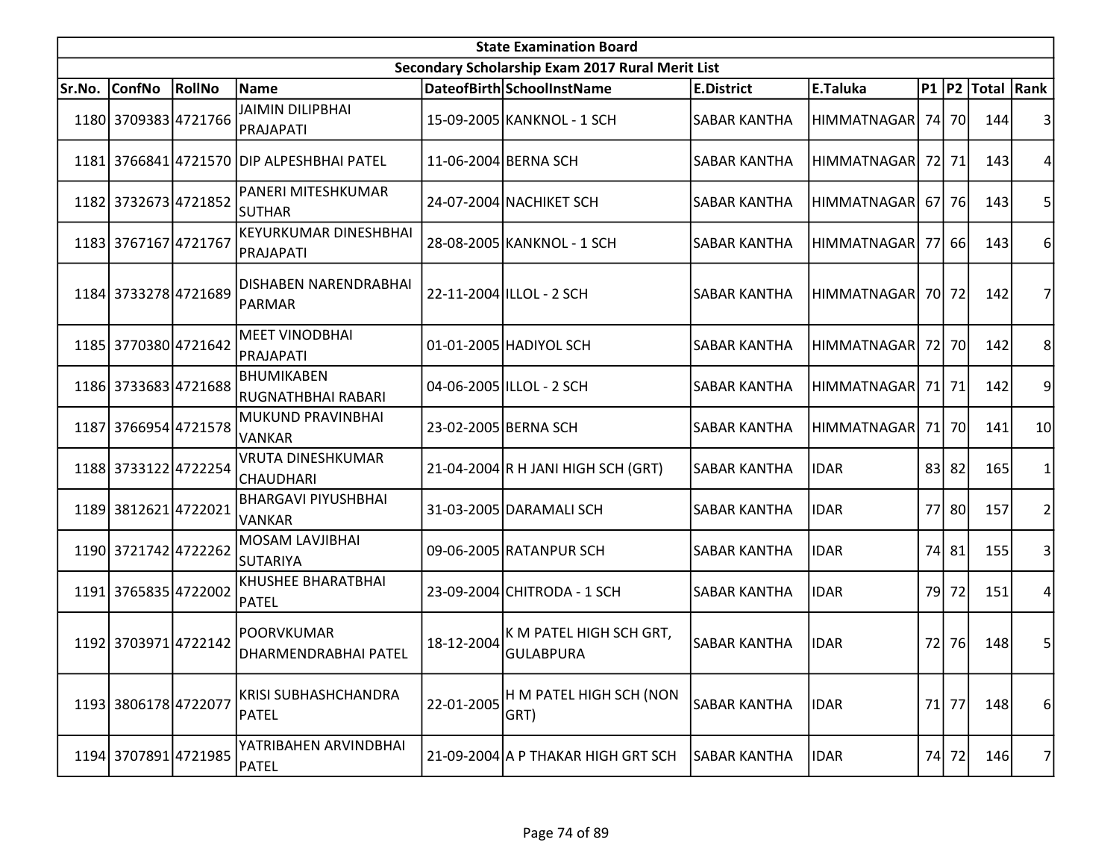|        | <b>State Examination Board</b><br>Secondary Scholarship Exam 2017 Rural Merit List |               |                                              |            |                                             |                     |                    |      |         |                  |                |  |  |
|--------|------------------------------------------------------------------------------------|---------------|----------------------------------------------|------------|---------------------------------------------|---------------------|--------------------|------|---------|------------------|----------------|--|--|
|        |                                                                                    |               |                                              |            |                                             |                     |                    |      |         |                  |                |  |  |
| Sr.No. | <b>ConfNo</b>                                                                      | <b>RollNo</b> | Name                                         |            | DateofBirth SchoolInstName                  | <b>E.District</b>   | E.Taluka           |      |         | P1 P2 Total Rank |                |  |  |
|        | 1180 3709383 4721766                                                               |               | <b>JAIMIN DILIPBHAI</b><br>PRAJAPATI         |            | 15-09-2005 KANKNOL - 1 SCH                  | <b>SABAR KANTHA</b> | HIMMATNAGAR        |      | 74 70   | 144              |                |  |  |
|        |                                                                                    |               | 1181 3766841 4721570 DIP ALPESHBHAI PATEL    |            | 11-06-2004 BERNA SCH                        | <b>SABAR KANTHA</b> | <b>HIMMATNAGAR</b> |      | 72 71   | 143              | 4              |  |  |
|        | 1182 3732673 4721852                                                               |               | PANERI MITESHKUMAR<br><b>SUTHAR</b>          |            | 24-07-2004 NACHIKET SCH                     | <b>SABAR KANTHA</b> | HIMMATNAGAR        |      | 67   76 | 143              | 5              |  |  |
|        | 1183 3767167 4721767                                                               |               | <b>KEYURKUMAR DINESHBHAI</b><br>PRAJAPATI    |            | 28-08-2005 KANKNOL - 1 SCH                  | <b>SABAR KANTHA</b> | <b>HIMMATNAGAR</b> |      | 77 66   | 143              | 6              |  |  |
|        | 1184 3733278 4721689                                                               |               | DISHABEN NARENDRABHAI<br>PARMAR              |            | 22-11-2004 ILLOL - 2 SCH                    | <b>SABAR KANTHA</b> | <b>HIMMATNAGAR</b> |      | 70 72   | 142              |                |  |  |
|        | 1185 3770380 4721642                                                               |               | <b>MEET VINODBHAI</b><br>PRAJAPATI           |            | 01-01-2005 HADIYOL SCH                      | SABAR KANTHA        | HIMMATNAGAR        |      | 72 70   | 142              | 8              |  |  |
|        | 1186 3733683 4721688                                                               |               | BHUMIKABEN<br><b>RUGNATHBHAI RABARI</b>      |            | 04-06-2005 ILLOL - 2 SCH                    | SABAR KANTHA        | HIMMATNAGAR        |      | 71 71   | 142              | 9              |  |  |
|        | 1187 3766954 4721578                                                               |               | MUKUND PRAVINBHAI<br>VANKAR                  |            | 23-02-2005 BERNA SCH                        | <b>SABAR KANTHA</b> | <b>HIMMATNAGAR</b> |      | 71 70   | 141              | 10             |  |  |
|        | 1188 3733122 4722254                                                               |               | <b>VRUTA DINESHKUMAR</b><br><b>CHAUDHARI</b> |            | 21-04-2004 R H JANI HIGH SCH (GRT)          | <b>SABAR KANTHA</b> | <b>IDAR</b>        |      | $83$ 82 | 165              |                |  |  |
|        | 1189 3812621 4722021                                                               |               | <b>BHARGAVI PIYUSHBHAI</b><br><b>VANKAR</b>  |            | 31-03-2005 DARAMALI SCH                     | <b>SABAR KANTHA</b> | <b>IDAR</b>        |      | 77 80   | 157              | $\overline{2}$ |  |  |
|        | 1190 3721742 4722262                                                               |               | MOSAM LAVJIBHAI<br><b>SUTARIYA</b>           |            | 09-06-2005 RATANPUR SCH                     | <b>SABAR KANTHA</b> | <b>IDAR</b>        |      | 74 81   | 155              | 3              |  |  |
|        | 1191 3765835 4722002                                                               |               | KHUSHEE BHARATBHAI<br>PATEL                  |            | 23-09-2004 CHITRODA - 1 SCH                 | <b>SABAR KANTHA</b> | <b>IDAR</b>        | 79 l | 72      | 151              | 4              |  |  |
|        | 1192 3703971 4722142                                                               |               | <b>POORVKUMAR</b><br>DHARMENDRABHAI PATEL    | 18-12-2004 | K M PATEL HIGH SCH GRT,<br><b>GULABPURA</b> | <b>SABAR KANTHA</b> | <b>IDAR</b>        | 72   | 76      | 148              | 5              |  |  |
|        | 1193 3806178 4722077                                                               |               | <b>KRISI SUBHASHCHANDRA</b><br>PATEL         | 22-01-2005 | H M PATEL HIGH SCH (NON<br>GRT)             | <b>SABAR KANTHA</b> | <b>IDAR</b>        |      | 71 77   | 148              | 6              |  |  |
|        | 1194 3707891 4721985                                                               |               | YATRIBAHEN ARVINDBHAI<br>PATEL               |            | 21-09-2004 A P THAKAR HIGH GRT SCH          | SABAR KANTHA        | <b>IDAR</b>        |      | 74 72   | 146              | 7              |  |  |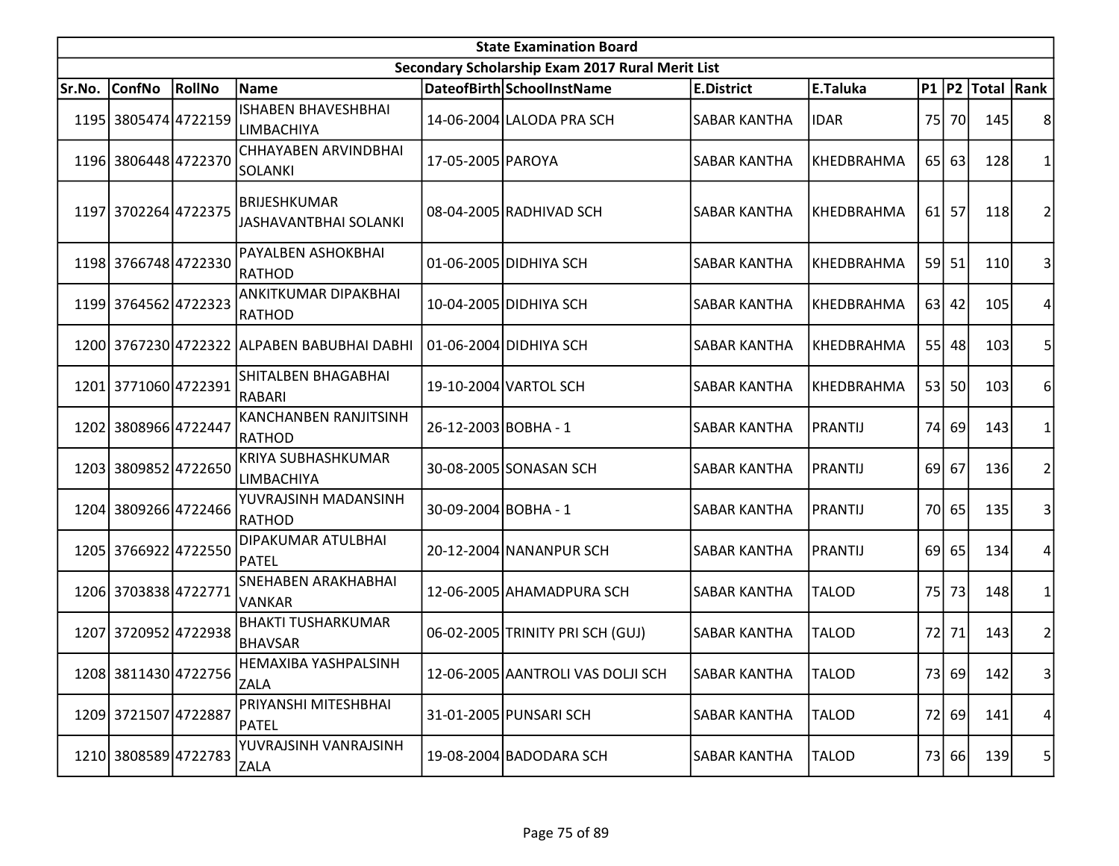|        | <b>State Examination Board</b> |        |                                                     |                      |                                                  |                     |                   |    |           |                     |                |  |  |
|--------|--------------------------------|--------|-----------------------------------------------------|----------------------|--------------------------------------------------|---------------------|-------------------|----|-----------|---------------------|----------------|--|--|
|        |                                |        |                                                     |                      | Secondary Scholarship Exam 2017 Rural Merit List |                     |                   |    |           |                     |                |  |  |
| Sr.No. | <b>ConfNo</b>                  | RollNo | Name                                                |                      | DateofBirth SchoolInstName                       | <b>E.District</b>   | E.Taluka          |    |           | P1  P2  Total  Rank |                |  |  |
|        | 1195 3805474 4722159           |        | <b>ISHABEN BHAVESHBHAI</b><br><b>LIMBACHIYA</b>     |                      | 14-06-2004 LALODA PRA SCH                        | <b>SABAR KANTHA</b> | <b>IDAR</b>       |    | 75 70     | 145                 | 8              |  |  |
|        | 1196 3806448 4722370           |        | CHHAYABEN ARVINDBHAI<br>SOLANKI                     | 17-05-2005 PAROYA    |                                                  | <b>SABAR KANTHA</b> | KHEDBRAHMA        |    | 65 63     | 128                 | 1              |  |  |
|        | 1197 3702264 4722375           |        | <b>BRIJESHKUMAR</b><br><b>JASHAVANTBHAI SOLANKI</b> |                      | 08-04-2005 RADHIVAD SCH                          | <b>SABAR KANTHA</b> | <b>KHEDBRAHMA</b> | 61 | 57        | 118                 | 2              |  |  |
|        | 1198 3766748 4722330           |        | PAYALBEN ASHOKBHAI<br> RATHOD                       |                      | 01-06-2005 DIDHIYA SCH                           | <b>SABAR KANTHA</b> | <b>KHEDBRAHMA</b> |    | 59 51     | 110                 | 3              |  |  |
|        | 1199 3764562 4722323           |        | ANKITKUMAR DIPAKBHAI<br>RATHOD                      |                      | 10-04-2005 DIDHIYA SCH                           | <b>SABAR KANTHA</b> | KHEDBRAHMA        |    | $63$   42 | 105                 | 4              |  |  |
|        |                                |        | 1200 3767230 4722322 ALPABEN BABUBHAI DABHI         |                      | 01-06-2004 DIDHIYA SCH                           | SABAR KANTHA        | KHEDBRAHMA        |    | 55 48     | 103                 | 5              |  |  |
|        | 1201 3771060 4722391           |        | SHITALBEN BHAGABHAI<br>RABARI                       |                      | 19-10-2004 VARTOL SCH                            | <b>SABAR KANTHA</b> | <b>KHEDBRAHMA</b> |    | 53 50     | 103                 | 6              |  |  |
|        | 1202 3808966 4722447           |        | KANCHANBEN RANJITSINH<br>RATHOD                     | 26-12-2003 BOBHA - 1 |                                                  | <b>SABAR KANTHA</b> | PRANTIJ           |    | 74 69     | 143                 | 1              |  |  |
|        | 1203 3809852 4722650           |        | KRIYA SUBHASHKUMAR<br><b>LIMBACHIYA</b>             |                      | 30-08-2005 SONASAN SCH                           | <b>SABAR KANTHA</b> | <b>PRANTIJ</b>    | 69 | 67        | 136                 | $\overline{2}$ |  |  |
|        | 1204 3809266 4722466           |        | YUVRAJSINH MADANSINH<br>RATHOD                      | 30-09-2004 BOBHA - 1 |                                                  | <b>SABAR KANTHA</b> | PRANTIJ           |    | 70 65     | 135                 | 3              |  |  |
|        | 1205 3766922 4722550           |        | DIPAKUMAR ATULBHAI<br>PATEL                         |                      | 20-12-2004 NANANPUR SCH                          | <b>SABAR KANTHA</b> | PRANTIJ           |    | 69 65     | 134                 | 4              |  |  |
|        | 1206 3703838 4722771           |        | <b>SNEHABEN ARAKHABHAI</b><br><b>VANKAR</b>         |                      | 12-06-2005 AHAMADPURA SCH                        | <b>SABAR KANTHA</b> | <b>TALOD</b>      | 75 | 73        | 148                 | $\mathbf{1}$   |  |  |
|        | 1207 3720952 4722938           |        | <b>BHAKTI TUSHARKUMAR</b><br>BHAVSAR                |                      | 06-02-2005 TRINITY PRI SCH (GUJ)                 | <b>SABAR KANTHA</b> | <b>TALOD</b>      | 72 | 71        | 143                 | $\overline{c}$ |  |  |
|        | 1208 3811430 4722756           |        | IHEMAXIBA YASHPALSINH<br>ZALA                       |                      | 12-06-2005 AANTROLI VAS DOLJI SCH                | <b>SABAR KANTHA</b> | <b>TALOD</b>      |    | 73 69     | 142                 | $\vert$ 3      |  |  |
|        | 1209 3721507 4722887           |        | PRIYANSHI MITESHBHAI<br><b>PATEL</b>                |                      | 31-01-2005 PUNSARI SCH                           | <b>SABAR KANTHA</b> | <b>TALOD</b>      | 72 | 69        | 141                 | 4              |  |  |
|        | 1210 3808589 4722783           |        | YUVRAJSINH VANRAJSINH<br><b>ZALA</b>                |                      | 19-08-2004 BADODARA SCH                          | <b>SABAR KANTHA</b> | <b>TALOD</b>      |    | 73 66     | 139                 | 5              |  |  |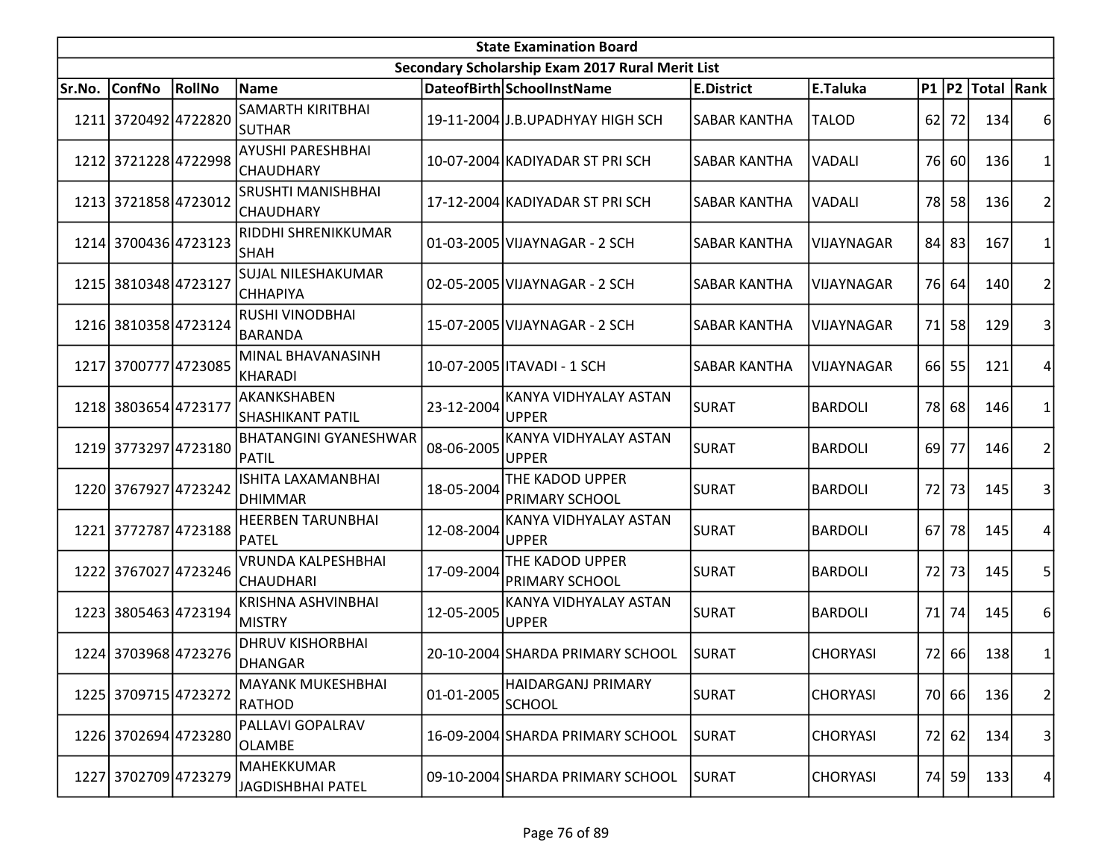|        | <b>State Examination Board</b> |                      |                                               |            |                                                  |                     |                 |           |       |                     |                         |  |  |
|--------|--------------------------------|----------------------|-----------------------------------------------|------------|--------------------------------------------------|---------------------|-----------------|-----------|-------|---------------------|-------------------------|--|--|
|        |                                |                      |                                               |            | Secondary Scholarship Exam 2017 Rural Merit List |                     |                 |           |       |                     |                         |  |  |
| Sr.No. | <b>ConfNo</b>                  | RollNo               | Name                                          |            | DateofBirth SchoolInstName                       | <b>E.District</b>   | E.Taluka        |           |       | P1  P2  Total  Rank |                         |  |  |
|        | 1211 3720492 4722820           |                      | <b>SAMARTH KIRITBHAI</b><br><b>SUTHAR</b>     |            | 19-11-2004 J.B.UPADHYAY HIGH SCH                 | <b>SABAR KANTHA</b> | <b>TALOD</b>    | 62        | 72    | 134                 | 6                       |  |  |
|        | 1212 3721228 4722998           |                      | AYUSHI PARESHBHAI<br>CHAUDHARY                |            | 10-07-2004 KADIYADAR ST PRI SCH                  | <b>SABAR KANTHA</b> | VADALI          | 76I       | 60    | 136                 | $\mathbf{1}$            |  |  |
|        | 1213 3721858 4723012           |                      | SRUSHTI MANISHBHAI<br><b>CHAUDHARY</b>        |            | 17-12-2004 KADIYADAR ST PRI SCH                  | <b>SABAR KANTHA</b> | VADALI          | <b>78</b> | 58    | 136                 | $\overline{2}$          |  |  |
|        | 1214 3700436 4723123           |                      | RIDDHI SHRENIKKUMAR<br><b>SHAH</b>            |            | 01-03-2005 VIJAYNAGAR - 2 SCH                    | SABAR KANTHA        | VIJAYNAGAR      |           | 84 83 | 167                 | 1                       |  |  |
|        | 1215 3810348 4723127           |                      | SUJAL NILESHAKUMAR<br><b>CHHAPIYA</b>         |            | 02-05-2005 VIJAYNAGAR - 2 SCH                    | <b>SABAR KANTHA</b> | VIJAYNAGAR      | 76I       | 64    | 140                 | $\overline{\mathbf{c}}$ |  |  |
|        | 1216 3810358 4723124           |                      | RUSHI VINODBHAI<br>BARANDA                    |            | 15-07-2005 VIJAYNAGAR - 2 SCH                    | <b>SABAR KANTHA</b> | VIJAYNAGAR      | 71        | 58    | 129                 | 3                       |  |  |
|        | 1217 3700777 4723085           |                      | MINAL BHAVANASINH<br>KHARADI                  |            | 10-07-2005   ITAVADI - 1 SCH                     | SABAR KANTHA        | VIJAYNAGAR      |           | 66 55 | 121                 | 4                       |  |  |
|        | 1218 3803654 4723177           |                      | AKANKSHABEN<br>SHASHIKANT PATIL               | 23-12-2004 | KANYA VIDHYALAY ASTAN<br><b>UPPER</b>            | <b>SURAT</b>        | <b>BARDOLI</b>  |           | 78 68 | 146                 | 1                       |  |  |
|        | 1219 3773297 4723180           |                      | <b>BHATANGINI GYANESHWAR</b><br>PATIL         | 08-06-2005 | KANYA VIDHYALAY ASTAN<br><b>UPPER</b>            | <b>SURAT</b>        | <b>BARDOLI</b>  | 69        | 77    | 146                 | $\overline{c}$          |  |  |
|        | 1220 3767927 4723242           |                      | ISHITA LAXAMANBHAI<br>DHIMMAR                 | 18-05-2004 | THE KADOD UPPER<br><b>PRIMARY SCHOOL</b>         | <b>SURAT</b>        | <b>BARDOLI</b>  | 72        | 73    | 145                 | 3                       |  |  |
|        | 1221 3772787 4723188           |                      | <b>HEERBEN TARUNBHAI</b><br>PATEL             | 12-08-2004 | KANYA VIDHYALAY ASTAN<br><b>UPPER</b>            | <b>SURAT</b>        | <b>BARDOLI</b>  | <b>67</b> | 78    | 145                 | 4                       |  |  |
|        |                                | 1222 3767027 4723246 | <b>VRUNDA KALPESHBHAI</b><br><b>CHAUDHARI</b> | 17-09-2004 | THE KADOD UPPER<br><b>PRIMARY SCHOOL</b>         | <b>SURAT</b>        | <b>BARDOLI</b>  | 72        | 73    | 145                 | 5                       |  |  |
|        | 1223 3805463 4723194           |                      | <b>KRISHNA ASHVINBHAI</b><br>MISTRY           | 12-05-2005 | KANYA VIDHYALAY ASTAN<br><b>UPPER</b>            | SURAT               | <b>BARDOLI</b>  | 71        | 74    | 145                 | 6                       |  |  |
|        | 1224 3703968 4723276           |                      | <b>DHRUV KISHORBHAI</b><br>DHANGAR            |            | 20-10-2004 SHARDA PRIMARY SCHOOL                 | <b>SURAT</b>        | <b>CHORYASI</b> | 72        | 66    | 138                 | $\mathbf 1$             |  |  |
|        | 1225 3709715 4723272           |                      | <b>MAYANK MUKESHBHAI</b><br>RATHOD            | 01-01-2005 | HAIDARGANJ PRIMARY<br><b>SCHOOL</b>              | <b>SURAT</b>        | <b>CHORYASI</b> |           | 70 66 | 136                 | $\overline{2}$          |  |  |
|        | 1226 3702694 4723280           |                      | PALLAVI GOPALRAV<br><b>OLAMBE</b>             |            | 16-09-2004 SHARDA PRIMARY SCHOOL                 | <b>SURAT</b>        | <b>CHORYASI</b> | 72        | 62    | 134                 | 3                       |  |  |
|        | 1227 3702709 4723279           |                      | MAHEKKUMAR<br>JAGDISHBHAI PATEL               |            | 09-10-2004 SHARDA PRIMARY SCHOOL                 | <b>SURAT</b>        | <b>CHORYASI</b> | 74        | 59    | 133                 | 4                       |  |  |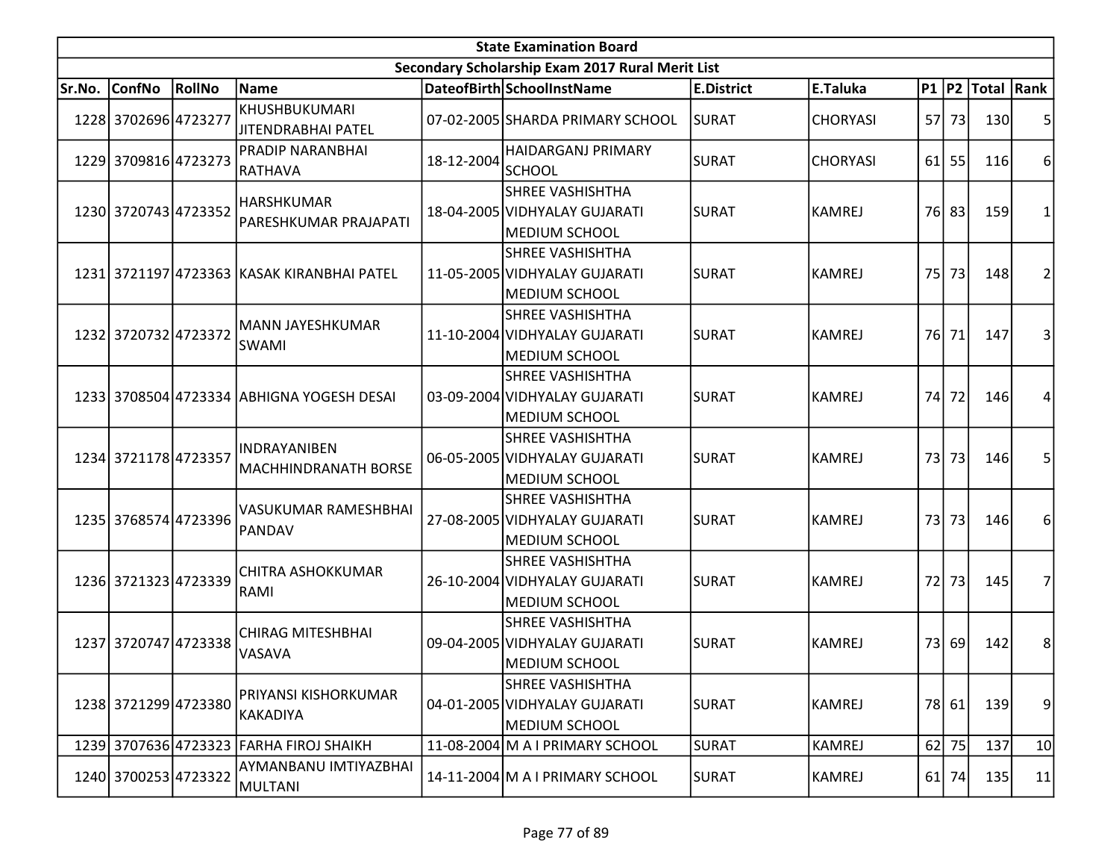| <b>State Examination Board</b> |                      |        |                                            |            |                                                                                  |                   |                 |    |         |                     |                |  |
|--------------------------------|----------------------|--------|--------------------------------------------|------------|----------------------------------------------------------------------------------|-------------------|-----------------|----|---------|---------------------|----------------|--|
|                                |                      |        |                                            |            | Secondary Scholarship Exam 2017 Rural Merit List                                 |                   |                 |    |         |                     |                |  |
| Sr.No.                         | <b>ConfNo</b>        | RollNo | Name                                       |            | DateofBirth SchoolInstName                                                       | <b>E.District</b> | E.Taluka        |    |         | P1  P2  Total  Rank |                |  |
|                                | 1228 3702696 4723277 |        | KHUSHBUKUMARI<br>JITENDRABHAI PATEL        |            | 07-02-2005 SHARDA PRIMARY SCHOOL                                                 | <b>SURAT</b>      | <b>CHORYASI</b> |    | 57 73   | 130                 | 5              |  |
|                                | 1229 3709816 4723273 |        | PRADIP NARANBHAI<br>RATHAVA                | 18-12-2004 | HAIDARGANJ PRIMARY<br><b>SCHOOL</b>                                              | <b>SURAT</b>      | <b>CHORYASI</b> |    | $61$ 55 | 116                 | 6              |  |
|                                | 1230 3720743 4723352 |        | <b>HARSHKUMAR</b><br>PARESHKUMAR PRAJAPATI |            | <b>SHREE VASHISHTHA</b><br>18-04-2005 VIDHYALAY GUJARATI<br><b>MEDIUM SCHOOL</b> | <b>SURAT</b>      | <b>KAMREJ</b>   |    | 76 83   | 159                 | 1              |  |
|                                |                      |        | 1231 3721197 4723363 KASAK KIRANBHAI PATEL |            | <b>SHREE VASHISHTHA</b><br>11-05-2005 VIDHYALAY GUJARATI<br><b>MEDIUM SCHOOL</b> | <b>SURAT</b>      | <b>KAMREJ</b>   |    | 75 73   | 148                 | 2              |  |
|                                | 1232 3720732 4723372 |        | MANN JAYESHKUMAR<br><b>SWAMI</b>           |            | <b>SHREE VASHISHTHA</b><br>11-10-2004 VIDHYALAY GUJARATI<br>MEDIUM SCHOOL        | <b>SURAT</b>      | <b>KAMREJ</b>   |    | 76 71   | 147                 | 3              |  |
|                                |                      |        | 1233 3708504 4723334 ABHIGNA YOGESH DESAI  |            | <b>SHREE VASHISHTHA</b><br>03-09-2004 VIDHYALAY GUJARATI<br><b>MEDIUM SCHOOL</b> | <b>SURAT</b>      | <b>KAMREJ</b>   | 74 | 72      | 146                 | 4              |  |
|                                | 1234 3721178 4723357 |        | INDRAYANIBEN<br>MACHHINDRANATH BORSE       |            | <b>SHREE VASHISHTHA</b><br>06-05-2005 VIDHYALAY GUJARATI<br>MEDIUM SCHOOL        | <b>SURAT</b>      | <b>KAMREJ</b>   |    | 73 73   | 146                 | 5              |  |
|                                | 1235 3768574 4723396 |        | VASUKUMAR RAMESHBHAI<br>PANDAV             |            | <b>SHREE VASHISHTHA</b><br>27-08-2005 VIDHYALAY GUJARATI<br>MEDIUM SCHOOL        | <b>SURAT</b>      | <b>KAMREJ</b>   |    | 73 73   | 146                 | 6              |  |
|                                | 1236 3721323 4723339 |        | CHITRA ASHOKKUMAR<br>RAMI                  |            | <b>SHREE VASHISHTHA</b><br>26-10-2004 VIDHYALAY GUJARATI<br><b>MEDIUM SCHOOL</b> | <b>SURAT</b>      | <b>KAMREJ</b>   | 72 | 73      | 145                 | 7              |  |
|                                | 1237 3720747 4723338 |        | <b>CHIRAG MITESHBHAI</b><br>VASAVA         |            | <b>SHREE VASHISHTHA</b><br>09-04-2005 VIDHYALAY GUJARATI<br>MEDIUM SCHOOL        | <b>SURAT</b>      | <b>KAMREJ</b>   | 73 | 69      | 142                 | 8 <sup>°</sup> |  |
|                                | 1238 3721299 4723380 |        | PRIYANSI KISHORKUMAR<br>KAKADIYA           |            | <b>SHREE VASHISHTHA</b><br>04-01-2005 VIDHYALAY GUJARATI<br><b>MEDIUM SCHOOL</b> | <b>SURAT</b>      | <b>KAMREJ</b>   |    | 78 61   | 139                 | 9              |  |
|                                |                      |        | 1239 3707636 4723323 FARHA FIROJ SHAIKH    |            | 11-08-2004 M A I PRIMARY SCHOOL                                                  | <b>SURAT</b>      | <b>KAMREJ</b>   |    | $62$ 75 | 137                 | 10             |  |
|                                | 1240 3700253 4723322 |        | AYMANBANU IMTIYAZBHAI<br>MULTANI           |            | 14-11-2004 M A I PRIMARY SCHOOL                                                  | <b>SURAT</b>      | <b>KAMREJ</b>   | 61 | 74      | 135                 | 11             |  |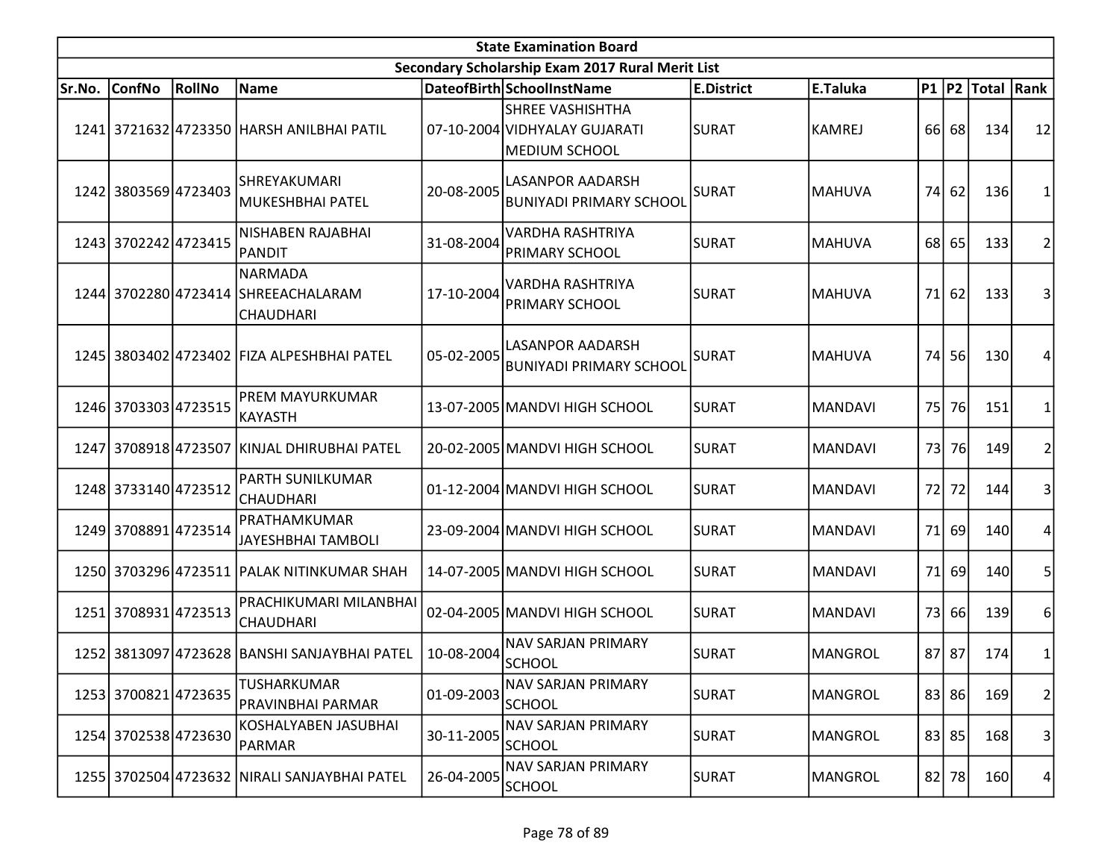| <b>State Examination Board</b> |                      |        |                                                                    |            |                                                                           |                   |                |     |           |                     |    |  |  |
|--------------------------------|----------------------|--------|--------------------------------------------------------------------|------------|---------------------------------------------------------------------------|-------------------|----------------|-----|-----------|---------------------|----|--|--|
|                                |                      |        |                                                                    |            | Secondary Scholarship Exam 2017 Rural Merit List                          |                   |                |     |           |                     |    |  |  |
| Sr.No.                         | <b>ConfNo</b>        | RollNo | Name                                                               |            | DateofBirth SchoolInstName                                                | <b>E.District</b> | E.Taluka       |     |           | P1  P2  Total  Rank |    |  |  |
|                                |                      |        | 1241 3721632 4723350 HARSH ANILBHAI PATIL                          |            | <b>SHREE VASHISHTHA</b><br>07-10-2004 VIDHYALAY GUJARATI<br>MEDIUM SCHOOL | SURAT             | <b>KAMREJ</b>  |     | 66 68     | 134                 | 12 |  |  |
|                                | 1242 3803569 4723403 |        | SHREYAKUMARI<br>MUKESHBHAI PATEL                                   | 20-08-2005 | <b>LASANPOR AADARSH</b><br><b>BUNIYADI PRIMARY SCHOOL</b>                 | <b>SURAT</b>      | <b>MAHUVA</b>  |     | 74 62     | 136                 | 1  |  |  |
|                                | 1243 3702242 4723415 |        | NISHABEN RAJABHAI<br>PANDIT                                        | 31-08-2004 | <b>VARDHA RASHTRIYA</b><br>PRIMARY SCHOOL                                 | <b>SURAT</b>      | <b>MAHUVA</b>  |     | 68 65     | 133                 | 2  |  |  |
|                                |                      |        | NARMADA<br>1244 3702280 4723414 SHREEACHALARAM<br><b>CHAUDHARI</b> | 17-10-2004 | <b>VARDHA RASHTRIYA</b><br>PRIMARY SCHOOL                                 | <b>SURAT</b>      | <b>MAHUVA</b>  |     | $71$ 62   | 133                 | 3  |  |  |
|                                |                      |        | 1245 3803402 4723402 FIZA ALPESHBHAI PATEL                         | 05-02-2005 | <b>LASANPOR AADARSH</b><br><b>BUNIYADI PRIMARY SCHOOL</b>                 | <b>SURAT</b>      | <b>MAHUVA</b>  |     | 74 56     | 130                 |    |  |  |
|                                | 1246 3703303 4723515 |        | PREM MAYURKUMAR<br><b>KAYASTH</b>                                  |            | 13-07-2005 MANDVI HIGH SCHOOL                                             | <b>SURAT</b>      | <b>MANDAVI</b> | 75I | <b>76</b> | 151                 |    |  |  |
|                                |                      |        | 1247 3708918 4723507 KINJAL DHIRUBHAI PATEL                        |            | 20-02-2005 MANDVI HIGH SCHOOL                                             | <b>SURAT</b>      | <b>MANDAVI</b> | 73I | 76        | 149                 | 2  |  |  |
|                                | 1248 3733140 4723512 |        | PARTH SUNILKUMAR<br><b>CHAUDHARI</b>                               |            | 01-12-2004 MANDVI HIGH SCHOOL                                             | <b>SURAT</b>      | <b>MANDAVI</b> | 72  | 72        | 144                 | 3  |  |  |
|                                | 1249 3708891 4723514 |        | PRATHAMKUMAR<br>JAYESHBHAI TAMBOLI                                 |            | 23-09-2004 MANDVI HIGH SCHOOL                                             | SURAT             | <b>MANDAVI</b> | 71  | 69        | 140                 | 4  |  |  |
|                                |                      |        | 1250 3703296 4723511 PALAK NITINKUMAR SHAH                         |            | 14-07-2005 MANDVI HIGH SCHOOL                                             | SURAT             | <b>MANDAVI</b> | 71  | 69        | 140                 | 5  |  |  |
|                                | 1251 3708931 4723513 |        | PRACHIKUMARI MILANBHAI<br>CHAUDHARI                                |            | 02-04-2005 MANDVI HIGH SCHOOL                                             | <b>SURAT</b>      | <b>MANDAVI</b> | 73  | 66        | 139                 | 6  |  |  |
|                                |                      |        | 1252 3813097 4723628 BANSHI SANJAYBHAI PATEL                       | 10-08-2004 | <b>NAV SARJAN PRIMARY</b><br><b>SCHOOL</b>                                | SURAT             | <b>MANGROL</b> |     | $87$ 87   | 174                 | 1  |  |  |
|                                | 1253 3700821 4723635 |        | TUSHARKUMAR<br>PRAVINBHAI PARMAR                                   | 01-09-2003 | <b>NAV SARJAN PRIMARY</b><br><b>SCHOOL</b>                                | <b>SURAT</b>      | MANGROL        |     | 83 86     | 169                 | 2  |  |  |
|                                | 1254 3702538 4723630 |        | KOSHALYABEN JASUBHAI<br><b>PARMAR</b>                              | 30-11-2005 | <b>NAV SARJAN PRIMARY</b><br><b>SCHOOL</b>                                | <b>SURAT</b>      | <b>MANGROL</b> |     | 83 85     | 168                 | 3  |  |  |
|                                |                      |        | 1255 3702504 4723632 NIRALI SANJAYBHAI PATEL                       | 26-04-2005 | NAV SARJAN PRIMARY<br>SCHOOL                                              | <b>SURAT</b>      | <b>MANGROL</b> |     | $82$ 78   | 160                 | 4  |  |  |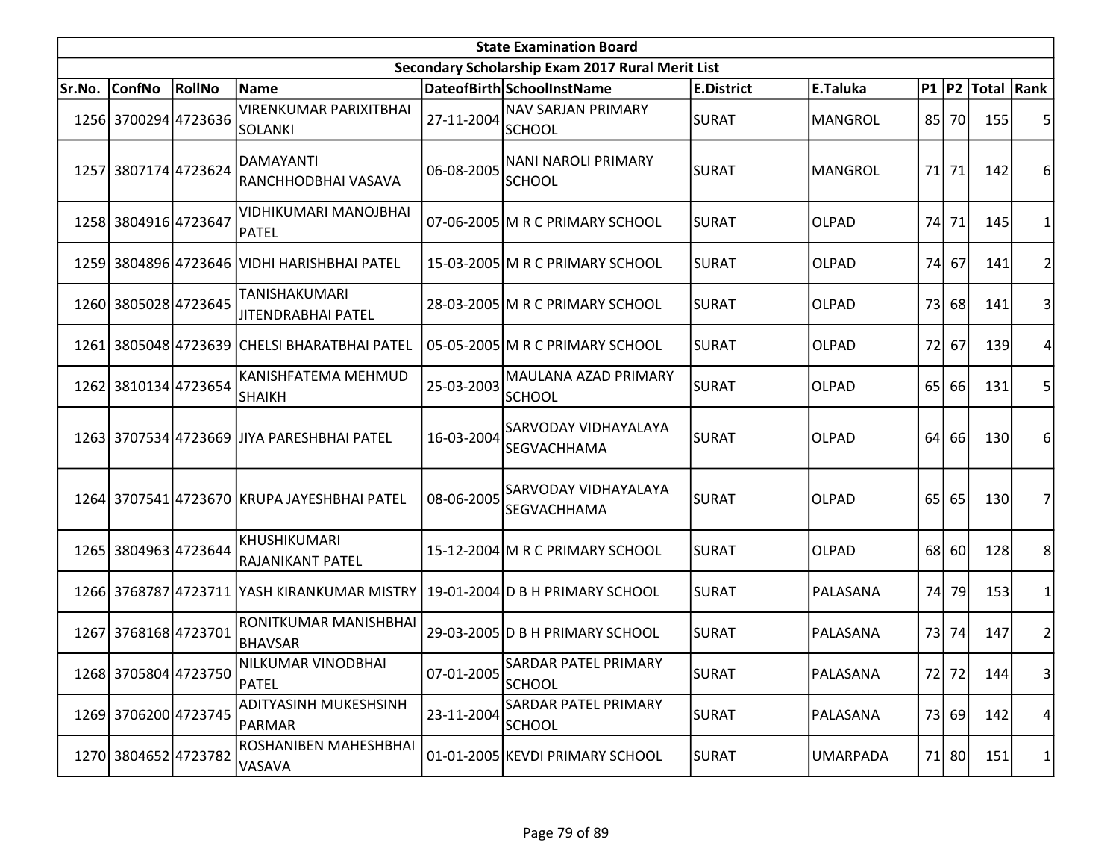| <b>State Examination Board</b> |                      |        |                                                 |                  |                                                  |                   |                 |                 |       |                  |           |  |
|--------------------------------|----------------------|--------|-------------------------------------------------|------------------|--------------------------------------------------|-------------------|-----------------|-----------------|-------|------------------|-----------|--|
|                                |                      |        |                                                 |                  | Secondary Scholarship Exam 2017 Rural Merit List |                   |                 |                 |       |                  |           |  |
| Sr.No.                         | <b>ConfNo</b>        | RollNo | <b>Name</b>                                     |                  | DateofBirth SchoolInstName                       | <b>E.District</b> | E.Taluka        |                 |       | P1 P2 Total Rank |           |  |
|                                | 1256 3700294 4723636 |        | <b>VIRENKUMAR PARIXITBHAI</b><br><b>SOLANKI</b> | 27-11-2004       | <b>NAV SARJAN PRIMARY</b><br><b>SCHOOL</b>       | <b>SURAT</b>      | <b>MANGROL</b>  |                 | 85 70 | 155              | 5         |  |
|                                | 1257 3807174 4723624 |        | DAMAYANTI<br>RANCHHODBHAI VASAVA                | 06-08-2005       | NANI NAROLI PRIMARY<br><b>SCHOOL</b>             | <b>SURAT</b>      | <b>MANGROL</b>  |                 | 71 71 | 142              | 6         |  |
|                                | 1258 3804916 4723647 |        | VIDHIKUMARI MANOJBHAI<br><b>PATEL</b>           |                  | 07-06-2005 M R C PRIMARY SCHOOL                  | <b>SURAT</b>      | <b>OLPAD</b>    | 74I             | 71    | 145              |           |  |
|                                |                      |        | 1259 3804896 4723646 VIDHI HARISHBHAI PATEL     |                  | 15-03-2005 M R C PRIMARY SCHOOL                  | <b>SURAT</b>      | <b>OLPAD</b>    |                 | 74 67 | 141              |           |  |
|                                | 1260 3805028 4723645 |        | TANISHAKUMARI<br>JITENDRABHAI PATEL             |                  | 28-03-2005 M R C PRIMARY SCHOOL                  | <b>SURAT</b>      | <b>OLPAD</b>    | <b>73</b>       | 68    | 141              |           |  |
| 1261                           |                      |        | 3805048 4723639 CHELSI BHARATBHAI PATEL         |                  | 05-05-2005 M R C PRIMARY SCHOOL                  | <b>SURAT</b>      | <b>OLPAD</b>    | 72              | 67    | <b>139</b>       | 4         |  |
| 1262                           | 3810134 4723654      |        | KANISHFATEMA MEHMUD<br><b>SHAIKH</b>            | 25-03-2003       | MAULANA AZAD PRIMARY<br><b>SCHOOL</b>            | <b>SURAT</b>      | OLPAD           |                 | 65 66 | 131              | 5         |  |
|                                |                      |        | 1263 3707534 4723669 JJIYA PARESHBHAI PATEL     | 16-03-2004       | <b>SARVODAY VIDHAYALAYA</b><br>SEGVACHHAMA       | <b>SURAT</b>      | <b>OLPAD</b>    | 64              | 66    | 130              | 6         |  |
|                                |                      |        | 1264 3707541 4723670 KRUPA JAYESHBHAI PATEL     | 08-06-2005       | <b>SARVODAY VIDHAYALAYA</b><br>SEGVACHHAMA       | <b>SURAT</b>      | <b>OLPAD</b>    | 65 <sup> </sup> | 65    | 130              | 7         |  |
|                                | 1265 3804963 4723644 |        | KHUSHIKUMARI<br>RAJANIKANT PATEL                |                  | 15-12-2004 M R C PRIMARY SCHOOL                  | <b>SURAT</b>      | <b>OLPAD</b>    |                 | 68 60 | 128              | 8         |  |
|                                |                      |        | 1266 3768787 4723711 YASH KIRANKUMAR MISTRY     |                  | 19-01-2004 D B H PRIMARY SCHOOL                  | <b>SURAT</b>      | PALASANA        | 74              | 79    | 153              |           |  |
|                                | 1267 3768168 4723701 |        | RONITKUMAR MANISHBHAI<br><b>BHAVSAR</b>         |                  | 29-03-2005 D B H PRIMARY SCHOOL                  | <b>SURAT</b>      | PALASANA        |                 | 73 74 | 147              | 2         |  |
|                                | 1268 3705804 4723750 |        | NILKUMAR VINODBHAI<br>PATEL                     | $07 - 01 - 2005$ | <b>SARDAR PATEL PRIMARY</b><br><b>SCHOOL</b>     | <b>SURAT</b>      | PALASANA        |                 | 72 72 | 144              | $\vert$ 3 |  |
|                                | 1269 3706200 4723745 |        | <b>ADITYASINH MUKESHSINH</b><br>PARMAR          | 23-11-2004       | SARDAR PATEL PRIMARY<br><b>SCHOOL</b>            | <b>SURAT</b>      | PALASANA        |                 | 73 69 | 142              | 4         |  |
|                                | 1270 3804652 4723782 |        | ROSHANIBEN MAHESHBHAI<br>VASAVA                 |                  | 01-01-2005 KEVDI PRIMARY SCHOOL                  | <b>SURAT</b>      | <b>UMARPADA</b> |                 | 71 80 | 151              | 1         |  |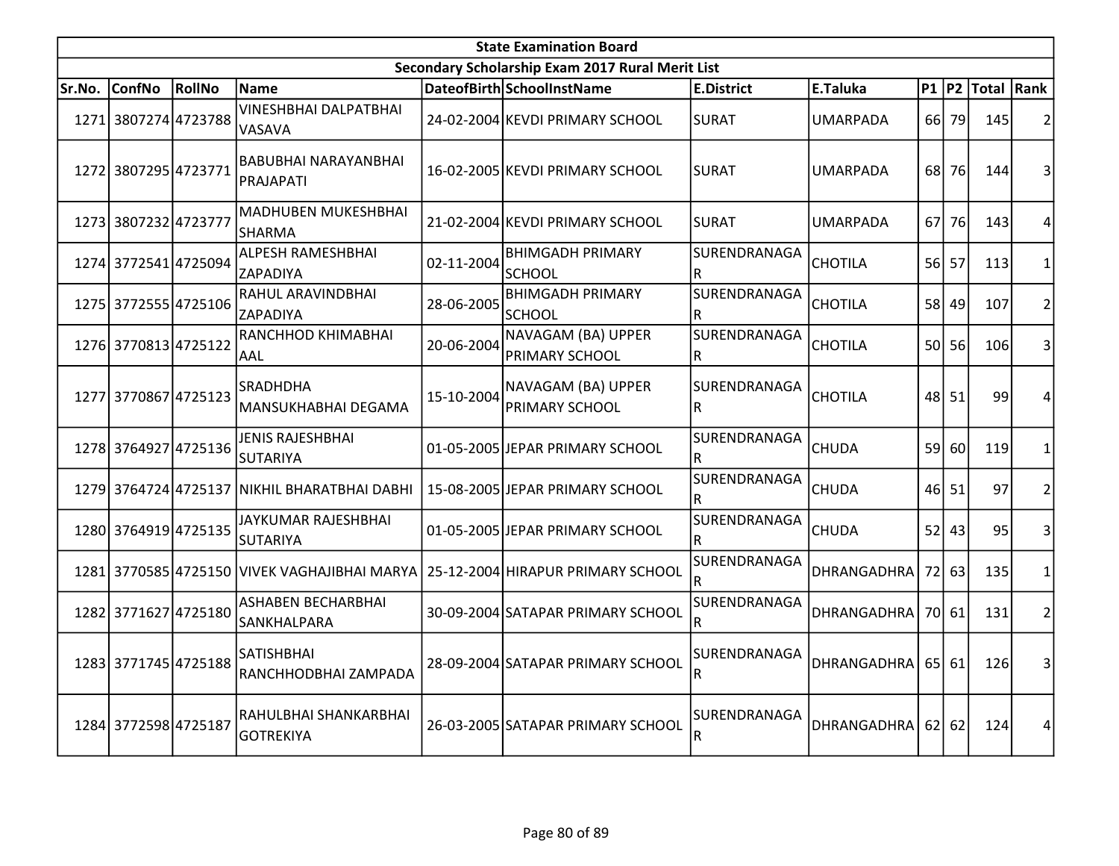|        | <b>State Examination Board</b> |        |                                                                                |            |                                                  |                             |                    |           |           |                  |                |  |  |
|--------|--------------------------------|--------|--------------------------------------------------------------------------------|------------|--------------------------------------------------|-----------------------------|--------------------|-----------|-----------|------------------|----------------|--|--|
|        |                                |        |                                                                                |            | Secondary Scholarship Exam 2017 Rural Merit List |                             |                    |           |           |                  |                |  |  |
| Sr.No. | <b>ConfNo</b>                  | RollNo | <b>Name</b>                                                                    |            | DateofBirth SchoolInstName                       | <b>E.District</b>           | E.Taluka           |           |           | P1 P2 Total Rank |                |  |  |
|        | 1271 3807274 4723788           |        | <b>VINESHBHAI DALPATBHAI</b><br>VASAVA                                         |            | 24-02-2004 KEVDI PRIMARY SCHOOL                  | <b>SURAT</b>                | <b>UMARPADA</b>    |           | 66 79     | 145              | $\overline{2}$ |  |  |
|        | 1272 3807295 4723771           |        | BABUBHAI NARAYANBHAI<br>PRAJAPATI                                              |            | 16-02-2005 KEVDI PRIMARY SCHOOL                  | <b>SURAT</b>                | <b>UMARPADA</b>    |           | 68 76     | 144              | 3              |  |  |
|        | 1273 3807232 4723777           |        | <b>MADHUBEN MUKESHBHAI</b><br><b>SHARMA</b>                                    |            | 21-02-2004 KEVDI PRIMARY SCHOOL                  | <b>SURAT</b>                | <b>UMARPADA</b>    | <b>67</b> | <b>76</b> | 143              | 4              |  |  |
|        | 1274 3772541 4725094           |        | ALPESH RAMESHBHAI<br>ZAPADIYA                                                  | 02-11-2004 | <b>BHIMGADH PRIMARY</b><br><b>SCHOOL</b>         | SURENDRANAGA<br>R           | <b>CHOTILA</b>     |           | $56$ 57   | 113              | $\mathbf{1}$   |  |  |
|        | 1275 3772555 4725106           |        | RAHUL ARAVINDBHAI<br>ZAPADIYA                                                  | 28-06-2005 | <b>BHIMGADH PRIMARY</b><br><b>SCHOOL</b>         | SURENDRANAGA<br>R           | <b>CHOTILA</b>     |           | 58 49     | 107              | $\overline{2}$ |  |  |
|        | 1276 3770813 4725122           |        | RANCHHOD KHIMABHAI<br>AAL                                                      | 20-06-2004 | NAVAGAM (BA) UPPER<br><b>PRIMARY SCHOOL</b>      | SURENDRANAGA<br>R           | <b>CHOTILA</b>     |           | 50 56     | 106              | 3              |  |  |
|        | 1277 3770867 4725123           |        | <b>SRADHDHA</b><br>MANSUKHABHAI DEGAMA                                         | 15-10-2004 | NAVAGAM (BA) UPPER<br>PRIMARY SCHOOL             | SURENDRANAGA<br>$\mathsf R$ | <b>CHOTILA</b>     |           | 48 51     | 99               | 4              |  |  |
|        | 1278 3764927 4725136           |        | JENIS RAJESHBHAI<br><b>SUTARIYA</b>                                            |            | 01-05-2005 JEPAR PRIMARY SCHOOL                  | SURENDRANAGA<br>R           | <b>CHUDA</b>       | 59        | 60I       | 119              | 1              |  |  |
|        |                                |        | 1279 3764724 4725137 NIKHIL BHARATBHAI DABHI                                   |            | 15-08-2005 JEPAR PRIMARY SCHOOL                  | SURENDRANAGA<br>R           | <b>CHUDA</b>       |           | 46 51     | 97               | $\overline{2}$ |  |  |
|        | 1280 3764919 4725135           |        | JAYKUMAR RAJESHBHAI<br><b>SUTARIYA</b>                                         |            | 01-05-2005 JEPAR PRIMARY SCHOOL                  | SURENDRANAGA<br>R           | <b>CHUDA</b>       | 52        | 43        | 95               | 3              |  |  |
|        |                                |        | 1281 3770585 4725150 VIVEK VAGHAJIBHAI MARYA 25-12-2004 HIRAPUR PRIMARY SCHOOL |            |                                                  | SURENDRANAGA<br>R           | DHRANGADHRA        | 72        | 63        | 135              | 1              |  |  |
|        | 1282 3771627 4725180           |        | <b>ASHABEN BECHARBHAI</b><br>SANKHALPARA                                       |            | 30-09-2004 SATAPAR PRIMARY SCHOOL                | SURENDRANAGA<br>R           | DHRANGADHRA        |           | 70 61     | 131              | $\overline{2}$ |  |  |
|        | 1283 3771745 4725188           |        | SATISHBHAI<br>RANCHHODBHAI ZAMPADA                                             |            | 28-09-2004 SATAPAR PRIMARY SCHOOL                | SURENDRANAGA<br>R           | <b>DHRANGADHRA</b> |           | $65$ 61   | 126              | 3              |  |  |
|        | 1284 3772598 4725187           |        | RAHULBHAI SHANKARBHAI<br><b>GOTREKIYA</b>                                      |            | 26-03-2005 SATAPAR PRIMARY SCHOOL                | SURENDRANAGA<br>R           | <b>DHRANGADHRA</b> | 62        | 62        | 124              | 4              |  |  |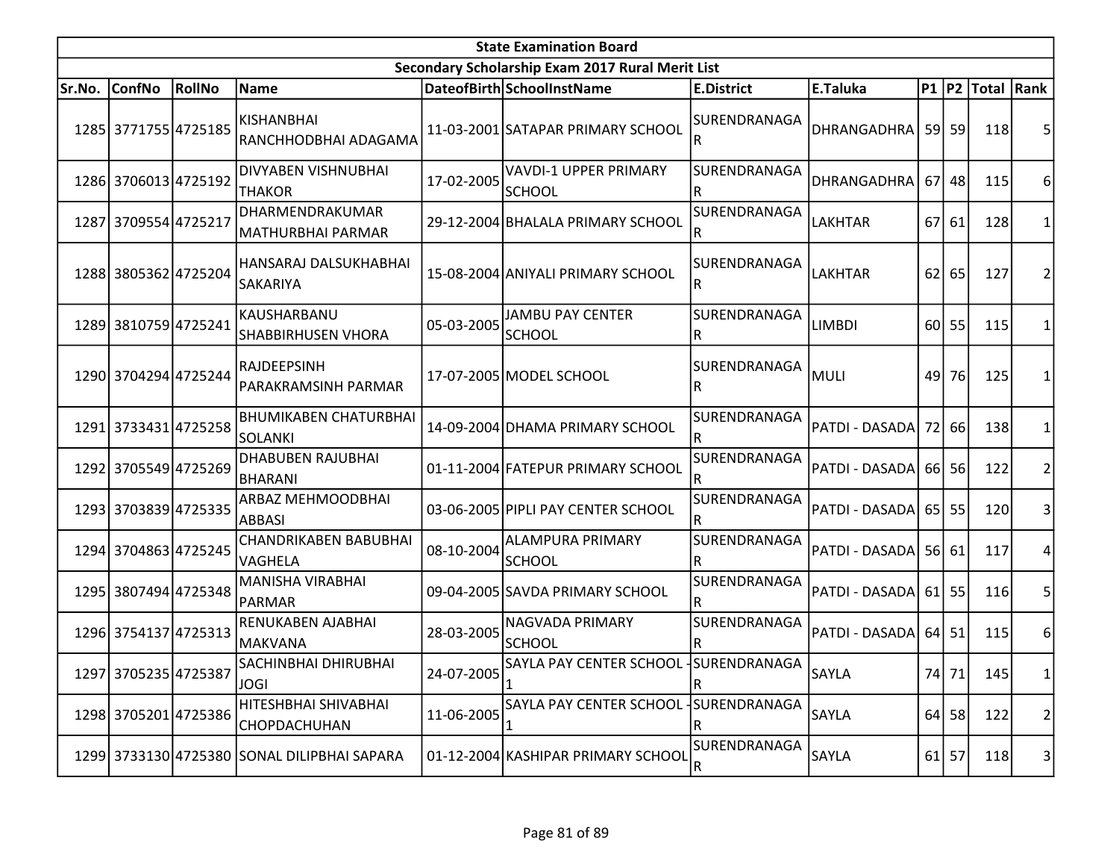|        |                      |        |                                                |            | <b>State Examination Board</b>                   |                                         |                     |      |         |                        |                 |
|--------|----------------------|--------|------------------------------------------------|------------|--------------------------------------------------|-----------------------------------------|---------------------|------|---------|------------------------|-----------------|
|        |                      |        |                                                |            | Secondary Scholarship Exam 2017 Rural Merit List |                                         |                     |      |         |                        |                 |
| Sr.No. | <b>ConfNo</b>        | RollNo | Name                                           |            | DateofBirth SchoolInstName                       | <b>E.District</b>                       | E.Taluka            |      |         | P1   P2   Total   Rank |                 |
|        | 1285 3771755 4725185 |        | KISHANBHAI<br>RANCHHODBHAI ADAGAMA             |            | 11-03-2001 SATAPAR PRIMARY SCHOOL                | SURENDRANAGA<br>lR                      | DHRANGADHRA  59  59 |      |         | 118                    | 5               |
|        | 1286 3706013 4725192 |        | DIVYABEN VISHNUBHAI<br><b>THAKOR</b>           | 17-02-2005 | <b>VAVDI-1 UPPER PRIMARY</b><br><b>SCHOOL</b>    | SURENDRANAGA<br>$\overline{\mathsf{R}}$ | <b>DHRANGADHRA</b>  | 67 I | 48      | 115                    | 6               |
|        | 1287 3709554 4725217 |        | DHARMENDRAKUMAR<br>MATHURBHAI PARMAR           |            | 29-12-2004 BHALALA PRIMARY SCHOOL                | SURENDRANAGA                            | LAKHTAR             | 67I  | 61      | 128                    | 1               |
|        | 1288 3805362 4725204 |        | HANSARAJ DALSUKHABHAI<br>SAKARIYA              |            | 15-08-2004 ANIYALI PRIMARY SCHOOL                | SURENDRANAGA<br>R.                      | LAKHTAR             | 62   | 65      | 127                    | 2               |
|        | 1289 3810759 4725241 |        | KAUSHARBANU<br><b>SHABBIRHUSEN VHORA</b>       | 05-03-2005 | <b>JAMBU PAY CENTER</b><br><b>SCHOOL</b>         | SURENDRANAGA<br>lR                      | <b>LIMBDI</b>       | 60 l | 55      | 115                    | 1               |
|        | 1290 3704294 4725244 |        | RAJDEEPSINH<br>PARAKRAMSINH PARMAR             |            | 17-07-2005 MODEL SCHOOL                          | SURENDRANAGA<br>lR                      | <b>MULI</b>         | 49   | 76      | 125                    | 1               |
|        | 1291 3733431 4725258 |        | <b>BHUMIKABEN CHATURBHAI</b><br><b>SOLANKI</b> |            | 14-09-2004 DHAMA PRIMARY SCHOOL                  | SURENDRANAGA                            | PATDI - DASADA      |      | 72 66   | 138                    | 1               |
|        | 1292 3705549 4725269 |        | <b>DHABUBEN RAJUBHAI</b><br>BHARANI            |            | 01-11-2004 FATEPUR PRIMARY SCHOOL                | SURENDRANAGA<br>R                       | PATDI - DASADA      |      | 66 56   | 122                    | $\overline{2}$  |
|        | 1293 3703839 4725335 |        | ARBAZ MEHMOODBHAI<br>ABBASI                    |            | 03-06-2005 PIPLI PAY CENTER SCHOOL               | SURENDRANAGA                            | PATDI - DASADA      |      | 65 55   | 120                    | 3               |
|        | 1294 3704863 4725245 |        | CHANDRIKABEN BABUBHAI<br><b>VAGHELA</b>        | 08-10-2004 | <b>ALAMPURA PRIMARY</b><br><b>SCHOOL</b>         | SURENDRANAGA<br>R                       | PATDI - DASADA      |      | 56 61   | 117                    | 4               |
|        | 1295 3807494 4725348 |        | MANISHA VIRABHAI<br>PARMAR                     |            | 09-04-2005 SAVDA PRIMARY SCHOOL                  | SURENDRANAGA<br>lR.                     | PATDI - DASADA      |      | $61$ 55 | 116                    | 5               |
|        | 1296 3754137 4725313 |        | <b>RENUKABEN AJABHAI</b><br><b>MAKVANA</b>     | 28-03-2005 | NAGVADA PRIMARY<br><b>SCHOOL</b>                 | SURENDRANAGA                            | PATDI - DASADA      |      | $64$ 51 | 115                    | 6               |
|        | 1297 3705235 4725387 |        | SACHINBHAI DHIRUBHAI<br><b>JOGI</b>            | 24-07-2005 | SAYLA PAY CENTER SCHOOL SURENDRANAGA             | $\overline{\mathsf{R}}$                 | SAYLA               |      | 74 71   | 145                    | 1               |
|        | 1298 3705201 4725386 |        | HITESHBHAI SHIVABHAI<br>CHOPDACHUHAN           | 11-06-2005 | SAYLA PAY CENTER SCHOOL                          | SURENDRANAGA<br>$\mathsf R$             | <b>SAYLA</b>        |      | $64$ 58 | 122                    | 2               |
|        |                      |        | 1299 3733130 4725380 SONAL DILIPBHAI SAPARA    |            | 01-12-2004 KASHIPAR PRIMARY SCHOOL               | SURENDRANAGA<br>$\mathsf R$             | SAYLA               |      | $61$ 57 | 118                    | $\vert 3 \vert$ |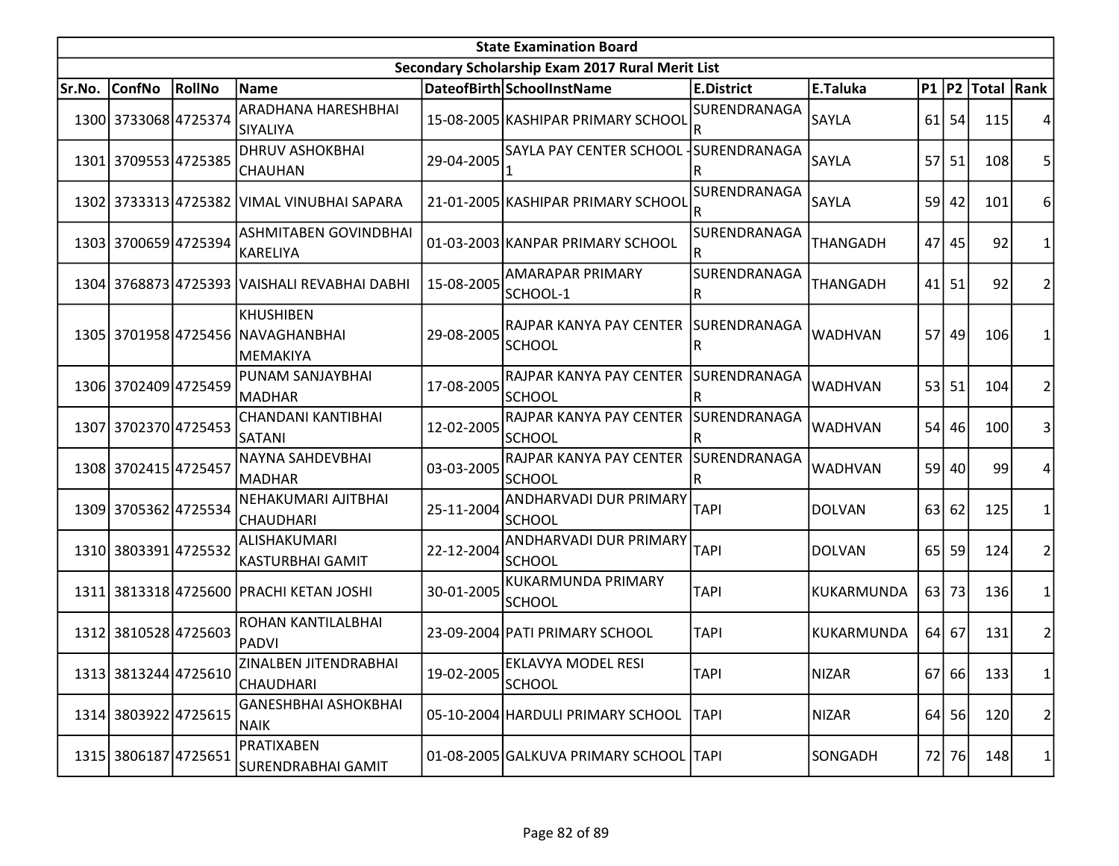| <b>State Examination Board</b> |                      |                      |                                                             |            |                                                       |                                         |                 |                 |         |                        |                |
|--------------------------------|----------------------|----------------------|-------------------------------------------------------------|------------|-------------------------------------------------------|-----------------------------------------|-----------------|-----------------|---------|------------------------|----------------|
|                                |                      |                      |                                                             |            | Secondary Scholarship Exam 2017 Rural Merit List      |                                         |                 |                 |         |                        |                |
| Sr.No.                         | ConfNo               | RollNo               | Name                                                        |            | DateofBirth SchoolInstName                            | <b>E.District</b>                       | E.Taluka        |                 |         | P1   P2   Total   Rank |                |
|                                | 1300 3733068 4725374 |                      | ARADHANA HARESHBHAI<br><b>SIYALIYA</b>                      |            | 15-08-2005 KASHIPAR PRIMARY SCHOOL                    | SURENDRANAGA                            | <b>SAYLA</b>    | 61              | 54      | 115                    |                |
|                                | 1301 3709553 4725385 |                      | <b>DHRUV ASHOKBHAI</b><br><b>CHAUHAN</b>                    | 29-04-2005 | SAYLA PAY CENTER SCHOOL                               | SURENDRANAGA<br>R                       | <b>SAYLA</b>    | 57              | 51      | 108                    | 5              |
|                                |                      |                      | 1302 3733313 4725382 VIMAL VINUBHAI SAPARA                  |            | 21-01-2005 KASHIPAR PRIMARY SCHOOL                    | SURENDRANAGA                            | SAYLA           | 59 <sup> </sup> | 42      | 101                    | 6              |
|                                | 1303 3700659 4725394 |                      | <b>ASHMITABEN GOVINDBHAI</b><br><b>KARELIYA</b>             |            | 01-03-2003 KANPAR PRIMARY SCHOOL                      | SURENDRANAGA<br>lR.                     | <b>THANGADH</b> | 47              | 45      | 92                     | 1              |
|                                |                      |                      | 1304 3768873 4725393 VAISHALI REVABHAI DABHI                | 15-08-2005 | AMARAPAR PRIMARY<br>SCHOOL-1                          | SURENDRANAGA<br>$\sf R$                 | <b>THANGADH</b> | 41              | 51      | 92                     | 2              |
|                                |                      |                      | KHUSHIBEN<br>1305 3701958 4725456 NAVAGHANBHAI<br> MEMAKIYA | 29-08-2005 | RAJPAR KANYA PAY CENTER SURENDRANAGA<br><b>SCHOOL</b> | lR                                      | WADHVAN         | 57 l            | 49      | 106                    | 1              |
|                                | 1306 3702409 4725459 |                      | PUNAM SANJAYBHAI<br>MADHAR                                  | 17-08-2005 | RAJPAR KANYA PAY CENTER<br><b>SCHOOL</b>              | SURENDRANAGA<br>۱R                      | <b>WADHVAN</b>  | 53 <sup>1</sup> | 51      | 104                    | 2              |
|                                | 1307 3702370 4725453 |                      | CHANDANI KANTIBHAI<br><b>SATANI</b>                         | 12-02-2005 | RAJPAR KANYA PAY CENTER<br><b>SCHOOL</b>              | SURENDRANAGA                            | <b>WADHVAN</b>  | 54              | 46      | 100                    | 3              |
|                                | 1308 3702415 4725457 |                      | NAYNA SAHDEVBHAI<br><b>MADHAR</b>                           | 03-03-2005 | RAJPAR KANYA PAY CENTER<br><b>SCHOOL</b>              | SURENDRANAGA<br>$\overline{\mathsf{R}}$ | <b>WADHVAN</b>  |                 | 59 40   | 99                     | 4              |
|                                | 1309 3705362 4725534 |                      | NEHAKUMARI AJITBHAI<br><b>CHAUDHARI</b>                     | 25-11-2004 | ANDHARVADI DUR PRIMARY<br><b>SCHOOL</b>               | <b>TAPI</b>                             | <b>DOLVAN</b>   | 63              | 62      | 125                    | 1              |
|                                | 1310 3803391 4725532 |                      | ALISHAKUMARI<br><b>KASTURBHAI GAMIT</b>                     | 22-12-2004 | ANDHARVADI DUR PRIMARY<br><b>SCHOOL</b>               | <b>TAPI</b>                             | <b>DOLVAN</b>   | 65 <sup> </sup> | 59      | 124                    | 2              |
|                                |                      |                      | 1311 3813318 4725600 PRACHI KETAN JOSHI                     | 30-01-2005 | <b>KUKARMUNDA PRIMARY</b><br><b>SCHOOL</b>            | <b>TAPI</b>                             | KUKARMUNDA      | 63              | 73      | 136                    | 1              |
|                                | 1312 3810528 4725603 |                      | ROHAN KANTILALBHAI<br>PADVI                                 |            | 23-09-2004 PATI PRIMARY SCHOOL                        | <b>TAPI</b>                             | KUKARMUNDA      |                 | $64$ 67 | 131                    | $\overline{2}$ |
|                                |                      | 1313 3813244 4725610 | ZINALBEN JITENDRABHAI<br><b>CHAUDHARI</b>                   | 19-02-2005 | <b>EKLAVYA MODEL RESI</b><br><b>SCHOOL</b>            | <b>TAPI</b>                             | NIZAR           |                 | $67$ 66 | 133                    | 1              |
|                                | 1314 3803922 4725615 |                      | <b>GANESHBHAI ASHOKBHAI</b><br>NAIK                         |            | 05-10-2004 HARDULI PRIMARY SCHOOL                     | <b>TAPI</b>                             | <b>NIZAR</b>    |                 | $64$ 56 | 120                    | 2              |
|                                | 1315 3806187 4725651 |                      | PRATIXABEN<br>SURENDRABHAI GAMIT                            |            | 01-08-2005 GALKUVA PRIMARY SCHOOL TAPI                |                                         | SONGADH         | 72              | 76      | 148                    | 1              |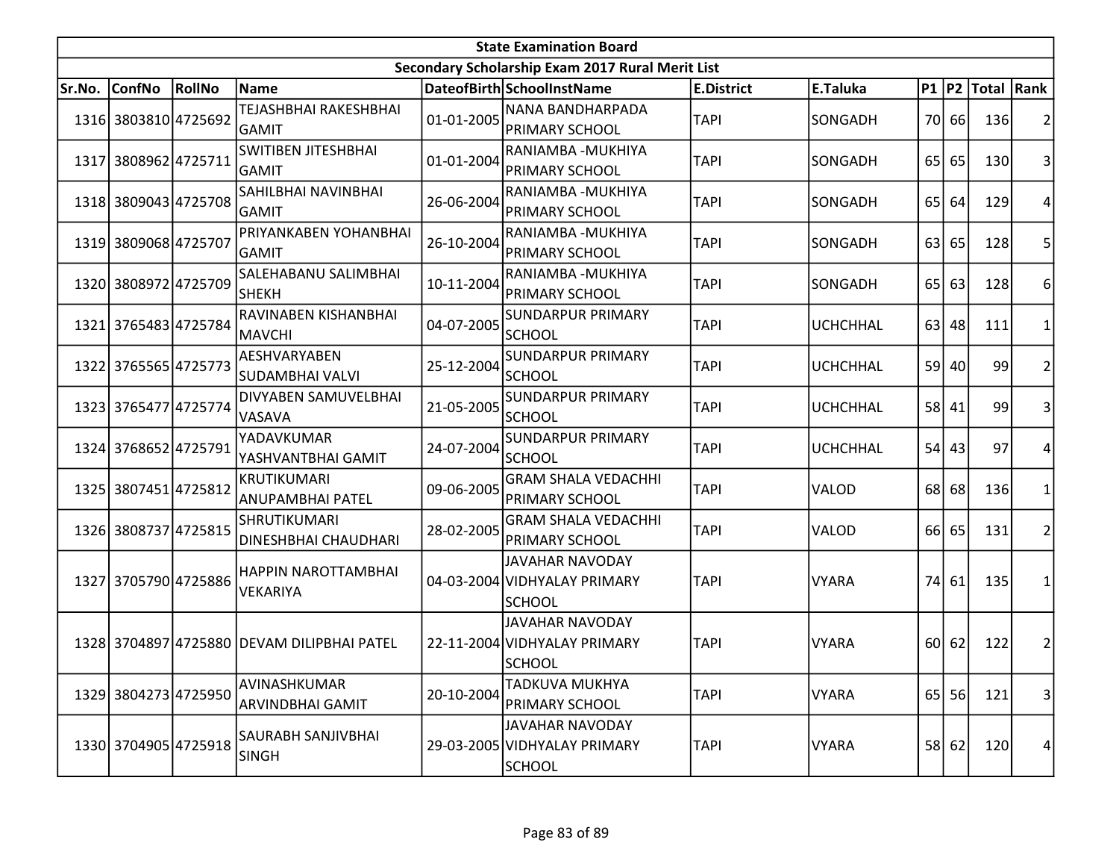|        | <b>State Examination Board</b><br>Secondary Scholarship Exam 2017 Rural Merit List |        |                                            |            |                                                                         |                   |                 |                 |                 |                        |                 |  |  |
|--------|------------------------------------------------------------------------------------|--------|--------------------------------------------|------------|-------------------------------------------------------------------------|-------------------|-----------------|-----------------|-----------------|------------------------|-----------------|--|--|
|        |                                                                                    |        |                                            |            |                                                                         |                   |                 |                 |                 |                        |                 |  |  |
| Sr.No. | <b>ConfNo</b>                                                                      | RollNo | Name                                       |            | DateofBirth SchoolInstName                                              | <b>E.District</b> | E.Taluka        |                 |                 | P1   P2   Total   Rank |                 |  |  |
|        | 1316 3803810 4725692                                                               |        | TEJASHBHAI RAKESHBHAI<br>GAMIT             | 01-01-2005 | NANA BANDHARPADA<br>PRIMARY SCHOOL                                      | <b>TAPI</b>       | SONGADH         |                 | 70 66           | 136                    | 2               |  |  |
|        | 1317 3808962 4725711                                                               |        | <b>SWITIBEN JITESHBHAI</b><br><b>GAMIT</b> | 01-01-2004 | RANIAMBA - MUKHIYA<br>PRIMARY SCHOOL                                    | <b>TAPI</b>       | SONGADH         |                 | 65 65           | 130                    | $\vert$ 3       |  |  |
|        | 1318 3809043 4725708                                                               |        | SAHILBHAI NAVINBHAI<br>GAMIT               | 26-06-2004 | RANIAMBA - MUKHIYA<br><b>PRIMARY SCHOOL</b>                             | <b>TAPI</b>       | SONGADH         | 65 <sup> </sup> | 64              | 129                    | 4               |  |  |
|        | 1319 3809068 4725707                                                               |        | PRIYANKABEN YOHANBHAI<br><b>GAMIT</b>      | 26-10-2004 | RANIAMBA - MUKHIYA<br>PRIMARY SCHOOL                                    | <b>TAPI</b>       | SONGADH         |                 | 63 65           | 128                    | 5               |  |  |
|        | 1320 3808972 4725709                                                               |        | SALEHABANU SALIMBHAI<br><b>SHEKH</b>       | 10-11-2004 | RANIAMBA - MUKHIYA<br>PRIMARY SCHOOL                                    | <b>TAPI</b>       | SONGADH         | 65              | 63              | 128                    | $6 \mid$        |  |  |
|        | 1321 3765483 4725784                                                               |        | RAVINABEN KISHANBHAI<br>MAVCHI             | 04-07-2005 | <b>SUNDARPUR PRIMARY</b><br><b>SCHOOL</b>                               | <b>TAPI</b>       | <b>UCHCHHAL</b> | 63              | 48              | 111                    | 1               |  |  |
|        | 1322 3765565 4725773                                                               |        | AESHVARYABEN<br> SUDAMBHAI VALVI           | 25-12-2004 | <b>SUNDARPUR PRIMARY</b><br><b>SCHOOL</b>                               | <b>TAPI</b>       | <b>UCHCHHAL</b> | 59              | 40 <sub>l</sub> | 99                     | $\overline{2}$  |  |  |
|        | 1323 3765477 4725774                                                               |        | DIVYABEN SAMUVELBHAI<br><b>VASAVA</b>      | 21-05-2005 | <b>SUNDARPUR PRIMARY</b><br><b>SCHOOL</b>                               | <b>TAPI</b>       | <b>UCHCHHAL</b> |                 | 58 41           | 99                     | $\overline{3}$  |  |  |
|        | 1324 3768652 4725791                                                               |        | YADAVKUMAR<br>YASHVANTBHAI GAMIT           | 24-07-2004 | <b>SUNDARPUR PRIMARY</b><br><b>SCHOOL</b>                               | <b>TAPI</b>       | <b>UCHCHHAL</b> |                 | $54$ 43         | 97                     | $\vert 4 \vert$ |  |  |
|        | 1325 3807451 4725812                                                               |        | <b>KRUTIKUMARI</b><br>ANUPAMBHAI PATEL     | 09-06-2005 | <b>GRAM SHALA VEDACHHI</b><br><b>PRIMARY SCHOOL</b>                     | <b>TAPI</b>       | VALOD           | 68              | 68              | 136                    | $\mathbf{1}$    |  |  |
|        | 1326 3808737 4725815                                                               |        | SHRUTIKUMARI<br>DINESHBHAI CHAUDHARI       | 28-02-2005 | <b>GRAM SHALA VEDACHHI</b><br>PRIMARY SCHOOL                            | <b>TAPI</b>       | <b>VALOD</b>    |                 | 66 65           | 131                    | $\overline{2}$  |  |  |
|        | 1327 3705790 4725886                                                               |        | HAPPIN NAROTTAMBHAI<br>VEKARIYA            |            | <b>JAVAHAR NAVODAY</b><br>04-03-2004 VIDHYALAY PRIMARY<br><b>SCHOOL</b> | <b>TAPI</b>       | <b>VYARA</b>    |                 | 74 61           | 135                    | 1               |  |  |
|        |                                                                                    |        | 1328 3704897 4725880 DEVAM DILIPBHAI PATEL |            | JAVAHAR NAVODAY<br>22-11-2004 VIDHYALAY PRIMARY<br> SCHOOL              | <b>TAPI</b>       | <b>VYARA</b>    | 60              | 62              | 122                    | $\overline{2}$  |  |  |
|        | 1329 3804273 4725950                                                               |        | AVINASHKUMAR<br><b>ARVINDBHAI GAMIT</b>    | 20-10-2004 | <b>TADKUVA MUKHYA</b><br><b>PRIMARY SCHOOL</b>                          | <b>TAPI</b>       | <b>VYARA</b>    |                 | 65 56           | 121                    | 3               |  |  |
|        | 1330 3704905 4725918                                                               |        | SAURABH SANJIVBHAI<br><b>SINGH</b>         |            | JAVAHAR NAVODAY<br>29-03-2005 VIDHYALAY PRIMARY<br>SCHOOL               | <b>TAPI</b>       | <b>VYARA</b>    |                 | 58 62           | 120                    | $\vert 4 \vert$ |  |  |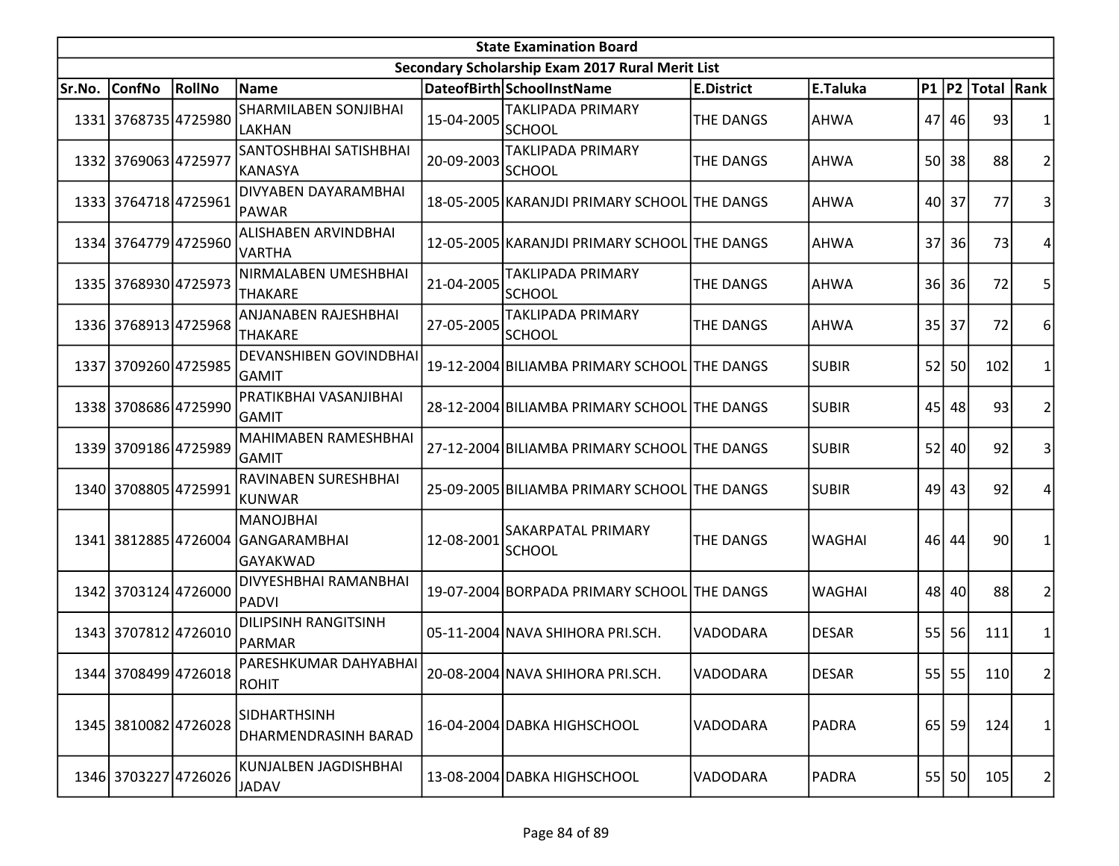| <b>State Examination Board</b> |                      |                      |                                                            |            |                                                  |                   |               |      |       |                     |                |  |
|--------------------------------|----------------------|----------------------|------------------------------------------------------------|------------|--------------------------------------------------|-------------------|---------------|------|-------|---------------------|----------------|--|
|                                |                      |                      |                                                            |            | Secondary Scholarship Exam 2017 Rural Merit List |                   |               |      |       |                     |                |  |
| Sr.No.                         | <b>ConfNo</b>        | RollNo               | <b>Name</b>                                                |            | DateofBirth SchoolInstName                       | <b>E.District</b> | E.Taluka      |      |       | P1  P2  Total  Rank |                |  |
|                                | 1331 3768735 4725980 |                      | SHARMILABEN SONJIBHAI<br>LAKHAN                            | 15-04-2005 | <b>TAKLIPADA PRIMARY</b><br><b>SCHOOL</b>        | <b>THE DANGS</b>  | <b>AHWA</b>   |      | 47 46 | 93                  |                |  |
|                                | 1332 3769063 4725977 |                      | SANTOSHBHAI SATISHBHAI<br>KANASYA                          | 20-09-2003 | <b>TAKLIPADA PRIMARY</b><br><b>SCHOOL</b>        | <b>THE DANGS</b>  | <b>AHWA</b>   |      | 50 38 | 88                  | $\overline{2}$ |  |
|                                | 1333 3764718 4725961 |                      | DIVYABEN DAYARAMBHAI<br>PAWAR                              |            | 18-05-2005 KARANJDI PRIMARY SCHOOL THE DANGS     |                   | <b>AHWA</b>   | 40   | 37    | 77                  | 3              |  |
|                                | 1334 3764779 4725960 |                      | ALISHABEN ARVINDBHAI<br><b>VARTHA</b>                      |            | 12-05-2005 KARANJDI PRIMARY SCHOOL THE DANGS     |                   | <b>AHWA</b>   | 37   | 36I   | 73                  | 4              |  |
|                                | 1335 3768930 4725973 |                      | NIRMALABEN UMESHBHAI<br><b>THAKARE</b>                     | 21-04-2005 | TAKLIPADA PRIMARY<br><b>SCHOOL</b>               | <b>THE DANGS</b>  | <b>AHWA</b>   | 36 l | 36    | 72                  | 5              |  |
|                                | 1336 3768913 4725968 |                      | ANJANABEN RAJESHBHAI<br>THAKARE                            | 27-05-2005 | TAKLIPADA PRIMARY<br><b>SCHOOL</b>               | <b>THE DANGS</b>  | <b>AHWA</b>   | 35   | 37    | 72                  | 6              |  |
|                                | 1337 3709260 4725985 |                      | <b>DEVANSHIBEN GOVINDBHAI</b><br>GAMIT                     |            | 19-12-2004 BILIAMBA PRIMARY SCHOOL THE DANGS     |                   | <b>SUBIR</b>  | 52   | 50    | 102                 | 1              |  |
|                                | 1338 3708686 4725990 |                      | PRATIKBHAI VASANJIBHAI<br><b>GAMIT</b>                     |            | 28-12-2004 BILIAMBA PRIMARY SCHOOL THE DANGS     |                   | <b>SUBIR</b>  | 45   | 48    | 93                  | $\overline{2}$ |  |
|                                | 1339 3709186 4725989 |                      | <b>MAHIMABEN RAMESHBHAI</b><br><b>GAMIT</b>                |            | 27-12-2004 BILIAMBA PRIMARY SCHOOL THE DANGS     |                   | <b>SUBIR</b>  | 52   | 40    | 92                  | 3              |  |
|                                | 1340 3708805 4725991 |                      | <b>RAVINABEN SURESHBHAI</b><br>KUNWAR                      |            | 25-09-2005 BILIAMBA PRIMARY SCHOOL THE DANGS     |                   | <b>SUBIR</b>  | 49   | 43    | 92                  | 4              |  |
|                                |                      |                      | MANOJBHAI<br>1341 3812885 4726004 GANGARAMBHAI<br>GAYAKWAD | 12-08-2001 | <b>SAKARPATAL PRIMARY</b><br><b>SCHOOL</b>       | THE DANGS         | <b>WAGHAI</b> |      | 46 44 | 90                  | 1              |  |
|                                | 1342 3703124 4726000 |                      | DIVYESHBHAI RAMANBHAI<br>PADVI                             |            | 19-07-2004 BORPADA PRIMARY SCHOOL THE DANGS      |                   | <b>WAGHAI</b> |      | 48 40 | 88                  | $\overline{2}$ |  |
|                                | 1343 3707812 4726010 |                      | <b>DILIPSINH RANGITSINH</b><br>PARMAR                      |            | 05-11-2004 NAVA SHIHORA PRI.SCH.                 | VADODARA          | <b>DESAR</b>  |      | 55 56 | 111                 | 1              |  |
|                                |                      | 1344 3708499 4726018 | PARESHKUMAR DAHYABHAI<br>ROHIT                             |            | 20-08-2004 NAVA SHIHORA PRI.SCH.                 | VADODARA          | <b>DESAR</b>  |      | 55 55 | 110                 | $\overline{2}$ |  |
|                                | 1345 3810082 4726028 |                      | <b>SIDHARTHSINH</b><br>DHARMENDRASINH BARAD                |            | 16-04-2004 DABKA HIGHSCHOOL                      | VADODARA          | <b>PADRA</b>  |      | 65 59 | 124                 | 1              |  |
|                                | 1346 3703227 4726026 |                      | KUNJALBEN JAGDISHBHAI<br><b>JADAV</b>                      |            | 13-08-2004 DABKA HIGHSCHOOL                      | VADODARA          | <b>PADRA</b>  |      | 55 50 | 105                 | 2              |  |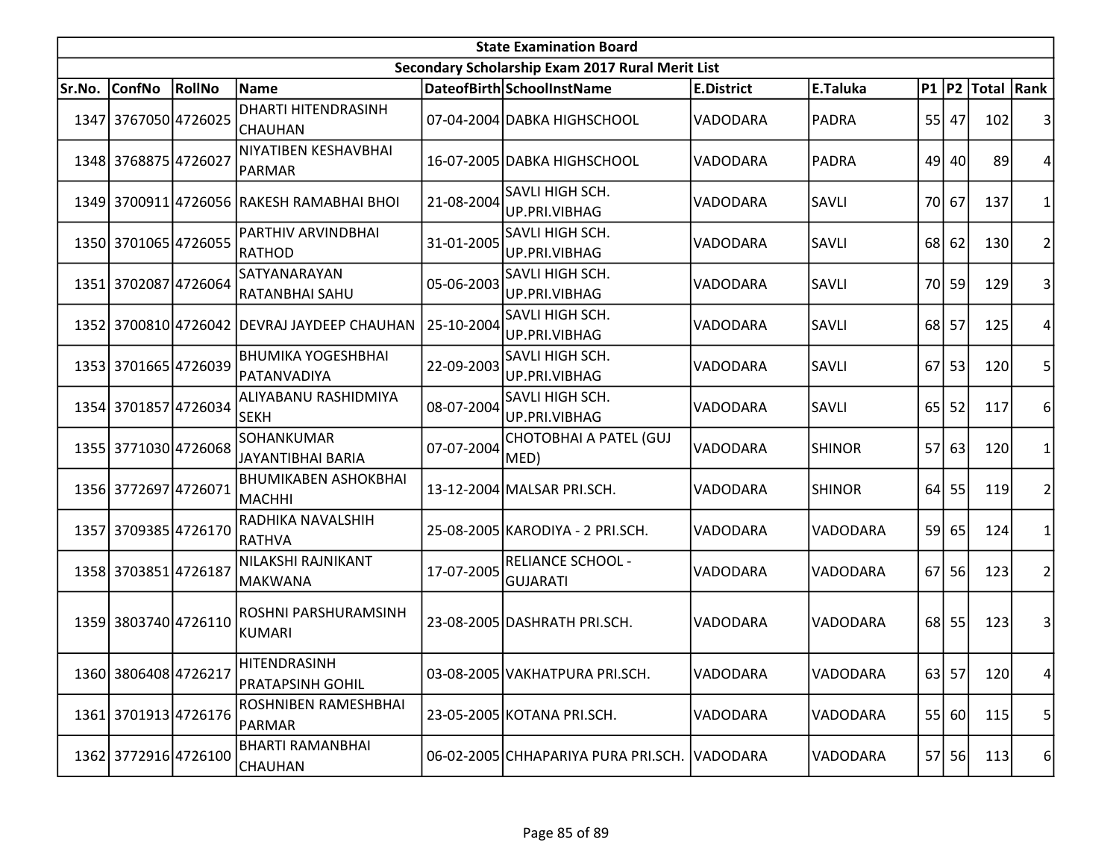| <b>State Examination Board</b> |                      |        |                                             |            |                                                  |                   |               |                 |         |                     |                |  |
|--------------------------------|----------------------|--------|---------------------------------------------|------------|--------------------------------------------------|-------------------|---------------|-----------------|---------|---------------------|----------------|--|
|                                |                      |        |                                             |            | Secondary Scholarship Exam 2017 Rural Merit List |                   |               |                 |         |                     |                |  |
| Sr.No.                         | <b>ConfNo</b>        | RollNo | Name                                        |            | DateofBirth SchoolInstName                       | <b>E.District</b> | E.Taluka      |                 |         | P1  P2  Total  Rank |                |  |
|                                | 1347 3767050 4726025 |        | <b>DHARTI HITENDRASINH</b><br>ICHAUHAN      |            | 07-04-2004 DABKA HIGHSCHOOL                      | VADODARA          | <b>PADRA</b>  |                 | 55 47   | 102                 | 3              |  |
|                                | 1348 3768875 4726027 |        | NIYATIBEN KESHAVBHAI<br>PARMAR              |            | 16-07-2005 DABKA HIGHSCHOOL                      | VADODARA          | <b>PADRA</b>  |                 | 49 40   | 89                  | 4              |  |
|                                |                      |        | 1349 3700911 4726056 RAKESH RAMABHAI BHOI   | 21-08-2004 | SAVLI HIGH SCH.<br>UP.PRI.VIBHAG                 | <b>VADODARA</b>   | SAVLI         |                 | 70 67   | 137                 | 1              |  |
|                                | 1350 3701065 4726055 |        | PARTHIV ARVINDBHAI<br>RATHOD                | 31-01-2005 | SAVLI HIGH SCH.<br>UP.PRI.VIBHAG                 | VADODARA          | SAVLI         |                 | $68$ 62 | 130                 | $\overline{2}$ |  |
|                                | 1351 3702087 4726064 |        | SATYANARAYAN<br>RATANBHAI SAHU              | 05-06-2003 | SAVLI HIGH SCH.<br>UP.PRI.VIBHAG                 | VADODARA          | SAVLI         | 70I             | 59      | 129                 | 3              |  |
|                                |                      |        | 1352 3700810 4726042 DEVRAJ JAYDEEP CHAUHAN | 25-10-2004 | SAVLI HIGH SCH.<br>UP.PRI.VIBHAG                 | VADODARA          | <b>SAVLI</b>  |                 | 68 57   | 125                 | 4              |  |
|                                | 1353 3701665 4726039 |        | <b>BHUMIKA YOGESHBHAI</b><br>PATANVADIYA    | 22-09-2003 | SAVLI HIGH SCH.<br>UP.PRI.VIBHAG                 | VADODARA          | SAVLI         | 67              | 53      | 120                 | 5              |  |
|                                | 1354 3701857 4726034 |        | ALIYABANU RASHIDMIYA<br>lsekh               | 08-07-2004 | SAVLI HIGH SCH.<br>UP.PRI.VIBHAG                 | VADODARA          | <b>SAVLI</b>  | 65 <sup> </sup> | 52      | 117                 | 6              |  |
|                                | 1355 3771030 4726068 |        | SOHANKUMAR<br>JAYANTIBHAI BARIA             | 07-07-2004 | CHOTOBHAI A PATEL (GUJ<br>MED)                   | VADODARA          | SHINOR        | 57              | 63      | 120                 | 1              |  |
|                                | 1356 3772697 4726071 |        | <b>BHUMIKABEN ASHOKBHAI</b><br>MACHHI       |            | 13-12-2004 MALSAR PRI.SCH.                       | VADODARA          | <b>SHINOR</b> | 64              | 55      | 119                 | $\overline{2}$ |  |
|                                | 1357 3709385 4726170 |        | RADHIKA NAVALSHIH<br>RATHVA                 |            | 25-08-2005 KARODIYA - 2 PRI.SCH.                 | VADODARA          | VADODARA      |                 | 59 65   | 124                 | 1              |  |
|                                | 1358 3703851 4726187 |        | NILAKSHI RAJNIKANT<br>MAKWANA               | 17-07-2005 | <b>RELIANCE SCHOOL -</b><br><b>GUJARATI</b>      | VADODARA          | VADODARA      | 67              | 56      | 123                 | 2              |  |
|                                | 1359 3803740 4726110 |        | ROSHNI PARSHURAMSINH<br>KUMARI              |            | 23-08-2005 DASHRATH PRI.SCH.                     | VADODARA          | VADODARA      |                 | 68 55   | 123                 | 3              |  |
|                                | 1360 3806408 4726217 |        | HITENDRASINH<br><b>PRATAPSINH GOHIL</b>     |            | 03-08-2005 VAKHATPURA PRI.SCH.                   | VADODARA          | VADODARA      |                 | $63$ 57 | 120                 | 4              |  |
|                                | 1361 3701913 4726176 |        | ROSHNIBEN RAMESHBHAI<br>PARMAR              |            | 23-05-2005 KOTANA PRI.SCH.                       | VADODARA          | VADODARA      |                 | 55 60   | 115                 | 5              |  |
|                                | 1362 3772916 4726100 |        | <b>BHARTI RAMANBHAI</b><br><b>CHAUHAN</b>   |            | 06-02-2005 CHHAPARIYA PURA PRI.SCH. VADODARA     |                   | VADODARA      |                 | 57 56   | 113                 | 6              |  |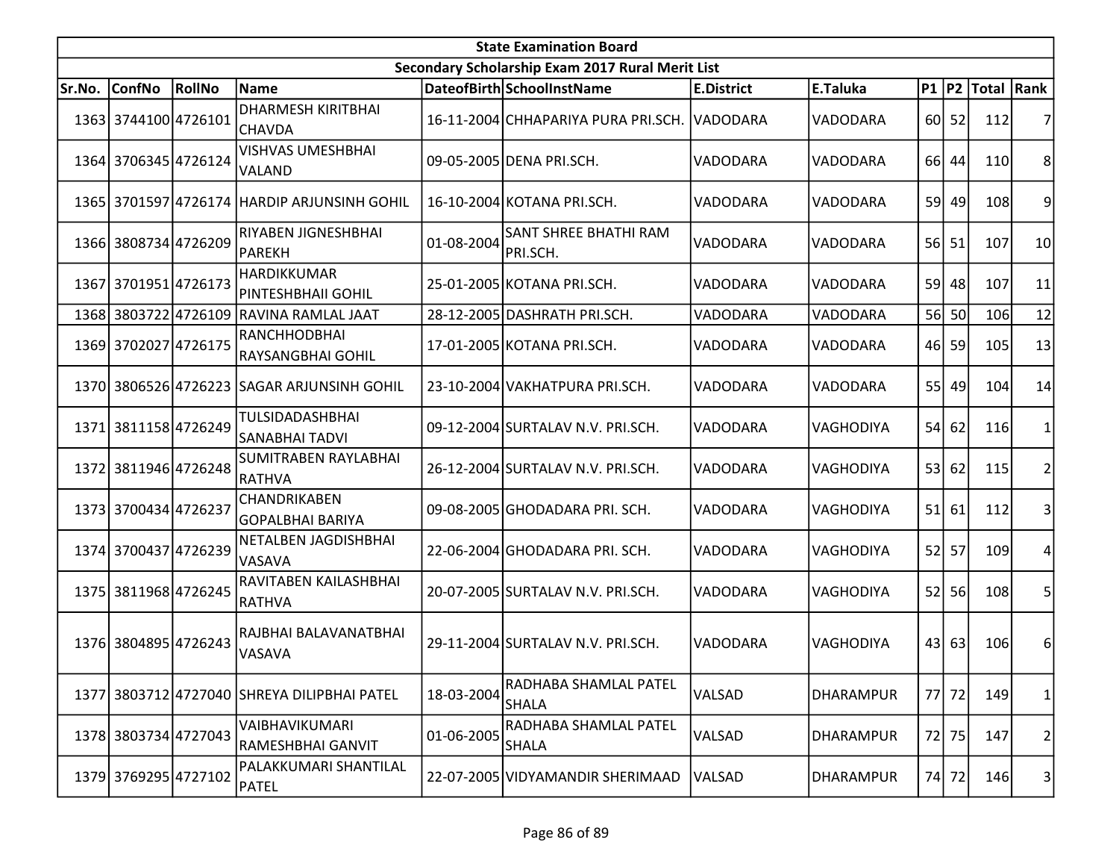| <b>State Examination Board</b>                   |                      |        |                                                 |            |                                          |                   |                  |    |       |                     |                |  |
|--------------------------------------------------|----------------------|--------|-------------------------------------------------|------------|------------------------------------------|-------------------|------------------|----|-------|---------------------|----------------|--|
| Secondary Scholarship Exam 2017 Rural Merit List |                      |        |                                                 |            |                                          |                   |                  |    |       |                     |                |  |
| Sr.No.                                           | <b>ConfNo</b>        | RollNo | <b>Name</b>                                     |            | DateofBirth SchoolInstName               | <b>E.District</b> | E.Taluka         |    |       | P1  P2  Total  Rank |                |  |
|                                                  | 1363 3744100 4726101 |        | <b>DHARMESH KIRITBHAI</b><br><b>CHAVDA</b>      |            | 16-11-2004 CHHAPARIYA PURA PRI.SCH.      | VADODARA          | VADODARA         |    | 60 52 | 112                 | 7              |  |
|                                                  | 1364 3706345 4726124 |        | <b>VISHVAS UMESHBHAI</b><br>VALAND              |            | 09-05-2005 DENA PRI.SCH.                 | VADODARA          | VADODARA         |    | 66 44 | 110                 | 8              |  |
|                                                  |                      |        | 1365 3701597 4726174 HARDIP ARJUNSINH GOHIL     |            | 16-10-2004 KOTANA PRI.SCH.               | VADODARA          | VADODARA         |    | 59 49 | 108                 | 9              |  |
|                                                  | 1366 3808734 4726209 |        | RIYABEN JIGNESHBHAI<br>PAREKH                   | 01-08-2004 | <b>SANT SHREE BHATHI RAM</b><br>PRI.SCH. | <b>VADODARA</b>   | VADODARA         |    | 56 51 | 107                 | 10             |  |
|                                                  | 1367 3701951 4726173 |        | <b>HARDIKKUMAR</b><br>PINTESHBHAII GOHIL        |            | 25-01-2005 KOTANA PRI.SCH.               | VADODARA          | VADODARA         | 59 | 48    | 107                 | 11             |  |
| 1368                                             |                      |        | 3803722 4726109 RAVINA RAMLAL JAAT              |            | 28-12-2005 DASHRATH PRI.SCH.             | VADODARA          | VADODARA         |    | 56 50 | 106                 | 12             |  |
|                                                  | 1369 3702027 4726175 |        | <b>RANCHHODBHAI</b><br><b>RAYSANGBHAI GOHIL</b> |            | 17-01-2005 KOTANA PRI.SCH.               | VADODARA          | VADODARA         | 46 | 59    | 105                 | 13             |  |
|                                                  |                      |        | 1370 3806526 4726223 SAGAR ARJUNSINH GOHIL      |            | 23-10-2004 VAKHATPURA PRI.SCH.           | VADODARA          | VADODARA         | 55 | 49    | 104                 | 14             |  |
|                                                  | 1371 3811158 4726249 |        | TULSIDADASHBHAI<br><b>SANABHAI TADVI</b>        |            | 09-12-2004 SURTALAV N.V. PRI.SCH.        | IVADODARA         | <b>VAGHODIYA</b> | 54 | 62    | 116                 | 1              |  |
|                                                  | 1372 3811946 4726248 |        | SUMITRABEN RAYLABHAI<br>RATHVA                  |            | 26-12-2004 SURTALAV N.V. PRI.SCH.        | VADODARA          | VAGHODIYA        | 53 | 62    | 115                 | $\overline{2}$ |  |
|                                                  | 1373 3700434 4726237 |        | CHANDRIKABEN<br>GOPALBHAI BARIYA                |            | 09-08-2005 GHODADARA PRI. SCH.           | VADODARA          | VAGHODIYA        | 51 | 61    | 112                 | 3              |  |
|                                                  | 1374 3700437 4726239 |        | NETALBEN JAGDISHBHAI<br>VASAVA                  |            | 22-06-2004 GHODADARA PRI. SCH.           | VADODARA          | VAGHODIYA        | 52 | 57    | 109                 | 4              |  |
|                                                  | 1375 3811968 4726245 |        | RAVITABEN KAILASHBHAI<br>RATHVA                 |            | 20-07-2005 SURTALAV N.V. PRI.SCH.        | VADODARA          | VAGHODIYA        | 52 | 56    | 108                 | 5              |  |
|                                                  | 1376 3804895 4726243 |        | RAJBHAI BALAVANATBHAI<br>VASAVA                 |            | 29-11-2004 SURTALAV N.V. PRI.SCH.        | VADODARA          | <b>VAGHODIYA</b> | 43 | 63    | 106                 | 6              |  |
|                                                  |                      |        | 1377 3803712 4727040 SHREYA DILIPBHAI PATEL     | 18-03-2004 | RADHABA SHAMLAL PATEL<br><b>SHALA</b>    | VALSAD            | <b>DHARAMPUR</b> | 77 | 72    | 149                 | 1              |  |
|                                                  | 1378 3803734 4727043 |        | VAIBHAVIKUMARI<br>RAMESHBHAI GANVIT             | 01-06-2005 | RADHABA SHAMLAL PATEL<br><b>SHALA</b>    | VALSAD            | <b>DHARAMPUR</b> | 72 | 75    | 147                 | 2              |  |
|                                                  | 1379 3769295 4727102 |        | PALAKKUMARI SHANTILAL<br>PATEL                  |            | 22-07-2005 VIDYAMANDIR SHERIMAAD         | VALSAD            | <b>DHARAMPUR</b> |    | 74 72 | 146                 | 3              |  |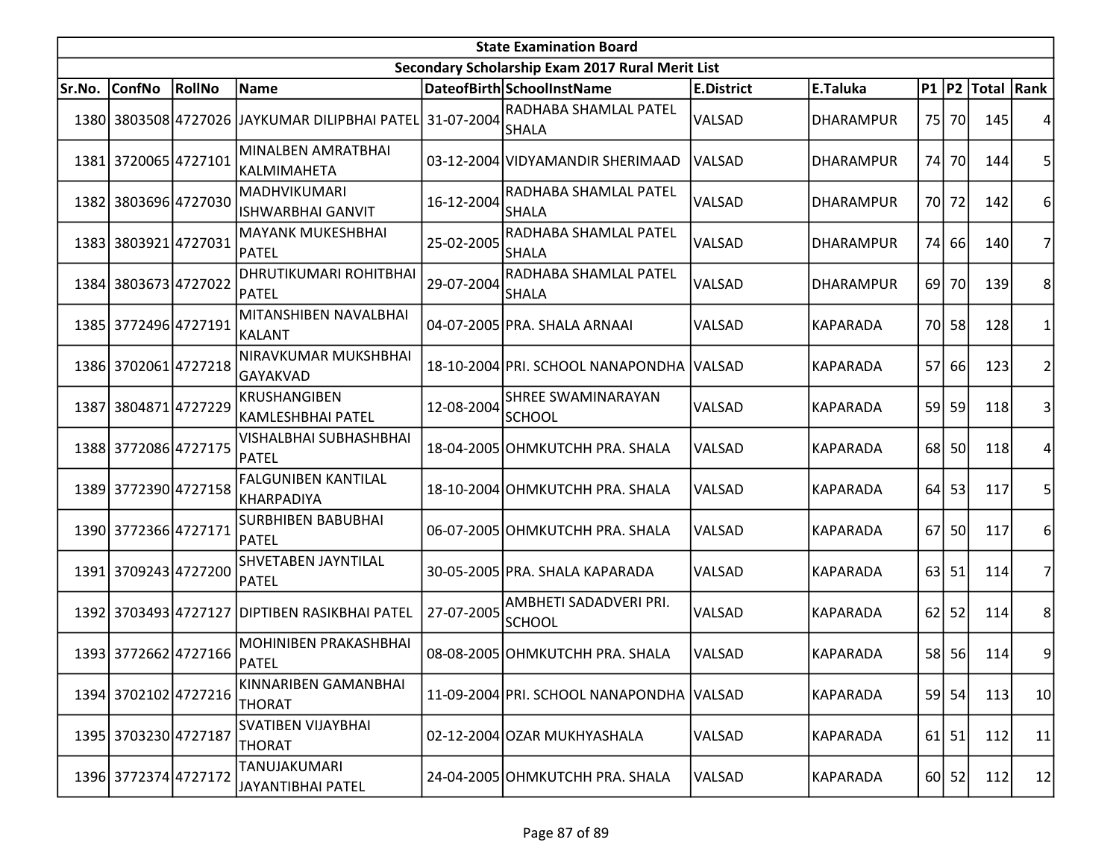| <b>State Examination Board</b> |                      |        |                                               |            |                                                  |                   |                  |      |           |                     |                |  |
|--------------------------------|----------------------|--------|-----------------------------------------------|------------|--------------------------------------------------|-------------------|------------------|------|-----------|---------------------|----------------|--|
|                                |                      |        |                                               |            | Secondary Scholarship Exam 2017 Rural Merit List |                   |                  |      |           |                     |                |  |
| Sr.No.                         | <b>ConfNo</b>        | RollNo | Name                                          |            | DateofBirth SchoolInstName                       | <b>E.District</b> | E.Taluka         |      |           | P1  P2  Total  Rank |                |  |
|                                |                      |        | 1380 3803508 4727026 JAYKUMAR DILIPBHAI PATEL | 31-07-2004 | RADHABA SHAMLAL PATEL<br><b>SHALA</b>            | VALSAD            | <b>DHARAMPUR</b> |      | 75 70     | 145                 | 4              |  |
|                                | 1381 3720065 4727101 |        | MINALBEN AMRATBHAI<br>KALMIMAHETA             |            | 03-12-2004 VIDYAMANDIR SHERIMAAD                 | VALSAD            | <b>DHARAMPUR</b> | 74I  | <b>70</b> | 144                 | 5              |  |
|                                | 1382 3803696 4727030 |        | MADHVIKUMARI<br><b>ISHWARBHAI GANVIT</b>      | 16-12-2004 | RADHABA SHAMLAL PATEL<br><b>SHALA</b>            | VALSAD            | <b>DHARAMPUR</b> |      | 70 72     | 142                 | 6              |  |
|                                | 1383 3803921 4727031 |        | <b>MAYANK MUKESHBHAI</b><br>PATEL             | 25-02-2005 | RADHABA SHAMLAL PATEL<br><b>SHALA</b>            | VALSAD            | <b>DHARAMPUR</b> | 74   | 66        | 140                 | 7              |  |
|                                | 1384 3803673 4727022 |        | DHRUTIKUMARI ROHITBHAI<br>PATEL               | 29-07-2004 | RADHABA SHAMLAL PATEL<br><b>SHALA</b>            | VALSAD            | <b>DHARAMPUR</b> | 69 l | 70        | 139                 | 8              |  |
|                                | 1385 3772496 4727191 |        | MITANSHIBEN NAVALBHAI<br>KALANT               |            | 04-07-2005 PRA. SHALA ARNAAI                     | VALSAD            | <b>KAPARADA</b>  | 70I  | 58        | 128                 | 1              |  |
|                                | 1386 3702061 4727218 |        | NIRAVKUMAR MUKSHBHAI<br>GAYAKVAD              |            | 18-10-2004 PRI. SCHOOL NANAPONDHA                | <b>VALSAD</b>     | <b>KAPARADA</b>  | 57   | 66        | 123                 | $\overline{2}$ |  |
|                                | 1387 3804871 4727229 |        | KRUSHANGIBEN<br>KAMLESHBHAI PATEL             | 12-08-2004 | <b>SHREE SWAMINARAYAN</b><br>SCHOOL              | VALSAD            | <b>KAPARADA</b>  | 59   | 59        | 118                 | 3              |  |
|                                | 1388 3772086 4727175 |        | <b>VISHALBHAI SUBHASHBHAI</b><br>PATEL        |            | 18-04-2005 OHMKUTCHH PRA. SHALA                  | VALSAD            | <b>KAPARADA</b>  | 68I  | <b>50</b> | 118                 | 4              |  |
|                                | 1389 3772390 4727158 |        | <b>FALGUNIBEN KANTILAL</b><br>KHARPADIYA      |            | 18-10-2004 OHMKUTCHH PRA. SHALA                  | VALSAD            | <b>KAPARADA</b>  | 64   | 53        | 117                 | 5              |  |
|                                | 1390 3772366 4727171 |        | <b>SURBHIBEN BABUBHAI</b><br>PATEL            |            | 06-07-2005 OHMKUTCHH PRA. SHALA                  | VALSAD            | <b>KAPARADA</b>  | 67   | <b>50</b> | 117                 | 6              |  |
|                                | 1391 3709243 4727200 |        | SHVETABEN JAYNTILAL<br>PATEL                  |            | 30-05-2005 PRA. SHALA KAPARADA                   | <b>VALSAD</b>     | <b>KAPARADA</b>  | 63   | 51        | 114                 | 7              |  |
|                                | 1392 3703493 4727127 |        | DIPTIBEN RASIKBHAI PATEL                      | 27-07-2005 | AMBHETI SADADVERI PRI.<br><b>SCHOOL</b>          | VALSAD            | <b>KAPARADA</b>  | 62   | 52        | 114                 | 8              |  |
|                                | 1393 3772662 4727166 |        | <b>MOHINIBEN PRAKASHBHAI</b><br>PATEL         |            | 08-08-2005 OHMKUTCHH PRA. SHALA                  | VALSAD            | <b>KAPARADA</b>  |      | 58 56     | 114                 | 9              |  |
|                                | 1394 3702102 4727216 |        | KINNARIBEN GAMANBHAI<br><b>THORAT</b>         |            | 11-09-2004 PRI. SCHOOL NANAPONDHA VALSAD         |                   | <b>KAPARADA</b>  |      | 59 54     | 113                 | 10             |  |
|                                | 1395 3703230 4727187 |        | <b>SVATIBEN VIJAYBHAI</b><br><b>THORAT</b>    |            | 02-12-2004 OZAR MUKHYASHALA                      | VALSAD            | <b>KAPARADA</b>  | 61   | 51        | 112                 | 11             |  |
|                                | 1396 3772374 4727172 |        | TANUJAKUMARI<br><b>JAYANTIBHAI PATEL</b>      |            | 24-04-2005 OHMKUTCHH PRA. SHALA                  | VALSAD            | <b>KAPARADA</b>  |      | 60 52     | 112                 | 12             |  |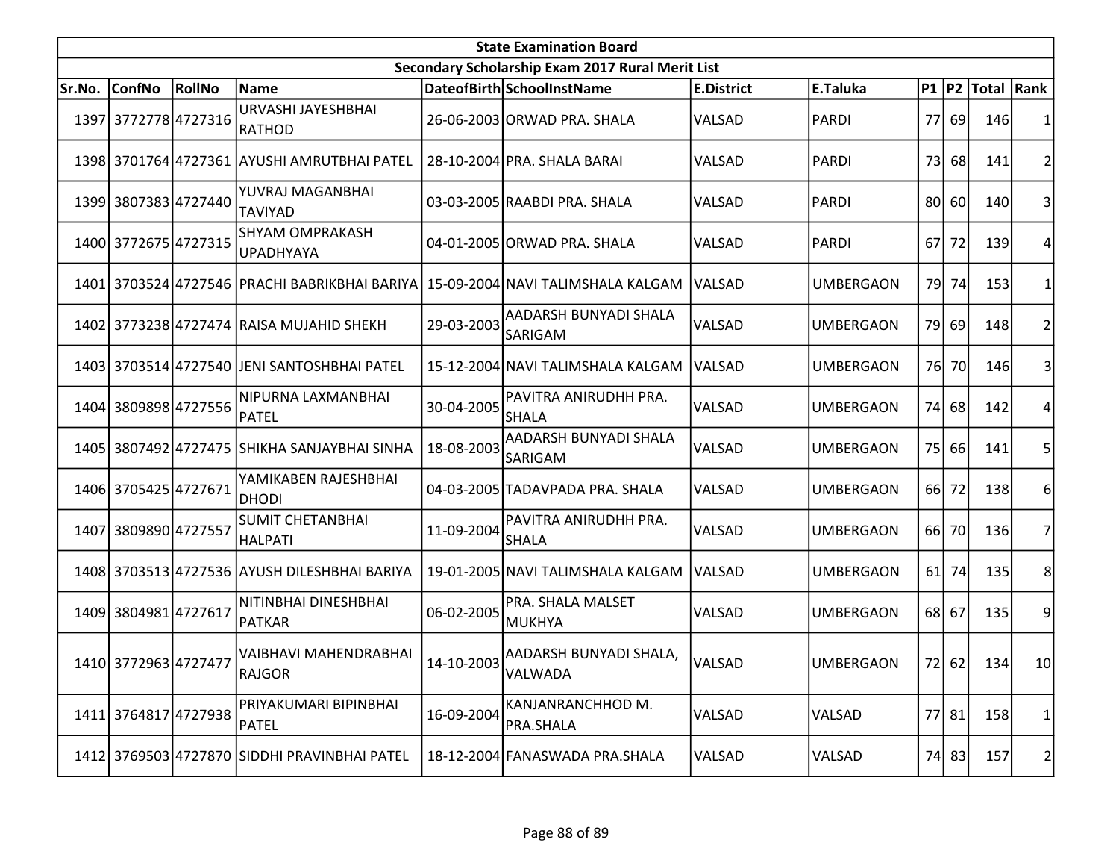| <b>State Examination Board</b> |                      |        |                                                                                 |            |                                                  |                   |                  |                 |           |                  |                 |  |  |
|--------------------------------|----------------------|--------|---------------------------------------------------------------------------------|------------|--------------------------------------------------|-------------------|------------------|-----------------|-----------|------------------|-----------------|--|--|
|                                |                      |        |                                                                                 |            | Secondary Scholarship Exam 2017 Rural Merit List |                   |                  |                 |           |                  |                 |  |  |
| Sr.No.                         | <b>ConfNo</b>        | RollNo | Name                                                                            |            | DateofBirth SchoolInstName                       | <b>E.District</b> | E.Taluka         |                 |           | P1 P2 Total Rank |                 |  |  |
|                                | 1397 3772778 4727316 |        | URVASHI JAYESHBHAI<br>RATHOD                                                    |            | 26-06-2003 ORWAD PRA. SHALA                      | VALSAD            | <b>PARDI</b>     |                 | 77 69     | 146              |                 |  |  |
|                                |                      |        | 1398 3701764 4727361 AYUSHI AMRUTBHAI PATEL                                     |            | 28-10-2004 PRA. SHALA BARAI                      | VALSAD            | <b>PARDI</b>     | 73              | <b>68</b> | 141              |                 |  |  |
|                                | 1399 3807383 4727440 |        | YUVRAJ MAGANBHAI<br><b>TAVIYAD</b>                                              |            | 03-03-2005 RAABDI PRA. SHALA                     | VALSAD            | <b>PARDI</b>     |                 | 80 60     | 140              | 3               |  |  |
|                                | 1400 3772675 4727315 |        | <b>SHYAM OMPRAKASH</b><br><b>UPADHYAYA</b>                                      |            | 04-01-2005 ORWAD PRA. SHALA                      | VALSAD            | PARDI            | 67 <sup> </sup> | 72        | 139              | 4               |  |  |
|                                |                      |        | 1401 3703524 4727546 PRACHI BABRIKBHAI BARIYA 15-09-2004 NAVI TALIMSHALA KALGAM |            |                                                  | VALSAD            | <b>UMBERGAON</b> | 79I             | 74        | 153              |                 |  |  |
|                                |                      |        | 1402 3773238 4727474 RAISA MUJAHID SHEKH                                        | 29-03-2003 | AADARSH BUNYADI SHALA<br>SARIGAM                 | VALSAD            | <b>UMBERGAON</b> |                 | 79 69     | 148              | 2               |  |  |
|                                |                      |        | 1403 3703514 4727540 JENI SANTOSHBHAI PATEL                                     |            | 15-12-2004 NAVI TALIMSHALA KALGAM                | VALSAD            | <b>UMBERGAON</b> |                 | 76 70     | 146              |                 |  |  |
|                                | 1404 3809898 4727556 |        | NIPURNA LAXMANBHAI<br>PATEL                                                     | 30-04-2005 | PAVITRA ANIRUDHH PRA.<br><b>SHALA</b>            | VALSAD            | <b>UMBERGAON</b> |                 | 74 68     | 142              | 4               |  |  |
|                                |                      |        | 1405 3807492 4727475 SHIKHA SANJAYBHAI SINHA                                    | 18-08-2003 | AADARSH BUNYADI SHALA<br>SARIGAM                 | VALSAD            | <b>UMBERGAON</b> |                 | 75 66     | 141              | 5               |  |  |
|                                | 1406 3705425 4727671 |        | YAMIKABEN RAJESHBHAI<br><b>DHODI</b>                                            |            | 04-03-2005 TADAVPADA PRA. SHALA                  | VALSAD            | <b>UMBERGAON</b> |                 | 66 72     | 138              | 6               |  |  |
|                                | 1407 3809890 4727557 |        | <b>SUMIT CHETANBHAI</b><br><b>HALPATI</b>                                       | 11-09-2004 | PAVITRA ANIRUDHH PRA.<br><b>SHALA</b>            | VALSAD            | <b>UMBERGAON</b> |                 | 66 70     | 136              | 7               |  |  |
|                                |                      |        | 1408 3703513 4727536 AYUSH DILESHBHAI BARIYA                                    |            | 19-01-2005 NAVI TALIMSHALA KALGAM                | VALSAD            | <b>UMBERGAON</b> | 61              | 74        | 135              | 8               |  |  |
|                                | 1409 3804981 4727617 |        | NITINBHAI DINESHBHAI<br>PATKAR                                                  | 06-02-2005 | PRA. SHALA MALSET<br><b>MUKHYA</b>               | VALSAD            | <b>UMBERGAON</b> |                 | 68 67     | 135              | 9               |  |  |
|                                | 1410 3772963 4727477 |        | VAIBHAVI MAHENDRABHAI<br>RAJGOR                                                 | 14-10-2003 | AADARSH BUNYADI SHALA,<br>VALWADA                | VALSAD            | <b>UMBERGAON</b> |                 | 72 62     | 134              | 10 <sup>1</sup> |  |  |
|                                | 1411 3764817 4727938 |        | PRIYAKUMARI BIPINBHAI<br>PATEL                                                  | 16-09-2004 | KANJANRANCHHOD M.<br>PRA.SHALA                   | VALSAD            | VALSAD           |                 | 77 81     | 158              | 1               |  |  |
|                                |                      |        | 1412 3769503 4727870 SIDDHI PRAVINBHAI PATEL                                    |            | 18-12-2004 FANASWADA PRA.SHALA                   | VALSAD            | VALSAD           |                 | 74 83     | 157              | $\mathbf{2}$    |  |  |